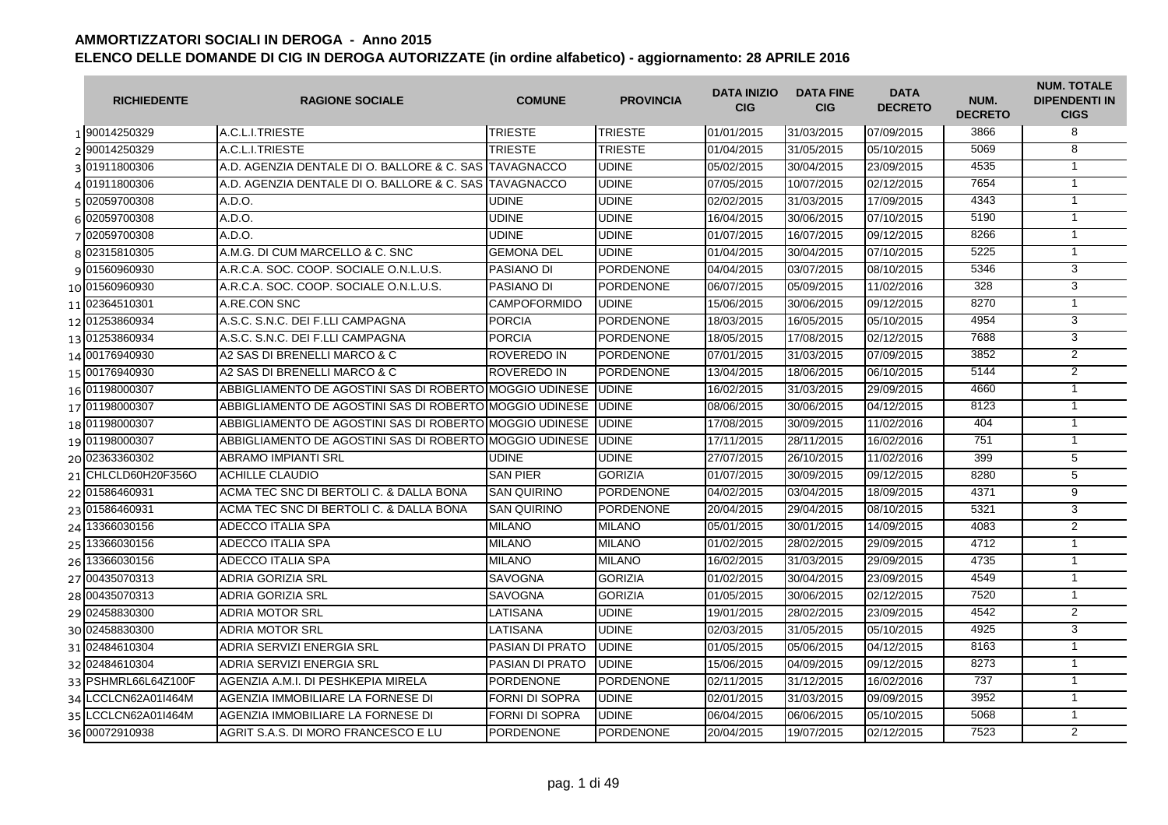| <b>RICHIEDENTE</b>    | <b>RAGIONE SOCIALE</b>                                        | <b>COMUNE</b>       | <b>PROVINCIA</b> | <b>DATA INIZIO</b><br><b>CIG</b> | <b>DATA FINE</b><br><b>CIG</b> | <b>DATA</b><br><b>DECRETO</b> | NUM.<br><b>DECRETO</b> | <b>NUM. TOTALE</b><br><b>DIPENDENTI IN</b><br><b>CIGS</b> |
|-----------------------|---------------------------------------------------------------|---------------------|------------------|----------------------------------|--------------------------------|-------------------------------|------------------------|-----------------------------------------------------------|
| 1 90014250329         | A.C.L.I.TRIESTE                                               | <b>TRIESTE</b>      | <b>TRIESTE</b>   | 01/01/2015                       | 31/03/2015                     | 07/09/2015                    | 3866                   | 8                                                         |
| 2 90014250329         | A.C.L.I.TRIESTE                                               | <b>TRIESTE</b>      | <b>TRIESTE</b>   | 01/04/2015                       | 31/05/2015                     | 05/10/2015                    | 5069                   | $\overline{8}$                                            |
| 3 01911800306         | A.D. AGENZIA DENTALE DI O. BALLORE & C. SAS                   | <b>TAVAGNACCO</b>   | <b>UDINE</b>     | 05/02/2015                       | 30/04/2015                     | 23/09/2015                    | 4535                   | $\mathbf{1}$                                              |
| 401911800306          | A.D. AGENZIA DENTALE DI O. BALLORE & C. SAS ITAVAGNACCO       |                     | <b>UDINE</b>     | 07/05/2015                       | 10/07/2015                     | 02/12/2015                    | 7654                   | $\mathbf{1}$                                              |
| 5 02059700308         | A.D.O.                                                        | <b>UDINE</b>        | <b>UDINE</b>     | 02/02/2015                       | 31/03/2015                     | 17/09/2015                    | 4343                   | $\mathbf{1}$                                              |
| 6 02059700308         | A.D.O.                                                        | <b>UDINE</b>        | <b>UDINE</b>     | 16/04/2015                       | 30/06/2015                     | 07/10/2015                    | 5190                   | $\mathbf{1}$                                              |
| 7 02059700308         | A.D.O.                                                        | <b>UDINE</b>        | <b>UDINE</b>     | 01/07/2015                       | 16/07/2015                     | 09/12/2015                    | 8266                   | $\mathbf{1}$                                              |
| 8 02315810305         | A.M.G. DI CUM MARCELLO & C. SNC                               | <b>GEMONA DEL</b>   | <b>UDINE</b>     | 01/04/2015                       | 30/04/2015                     | 07/10/2015                    | 5225                   | $\mathbf{1}$                                              |
| 9 01560960930         | A.R.C.A. SOC. COOP. SOCIALE O.N.L.U.S.                        | <b>PASIANO DI</b>   | <b>PORDENONE</b> | 04/04/2015                       | 03/07/2015                     | 08/10/2015                    | 5346                   | 3                                                         |
| 10 01560960930        | A.R.C.A. SOC. COOP. SOCIALE O.N.L.U.S.                        | <b>PASIANO DI</b>   | <b>PORDENONE</b> | 06/07/2015                       | 05/09/2015                     | 11/02/2016                    | 328                    | 3                                                         |
| 11 02364510301        | A.RE.CON SNC                                                  | <b>CAMPOFORMIDO</b> | <b>UDINE</b>     | 15/06/2015                       | 30/06/2015                     | 09/12/2015                    | 8270                   | $\mathbf{1}$                                              |
| 12 01253860934        | A.S.C. S.N.C. DEI F.LLI CAMPAGNA                              | <b>PORCIA</b>       | PORDENONE        | 18/03/2015                       | 16/05/2015                     | 05/10/2015                    | 4954                   | 3                                                         |
| 13 01253860934        | A.S.C. S.N.C. DEI F.LLI CAMPAGNA                              | <b>PORCIA</b>       | PORDENONE        | 18/05/2015                       | 17/08/2015                     | 02/12/2015                    | 7688                   | $\overline{3}$                                            |
| 14 00176940930        | A2 SAS DI BRENELLI MARCO & C                                  | ROVEREDO IN         | PORDENONE        | 07/01/2015                       | 31/03/2015                     | 07/09/2015                    | 3852                   | $\overline{2}$                                            |
| 15 00176940930        | A2 SAS DI BRENELLI MARCO & C                                  | <b>ROVEREDO IN</b>  | PORDENONE        | 13/04/2015                       | 18/06/2015                     | 06/10/2015                    | 5144                   | $\overline{2}$                                            |
| 16 01198000307        | ABBIGLIAMENTO DE AGOSTINI SAS DI ROBERTO MOGGIO UDINESE UDINE |                     |                  | 16/02/2015                       | 31/03/2015                     | 29/09/2015                    | 4660                   | $\mathbf{1}$                                              |
| 17 01198000307        | ABBIGLIAMENTO DE AGOSTINI SAS DI ROBERTO MOGGIO UDINESE I     |                     | <b>UDINE</b>     | 08/06/2015                       | 30/06/2015                     | 04/12/2015                    | 8123                   | $\overline{1}$                                            |
| 18 01198000307        | ABBIGLIAMENTO DE AGOSTINI SAS DI ROBERTO MOGGIO UDINESE       |                     | <b>UDINE</b>     | 17/08/2015                       | 30/09/2015                     | 11/02/2016                    | 404                    | $\mathbf{1}$                                              |
| 19 01198000307        | ABBIGLIAMENTO DE AGOSTINI SAS DI ROBERTO MOGGIO UDINESE       |                     | <b>UDINE</b>     | 17/11/2015                       | 28/11/2015                     | 16/02/2016                    | 751                    | $\mathbf{1}$                                              |
| 20 02363360302        | <b>ABRAMO IMPIANTI SRL</b>                                    | <b>UDINE</b>        | <b>UDINE</b>     | 27/07/2015                       | 26/10/2015                     | 11/02/2016                    | 399                    | $\overline{5}$                                            |
| 21 CHLCLD60H20F356O   | <b>ACHILLE CLAUDIO</b>                                        | <b>SAN PIER</b>     | <b>GORIZIA</b>   | 01/07/2015                       | 30/09/2015                     | 09/12/2015                    | 8280                   | 5                                                         |
| 22 01586460931        | ACMA TEC SNC DI BERTOLI C. & DALLA BONA                       | <b>SAN QUIRINO</b>  | <b>PORDENONE</b> | 04/02/2015                       | 03/04/2015                     | 18/09/2015                    | 4371                   | 9                                                         |
| 23 01586460931        | ACMA TEC SNC DI BERTOLI C. & DALLA BONA                       | <b>SAN QUIRINO</b>  | <b>PORDENONE</b> | 20/04/2015                       | 29/04/2015                     | 08/10/2015                    | 5321                   | 3                                                         |
| 24 13366030156        | ADECCO ITALIA SPA                                             | <b>MILANO</b>       | <b>MILANO</b>    | 05/01/2015                       | 30/01/2015                     | 14/09/2015                    | 4083                   | 2                                                         |
| 25 13366030156        | ADECCO ITALIA SPA                                             | <b>MILANO</b>       | <b>MILANO</b>    | 01/02/2015                       | 28/02/2015                     | 29/09/2015                    | 4712                   | $\mathbf{1}$                                              |
| 26 13366030156        | ADECCO ITALIA SPA                                             | <b>MILANO</b>       | <b>MILANO</b>    | 16/02/2015                       | 31/03/2015                     | 29/09/2015                    | 4735                   | $\mathbf{1}$                                              |
| 27 00435070313        | ADRIA GORIZIA SRL                                             | <b>SAVOGNA</b>      | <b>GORIZIA</b>   | 01/02/2015                       | 30/04/2015                     | 23/09/2015                    | 4549                   | $\mathbf{1}$                                              |
| 28 00435070313        | ADRIA GORIZIA SRL                                             | SAVOGNA             | <b>GORIZIA</b>   | 01/05/2015                       | 30/06/2015                     | 02/12/2015                    | 7520                   | $\mathbf{1}$                                              |
| 29 02458830300        | <b>ADRIA MOTOR SRL</b>                                        | LATISANA            | <b>UDINE</b>     | 19/01/2015                       | 28/02/2015                     | 23/09/2015                    | 4542                   | 2                                                         |
| 30 02458830300        | <b>ADRIA MOTOR SRL</b>                                        | LATISANA            | <b>UDINE</b>     | 02/03/2015                       | 31/05/2015                     | 05/10/2015                    | 4925                   | 3                                                         |
| 31 02484610304        | ADRIA SERVIZI ENERGIA SRL                                     | PASIAN DI PRATO     | <b>UDINE</b>     | 01/05/2015                       | 05/06/2015                     | 04/12/2015                    | 8163                   | $\overline{1}$                                            |
| 32 02484610304        | ADRIA SERVIZI ENERGIA SRL                                     | PASIAN DI PRATO     | <b>UDINE</b>     | 15/06/2015                       | 04/09/2015                     | 09/12/2015                    | 8273                   | $\mathbf{1}$                                              |
| 33 PSHMRL66L64Z100F   | AGENZIA A.M.I. DI PESHKEPIA MIRELA                            | <b>PORDENONE</b>    | <b>PORDENONE</b> | 02/11/2015                       | 31/12/2015                     | 16/02/2016                    | 737                    | $\mathbf{1}$                                              |
| 34 LCCLCN62A01I464M   | AGENZIA IMMOBILIARE LA FORNESE DI                             | FORNI DI SOPRA      | <b>UDINE</b>     | 02/01/2015                       | 31/03/2015                     | 09/09/2015                    | 3952                   | $\mathbf{1}$                                              |
| 35   LCCLCN62A01I464M | AGENZIA IMMOBILIARE LA FORNESE DI                             | FORNI DI SOPRA      | <b>UDINE</b>     | 06/04/2015                       | 06/06/2015                     | 05/10/2015                    | 5068                   | $\mathbf{1}$                                              |
| 36 00072910938        | AGRIT S.A.S. DI MORO FRANCESCO E LU                           | <b>PORDENONE</b>    | <b>PORDENONE</b> | 20/04/2015                       | 19/07/2015                     | 02/12/2015                    | 7523                   | $\overline{2}$                                            |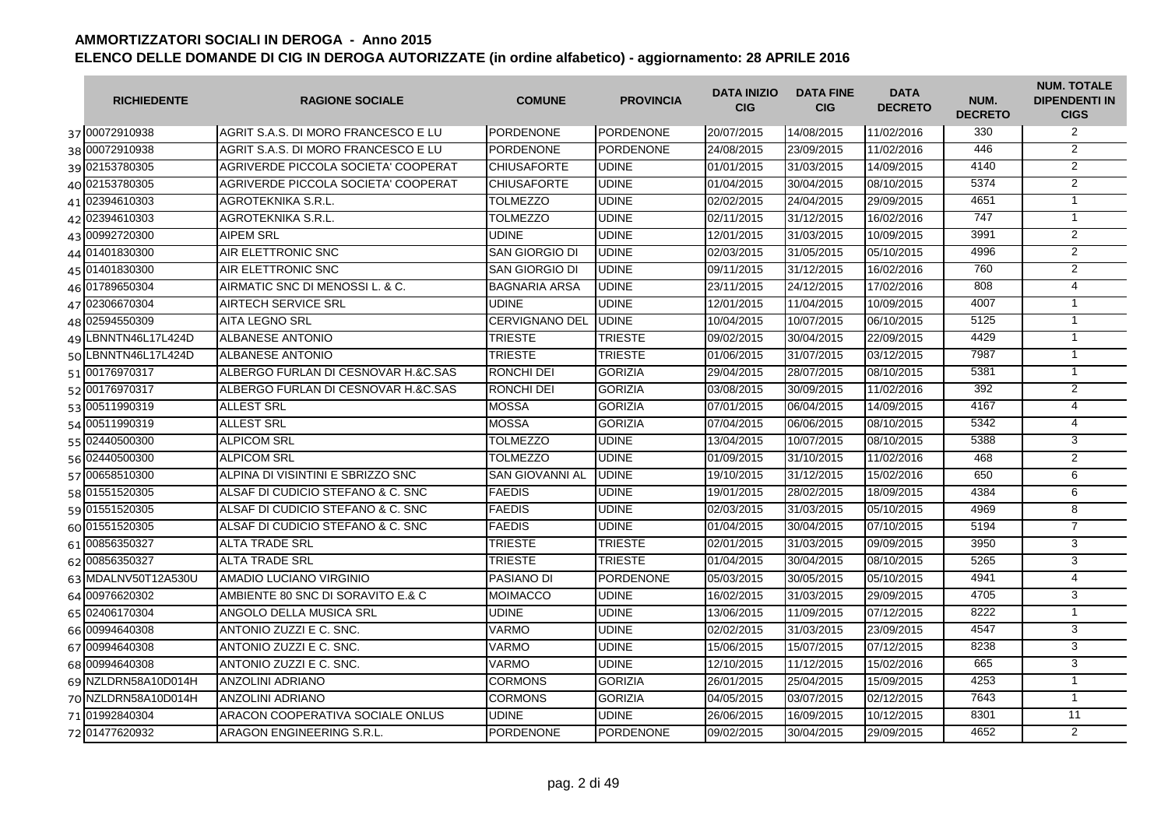| <b>RICHIEDENTE</b>  | <b>RAGIONE SOCIALE</b>              | <b>COMUNE</b>          | <b>PROVINCIA</b> | <b>DATA INIZIO</b><br><b>CIG</b> | <b>DATA FINE</b><br><b>CIG</b> | <b>DATA</b><br><b>DECRETO</b> | NUM.<br><b>DECRETO</b> | <b>NUM. TOTALE</b><br><b>DIPENDENTI IN</b><br><b>CIGS</b> |
|---------------------|-------------------------------------|------------------------|------------------|----------------------------------|--------------------------------|-------------------------------|------------------------|-----------------------------------------------------------|
| 37 00072910938      | AGRIT S.A.S. DI MORO FRANCESCO E LU | <b>PORDENONE</b>       | <b>PORDENONE</b> | 20/07/2015                       | 14/08/2015                     | 11/02/2016                    | 330                    | 2                                                         |
| 38 00072910938      | AGRIT S.A.S. DI MORO FRANCESCO E LU | <b>PORDENONE</b>       | <b>PORDENONE</b> | 24/08/2015                       | 23/09/2015                     | 11/02/2016                    | 446                    | $\overline{2}$                                            |
| 39 02153780305      | AGRIVERDE PICCOLA SOCIETA' COOPERAT | <b>CHIUSAFORTE</b>     | <b>UDINE</b>     | 01/01/2015                       | 31/03/2015                     | 14/09/2015                    | 4140                   | $\overline{2}$                                            |
| 40 02153780305      | AGRIVERDE PICCOLA SOCIETA' COOPERAT | <b>CHIUSAFORTE</b>     | <b>UDINE</b>     | 01/04/2015                       | 30/04/2015                     | 08/10/2015                    | 5374                   | $\overline{2}$                                            |
| 41 02394610303      | AGROTEKNIKA S.R.L.                  | <b>TOLMEZZO</b>        | <b>UDINE</b>     | 02/02/2015                       | 24/04/2015                     | 29/09/2015                    | 4651                   | $\mathbf{1}$                                              |
| 42 02394610303      | AGROTEKNIKA S.R.L.                  | <b>TOLMEZZO</b>        | <b>UDINE</b>     | 02/11/2015                       | 31/12/2015                     | 16/02/2016                    | 747                    | $\overline{1}$                                            |
| 43 00992720300      | <b>AIPEM SRL</b>                    | <b>UDINE</b>           | <b>UDINE</b>     | 12/01/2015                       | 31/03/2015                     | 10/09/2015                    | 3991                   | $\overline{2}$                                            |
| 44 01401830300      | AIR ELETTRONIC SNC                  | <b>SAN GIORGIO DI</b>  | <b>UDINE</b>     | 02/03/2015                       | 31/05/2015                     | 05/10/2015                    | 4996                   | $\overline{2}$                                            |
| 45 01401830300      | AIR ELETTRONIC SNC                  | <b>SAN GIORGIO DI</b>  | <b>UDINE</b>     | 09/11/2015                       | 31/12/2015                     | 16/02/2016                    | 760                    | $\overline{2}$                                            |
| 46 01789650304      | AIRMATIC SNC DI MENOSSI L. & C.     | <b>BAGNARIA ARSA</b>   | <b>UDINE</b>     | 23/11/2015                       | 24/12/2015                     | 17/02/2016                    | 808                    | $\overline{4}$                                            |
| 47 02306670304      | <b>AIRTECH SERVICE SRL</b>          | <b>UDINE</b>           | <b>UDINE</b>     | 12/01/2015                       | 11/04/2015                     | 10/09/2015                    | 4007                   | $\mathbf{1}$                                              |
| 48 02594550309      | <b>AITA LEGNO SRL</b>               | <b>CERVIGNANO DEL</b>  | <b>UDINE</b>     | 10/04/2015                       | 10/07/2015                     | 06/10/2015                    | 5125                   | $\mathbf{1}$                                              |
| 49 LBNNTN46L17L424D | <b>ALBANESE ANTONIO</b>             | TRIESTE                | TRIESTE          | 09/02/2015                       | 30/04/2015                     | 22/09/2015                    | 4429                   | $\mathbf{1}$                                              |
| 50 LBNNTN46L17L424D | <b>ALBANESE ANTONIO</b>             | <b>TRIESTE</b>         | TRIESTE          | 01/06/2015                       | 31/07/2015                     | 03/12/2015                    | 7987                   | $\mathbf{1}$                                              |
| 51 00176970317      | ALBERGO FURLAN DI CESNOVAR H.&C.SAS | RONCHI DEI             | <b>GORIZIA</b>   | 29/04/2015                       | 28/07/2015                     | 08/10/2015                    | 5381                   | $\mathbf{1}$                                              |
| 52 00176970317      | ALBERGO FURLAN DI CESNOVAR H.&C.SAS | <b>RONCHI DEI</b>      | <b>GORIZIA</b>   | 03/08/2015                       | 30/09/2015                     | 11/02/2016                    | 392                    | $\overline{2}$                                            |
| 53 00511990319      | <b>ALLEST SRL</b>                   | <b>MOSSA</b>           | <b>GORIZIA</b>   | 07/01/2015                       | 06/04/2015                     | 14/09/2015                    | 4167                   | $\overline{4}$                                            |
| 54 00511990319      | <b>ALLEST SRL</b>                   | <b>MOSSA</b>           | <b>GORIZIA</b>   | 07/04/2015                       | 06/06/2015                     | 08/10/2015                    | 5342                   | $\overline{4}$                                            |
| 55 02440500300      | <b>ALPICOM SRL</b>                  | <b>TOLMEZZO</b>        | <b>UDINE</b>     | 13/04/2015                       | 10/07/2015                     | 08/10/2015                    | 5388                   | 3                                                         |
| 56 02440500300      | <b>ALPICOM SRL</b>                  | <b>TOLMEZZO</b>        | <b>UDINE</b>     | 01/09/2015                       | 31/10/2015                     | 11/02/2016                    | 468                    | $\overline{2}$                                            |
| 57 00658510300      | ALPINA DI VISINTINI E SBRIZZO SNC   | <b>SAN GIOVANNI AL</b> | <b>UDINE</b>     | 19/10/2015                       | 31/12/2015                     | 15/02/2016                    | 650                    | 6                                                         |
| 58 01551520305      | ALSAF DI CUDICIO STEFANO & C. SNC   | <b>FAEDIS</b>          | <b>UDINE</b>     | 19/01/2015                       | 28/02/2015                     | 18/09/2015                    | 4384                   | 6                                                         |
| 59 01551520305      | ALSAF DI CUDICIO STEFANO & C. SNC   | <b>FAEDIS</b>          | <b>UDINE</b>     | 02/03/2015                       | 31/03/2015                     | 05/10/2015                    | 4969                   | 8                                                         |
| 60 01551520305      | ALSAF DI CUDICIO STEFANO & C. SNC   | <b>FAEDIS</b>          | <b>UDINE</b>     | 01/04/2015                       | 30/04/2015                     | 07/10/2015                    | 5194                   | $\overline{7}$                                            |
| 61 00856350327      | <b>ALTA TRADE SRL</b>               | <b>TRIESTE</b>         | TRIESTE          | 02/01/2015                       | 31/03/2015                     | 09/09/2015                    | 3950                   | 3                                                         |
| 62 00856350327      | <b>ALTA TRADE SRL</b>               | <b>TRIESTE</b>         | <b>TRIESTE</b>   | 01/04/2015                       | 30/04/2015                     | 08/10/2015                    | 5265                   | 3                                                         |
| 63 MDALNV50T12A530U | AMADIO LUCIANO VIRGINIO             | <b>PASIANO DI</b>      | <b>PORDENONE</b> | 05/03/2015                       | 30/05/2015                     | 05/10/2015                    | 4941                   | $\overline{4}$                                            |
| 64 00976620302      | AMBIENTE 80 SNC DI SORAVITO E.& C   | <b>MOIMACCO</b>        | <b>UDINE</b>     | 16/02/2015                       | 31/03/2015                     | 29/09/2015                    | 4705                   | $\overline{3}$                                            |
| 65 02406170304      | ANGOLO DELLA MUSICA SRL             | <b>UDINE</b>           | <b>UDINE</b>     | 13/06/2015                       | 11/09/2015                     | 07/12/2015                    | 8222                   | $\overline{1}$                                            |
| 66 00994640308      | ANTONIO ZUZZI E C. SNC.             | <b>VARMO</b>           | <b>UDINE</b>     | 02/02/2015                       | 31/03/2015                     | 23/09/2015                    | 4547                   | 3                                                         |
| 67 00994640308      | ANTONIO ZUZZI E C. SNC.             | <b>VARMO</b>           | <b>UDINE</b>     | 15/06/2015                       | 15/07/2015                     | 07/12/2015                    | 8238                   | $\overline{3}$                                            |
| 68 00994640308      | ANTONIO ZUZZI E C. SNC.             | <b>VARMO</b>           | <b>UDINE</b>     | 12/10/2015                       | 11/12/2015                     | 15/02/2016                    | 665                    | 3                                                         |
| 69 NZLDRN58A10D014H | <b>ANZOLINI ADRIANO</b>             | <b>CORMONS</b>         | <b>GORIZIA</b>   | 26/01/2015                       | 25/04/2015                     | 15/09/2015                    | 4253                   | $\mathbf{1}$                                              |
| 70 NZLDRN58A10D014H | <b>ANZOLINI ADRIANO</b>             | <b>CORMONS</b>         | <b>GORIZIA</b>   | 04/05/2015                       | 03/07/2015                     | 02/12/2015                    | 7643                   | $\mathbf{1}$                                              |
| 71 01992840304      | ARACON COOPERATIVA SOCIALE ONLUS    | <b>UDINE</b>           | <b>UDINE</b>     | 26/06/2015                       | 16/09/2015                     | 10/12/2015                    | 8301                   | $\overline{11}$                                           |
| 72 01477620932      | ARAGON ENGINEERING S.R.L.           | <b>PORDENONE</b>       | <b>PORDENONE</b> | 09/02/2015                       | 30/04/2015                     | 29/09/2015                    | 4652                   | $\overline{2}$                                            |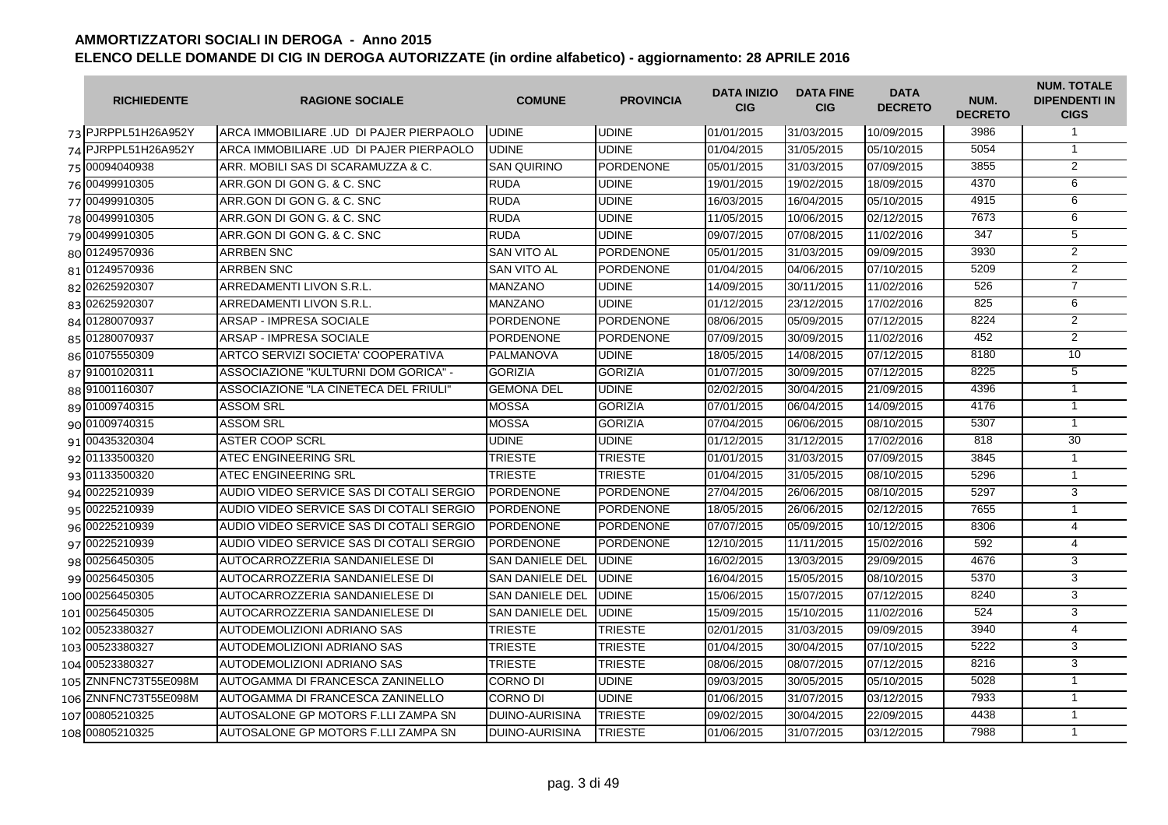| <b>RICHIEDENTE</b>   | <b>RAGIONE SOCIALE</b>                   | <b>COMUNE</b>          | <b>PROVINCIA</b> | <b>DATA INIZIO</b><br><b>CIG</b> | <b>DATA FINE</b><br><b>CIG</b> | <b>DATA</b><br><b>DECRETO</b> | NUM.<br><b>DECRETO</b> | <b>NUM. TOTALE</b><br><b>DIPENDENTI IN</b><br><b>CIGS</b> |
|----------------------|------------------------------------------|------------------------|------------------|----------------------------------|--------------------------------|-------------------------------|------------------------|-----------------------------------------------------------|
| 73 PJRPPL51H26A952Y  | ARCA IMMOBILIARE .UD DI PAJER PIERPAOLO  | <b>UDINE</b>           | <b>UDINE</b>     | 01/01/2015                       | 31/03/2015                     | 10/09/2015                    | 3986                   | $\mathbf{1}$                                              |
| 74 PJRPPL51H26A952Y  | ARCA IMMOBILIARE .UD DI PAJER PIERPAOLO  | <b>UDINE</b>           | <b>UDINE</b>     | 01/04/2015                       | 31/05/2015                     | 05/10/2015                    | 5054                   | $\mathbf{1}$                                              |
| 75 00094040938       | ARR. MOBILI SAS DI SCARAMUZZA & C.       | <b>SAN QUIRINO</b>     | PORDENONE        | 05/01/2015                       | 31/03/2015                     | 07/09/2015                    | 3855                   | $\overline{2}$                                            |
| 76 00499910305       | ARR.GON DI GON G. & C. SNC               | <b>RUDA</b>            | <b>UDINE</b>     | 19/01/2015                       | 19/02/2015                     | 18/09/2015                    | 4370                   | 6                                                         |
| 77 00499910305       | ARR.GON DI GON G. & C. SNC               | <b>RUDA</b>            | <b>UDINE</b>     | 16/03/2015                       | 16/04/2015                     | 05/10/2015                    | 4915                   | 6                                                         |
| 78 00499910305       | ARR.GON DI GON G. & C. SNC               | <b>RUDA</b>            | <b>UDINE</b>     | 11/05/2015                       | 10/06/2015                     | 02/12/2015                    | 7673                   | 6                                                         |
| 79 00499910305       | ARR.GON DI GON G. & C. SNC               | <b>RUDA</b>            | <b>UDINE</b>     | 09/07/2015                       | 07/08/2015                     | 11/02/2016                    | 347                    | $\overline{5}$                                            |
| 80 01249570936       | <b>ARRBEN SNC</b>                        | <b>SAN VITO AL</b>     | <b>PORDENONE</b> | 05/01/2015                       | 31/03/2015                     | 09/09/2015                    | 3930                   | $\overline{2}$                                            |
| 81 01249570936       | <b>ARRBEN SNC</b>                        | <b>SAN VITO AL</b>     | <b>PORDENONE</b> | 01/04/2015                       | 04/06/2015                     | 07/10/2015                    | 5209                   | 2                                                         |
| 82 02625920307       | ARREDAMENTI LIVON S.R.L.                 | <b>MANZANO</b>         | <b>UDINE</b>     | 14/09/2015                       | 30/11/2015                     | 11/02/2016                    | 526                    | $\overline{7}$                                            |
| 83 02625920307       | ARREDAMENTI LIVON S.R.L.                 | <b>MANZANO</b>         | <b>UDINE</b>     | 01/12/2015                       | 23/12/2015                     | 17/02/2016                    | 825                    | 6                                                         |
| 84 01280070937       | ARSAP - IMPRESA SOCIALE                  | <b>PORDENONE</b>       | <b>PORDENONE</b> | 08/06/2015                       | 05/09/2015                     | 07/12/2015                    | 8224                   | $\overline{2}$                                            |
| 85 01280070937       | ARSAP - IMPRESA SOCIALE                  | <b>PORDENONE</b>       | <b>PORDENONE</b> | 07/09/2015                       | 30/09/2015                     | 11/02/2016                    | 452                    | $\overline{2}$                                            |
| 86 01075550309       | ARTCO SERVIZI SOCIETA' COOPERATIVA       | <b>PALMANOVA</b>       | <b>UDINE</b>     | 18/05/2015                       | 14/08/2015                     | 07/12/2015                    | 8180                   | 10                                                        |
| 87 91001020311       | ASSOCIAZIONE "KULTURNI DOM GORICA" -     | <b>GORIZIA</b>         | <b>GORIZIA</b>   | 01/07/2015                       | 30/09/2015                     | 07/12/2015                    | 8225                   | $\overline{5}$                                            |
| 88 91001160307       | ASSOCIAZIONE "LA CINETECA DEL FRIULI"    | <b>GEMONA DEL</b>      | <b>UDINE</b>     | 02/02/2015                       | 30/04/2015                     | 21/09/2015                    | 4396                   | $\mathbf{1}$                                              |
| 89 01009740315       | ASSOM SRL                                | <b>MOSSA</b>           | <b>GORIZIA</b>   | 07/01/2015                       | 06/04/2015                     | 14/09/2015                    | 4176                   | $\mathbf{1}$                                              |
| 90 01009740315       | ASSOM SRL                                | <b>MOSSA</b>           | <b>GORIZIA</b>   | 07/04/2015                       | 06/06/2015                     | 08/10/2015                    | 5307                   | $\mathbf{1}$                                              |
| 91 00435320304       | ASTER COOP SCRL                          | <b>UDINE</b>           | <b>UDINE</b>     | 01/12/2015                       | 31/12/2015                     | 17/02/2016                    | 818                    | 30                                                        |
| 92 01133500320       | <b>ATEC ENGINEERING SRL</b>              | <b>TRIESTE</b>         | <b>TRIESTE</b>   | 01/01/2015                       | 31/03/2015                     | 07/09/2015                    | 3845                   | $\mathbf{1}$                                              |
| 93 01133500320       | <b>ATEC ENGINEERING SRL</b>              | <b>TRIESTE</b>         | <b>TRIESTE</b>   | 01/04/2015                       | 31/05/2015                     | 08/10/2015                    | 5296                   | $\mathbf{1}$                                              |
| 94 00225210939       | AUDIO VIDEO SERVICE SAS DI COTALI SERGIO | <b>PORDENONE</b>       | <b>PORDENONE</b> | 27/04/2015                       | 26/06/2015                     | 08/10/2015                    | 5297                   | 3                                                         |
| 95 00225210939       | AUDIO VIDEO SERVICE SAS DI COTALI SERGIO | <b>PORDENONE</b>       | <b>PORDENONE</b> | 18/05/2015                       | 26/06/2015                     | 02/12/2015                    | 7655                   | $\mathbf{1}$                                              |
| 96 00225210939       | AUDIO VIDEO SERVICE SAS DI COTALI SERGIO | <b>PORDENONE</b>       | <b>PORDENONE</b> | 07/07/2015                       | 05/09/2015                     | 10/12/2015                    | 8306                   | $\overline{4}$                                            |
| 97 00225210939       | AUDIO VIDEO SERVICE SAS DI COTALI SERGIO | <b>PORDENONE</b>       | <b>PORDENONE</b> | 12/10/2015                       | 11/11/2015                     | 15/02/2016                    | 592                    | $\overline{4}$                                            |
| 98 00256450305       | AUTOCARROZZERIA SANDANIELESE DI          | <b>SAN DANIELE DEL</b> | <b>UDINE</b>     | 16/02/2015                       | 13/03/2015                     | 29/09/2015                    | 4676                   | 3                                                         |
| 99 00256450305       | AUTOCARROZZERIA SANDANIELESE DI          | <b>SAN DANIELE DEL</b> | UDINE            | 16/04/2015                       | 15/05/2015                     | 08/10/2015                    | 5370                   | $\overline{3}$                                            |
| 100 00256450305      | AUTOCARROZZERIA SANDANIELESE DI          | <b>SAN DANIELE DEL</b> | UDINE            | 15/06/2015                       | 15/07/2015                     | 07/12/2015                    | 8240                   | 3                                                         |
| 101 00256450305      | AUTOCARROZZERIA SANDANIELESE DI          | <b>SAN DANIELE DEL</b> | <b>UDINE</b>     | 15/09/2015                       | 15/10/2015                     | 11/02/2016                    | 524                    | 3                                                         |
| 102 00523380327      | AUTODEMOLIZIONI ADRIANO SAS              | <b>TRIESTE</b>         | <b>TRIESTE</b>   | 02/01/2015                       | 31/03/2015                     | 09/09/2015                    | 3940                   | 4                                                         |
| 103 00523380327      | AUTODEMOLIZIONI ADRIANO SAS              | <b>TRIESTE</b>         | <b>TRIESTE</b>   | 01/04/2015                       | 30/04/2015                     | 07/10/2015                    | 5222                   | 3                                                         |
| 104 00523380327      | AUTODEMOLIZIONI ADRIANO SAS              | <b>TRIESTE</b>         | <b>TRIESTE</b>   | 08/06/2015                       | 08/07/2015                     | 07/12/2015                    | 8216                   | 3                                                         |
| 105 ZNNFNC73T55E098M | AUTOGAMMA DI FRANCESCA ZANINELLO         | <b>CORNO DI</b>        | <b>UDINE</b>     | 09/03/2015                       | 30/05/2015                     | 05/10/2015                    | 5028                   | $\mathbf{1}$                                              |
| 106 ZNNFNC73T55E098M | AUTOGAMMA DI FRANCESCA ZANINELLO         | <b>CORNO DI</b>        | <b>UDINE</b>     | 01/06/2015                       | 31/07/2015                     | 03/12/2015                    | 7933                   | $\mathbf{1}$                                              |
| 107 00805210325      | AUTOSALONE GP MOTORS F.LLI ZAMPA SN      | <b>DUINO-AURISINA</b>  | <b>TRIESTE</b>   | 09/02/2015                       | 30/04/2015                     | 22/09/2015                    | 4438                   | $\overline{1}$                                            |
| 108 00805210325      | AUTOSALONE GP MOTORS F.LLI ZAMPA SN      | <b>DUINO-AURISINA</b>  | <b>TRIESTE</b>   | 01/06/2015                       | 31/07/2015                     | 03/12/2015                    | 7988                   | $\mathbf{1}$                                              |
|                      |                                          |                        |                  |                                  |                                |                               |                        |                                                           |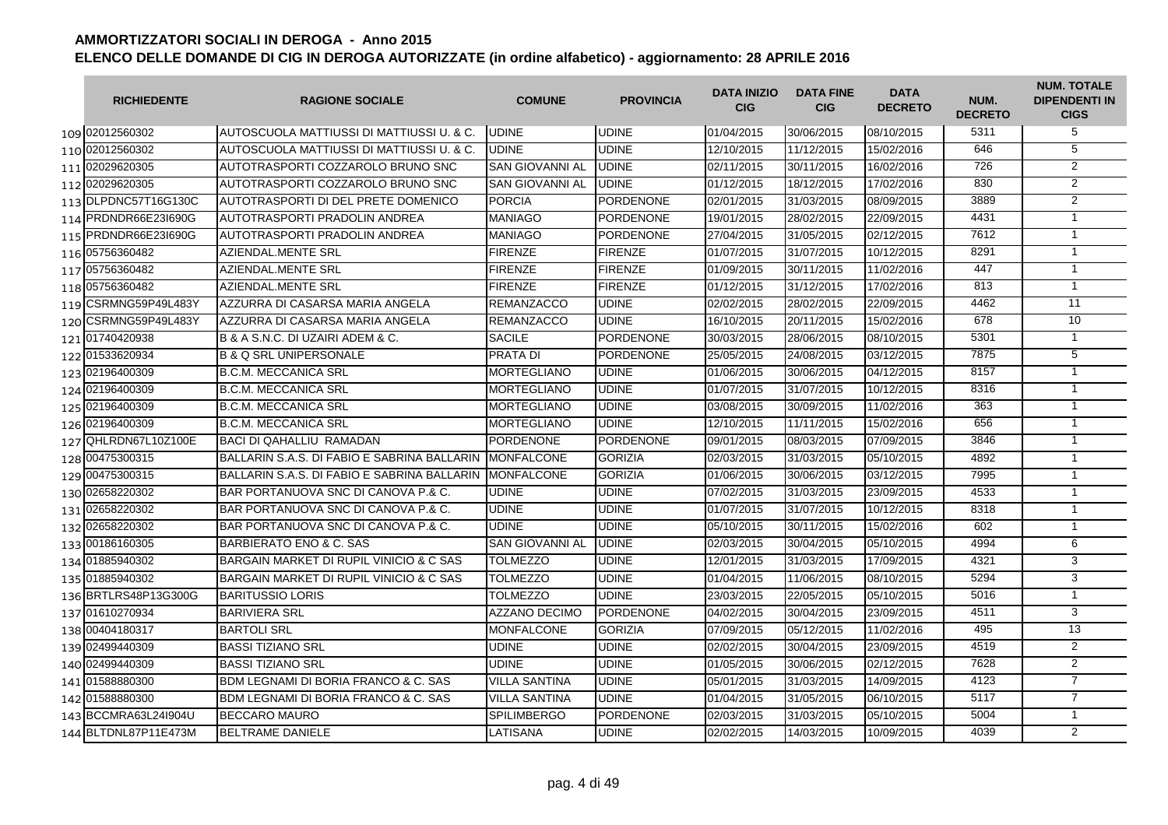| <b>RICHIEDENTE</b>   | <b>RAGIONE SOCIALE</b>                          | <b>COMUNE</b>          | <b>PROVINCIA</b> | <b>DATA INIZIO</b><br><b>CIG</b> | <b>DATA FINE</b><br><b>CIG</b> | <b>DATA</b><br><b>DECRETO</b> | NUM.<br><b>DECRETO</b> | <b>NUM. TOTALE</b><br><b>DIPENDENTI IN</b><br><b>CIGS</b> |
|----------------------|-------------------------------------------------|------------------------|------------------|----------------------------------|--------------------------------|-------------------------------|------------------------|-----------------------------------------------------------|
| 109 02012560302      | AUTOSCUOLA MATTIUSSI DI MATTIUSSI U. & C.       | <b>UDINE</b>           | <b>UDINE</b>     | 01/04/2015                       | 30/06/2015                     | 08/10/2015                    | 5311                   | 5                                                         |
| 110 02012560302      | AUTOSCUOLA MATTIUSSI DI MATTIUSSI U. & C.       | <b>UDINE</b>           | <b>UDINE</b>     | 12/10/2015                       | 11/12/2015                     | 15/02/2016                    | 646                    | 5                                                         |
| 111 02029620305      | AUTOTRASPORTI COZZAROLO BRUNO SNC               | <b>SAN GIOVANNI AL</b> | <b>UDINE</b>     | 02/11/2015                       | 30/11/2015                     | 16/02/2016                    | 726                    | 2                                                         |
| 112 02029620305      | AUTOTRASPORTI COZZAROLO BRUNO SNC               | <b>SAN GIOVANNI AL</b> | <b>UDINE</b>     | 01/12/2015                       | 18/12/2015                     | 17/02/2016                    | 830                    | $\overline{2}$                                            |
| 113 DLPDNC57T16G130C | AUTOTRASPORTI DI DEL PRETE DOMENICO             | <b>PORCIA</b>          | <b>PORDENONE</b> | 02/01/2015                       | 31/03/2015                     | 08/09/2015                    | 3889                   | $\overline{2}$                                            |
| 114 PRDNDR66E23l690G | AUTOTRASPORTI PRADOLIN ANDREA                   | <b>MANIAGO</b>         | <b>PORDENONE</b> | 19/01/2015                       | 28/02/2015                     | 22/09/2015                    | 4431                   | $\mathbf{1}$                                              |
| 115 PRDNDR66E231690G | AUTOTRASPORTI PRADOLIN ANDREA                   | <b>MANIAGO</b>         | <b>PORDENONE</b> | 27/04/2015                       | 31/05/2015                     | 02/12/2015                    | 7612                   | $\overline{1}$                                            |
| 116 05756360482      | <b>AZIENDAL.MENTE SRL</b>                       | <b>FIRENZE</b>         | <b>FIRENZE</b>   | 01/07/2015                       | 31/07/2015                     | 10/12/2015                    | 8291                   | $\overline{1}$                                            |
| 117 05756360482      | AZIENDAL.MENTE SRL                              | <b>FIRENZE</b>         | <b>FIRENZE</b>   | 01/09/2015                       | 30/11/2015                     | 11/02/2016                    | 447                    | $\mathbf{1}$                                              |
| 118 05756360482      | AZIENDAL.MENTE SRL                              | <b>FIRENZE</b>         | <b>FIRENZE</b>   | 01/12/2015                       | 31/12/2015                     | 17/02/2016                    | 813                    | $\overline{1}$                                            |
| 119 CSRMNG59P49L483Y | AZZURRA DI CASARSA MARIA ANGELA                 | <b>REMANZACCO</b>      | <b>UDINE</b>     | 02/02/2015                       | 28/02/2015                     | 22/09/2015                    | 4462                   | 11                                                        |
| 120 CSRMNG59P49L483Y | AZZURRA DI CASARSA MARIA ANGELA                 | <b>REMANZACCO</b>      | <b>UDINE</b>     | 16/10/2015                       | 20/11/2015                     | 15/02/2016                    | 678                    | 10                                                        |
| 121 01740420938      | B & A S.N.C. DI UZAIRI ADEM & C.                | <b>SACILE</b>          | <b>PORDENONE</b> | 30/03/2015                       | 28/06/2015                     | 08/10/2015                    | 5301                   | $\mathbf{1}$                                              |
| 122 01533620934      | <b>B &amp; Q SRL UNIPERSONALE</b>               | <b>PRATA DI</b>        | <b>PORDENONE</b> | 25/05/2015                       | 24/08/2015                     | 03/12/2015                    | 7875                   | $\overline{5}$                                            |
| 123 02196400309      | <b>B.C.M. MECCANICA SRL</b>                     | <b>MORTEGLIANO</b>     | <b>UDINE</b>     | 01/06/2015                       | 30/06/2015                     | 04/12/2015                    | 8157                   | $\overline{1}$                                            |
| 124 02196400309      | <b>B.C.M. MECCANICA SRL</b>                     | <b>MORTEGLIANO</b>     | <b>UDINE</b>     | 01/07/2015                       | 31/07/2015                     | 10/12/2015                    | 8316                   | $\mathbf{1}$                                              |
| 125 02196400309      | <b>B.C.M. MECCANICA SRL</b>                     | <b>MORTEGLIANO</b>     | <b>UDINE</b>     | 03/08/2015                       | 30/09/2015                     | 11/02/2016                    | 363                    | $\mathbf{1}$                                              |
| 126 02196400309      | <b>B.C.M. MECCANICA SRL</b>                     | <b>MORTEGLIANO</b>     | <b>UDINE</b>     | 12/10/2015                       | 11/11/2015                     | 15/02/2016                    | 656                    | $\mathbf{1}$                                              |
| 127 QHLRDN67L10Z100E | <b>BACI DI QAHALLIU RAMADAN</b>                 | <b>PORDENONE</b>       | <b>PORDENONE</b> | 09/01/2015                       | 08/03/2015                     | 07/09/2015                    | 3846                   | $\mathbf{1}$                                              |
| 128 00475300315      | BALLARIN S.A.S. DI FABIO E SABRINA BALLARIN     | <b>MONFALCONE</b>      | <b>GORIZIA</b>   | 02/03/2015                       | 31/03/2015                     | 05/10/2015                    | 4892                   | $\mathbf{1}$                                              |
| 129 00475300315      | BALLARIN S.A.S. DI FABIO E SABRINA BALLARIN     | <b>MONFALCONE</b>      | <b>GORIZIA</b>   | 01/06/2015                       | 30/06/2015                     | 03/12/2015                    | 7995                   | $\mathbf{1}$                                              |
| 130 02658220302      | BAR PORTANUOVA SNC DI CANOVA P.& C.             | <b>UDINE</b>           | <b>UDINE</b>     | 07/02/2015                       | 31/03/2015                     | 23/09/2015                    | 4533                   | $\mathbf{1}$                                              |
| 131 02658220302      | BAR PORTANUOVA SNC DI CANOVA P.& C.             | <b>UDINE</b>           | <b>UDINE</b>     | 01/07/2015                       | 31/07/2015                     | 10/12/2015                    | 8318                   | $\mathbf{1}$                                              |
| 132 02658220302      | BAR PORTANUOVA SNC DI CANOVA P.& C.             | <b>UDINE</b>           | <b>UDINE</b>     | 05/10/2015                       | 30/11/2015                     | 15/02/2016                    | 602                    | $\mathbf{1}$                                              |
| 133 00186160305      | BARBIERATO ENO & C. SAS                         | SAN GIOVANNI AL        | <b>UDINE</b>     | 02/03/2015                       | 30/04/2015                     | 05/10/2015                    | 4994                   | 6                                                         |
| 134 01885940302      | BARGAIN MARKET DI RUPIL VINICIO & C SAS         | <b>TOLMEZZO</b>        | <b>UDINE</b>     | 12/01/2015                       | 31/03/2015                     | 17/09/2015                    | 4321                   | 3                                                         |
| 135 01885940302      | BARGAIN MARKET DI RUPIL VINICIO & C SAS         | TOLMEZZO               | <b>UDINE</b>     | 01/04/2015                       | 11/06/2015                     | 08/10/2015                    | 5294                   | 3                                                         |
| 136 BRTLRS48P13G300G | <b>BARITUSSIO LORIS</b>                         | <b>TOLMEZZO</b>        | <b>UDINE</b>     | 23/03/2015                       | 22/05/2015                     | 05/10/2015                    | 5016                   | $\overline{1}$                                            |
| 137 01610270934      | <b>BARIVIERA SRL</b>                            | AZZANO DECIMO          | <b>PORDENONE</b> | 04/02/2015                       | 30/04/2015                     | 23/09/2015                    | 4511                   | 3                                                         |
| 138 00404180317      | <b>BARTOLI SRL</b>                              | <b>MONFALCONE</b>      | <b>GORIZIA</b>   | 07/09/2015                       | 05/12/2015                     | 11/02/2016                    | 495                    | 13                                                        |
| 139 02499440309      | <b>BASSI TIZIANO SRL</b>                        | <b>UDINE</b>           | <b>UDINE</b>     | 02/02/2015                       | 30/04/2015                     | 23/09/2015                    | 4519                   | $\overline{2}$                                            |
| 140 02499440309      | <b>BASSI TIZIANO SRL</b>                        | <b>UDINE</b>           | <b>UDINE</b>     | 01/05/2015                       | 30/06/2015                     | 02/12/2015                    | 7628                   | $\overline{2}$                                            |
| 141 01588880300      | <b>BDM LEGNAMI DI BORIA FRANCO &amp; C. SAS</b> | <b>VILLA SANTINA</b>   | <b>UDINE</b>     | 05/01/2015                       | 31/03/2015                     | 14/09/2015                    | 4123                   | $\overline{7}$                                            |
| 142 01588880300      | BDM LEGNAMI DI BORIA FRANCO & C. SAS            | <b>VILLA SANTINA</b>   | <b>UDINE</b>     | 01/04/2015                       | 31/05/2015                     | 06/10/2015                    | 5117                   | $\overline{7}$                                            |
| 143 BCCMRA63L241904U | <b>BECCARO MAURO</b>                            | <b>SPILIMBERGO</b>     | <b>PORDENONE</b> | 02/03/2015                       | 31/03/2015                     | 05/10/2015                    | 5004                   | $\mathbf{1}$                                              |
| 144 BLTDNL87P11E473M | <b>BELTRAME DANIELE</b>                         | LATISANA               | <b>UDINE</b>     | 02/02/2015                       | 14/03/2015                     | 10/09/2015                    | 4039                   | $\overline{2}$                                            |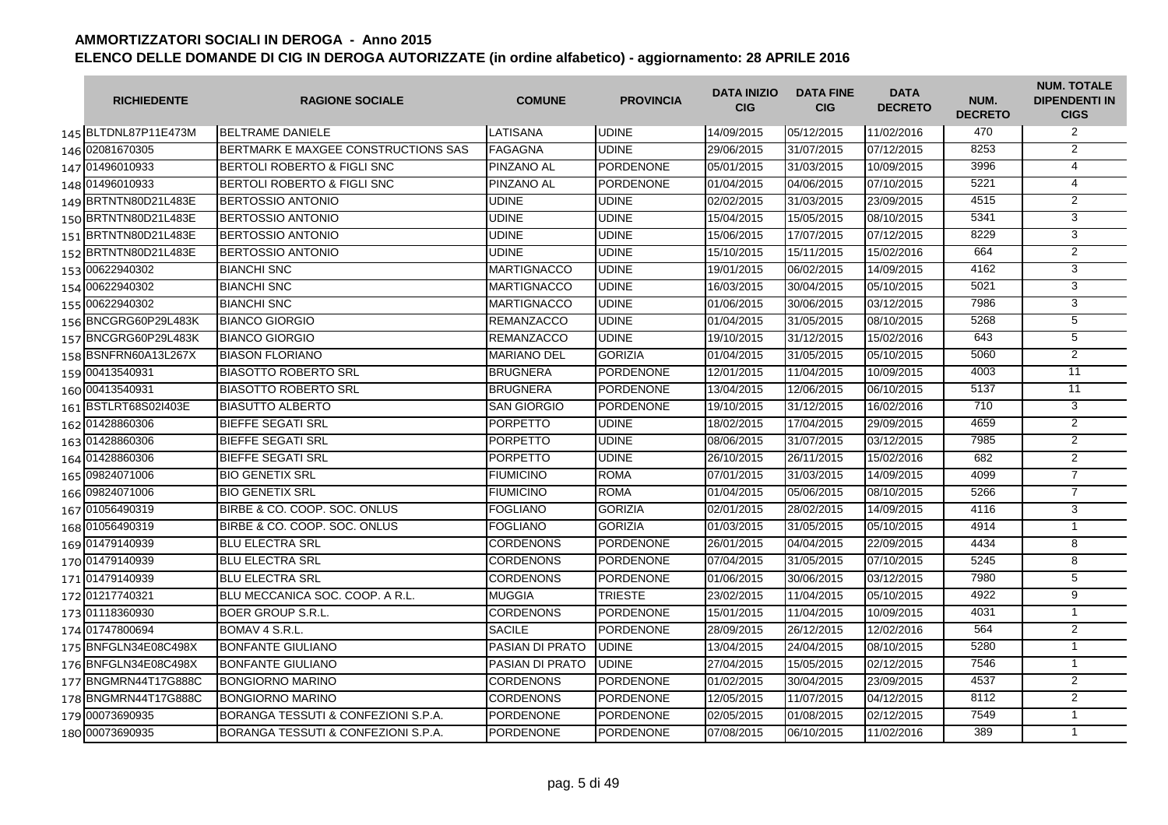| <b>RICHIEDENTE</b>   | <b>RAGIONE SOCIALE</b>                 | <b>COMUNE</b>      | <b>PROVINCIA</b> | <b>DATA INIZIO</b><br><b>CIG</b> | <b>DATA FINE</b><br><b>CIG</b> | <b>DATA</b><br><b>DECRETO</b> | NUM.<br><b>DECRETO</b> | <b>NUM. TOTALE</b><br><b>DIPENDENTI IN</b><br><b>CIGS</b> |
|----------------------|----------------------------------------|--------------------|------------------|----------------------------------|--------------------------------|-------------------------------|------------------------|-----------------------------------------------------------|
| 145 BLTDNL87P11E473M | <b>BELTRAME DANIELE</b>                | LATISANA           | <b>UDINE</b>     | 14/09/2015                       | 05/12/2015                     | 11/02/2016                    | 470                    | $\overline{2}$                                            |
| 146 02081670305      | BERTMARK E MAXGEE CONSTRUCTIONS SAS    | <b>FAGAGNA</b>     | <b>UDINE</b>     | 29/06/2015                       | 31/07/2015                     | 07/12/2015                    | 8253                   | $\overline{2}$                                            |
| 147 01496010933      | <b>BERTOLI ROBERTO &amp; FIGLI SNC</b> | PINZANO AL         | <b>PORDENONE</b> | 05/01/2015                       | 31/03/2015                     | 10/09/2015                    | 3996                   | $\overline{4}$                                            |
| 148 01496010933      | BERTOLI ROBERTO & FIGLI SNC            | PINZANO AL         | <b>PORDENONE</b> | 01/04/2015                       | 04/06/2015                     | 07/10/2015                    | 5221                   | $\overline{4}$                                            |
| 149 BRTNTN80D21L483E | <b>BERTOSSIO ANTONIO</b>               | <b>UDINE</b>       | <b>UDINE</b>     | 02/02/2015                       | 31/03/2015                     | 23/09/2015                    | 4515                   | $\overline{2}$                                            |
| 150 BRTNTN80D21L483E | <b>BERTOSSIO ANTONIO</b>               | <b>UDINE</b>       | <b>UDINE</b>     | 15/04/2015                       | 15/05/2015                     | 08/10/2015                    | 5341                   | 3                                                         |
| 151 BRTNTN80D21L483E | <b>BERTOSSIO ANTONIO</b>               | <b>UDINE</b>       | <b>UDINE</b>     | 15/06/2015                       | 17/07/2015                     | 07/12/2015                    | 8229                   | 3                                                         |
| 152 BRTNTN80D21L483E | <b>BERTOSSIO ANTONIO</b>               | <b>UDINE</b>       | <b>UDINE</b>     | 15/10/2015                       | 15/11/2015                     | 15/02/2016                    | 664                    | $\overline{2}$                                            |
| 153 00622940302      | <b>BIANCHI SNC</b>                     | <b>MARTIGNACCO</b> | <b>UDINE</b>     | 19/01/2015                       | 06/02/2015                     | 14/09/2015                    | 4162                   | 3                                                         |
| 154 00622940302      | <b>BIANCHI SNC</b>                     | <b>MARTIGNACCO</b> | <b>UDINE</b>     | 16/03/2015                       | 30/04/2015                     | 05/10/2015                    | 5021                   | 3                                                         |
| 155 00622940302      | <b>BIANCHI SNC</b>                     | <b>MARTIGNACCO</b> | <b>UDINE</b>     | 01/06/2015                       | 30/06/2015                     | 03/12/2015                    | 7986                   | 3                                                         |
| 156 BNCGRG60P29L483K | <b>BIANCO GIORGIO</b>                  | <b>REMANZACCO</b>  | <b>UDINE</b>     | 01/04/2015                       | 31/05/2015                     | 08/10/2015                    | 5268                   | $\overline{5}$                                            |
| 157 BNCGRG60P29L483K | <b>BIANCO GIORGIO</b>                  | <b>REMANZACCO</b>  | <b>UDINE</b>     | 19/10/2015                       | 31/12/2015                     | 15/02/2016                    | 643                    | 5                                                         |
| 158 BSNFRN60A13L267X | <b>BIASON FLORIANO</b>                 | <b>MARIANO DEL</b> | <b>GORIZIA</b>   | 01/04/2015                       | 31/05/2015                     | 05/10/2015                    | 5060                   | $\overline{2}$                                            |
| 159 00413540931      | <b>BIASOTTO ROBERTO SRL</b>            | <b>BRUGNERA</b>    | <b>PORDENONE</b> | 12/01/2015                       | 11/04/2015                     | 10/09/2015                    | 4003                   | $\overline{11}$                                           |
| 160 00413540931      | <b>BIASOTTO ROBERTO SRL</b>            | <b>BRUGNERA</b>    | <b>PORDENONE</b> | 13/04/2015                       | 12/06/2015                     | 06/10/2015                    | 5137                   | $\overline{11}$                                           |
| 161 BSTLRT68S02I403E | <b>BIASUTTO ALBERTO</b>                | <b>SAN GIORGIO</b> | <b>PORDENONE</b> | 19/10/2015                       | 31/12/2015                     | 16/02/2016                    | 710                    | 3                                                         |
| 162 01428860306      | <b>BIEFFE SEGATI SRL</b>               | <b>PORPETTO</b>    | <b>UDINE</b>     | 18/02/2015                       | 17/04/2015                     | 29/09/2015                    | 4659                   | $\overline{2}$                                            |
| 163 01428860306      | <b>BIEFFE SEGATI SRL</b>               | <b>PORPETTO</b>    | <b>UDINE</b>     | 08/06/2015                       | 31/07/2015                     | 03/12/2015                    | 7985                   | 2                                                         |
| 164 01428860306      | <b>BIEFFE SEGATI SRL</b>               | <b>PORPETTO</b>    | <b>UDINE</b>     | 26/10/2015                       | 26/11/2015                     | 15/02/2016                    | 682                    | $\overline{2}$                                            |
| 165 09824071006      | <b>BIO GENETIX SRL</b>                 | <b>FIUMICINO</b>   | <b>ROMA</b>      | 07/01/2015                       | 31/03/2015                     | 14/09/2015                    | 4099                   | $\overline{7}$                                            |
| 166 09824071006      | <b>BIO GENETIX SRL</b>                 | <b>FIUMICINO</b>   | <b>ROMA</b>      | 01/04/2015                       | 05/06/2015                     | 08/10/2015                    | 5266                   | $\overline{7}$                                            |
| 167 01056490319      | BIRBE & CO. COOP, SOC. ONLUS           | <b>FOGLIANO</b>    | <b>GORIZIA</b>   | 02/01/2015                       | 28/02/2015                     | 14/09/2015                    | 4116                   | 3                                                         |
| 168 01056490319      | BIRBE & CO. COOP, SOC. ONLUS           | <b>FOGLIANO</b>    | <b>GORIZIA</b>   | 01/03/2015                       | 31/05/2015                     | 05/10/2015                    | 4914                   | $\mathbf{1}$                                              |
| 169 01479140939      | <b>BLU ELECTRA SRL</b>                 | <b>CORDENONS</b>   | <b>PORDENONE</b> | 26/01/2015                       | 04/04/2015                     | 22/09/2015                    | 4434                   | 8                                                         |
| 170 01479140939      | <b>BLU ELECTRA SRL</b>                 | <b>CORDENONS</b>   | <b>PORDENONE</b> | 07/04/2015                       | 31/05/2015                     | 07/10/2015                    | 5245                   | 8                                                         |
| 171 01479140939      | <b>BLU ELECTRA SRL</b>                 | <b>CORDENONS</b>   | <b>PORDENONE</b> | 01/06/2015                       | 30/06/2015                     | 03/12/2015                    | 7980                   | 5                                                         |
| 172 01217740321      | BLU MECCANICA SOC. COOP. A R.L.        | <b>MUGGIA</b>      | <b>TRIESTE</b>   | 23/02/2015                       | 11/04/2015                     | 05/10/2015                    | 4922                   | $\overline{9}$                                            |
| 173 01118360930      | <b>BOER GROUP S.R.L.</b>               | <b>CORDENONS</b>   | <b>PORDENONE</b> | 15/01/2015                       | 11/04/2015                     | 10/09/2015                    | 4031                   | $\mathbf{1}$                                              |
| 174 01747800694      | BOMAV 4 S.R.L.                         | <b>SACILE</b>      | PORDENONE        | 28/09/2015                       | 26/12/2015                     | 12/02/2016                    | 564                    | 2                                                         |
| 175 BNFGLN34E08C498X | <b>BONFANTE GIULIANO</b>               | PASIAN DI PRATO    | <b>UDINE</b>     | 13/04/2015                       | 24/04/2015                     | 08/10/2015                    | 5280                   | $\mathbf{1}$                                              |
| 176 BNFGLN34E08C498X | <b>BONFANTE GIULIANO</b>               | PASIAN DI PRATO    | <b>UDINE</b>     | 27/04/2015                       | 15/05/2015                     | 02/12/2015                    | 7546                   | $\mathbf{1}$                                              |
| 177 BNGMRN44T17G888C | <b>BONGIORNO MARINO</b>                | <b>CORDENONS</b>   | <b>PORDENONE</b> | 01/02/2015                       | 30/04/2015                     | 23/09/2015                    | 4537                   | $\overline{2}$                                            |
| 178 BNGMRN44T17G888C | <b>BONGIORNO MARINO</b>                | <b>CORDENONS</b>   | <b>PORDENONE</b> | 12/05/2015                       | 11/07/2015                     | 04/12/2015                    | 8112                   | $\overline{2}$                                            |
| 179 00073690935      | BORANGA TESSUTI & CONFEZIONI S.P.A.    | <b>PORDENONE</b>   | <b>PORDENONE</b> | 02/05/2015                       | 01/08/2015                     | 02/12/2015                    | 7549                   | $\mathbf{1}$                                              |
| 180 00073690935      | BORANGA TESSUTI & CONFEZIONI S.P.A.    | <b>PORDENONE</b>   | <b>PORDENONE</b> | 07/08/2015                       | 06/10/2015                     | 11/02/2016                    | 389                    | $\mathbf{1}$                                              |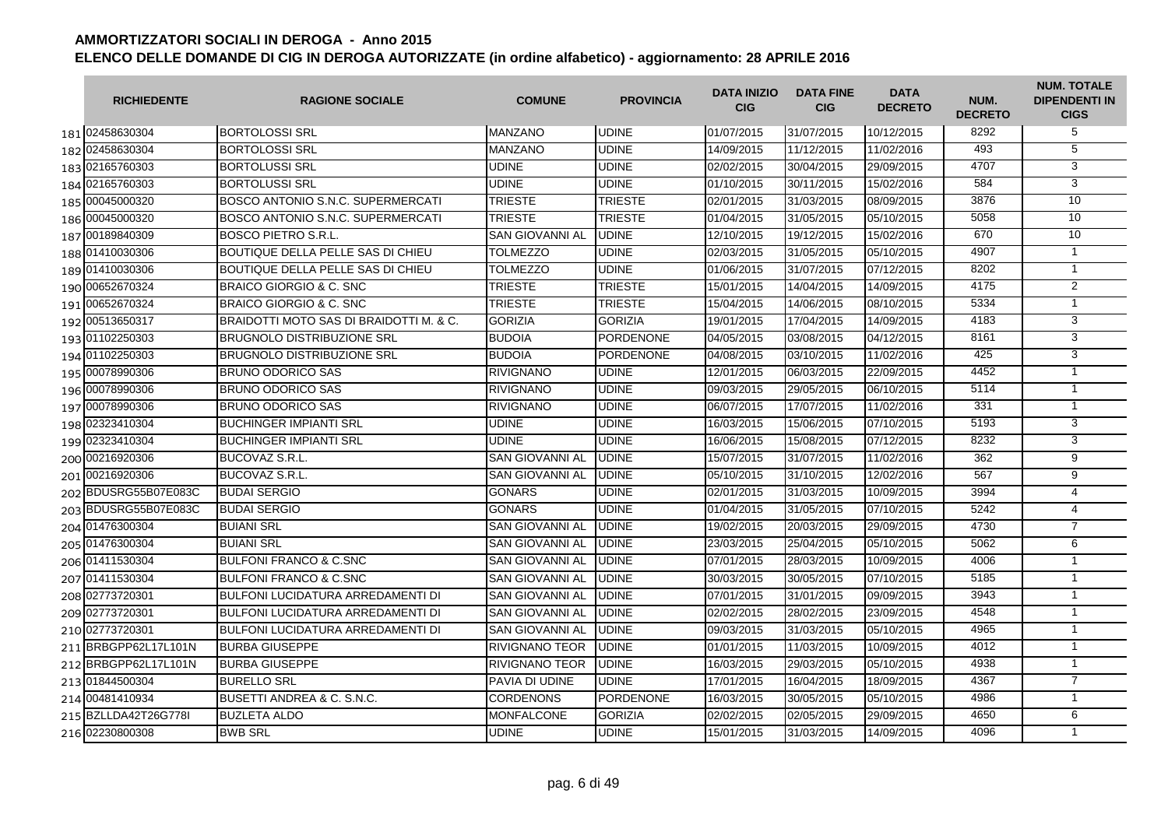| <b>RICHIEDENTE</b>   | <b>RAGIONE SOCIALE</b>                   | <b>COMUNE</b>          | <b>PROVINCIA</b> | <b>DATA INIZIO</b><br><b>CIG</b> | <b>DATA FINE</b><br><b>CIG</b> | <b>DATA</b><br><b>DECRETO</b> | NUM.<br><b>DECRETO</b> | <b>NUM. TOTALE</b><br><b>DIPENDENTI IN</b><br><b>CIGS</b> |
|----------------------|------------------------------------------|------------------------|------------------|----------------------------------|--------------------------------|-------------------------------|------------------------|-----------------------------------------------------------|
| 181 02458630304      | <b>BORTOLOSSI SRL</b>                    | MANZANO                | <b>UDINE</b>     | 01/07/2015                       | 31/07/2015                     | 10/12/2015                    | 8292                   | 5                                                         |
| 182 02458630304      | <b>BORTOLOSSI SRL</b>                    | MANZANO                | <b>UDINE</b>     | 14/09/2015                       | 11/12/2015                     | 11/02/2016                    | 493                    | $\overline{5}$                                            |
| 183 02165760303      | <b>BORTOLUSSI SRL</b>                    | <b>UDINE</b>           | <b>UDINE</b>     | 02/02/2015                       | 30/04/2015                     | 29/09/2015                    | 4707                   | 3                                                         |
| 184 02165760303      | <b>BORTOLUSSI SRL</b>                    | <b>UDINE</b>           | <b>UDINE</b>     | 01/10/2015                       | 30/11/2015                     | 15/02/2016                    | 584                    | 3                                                         |
| 185 00045000320      | BOSCO ANTONIO S.N.C. SUPERMERCATI        | <b>TRIESTE</b>         | <b>TRIESTE</b>   | 02/01/2015                       | 31/03/2015                     | 08/09/2015                    | 3876                   | 10                                                        |
| 186 00045000320      | BOSCO ANTONIO S.N.C. SUPERMERCATI        | <b>TRIESTE</b>         | <b>TRIESTE</b>   | 01/04/2015                       | 31/05/2015                     | 05/10/2015                    | 5058                   | 10                                                        |
| 187 00189840309      | <b>BOSCO PIETRO S.R.L.</b>               | <b>SAN GIOVANNI AL</b> | <b>UDINE</b>     | 12/10/2015                       | 19/12/2015                     | 15/02/2016                    | 670                    | 10                                                        |
| 188 01410030306      | BOUTIQUE DELLA PELLE SAS DI CHIEU        | <b>TOLMEZZO</b>        | <b>UDINE</b>     | 02/03/2015                       | 31/05/2015                     | 05/10/2015                    | 4907                   | $\mathbf{1}$                                              |
| 189 01410030306      | <b>BOUTIQUE DELLA PELLE SAS DI CHIEU</b> | <b>TOLMEZZO</b>        | <b>UDINE</b>     | 01/06/2015                       | 31/07/2015                     | 07/12/2015                    | 8202                   | $\mathbf{1}$                                              |
| 190 00652670324      | <b>BRAICO GIORGIO &amp; C. SNC</b>       | <b>TRIESTE</b>         | <b>TRIESTE</b>   | 15/01/2015                       | 14/04/2015                     | 14/09/2015                    | 4175                   | $\overline{2}$                                            |
| 191 00652670324      | BRAICO GIORGIO & C. SNC                  | <b>TRIESTE</b>         | <b>TRIESTE</b>   | 15/04/2015                       | 14/06/2015                     | 08/10/2015                    | 5334                   | $\mathbf{1}$                                              |
| 192 00513650317      | BRAIDOTTI MOTO SAS DI BRAIDOTTI M. & C.  | <b>GORIZIA</b>         | <b>GORIZIA</b>   | 19/01/2015                       | 17/04/2015                     | 14/09/2015                    | 4183                   | 3                                                         |
| 193 01102250303      | <b>BRUGNOLO DISTRIBUZIONE SRL</b>        | <b>BUDOIA</b>          | <b>PORDENONE</b> | 04/05/2015                       | 03/08/2015                     | 04/12/2015                    | 8161                   | 3                                                         |
| 194 01102250303      | <b>BRUGNOLO DISTRIBUZIONE SRL</b>        | <b>BUDOIA</b>          | <b>PORDENONE</b> | 04/08/2015                       | 03/10/2015                     | 11/02/2016                    | 425                    | $\overline{3}$                                            |
| 195 00078990306      | <b>BRUNO ODORICO SAS</b>                 | <b>RIVIGNANO</b>       | <b>UDINE</b>     | 12/01/2015                       | 06/03/2015                     | 22/09/2015                    | 4452                   | $\overline{1}$                                            |
| 196 00078990306      | <b>BRUNO ODORICO SAS</b>                 | <b>RIVIGNANO</b>       | <b>UDINE</b>     | 09/03/2015                       | 29/05/2015                     | 06/10/2015                    | 5114                   | $\overline{1}$                                            |
| 197 00078990306      | <b>BRUNO ODORICO SAS</b>                 | <b>RIVIGNANO</b>       | <b>UDINE</b>     | 06/07/2015                       | 17/07/2015                     | 11/02/2016                    | 331                    | $\mathbf{1}$                                              |
| 198 02323410304      | <b>BUCHINGER IMPIANTI SRL</b>            | <b>UDINE</b>           | <b>UDINE</b>     | 16/03/2015                       | 15/06/2015                     | 07/10/2015                    | 5193                   | 3                                                         |
| 199 02323410304      | <b>BUCHINGER IMPIANTI SRL</b>            | <b>UDINE</b>           | <b>UDINE</b>     | 16/06/2015                       | 15/08/2015                     | 07/12/2015                    | 8232                   | 3                                                         |
| 200 00216920306      | BUCOVAZ S.R.L.                           | <b>SAN GIOVANNI AL</b> | <b>UDINE</b>     | 15/07/2015                       | 31/07/2015                     | 11/02/2016                    | 362                    | $\overline{9}$                                            |
| 201 00216920306      | <b>BUCOVAZ S.R.L.</b>                    | <b>SAN GIOVANNI AL</b> | <b>UDINE</b>     | 05/10/2015                       | 31/10/2015                     | 12/02/2016                    | 567                    | 9                                                         |
| 202 BDUSRG55B07E083C | <b>BUDAI SERGIO</b>                      | <b>GONARS</b>          | <b>UDINE</b>     | 02/01/2015                       | 31/03/2015                     | 10/09/2015                    | 3994                   | 4                                                         |
| 203 BDUSRG55B07E083C | <b>BUDAI SERGIO</b>                      | <b>GONARS</b>          | <b>UDINE</b>     | 01/04/2015                       | 31/05/2015                     | 07/10/2015                    | 5242                   | 4                                                         |
| 204 01476300304      | <b>BUIANI SRL</b>                        | <b>SAN GIOVANNI AL</b> | <b>UDINE</b>     | 19/02/2015                       | 20/03/2015                     | 29/09/2015                    | 4730                   | $\overline{7}$                                            |
| 205 01476300304      | <b>BUIANI SRL</b>                        | <b>SAN GIOVANNI AL</b> | <b>UDINE</b>     | 23/03/2015                       | 25/04/2015                     | 05/10/2015                    | 5062                   | 6                                                         |
| 206 01411530304      | <b>BULFONI FRANCO &amp; C.SNC</b>        | SAN GIOVANNI AL        | <b>UDINE</b>     | 07/01/2015                       | 28/03/2015                     | 10/09/2015                    | 4006                   | $\mathbf{1}$                                              |
| 207 01411530304      | <b>BULFONI FRANCO &amp; C.SNC</b>        | SAN GIOVANNI AL        | <b>UDINE</b>     | 30/03/2015                       | 30/05/2015                     | 07/10/2015                    | 5185                   | $\mathbf{1}$                                              |
| 208 02773720301      | BULFONI LUCIDATURA ARREDAMENTI DI        | SAN GIOVANNI AL        | <b>UDINE</b>     | 07/01/2015                       | 31/01/2015                     | 09/09/2015                    | 3943                   | $\mathbf{1}$                                              |
| 209 02773720301      | <b>BULFONI LUCIDATURA ARREDAMENTI DI</b> | SAN GIOVANNI AL        | <b>UDINE</b>     | 02/02/2015                       | 28/02/2015                     | 23/09/2015                    | 4548                   | $\mathbf{1}$                                              |
| 210 02773720301      | <b>BULFONI LUCIDATURA ARREDAMENTI DI</b> | <b>SAN GIOVANNI AL</b> | <b>UDINE</b>     | 09/03/2015                       | 31/03/2015                     | 05/10/2015                    | 4965                   | $\mathbf{1}$                                              |
| 211 BRBGPP62L17L101N | <b>BURBA GIUSEPPE</b>                    | <b>RIVIGNANO TEOR</b>  | <b>UDINE</b>     | 01/01/2015                       | 11/03/2015                     | 10/09/2015                    | 4012                   | $\mathbf{1}$                                              |
| 212 BRBGPP62L17L101N | <b>BURBA GIUSEPPE</b>                    | <b>RIVIGNANO TEOR</b>  | <b>UDINE</b>     | 16/03/2015                       | 29/03/2015                     | 05/10/2015                    | 4938                   | $\mathbf{1}$                                              |
| 213 01844500304      | <b>BURELLO SRL</b>                       | <b>PAVIA DI UDINE</b>  | <b>UDINE</b>     | 17/01/2015                       | 16/04/2015                     | 18/09/2015                    | 4367                   | $\overline{7}$                                            |
| 214 00481410934      | <b>IBUSETTI ANDREA &amp; C. S.N.C.</b>   | <b>CORDENONS</b>       | <b>PORDENONE</b> | 16/03/2015                       | 30/05/2015                     | 05/10/2015                    | 4986                   | $\mathbf{1}$                                              |
| 215 BZLLDA42T26G778I | <b>BUZLETA ALDO</b>                      | <b>MONFALCONE</b>      | <b>GORIZIA</b>   | 02/02/2015                       | 02/05/2015                     | 29/09/2015                    | 4650                   | 6                                                         |
| 216 02230800308      | <b>BWB SRL</b>                           | <b>UDINE</b>           | <b>UDINE</b>     | 15/01/2015                       | 31/03/2015                     | 14/09/2015                    | 4096                   | $\mathbf{1}$                                              |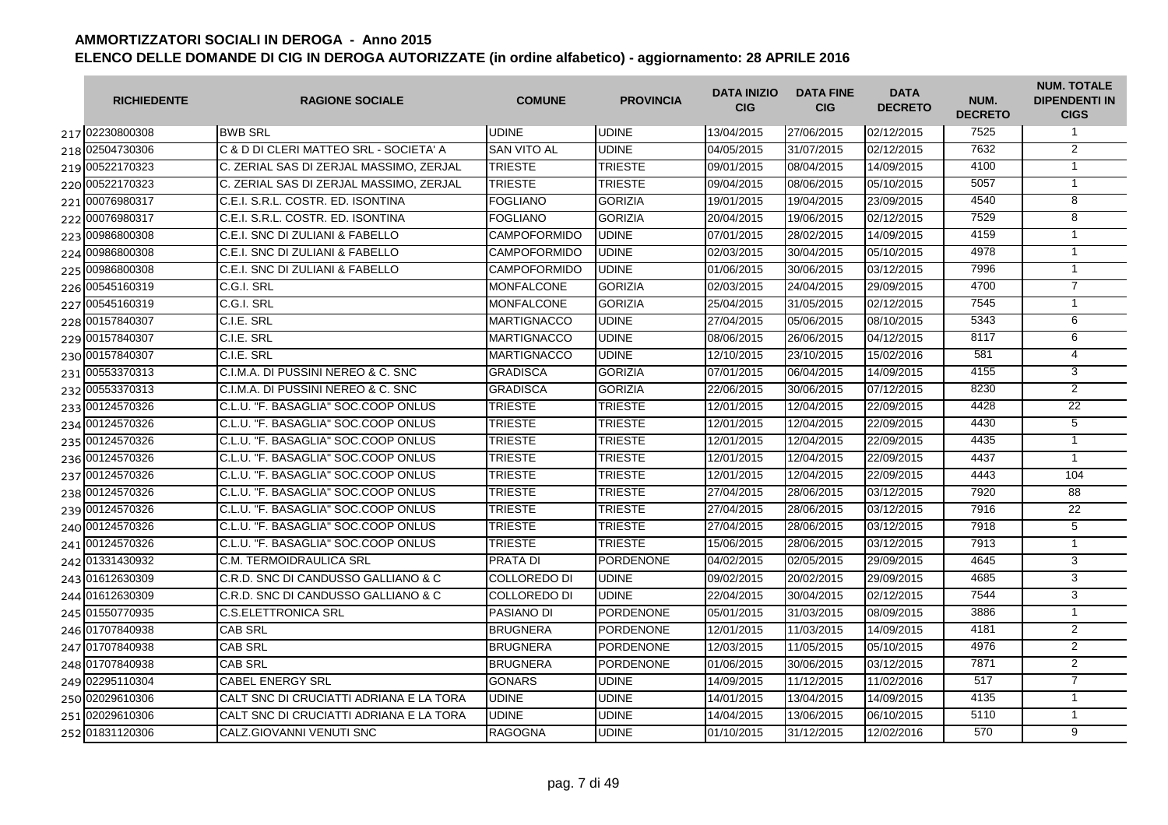| <b>RICHIEDENTE</b> | <b>RAGIONE SOCIALE</b>                  | <b>COMUNE</b>       | <b>PROVINCIA</b> | <b>DATA INIZIO</b><br><b>CIG</b> | <b>DATA FINE</b><br><b>CIG</b> | <b>DATA</b><br><b>DECRETO</b> | NUM.<br><b>DECRETO</b> | <b>NUM. TOTALE</b><br><b>DIPENDENTI IN</b><br><b>CIGS</b> |
|--------------------|-----------------------------------------|---------------------|------------------|----------------------------------|--------------------------------|-------------------------------|------------------------|-----------------------------------------------------------|
| 217 02230800308    | <b>BWB SRL</b>                          | <b>UDINE</b>        | <b>UDINE</b>     | 13/04/2015                       | 27/06/2015                     | 02/12/2015                    | 7525                   | $\mathbf{1}$                                              |
| 218 02504730306    | C & D DI CLERI MATTEO SRL - SOCIETA' A  | <b>SAN VITO AL</b>  | <b>UDINE</b>     | 04/05/2015                       | 31/07/2015                     | 02/12/2015                    | 7632                   | $\overline{2}$                                            |
| 219 00522170323    | C. ZERIAL SAS DI ZERJAL MASSIMO, ZERJAL | <b>TRIESTE</b>      | <b>TRIESTE</b>   | 09/01/2015                       | 08/04/2015                     | 14/09/2015                    | 4100                   | $\mathbf{1}$                                              |
| 220 00522170323    | C. ZERIAL SAS DI ZERJAL MASSIMO. ZERJAL | <b>TRIESTE</b>      | <b>TRIESTE</b>   | 09/04/2015                       | 08/06/2015                     | 05/10/2015                    | 5057                   | $\mathbf{1}$                                              |
| 221 00076980317    | C.E.I. S.R.L. COSTR. ED. ISONTINA       | <b>FOGLIANO</b>     | <b>GORIZIA</b>   | 19/01/2015                       | 19/04/2015                     | 23/09/2015                    | 4540                   | $\overline{8}$                                            |
| 222 00076980317    | C.E.I. S.R.L. COSTR. ED. ISONTINA       | <b>FOGLIANO</b>     | <b>GORIZIA</b>   | 20/04/2015                       | 19/06/2015                     | 02/12/2015                    | 7529                   | $\overline{8}$                                            |
| 223 00986800308    | C.E.I. SNC DI ZULIANI & FABELLO         | <b>CAMPOFORMIDO</b> | <b>UDINE</b>     | 07/01/2015                       | 28/02/2015                     | 14/09/2015                    | 4159                   | $\overline{1}$                                            |
| 224 00986800308    | C.E.I. SNC DI ZULIANI & FABELLO         | <b>CAMPOFORMIDO</b> | <b>UDINE</b>     | 02/03/2015                       | 30/04/2015                     | 05/10/2015                    | 4978                   | $\overline{1}$                                            |
| 225 00986800308    | C.E.I. SNC DI ZULIANI & FABELLO         | <b>CAMPOFORMIDO</b> | <b>UDINE</b>     | 01/06/2015                       | 30/06/2015                     | 03/12/2015                    | 7996                   | $\mathbf{1}$                                              |
| 226 00545160319    | C.G.I. SRL                              | <b>MONFALCONE</b>   | <b>GORIZIA</b>   | 02/03/2015                       | 24/04/2015                     | 29/09/2015                    | 4700                   | $\overline{7}$                                            |
| 227 00545160319    | C.G.I. SRL                              | <b>MONFALCONE</b>   | <b>GORIZIA</b>   | 25/04/2015                       | 31/05/2015                     | 02/12/2015                    | 7545                   | $\mathbf{1}$                                              |
| 228 00157840307    | C.I.E. SRL                              | <b>MARTIGNACCO</b>  | <b>UDINE</b>     | 27/04/2015                       | 05/06/2015                     | 08/10/2015                    | 5343                   | 6                                                         |
| 229 00157840307    | C.I.E. SRL                              | <b>MARTIGNACCO</b>  | <b>UDINE</b>     | 08/06/2015                       | 26/06/2015                     | 04/12/2015                    | 8117                   | 6                                                         |
| 230 00157840307    | C.I.E. SRL                              | <b>MARTIGNACCO</b>  | <b>UDINE</b>     | 12/10/2015                       | 23/10/2015                     | 15/02/2016                    | 581                    | $\overline{4}$                                            |
| 231 00553370313    | C.I.M.A. DI PUSSINI NEREO & C. SNC      | <b>GRADISCA</b>     | <b>GORIZIA</b>   | 07/01/2015                       | 06/04/2015                     | 14/09/2015                    | 4155                   | 3                                                         |
| 232 00553370313    | C.I.M.A. DI PUSSINI NEREO & C. SNC      | <b>GRADISCA</b>     | <b>GORIZIA</b>   | 22/06/2015                       | 30/06/2015                     | 07/12/2015                    | 8230                   | $\overline{2}$                                            |
| 233 00124570326    | C.L.U. "F. BASAGLIA" SOC.COOP ONLUS     | <b>TRIESTE</b>      | <b>TRIESTE</b>   | 12/01/2015                       | 12/04/2015                     | 22/09/2015                    | 4428                   | 22                                                        |
| 234 00124570326    | C.L.U. "F. BASAGLIA" SOC.COOP ONLUS     | <b>TRIESTE</b>      | <b>TRIESTE</b>   | 12/01/2015                       | 12/04/2015                     | 22/09/2015                    | 4430                   | $\overline{5}$                                            |
| 235 00124570326    | C.L.U. "F. BASAGLIA" SOC.COOP ONLUS     | <b>TRIESTE</b>      | <b>TRIESTE</b>   | 12/01/2015                       | 12/04/2015                     | 22/09/2015                    | 4435                   | $\mathbf{1}$                                              |
| 236 00124570326    | C.L.U. "F. BASAGLIA" SOC.COOP ONLUS     | <b>TRIESTE</b>      | <b>TRIESTE</b>   | 12/01/2015                       | 12/04/2015                     | 22/09/2015                    | 4437                   | $\mathbf{1}$                                              |
| 237 00124570326    | C.L.U. "F. BASAGLIA" SOC.COOP ONLUS     | <b>TRIESTE</b>      | <b>TRIESTE</b>   | 12/01/2015                       | 12/04/2015                     | 22/09/2015                    | 4443                   | 104                                                       |
| 238 00124570326    | C.L.U. "F. BASAGLIA" SOC.COOP ONLUS     | <b>TRIESTE</b>      | <b>TRIESTE</b>   | 27/04/2015                       | 28/06/2015                     | 03/12/2015                    | 7920                   | 88                                                        |
| 239 00124570326    | C.L.U. "F. BASAGLIA" SOC.COOP ONLUS     | <b>TRIESTE</b>      | <b>TRIESTE</b>   | 27/04/2015                       | 28/06/2015                     | 03/12/2015                    | 7916                   | 22                                                        |
| 240 00124570326    | C.L.U. "F. BASAGLIA" SOC.COOP ONLUS     | <b>TRIESTE</b>      | <b>TRIESTE</b>   | 27/04/2015                       | 28/06/2015                     | 03/12/2015                    | 7918                   | 5                                                         |
| 241 00124570326    | C.L.U. "F. BASAGLIA" SOC.COOP ONLUS     | <b>TRIESTE</b>      | <b>TRIESTE</b>   | 15/06/2015                       | 28/06/2015                     | 03/12/2015                    | 7913                   | $\mathbf{1}$                                              |
| 242 01331430932    | <b>C.M. TERMOIDRAULICA SRL</b>          | <b>PRATA DI</b>     | <b>PORDENONE</b> | 04/02/2015                       | 02/05/2015                     | 29/09/2015                    | 4645                   | 3                                                         |
| 243 01612630309    | C.R.D. SNC DI CANDUSSO GALLIANO & C     | <b>COLLOREDO DI</b> | <b>UDINE</b>     | 09/02/2015                       | 20/02/2015                     | 29/09/2015                    | 4685                   | 3                                                         |
| 244 01612630309    | C.R.D. SNC DI CANDUSSO GALLIANO & C     | <b>COLLOREDO DI</b> | <b>UDINE</b>     | 22/04/2015                       | 30/04/2015                     | 02/12/2015                    | 7544                   | 3                                                         |
| 245 01550770935    | <b>C.S.ELETTRONICA SRL</b>              | PASIANO DI          | PORDENONE        | 05/01/2015                       | 31/03/2015                     | 08/09/2015                    | 3886                   | $\mathbf{1}$                                              |
| 246 01707840938    | <b>CAB SRL</b>                          | <b>BRUGNERA</b>     | PORDENONE        | 12/01/2015                       | 11/03/2015                     | 14/09/2015                    | 4181                   | 2                                                         |
| 247 01707840938    | <b>CAB SRL</b>                          | <b>BRUGNERA</b>     | <b>PORDENONE</b> | 12/03/2015                       | 11/05/2015                     | 05/10/2015                    | 4976                   | $\overline{2}$                                            |
| 248 01707840938    | <b>CAB SRL</b>                          | <b>BRUGNERA</b>     | <b>PORDENONE</b> | 01/06/2015                       | 30/06/2015                     | 03/12/2015                    | 7871                   | 2                                                         |
| 249 02295110304    | <b>CABEL ENERGY SRL</b>                 | <b>GONARS</b>       | <b>UDINE</b>     | 14/09/2015                       | 11/12/2015                     | 11/02/2016                    | 517                    | $\overline{7}$                                            |
| 250 02029610306    | CALT SNC DI CRUCIATTI ADRIANA E LA TORA | <b>UDINE</b>        | <b>UDINE</b>     | 14/01/2015                       | 13/04/2015                     | 14/09/2015                    | 4135                   | $\mathbf{1}$                                              |
| 251 02029610306    | CALT SNC DI CRUCIATTI ADRIANA E LA TORA | <b>UDINE</b>        | <b>UDINE</b>     | 14/04/2015                       | 13/06/2015                     | 06/10/2015                    | 5110                   | $\mathbf{1}$                                              |
| 252 01831120306    | CALZ.GIOVANNI VENUTI SNC                | <b>RAGOGNA</b>      | <b>UDINE</b>     | 01/10/2015                       | 31/12/2015                     | 12/02/2016                    | 570                    | $\overline{9}$                                            |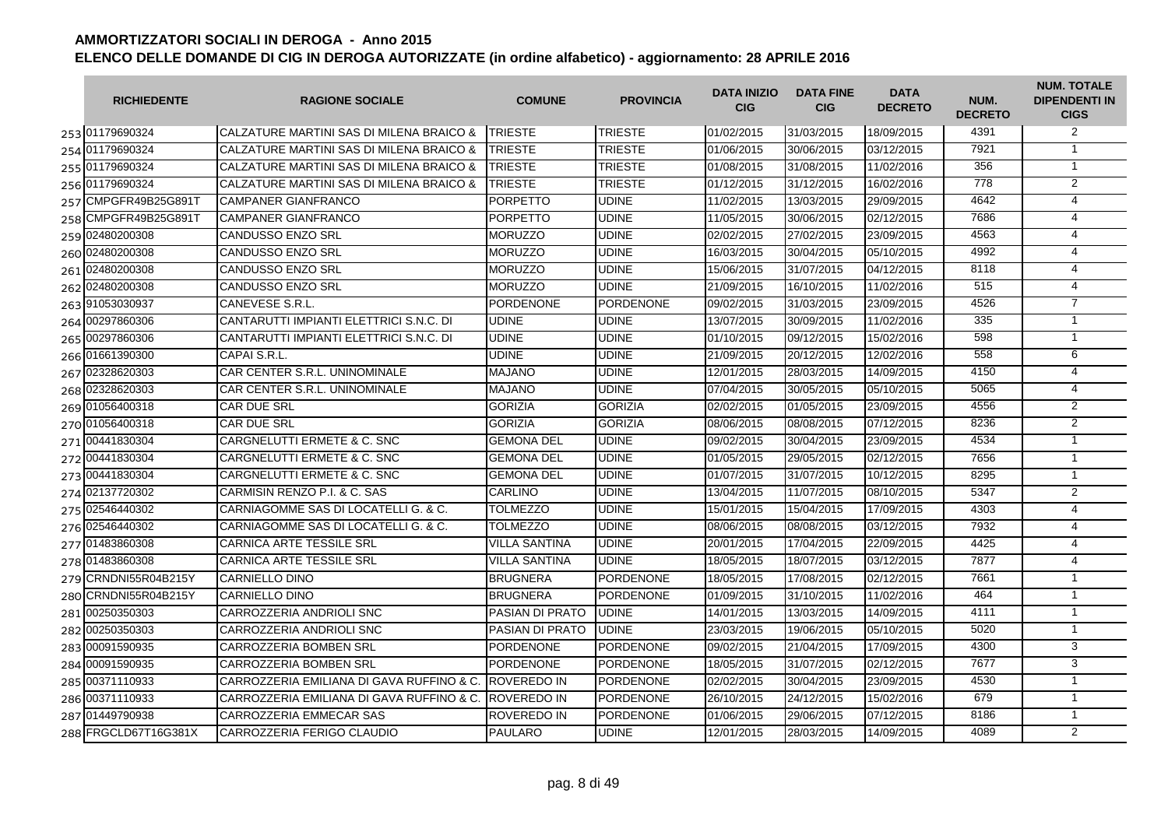| <b>RICHIEDENTE</b>   | <b>RAGIONE SOCIALE</b>                                | <b>COMUNE</b>          | <b>PROVINCIA</b> | <b>DATA INIZIO</b><br><b>CIG</b> | <b>DATA FINE</b><br><b>CIG</b> | <b>DATA</b><br><b>DECRETO</b> | NUM.<br><b>DECRETO</b> | <b>NUM. TOTALE</b><br><b>DIPENDENTI IN</b><br><b>CIGS</b> |
|----------------------|-------------------------------------------------------|------------------------|------------------|----------------------------------|--------------------------------|-------------------------------|------------------------|-----------------------------------------------------------|
| 253 01179690324      | <b>CALZATURE MARTINI SAS DI MILENA BRAICO &amp;</b>   | <b>TRIESTE</b>         | <b>TRIESTE</b>   | 01/02/2015                       | 31/03/2015                     | 18/09/2015                    | 4391                   | 2                                                         |
| 254 01179690324      | CALZATURE MARTINI SAS DI MILENA BRAICO &              | <b>TRIESTE</b>         | <b>TRIESTE</b>   | 01/06/2015                       | 30/06/2015                     | 03/12/2015                    | 7921                   | $\mathbf{1}$                                              |
| 255 01179690324      | CALZATURE MARTINI SAS DI MILENA BRAICO &              | <b>TRIESTE</b>         | <b>TRIESTE</b>   | 01/08/2015                       | 31/08/2015                     | 11/02/2016                    | 356                    | $\mathbf{1}$                                              |
| 256 01179690324      | CALZATURE MARTINI SAS DI MILENA BRAICO &              | <b>TRIESTE</b>         | <b>TRIESTE</b>   | 01/12/2015                       | 31/12/2015                     | 16/02/2016                    | 778                    | $\overline{2}$                                            |
| 257 CMPGFR49B25G891T | <b>CAMPANER GIANFRANCO</b>                            | <b>PORPETTO</b>        | <b>UDINE</b>     | 11/02/2015                       | 13/03/2015                     | 29/09/2015                    | 4642                   | $\overline{4}$                                            |
| 258 CMPGFR49B25G891T | CAMPANER GIANFRANCO                                   | <b>PORPETTO</b>        | <b>UDINE</b>     | 11/05/2015                       | 30/06/2015                     | 02/12/2015                    | 7686                   | 4                                                         |
| 259 02480200308      | <b>CANDUSSO ENZO SRL</b>                              | <b>MORUZZO</b>         | <b>UDINE</b>     | 02/02/2015                       | 27/02/2015                     | 23/09/2015                    | 4563                   | 4                                                         |
| 260 02480200308      | <b>CANDUSSO ENZO SRL</b>                              | <b>MORUZZO</b>         | <b>UDINE</b>     | 16/03/2015                       | 30/04/2015                     | 05/10/2015                    | 4992                   | 4                                                         |
| 261 02480200308      | <b>CANDUSSO ENZO SRL</b>                              | <b>MORUZZO</b>         | <b>UDINE</b>     | 15/06/2015                       | 31/07/2015                     | 04/12/2015                    | 8118                   | 4                                                         |
| 262 02480200308      | <b>CANDUSSO ENZO SRL</b>                              | <b>MORUZZO</b>         | <b>UDINE</b>     | 21/09/2015                       | 16/10/2015                     | 11/02/2016                    | 515                    | 4                                                         |
| 263 91053030937      | CANEVESE S.R.L.                                       | <b>PORDENONE</b>       | <b>PORDENONE</b> | 09/02/2015                       | 31/03/2015                     | 23/09/2015                    | 4526                   | $\overline{7}$                                            |
| 264 00297860306      | CANTARUTTI IMPIANTI ELETTRICI S.N.C. DI               | <b>UDINE</b>           | <b>UDINE</b>     | 13/07/2015                       | 30/09/2015                     | 11/02/2016                    | 335                    | $\mathbf{1}$                                              |
| 265 00297860306      | CANTARUTTI IMPIANTI ELETTRICI S.N.C. DI               | <b>UDINE</b>           | <b>UDINE</b>     | 01/10/2015                       | 09/12/2015                     | 15/02/2016                    | 598                    | $\overline{1}$                                            |
| 266 01661390300      | CAPAI S.R.L.                                          | <b>UDINE</b>           | <b>UDINE</b>     | 21/09/2015                       | 20/12/2015                     | 12/02/2016                    | 558                    | 6                                                         |
| 267 02328620303      | <b>CAR CENTER S.R.L. UNINOMINALE</b>                  | <b>MAJANO</b>          | <b>UDINE</b>     | 12/01/2015                       | 28/03/2015                     | 14/09/2015                    | 4150                   | $\overline{4}$                                            |
| 268 02328620303      | CAR CENTER S.R.L. UNINOMINALE                         | <b>MAJANO</b>          | <b>UDINE</b>     | 07/04/2015                       | 30/05/2015                     | 05/10/2015                    | 5065                   | $\overline{4}$                                            |
| 269 01056400318      | <b>CAR DUE SRL</b>                                    | <b>GORIZIA</b>         | <b>GORIZIA</b>   | 02/02/2015                       | 01/05/2015                     | 23/09/2015                    | 4556                   | $\overline{2}$                                            |
| 270 01056400318      | <b>CAR DUE SRL</b>                                    | <b>GORIZIA</b>         | <b>GORIZIA</b>   | 08/06/2015                       | 08/08/2015                     | 07/12/2015                    | 8236                   | $\overline{2}$                                            |
| 271 00441830304      | <b>CARGNELUTTI ERMETE &amp; C. SNC</b>                | <b>GEMONA DEL</b>      | <b>UDINE</b>     | 09/02/2015                       | 30/04/2015                     | 23/09/2015                    | 4534                   | $\mathbf{1}$                                              |
| 272 00441830304      | CARGNELUTTI ERMETE & C. SNC                           | <b>GEMONA DEL</b>      | <b>UDINE</b>     | 01/05/2015                       | 29/05/2015                     | 02/12/2015                    | 7656                   | $\overline{1}$                                            |
| 273 00441830304      | CARGNELUTTI ERMETE & C. SNC                           | <b>GEMONA DEL</b>      | <b>UDINE</b>     | 01/07/2015                       | 31/07/2015                     | 10/12/2015                    | 8295                   | $\mathbf{1}$                                              |
| 274 02137720302      | CARMISIN RENZO P.I. & C. SAS                          | <b>CARLINO</b>         | <b>UDINE</b>     | 13/04/2015                       | 11/07/2015                     | 08/10/2015                    | 5347                   | $\overline{2}$                                            |
| 275 02546440302      | CARNIAGOMME SAS DI LOCATELLI G. & C.                  | <b>TOLMEZZO</b>        | <b>UDINE</b>     | 15/01/2015                       | 15/04/2015                     | 17/09/2015                    | 4303                   | $\overline{4}$                                            |
| 276 02546440302      | CARNIAGOMME SAS DI LOCATELLI G. & C.                  | TOLMEZZO               | <b>UDINE</b>     | 08/06/2015                       | 08/08/2015                     | 03/12/2015                    | 7932                   | 4                                                         |
| 277 01483860308      | CARNICA ARTE TESSILE SRL                              | <b>VILLA SANTINA</b>   | <b>UDINE</b>     | 20/01/2015                       | 17/04/2015                     | 22/09/2015                    | 4425                   | $\overline{4}$                                            |
| 278 01483860308      | <b>CARNICA ARTE TESSILE SRL</b>                       | <b>VILLA SANTINA</b>   | <b>UDINE</b>     | 18/05/2015                       | 18/07/2015                     | 03/12/2015                    | 7877                   | $\overline{4}$                                            |
| 279 CRNDNI55R04B215Y | <b>CARNIELLO DINO</b>                                 | <b>BRUGNERA</b>        | <b>PORDENONE</b> | 18/05/2015                       | 17/08/2015                     | 02/12/2015                    | 7661                   | $\mathbf{1}$                                              |
| 280 CRNDNI55R04B215Y | <b>CARNIELLO DINO</b>                                 | <b>BRUGNERA</b>        | <b>PORDENONE</b> | 01/09/2015                       | 31/10/2015                     | 11/02/2016                    | 464                    | $\mathbf{1}$                                              |
| 281 00250350303      | CARROZZERIA ANDRIOLI SNC                              | <b>PASIAN DI PRATO</b> | <b>UDINE</b>     | 14/01/2015                       | 13/03/2015                     | 14/09/2015                    | 4111                   | $\mathbf{1}$                                              |
| 282 00250350303      | CARROZZERIA ANDRIOLI SNC                              | <b>PASIAN DI PRATO</b> | <b>UDINE</b>     | 23/03/2015                       | 19/06/2015                     | 05/10/2015                    | 5020                   | $\overline{1}$                                            |
| 283 00091590935      | <b>CARROZZERIA BOMBEN SRL</b>                         | <b>PORDENONE</b>       | <b>PORDENONE</b> | 09/02/2015                       | 21/04/2015                     | 17/09/2015                    | 4300                   | 3                                                         |
| 284 00091590935      | <b>CARROZZERIA BOMBEN SRL</b>                         | <b>PORDENONE</b>       | <b>PORDENONE</b> | 18/05/2015                       | 31/07/2015                     | 02/12/2015                    | 7677                   | 3                                                         |
| 285 00371110933      | CARROZZERIA EMILIANA DI GAVA RUFFINO & C. ROVEREDO IN |                        | <b>PORDENONE</b> | 02/02/2015                       | 30/04/2015                     | 23/09/2015                    | 4530                   | $\mathbf{1}$                                              |
| 286 00371110933      | CARROZZERIA EMILIANA DI GAVA RUFFINO & C. ROVEREDO IN |                        | <b>PORDENONE</b> | 26/10/2015                       | 24/12/2015                     | 15/02/2016                    | 679                    | $\mathbf{1}$                                              |
| 287 01449790938      | <b>CARROZZERIA EMMECAR SAS</b>                        | <b>ROVEREDO IN</b>     | <b>PORDENONE</b> | 01/06/2015                       | 29/06/2015                     | 07/12/2015                    | 8186                   | $\mathbf{1}$                                              |
| 288 FRGCLD67T16G381X | CARROZZERIA FERIGO CLAUDIO                            | <b>PAULARO</b>         | <b>UDINE</b>     | 12/01/2015                       | 28/03/2015                     | 14/09/2015                    | 4089                   | $\overline{2}$                                            |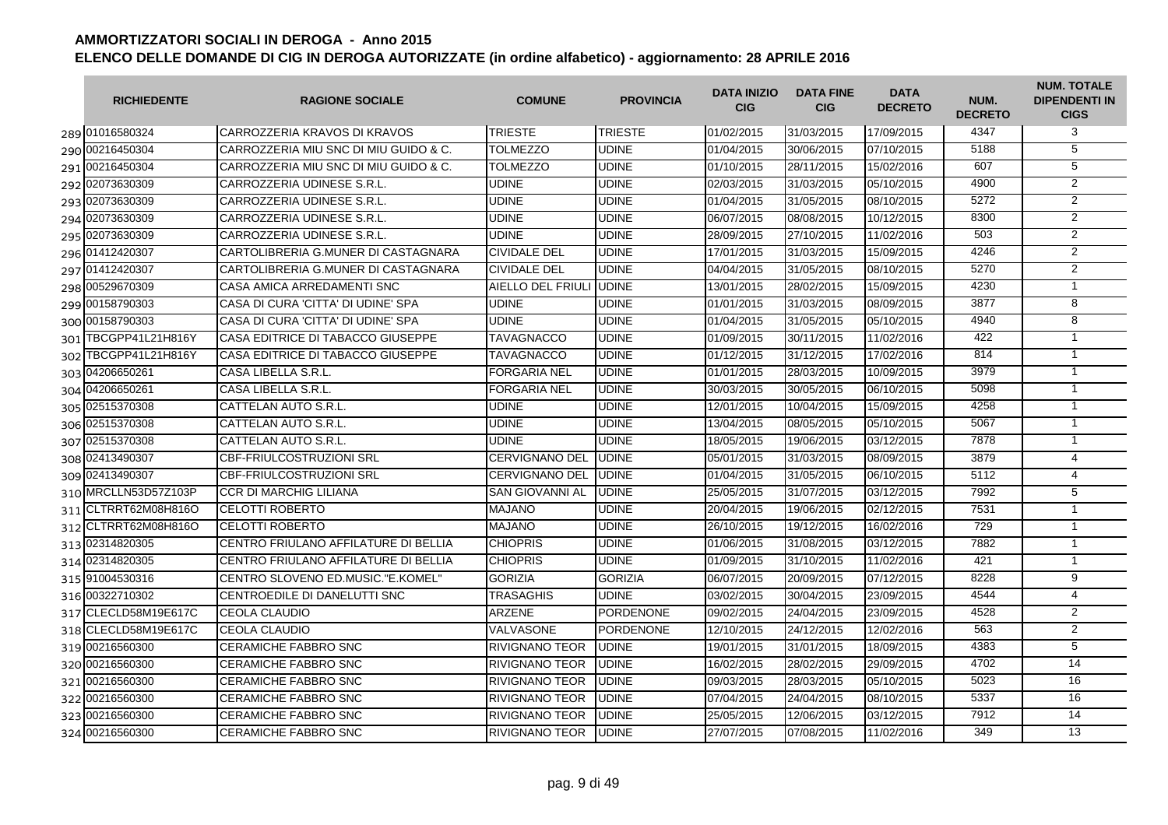| <b>RICHIEDENTE</b>   | <b>RAGIONE SOCIALE</b>                | <b>COMUNE</b>           | <b>PROVINCIA</b> | <b>DATA INIZIO</b><br><b>CIG</b> | <b>DATA FINE</b><br><b>CIG</b> | <b>DATA</b><br><b>DECRETO</b> | NUM.<br><b>DECRETO</b> | <b>NUM. TOTALE</b><br><b>DIPENDENTI IN</b><br><b>CIGS</b> |
|----------------------|---------------------------------------|-------------------------|------------------|----------------------------------|--------------------------------|-------------------------------|------------------------|-----------------------------------------------------------|
| 289 01016580324      | CARROZZERIA KRAVOS DI KRAVOS          | <b>TRIESTE</b>          | <b>TRIESTE</b>   | 01/02/2015                       | 31/03/2015                     | 17/09/2015                    | 4347                   | 3                                                         |
| 290 00216450304      | CARROZZERIA MIU SNC DI MIU GUIDO & C. | <b>TOLMEZZO</b>         | <b>UDINE</b>     | 01/04/2015                       | 30/06/2015                     | 07/10/2015                    | 5188                   | $\overline{5}$                                            |
| 291 00216450304      | CARROZZERIA MIU SNC DI MIU GUIDO & C. | <b>TOLMEZZO</b>         | <b>UDINE</b>     | 01/10/2015                       | 28/11/2015                     | 15/02/2016                    | 607                    | 5                                                         |
| 292 02073630309      | CARROZZERIA UDINESE S.R.L.            | <b>UDINE</b>            | <b>UDINE</b>     | 02/03/2015                       | 31/03/2015                     | 05/10/2015                    | 4900                   | 2                                                         |
| 293 02073630309      | CARROZZERIA UDINESE S.R.L.            | <b>UDINE</b>            | <b>UDINE</b>     | 01/04/2015                       | 31/05/2015                     | 08/10/2015                    | 5272                   | $\overline{2}$                                            |
| 294 02073630309      | CARROZZERIA UDINESE S.R.L             | <b>UDINE</b>            | <b>UDINE</b>     | 06/07/2015                       | 08/08/2015                     | 10/12/2015                    | 8300                   | $\overline{2}$                                            |
| 295 02073630309      | CARROZZERIA UDINESE S.R.L             | <b>UDINE</b>            | <b>UDINE</b>     | 28/09/2015                       | 27/10/2015                     | 11/02/2016                    | 503                    | $\overline{2}$                                            |
| 296 01412420307      | CARTOLIBRERIA G.MUNER DI CASTAGNARA   | <b>CIVIDALE DEL</b>     | <b>UDINE</b>     | 17/01/2015                       | 31/03/2015                     | 15/09/2015                    | 4246                   | $\overline{2}$                                            |
| 297 01412420307      | CARTOLIBRERIA G.MUNER DI CASTAGNARA   | <b>CIVIDALE DEL</b>     | <b>UDINE</b>     | 04/04/2015                       | 31/05/2015                     | 08/10/2015                    | 5270                   | $\overline{2}$                                            |
| 298 00529670309      | CASA AMICA ARREDAMENTI SNC            | AIELLO DEL FRIULI UDINE |                  | 13/01/2015                       | 28/02/2015                     | 15/09/2015                    | 4230                   | $\mathbf{1}$                                              |
| 299 00158790303      | CASA DI CURA 'CITTA' DI UDINE' SPA    | <b>UDINE</b>            | <b>UDINE</b>     | 01/01/2015                       | 31/03/2015                     | 08/09/2015                    | 3877                   | 8                                                         |
| 300 00158790303      | CASA DI CURA 'CITTA' DI UDINE' SPA    | <b>UDINE</b>            | <b>UDINE</b>     | 01/04/2015                       | 31/05/2015                     | 05/10/2015                    | 4940                   | 8                                                         |
| 301 TBCGPP41L21H816Y | CASA EDITRICE DI TABACCO GIUSEPPE     | TAVAGNACCO              | <b>UDINE</b>     | 01/09/2015                       | 30/11/2015                     | 11/02/2016                    | 422                    | $\mathbf{1}$                                              |
| 302 TBCGPP41L21H816Y | CASA EDITRICE DI TABACCO GIUSEPPE     | <b>TAVAGNACCO</b>       | <b>UDINE</b>     | 01/12/2015                       | 31/12/2015                     | 17/02/2016                    | 814                    | $\mathbf{1}$                                              |
| 303 04206650261      | CASA LIBELLA S.R.L.                   | <b>FORGARIA NEL</b>     | <b>UDINE</b>     | 01/01/2015                       | 28/03/2015                     | 10/09/2015                    | 3979                   | $\mathbf{1}$                                              |
| 304 04206650261      | CASA LIBELLA S.R.L.                   | <b>FORGARIA NEL</b>     | <b>UDINE</b>     | 30/03/2015                       | 30/05/2015                     | 06/10/2015                    | 5098                   | $\overline{1}$                                            |
| 305 02515370308      | CATTELAN AUTO S.R.L.                  | <b>UDINE</b>            | <b>UDINE</b>     | 12/01/2015                       | 10/04/2015                     | 15/09/2015                    | 4258                   | $\overline{1}$                                            |
| 306 02515370308      | CATTELAN AUTO S.R.L.                  | <b>UDINE</b>            | <b>UDINE</b>     | 13/04/2015                       | 08/05/2015                     | 05/10/2015                    | 5067                   | $\mathbf{1}$                                              |
| 307 02515370308      | CATTELAN AUTO S.R.L.                  | <b>UDINE</b>            | <b>UDINE</b>     | 18/05/2015                       | 19/06/2015                     | 03/12/2015                    | 7878                   | $\mathbf{1}$                                              |
| 308 02413490307      | <b>CBF-FRIULCOSTRUZIONI SRL</b>       | <b>CERVIGNANO DEL</b>   | <b>UDINE</b>     | 05/01/2015                       | 31/03/2015                     | 08/09/2015                    | 3879                   | 4                                                         |
| 309 02413490307      | <b>CBF-FRIULCOSTRUZIONI SRL</b>       | <b>CERVIGNANO DEL</b>   | <b>UDINE</b>     | 01/04/2015                       | 31/05/2015                     | 06/10/2015                    | 5112                   | $\overline{4}$                                            |
| 310 MRCLLN53D57Z103P | <b>CCR DI MARCHIG LILIANA</b>         | <b>SAN GIOVANNI AL</b>  | <b>UDINE</b>     | 25/05/2015                       | 31/07/2015                     | 03/12/2015                    | 7992                   | $\overline{5}$                                            |
| 311 CLTRRT62M08H816O | <b>CELOTTI ROBERTO</b>                | <b>MAJANO</b>           | <b>UDINE</b>     | 20/04/2015                       | 19/06/2015                     | 02/12/2015                    | 7531                   | $\mathbf{1}$                                              |
| 312 CLTRRT62M08H816O | <b>CELOTTI ROBERTO</b>                | <b>MAJANO</b>           | <b>UDINE</b>     | 26/10/2015                       | 19/12/2015                     | 16/02/2016                    | 729                    | $\mathbf{1}$                                              |
| 313 02314820305      | CENTRO FRIULANO AFFILATURE DI BELLIA  | <b>CHIOPRIS</b>         | <b>UDINE</b>     | 01/06/2015                       | 31/08/2015                     | 03/12/2015                    | 7882                   | $\mathbf{1}$                                              |
| 314 02314820305      | CENTRO FRIULANO AFFILATURE DI BELLIA  | <b>CHIOPRIS</b>         | <b>UDINE</b>     | 01/09/2015                       | 31/10/2015                     | 11/02/2016                    | 421                    | $\mathbf{1}$                                              |
| 315 91004530316      | CENTRO SLOVENO ED.MUSIC."E.KOMEL"     | <b>GORIZIA</b>          | <b>GORIZIA</b>   | 06/07/2015                       | 20/09/2015                     | 07/12/2015                    | 8228                   | 9                                                         |
| 316 00322710302      | CENTROEDILE DI DANELUTTI SNC          | <b>TRASAGHIS</b>        | <b>UDINE</b>     | 03/02/2015                       | 30/04/2015                     | 23/09/2015                    | 4544                   | $\overline{4}$                                            |
| 317 CLECLD58M19E617C | <b>CEOLA CLAUDIO</b>                  | <b>ARZENE</b>           | <b>PORDENONE</b> | 09/02/2015                       | 24/04/2015                     | 23/09/2015                    | 4528                   | 2                                                         |
| 318 CLECLD58M19E617C | <b>CEOLA CLAUDIO</b>                  | VALVASONE               | PORDENONE        | 12/10/2015                       | 24/12/2015                     | 12/02/2016                    | 563                    | 2                                                         |
| 319 00216560300      | <b>CERAMICHE FABBRO SNC</b>           | <b>RIVIGNANO TEOR</b>   | <b>UDINE</b>     | 19/01/2015                       | 31/01/2015                     | 18/09/2015                    | 4383                   | 5                                                         |
| 320 00216560300      | <b>CERAMICHE FABBRO SNC</b>           | <b>RIVIGNANO TEOR</b>   | <b>UDINE</b>     | 16/02/2015                       | 28/02/2015                     | 29/09/2015                    | 4702                   | 14                                                        |
| 321 00216560300      | <b>CERAMICHE FABBRO SNC</b>           | <b>RIVIGNANO TEOR</b>   | <b>UDINE</b>     | 09/03/2015                       | 28/03/2015                     | 05/10/2015                    | 5023                   | 16                                                        |
| 322 00216560300      | <b>CERAMICHE FABBRO SNC</b>           | <b>RIVIGNANO TEOR</b>   | <b>UDINE</b>     | 07/04/2015                       | 24/04/2015                     | 08/10/2015                    | 5337                   | 16                                                        |
| 323 00216560300      | <b>CERAMICHE FABBRO SNC</b>           | <b>RIVIGNANO TEOR</b>   | <b>UDINE</b>     | 25/05/2015                       | 12/06/2015                     | 03/12/2015                    | 7912                   | 14                                                        |
| 324 00216560300      | <b>CERAMICHE FABBRO SNC</b>           | <b>RIVIGNANO TEOR</b>   | <b>UDINE</b>     | 27/07/2015                       | 07/08/2015                     | 11/02/2016                    | 349                    | 13                                                        |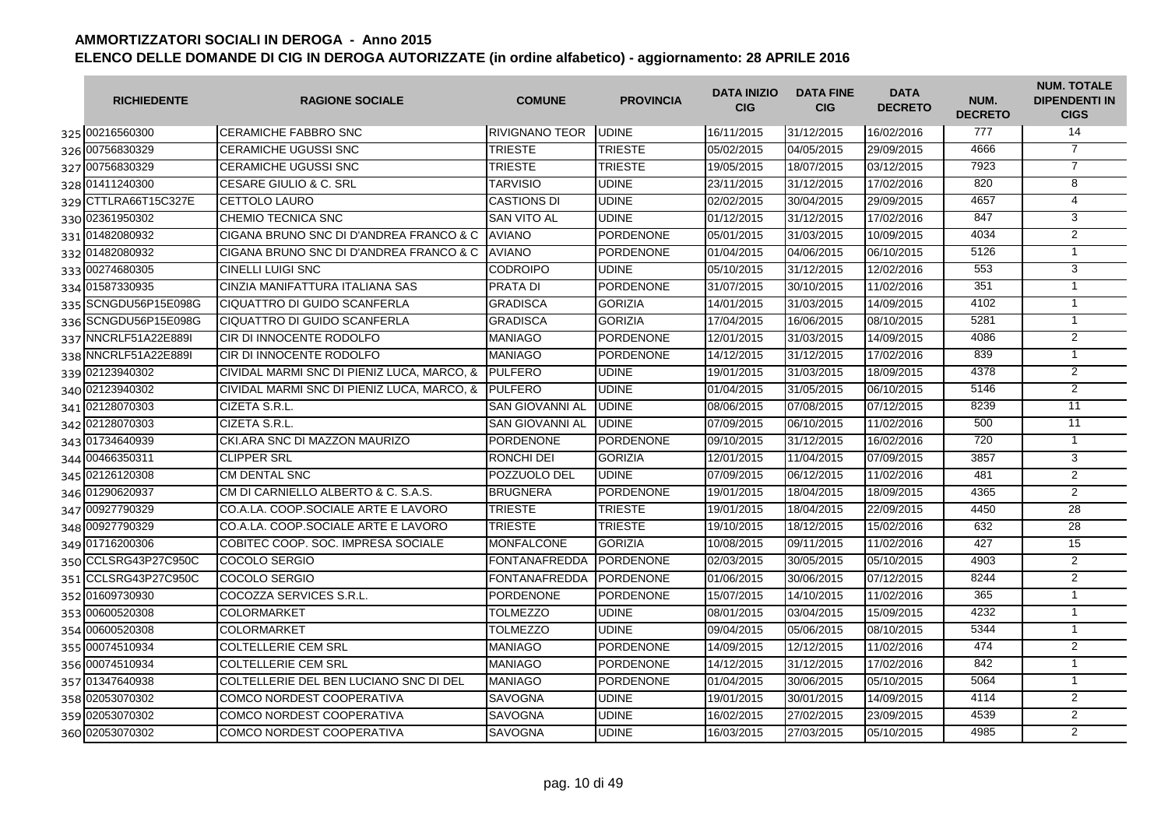| <b>RICHIEDENTE</b>   | <b>RAGIONE SOCIALE</b>                             | <b>COMUNE</b>          | <b>PROVINCIA</b> | <b>DATA INIZIO</b><br><b>CIG</b> | <b>DATA FINE</b><br><b>CIG</b> | <b>DATA</b><br><b>DECRETO</b> | NUM.<br><b>DECRETO</b> | <b>NUM. TOTALE</b><br><b>DIPENDENTI IN</b><br><b>CIGS</b> |
|----------------------|----------------------------------------------------|------------------------|------------------|----------------------------------|--------------------------------|-------------------------------|------------------------|-----------------------------------------------------------|
| 325 00216560300      | <b>CERAMICHE FABBRO SNC</b>                        | <b>RIVIGNANO TEOR</b>  | <b>UDINE</b>     | 16/11/2015                       | 31/12/2015                     | 16/02/2016                    | 777                    | 14                                                        |
| 326 00756830329      | <b>CERAMICHE UGUSSI SNC</b>                        | <b>TRIESTE</b>         | <b>TRIESTE</b>   | 05/02/2015                       | 04/05/2015                     | 29/09/2015                    | 4666                   | $\overline{7}$                                            |
| 327 00756830329      | <b>CERAMICHE UGUSSI SNC</b>                        | <b>TRIESTE</b>         | <b>TRIESTE</b>   | 19/05/2015                       | 18/07/2015                     | 03/12/2015                    | 7923                   | $\overline{7}$                                            |
| 328 01411240300      | <b>CESARE GIULIO &amp; C. SRL</b>                  | <b>TARVISIO</b>        | <b>UDINE</b>     | 23/11/2015                       | 31/12/2015                     | 17/02/2016                    | 820                    | 8                                                         |
| 329 CTTLRA66T15C327E | CETTOLO LAURO                                      | <b>CASTIONS DI</b>     | <b>UDINE</b>     | 02/02/2015                       | 30/04/2015                     | 29/09/2015                    | 4657                   | $\overline{4}$                                            |
| 330 02361950302      | CHEMIO TECNICA SNC                                 | <b>SAN VITO AL</b>     | <b>UDINE</b>     | 01/12/2015                       | 31/12/2015                     | 17/02/2016                    | 847                    | $\overline{3}$                                            |
| 331 01482080932      | CIGANA BRUNO SNC DI D'ANDREA FRANCO & C            | <b>AVIANO</b>          | <b>PORDENONE</b> | 05/01/2015                       | 31/03/2015                     | 10/09/2015                    | 4034                   | $\overline{2}$                                            |
| 332 01482080932      | CIGANA BRUNO SNC DI D'ANDREA FRANCO & C            | <b>AVIANO</b>          | <b>PORDENONE</b> | 01/04/2015                       | 04/06/2015                     | 06/10/2015                    | 5126                   | $\mathbf{1}$                                              |
| 333 00274680305      | <b>CINELLI LUIGI SNC</b>                           | <b>CODROIPO</b>        | <b>UDINE</b>     | 05/10/2015                       | 31/12/2015                     | 12/02/2016                    | 553                    | 3                                                         |
| 334 01587330935      | CINZIA MANIFATTURA ITALIANA SAS                    | PRATA DI               | <b>PORDENONE</b> | 31/07/2015                       | 30/10/2015                     | 11/02/2016                    | 351                    | $\mathbf{1}$                                              |
| 335 SCNGDU56P15E098G | CIQUATTRO DI GUIDO SCANFERLA                       | <b>GRADISCA</b>        | <b>GORIZIA</b>   | 14/01/2015                       | 31/03/2015                     | 14/09/2015                    | 4102                   | $\mathbf{1}$                                              |
| 336 SCNGDU56P15E098G | CIQUATTRO DI GUIDO SCANFERLA                       | <b>GRADISCA</b>        | <b>GORIZIA</b>   | 17/04/2015                       | 16/06/2015                     | 08/10/2015                    | 5281                   | $\overline{1}$                                            |
| 337 NNCRLF51A22E889I | CIR DI INNOCENTE RODOLFO                           | <b>MANIAGO</b>         | <b>PORDENONE</b> | 12/01/2015                       | 31/03/2015                     | 14/09/2015                    | 4086                   | $\overline{2}$                                            |
| 338 NNCRLF51A22E889I | CIR DI INNOCENTE RODOLFO                           | <b>MANIAGO</b>         | <b>PORDENONE</b> | 14/12/2015                       | 31/12/2015                     | 17/02/2016                    | 839                    | $\mathbf{1}$                                              |
| 339 02123940302      | CIVIDAL MARMI SNC DI PIENIZ LUCA, MARCO, &         | <b>IPULFERO</b>        | <b>UDINE</b>     | 19/01/2015                       | 31/03/2015                     | 18/09/2015                    | 4378                   | $\overline{2}$                                            |
| 340 02123940302      | CIVIDAL MARMI SNC DI PIENIZ LUCA, MARCO, & PULFERO |                        | <b>UDINE</b>     | 01/04/2015                       | 31/05/2015                     | 06/10/2015                    | 5146                   | $\overline{2}$                                            |
| 341 02128070303      | CIZETA S.R.L.                                      | <b>SAN GIOVANNI AL</b> | <b>UDINE</b>     | 08/06/2015                       | 07/08/2015                     | 07/12/2015                    | 8239                   | 11                                                        |
| 342 02128070303      | CIZETA S.R.L.                                      | <b>SAN GIOVANNI AL</b> | <b>UDINE</b>     | 07/09/2015                       | 06/10/2015                     | 11/02/2016                    | 500                    | $\overline{11}$                                           |
| 343 01734640939      | CKI.ARA SNC DI MAZZON MAURIZO                      | <b>PORDENONE</b>       | <b>PORDENONE</b> | 09/10/2015                       | 31/12/2015                     | 16/02/2016                    | 720                    | $\overline{1}$                                            |
| 344 00466350311      | <b>CLIPPER SRL</b>                                 | RONCHI DEI             | <b>GORIZIA</b>   | 12/01/2015                       | 11/04/2015                     | 07/09/2015                    | 3857                   | 3                                                         |
| 345 02126120308      | <b>CM DENTAL SNC</b>                               | POZZUOLO DEL           | <b>UDINE</b>     | 07/09/2015                       | 06/12/2015                     | 11/02/2016                    | 481                    | 2                                                         |
| 346 01290620937      | CM DI CARNIELLO ALBERTO & C. S.A.S.                | <b>BRUGNERA</b>        | <b>PORDENONE</b> | 19/01/2015                       | 18/04/2015                     | 18/09/2015                    | 4365                   | 2                                                         |
| 347 00927790329      | CO.A.LA. COOP.SOCIALE ARTE E LAVORO                | <b>TRIESTE</b>         | <b>TRIESTE</b>   | 19/01/2015                       | 18/04/2015                     | 22/09/2015                    | 4450                   | 28                                                        |
| 348 00927790329      | CO.A.LA. COOP.SOCIALE ARTE E LAVORO                | <b>TRIESTE</b>         | <b>TRIESTE</b>   | 19/10/2015                       | 18/12/2015                     | 15/02/2016                    | 632                    | $\overline{28}$                                           |
| 349 01716200306      | COBITEC COOP, SOC. IMPRESA SOCIALE                 | <b>MONFALCONE</b>      | <b>GORIZIA</b>   | 10/08/2015                       | 09/11/2015                     | 11/02/2016                    | 427                    | 15                                                        |
| 350 CCLSRG43P27C950C | COCOLO SERGIO                                      | <b>FONTANAFREDDA</b>   | <b>PORDENONE</b> | 02/03/2015                       | 30/05/2015                     | 05/10/2015                    | 4903                   | 2                                                         |
| 351 CCLSRG43P27C950C | COCOLO SERGIO                                      | <b>FONTANAFREDDA</b>   | <b>PORDENONE</b> | 01/06/2015                       | 30/06/2015                     | 07/12/2015                    | 8244                   | 2                                                         |
| 352 01609730930      | COCOZZA SERVICES S.R.L.                            | <b>PORDENONE</b>       | <b>PORDENONE</b> | 15/07/2015                       | 14/10/2015                     | 11/02/2016                    | 365                    | $\mathbf{1}$                                              |
| 353 00600520308      | <b>COLORMARKET</b>                                 | <b>TOLMEZZO</b>        | <b>UDINE</b>     | 08/01/2015                       | 03/04/2015                     | 15/09/2015                    | 4232                   | $\mathbf{1}$                                              |
| 354 00600520308      | <b>COLORMARKET</b>                                 | <b>TOLMEZZO</b>        | <b>UDINE</b>     | 09/04/2015                       | 05/06/2015                     | 08/10/2015                    | 5344                   | $\mathbf{1}$                                              |
| 355 00074510934      | <b>COLTELLERIE CEM SRL</b>                         | <b>MANIAGO</b>         | <b>PORDENONE</b> | 14/09/2015                       | 12/12/2015                     | 11/02/2016                    | 474                    | $\overline{2}$                                            |
| 356 00074510934      | <b>COLTELLERIE CEM SRL</b>                         | <b>MANIAGO</b>         | <b>PORDENONE</b> | 14/12/2015                       | 31/12/2015                     | 17/02/2016                    | 842                    | $\mathbf{1}$                                              |
| 357 01347640938      | COLTELLERIE DEL BEN LUCIANO SNC DI DEL             | <b>MANIAGO</b>         | <b>PORDENONE</b> | 01/04/2015                       | 30/06/2015                     | 05/10/2015                    | 5064                   | $\mathbf{1}$                                              |
| 358 02053070302      | COMCO NORDEST COOPERATIVA                          | SAVOGNA                | <b>UDINE</b>     | 19/01/2015                       | 30/01/2015                     | 14/09/2015                    | 4114                   | $\overline{2}$                                            |
| 359 02053070302      | COMCO NORDEST COOPERATIVA                          | SAVOGNA                | <b>UDINE</b>     | 16/02/2015                       | 27/02/2015                     | 23/09/2015                    | 4539                   | $\overline{2}$                                            |
| 360 02053070302      | COMCO NORDEST COOPERATIVA                          | SAVOGNA                | <b>UDINE</b>     | 16/03/2015                       | 27/03/2015                     | 05/10/2015                    | 4985                   | $\overline{2}$                                            |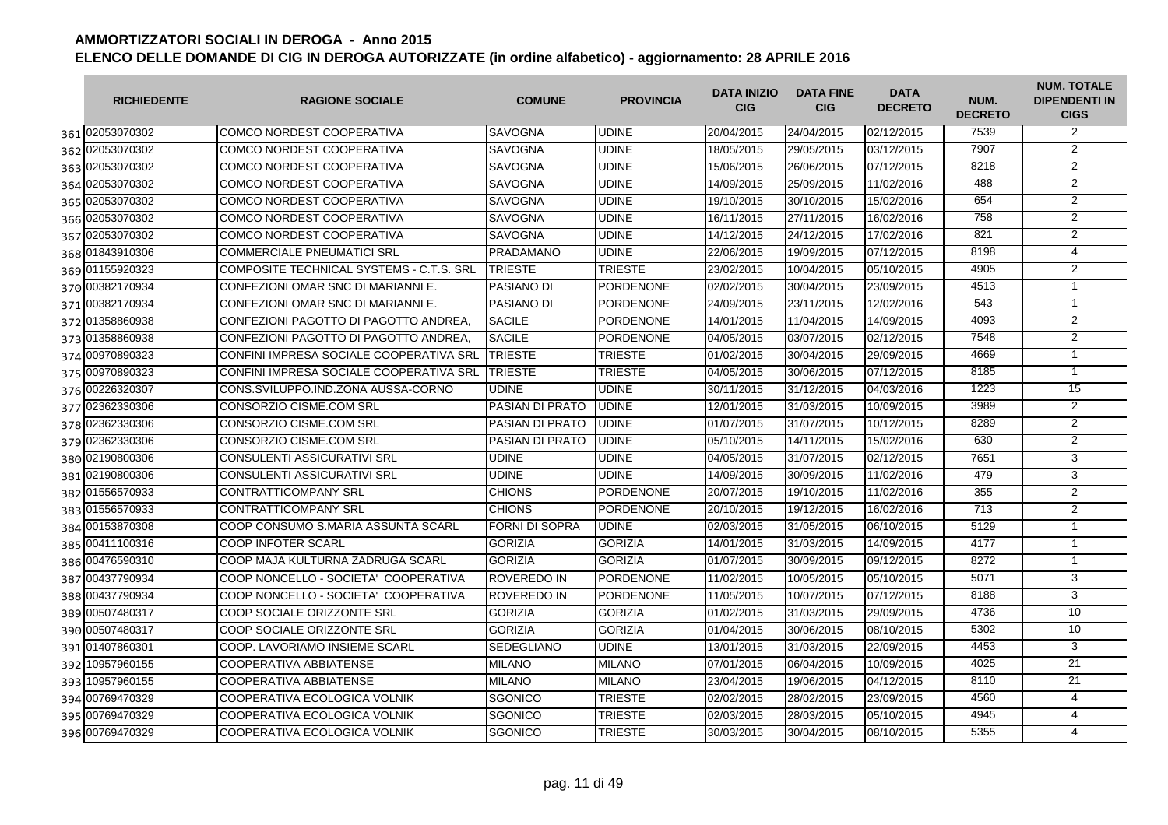| <b>RICHIEDENTE</b> | <b>RAGIONE SOCIALE</b>                   | <b>COMUNE</b>          | <b>PROVINCIA</b> | <b>DATA INIZIO</b><br><b>CIG</b> | <b>DATA FINE</b><br><b>CIG</b> | <b>DATA</b><br><b>DECRETO</b> | NUM.<br><b>DECRETO</b> | <b>NUM. TOTALE</b><br><b>DIPENDENTI IN</b><br><b>CIGS</b> |
|--------------------|------------------------------------------|------------------------|------------------|----------------------------------|--------------------------------|-------------------------------|------------------------|-----------------------------------------------------------|
| 361 02053070302    | COMCO NORDEST COOPERATIVA                | <b>SAVOGNA</b>         | <b>UDINE</b>     | 20/04/2015                       | 24/04/2015                     | 02/12/2015                    | 7539                   | 2                                                         |
| 362 02053070302    | <b>COMCO NORDEST COOPERATIVA</b>         | <b>SAVOGNA</b>         | <b>UDINE</b>     | 18/05/2015                       | 29/05/2015                     | 03/12/2015                    | 7907                   | $\overline{2}$                                            |
| 363 02053070302    | <b>COMCO NORDEST COOPERATIVA</b>         | <b>SAVOGNA</b>         | <b>UDINE</b>     | 15/06/2015                       | 26/06/2015                     | 07/12/2015                    | 8218                   | $\overline{2}$                                            |
| 364 02053070302    | <b>COMCO NORDEST COOPERATIVA</b>         | <b>SAVOGNA</b>         | <b>UDINE</b>     | 14/09/2015                       | 25/09/2015                     | 11/02/2016                    | 488                    | 2                                                         |
| 365 02053070302    | <b>COMCO NORDEST COOPERATIVA</b>         | <b>SAVOGNA</b>         | <b>UDINE</b>     | 19/10/2015                       | 30/10/2015                     | 15/02/2016                    | 654                    | $\overline{2}$                                            |
| 366 02053070302    | <b>COMCO NORDEST COOPERATIVA</b>         | <b>SAVOGNA</b>         | <b>UDINE</b>     | 16/11/2015                       | 27/11/2015                     | 16/02/2016                    | 758                    | $\overline{2}$                                            |
| 367 02053070302    | COMCO NORDEST COOPERATIVA                | <b>SAVOGNA</b>         | <b>UDINE</b>     | 14/12/2015                       | 24/12/2015                     | 17/02/2016                    | 821                    | $\overline{2}$                                            |
| 368 01843910306    | <b>COMMERCIALE PNEUMATICI SRL</b>        | <b>PRADAMANO</b>       | <b>UDINE</b>     | 22/06/2015                       | 19/09/2015                     | 07/12/2015                    | 8198                   | $\overline{4}$                                            |
| 369 01155920323    | COMPOSITE TECHNICAL SYSTEMS - C.T.S. SRL | <b>TRIESTE</b>         | <b>TRIESTE</b>   | 23/02/2015                       | 10/04/2015                     | 05/10/2015                    | 4905                   | $\overline{2}$                                            |
| 370 00382170934    | CONFEZIONI OMAR SNC DI MARIANNI E.       | <b>PASIANO DI</b>      | <b>PORDENONE</b> | 02/02/2015                       | 30/04/2015                     | 23/09/2015                    | 4513                   | $\mathbf{1}$                                              |
| 371 00382170934    | CONFEZIONI OMAR SNC DI MARIANNI E.       | PASIANO DI             | <b>PORDENONE</b> | 24/09/2015                       | 23/11/2015                     | 12/02/2016                    | 543                    | $\mathbf{1}$                                              |
| 372 01358860938    | CONFEZIONI PAGOTTO DI PAGOTTO ANDREA.    | <b>SACILE</b>          | <b>PORDENONE</b> | 14/01/2015                       | 11/04/2015                     | 14/09/2015                    | 4093                   | $\overline{2}$                                            |
| 373 01358860938    | CONFEZIONI PAGOTTO DI PAGOTTO ANDREA.    | <b>SACILE</b>          | <b>PORDENONE</b> | 04/05/2015                       | 03/07/2015                     | 02/12/2015                    | 7548                   | $\overline{2}$                                            |
| 374 00970890323    | CONFINI IMPRESA SOCIALE COOPERATIVA SRL  | <b>TRIESTE</b>         | <b>TRIESTE</b>   | 01/02/2015                       | 30/04/2015                     | 29/09/2015                    | 4669                   | $\mathbf{1}$                                              |
| 375 00970890323    | CONFINI IMPRESA SOCIALE COOPERATIVA SRL  | <b>TRIESTE</b>         | <b>TRIESTE</b>   | 04/05/2015                       | 30/06/2015                     | 07/12/2015                    | 8185                   | $\overline{1}$                                            |
| 376 00226320307    | CONS.SVILUPPO.IND.ZONA AUSSA-CORNO       | <b>UDINE</b>           | <b>UDINE</b>     | 30/11/2015                       | 31/12/2015                     | 04/03/2016                    | 1223                   | 15                                                        |
| 377 02362330306    | CONSORZIO CISME.COM SRL                  | PASIAN DI PRATO        | <b>UDINE</b>     | 12/01/2015                       | 31/03/2015                     | 10/09/2015                    | 3989                   | $\overline{2}$                                            |
| 378 02362330306    | CONSORZIO CISME.COM SRL                  | PASIAN DI PRATO        | <b>UDINE</b>     | 01/07/2015                       | 31/07/2015                     | 10/12/2015                    | 8289                   | $\overline{2}$                                            |
| 379 02362330306    | CONSORZIO CISME.COM SRL                  | <b>PASIAN DI PRATO</b> | <b>UDINE</b>     | 05/10/2015                       | 14/11/2015                     | 15/02/2016                    | 630                    | $\overline{2}$                                            |
| 380 02190800306    | <b>CONSULENTI ASSICURATIVI SRL</b>       | <b>UDINE</b>           | <b>UDINE</b>     | 04/05/2015                       | 31/07/2015                     | 02/12/2015                    | 7651                   | 3                                                         |
| 381 02190800306    | <b>CONSULENTI ASSICURATIVI SRL</b>       | <b>UDINE</b>           | <b>UDINE</b>     | 14/09/2015                       | 30/09/2015                     | 11/02/2016                    | 479                    | 3                                                         |
| 382 01556570933    | <b>CONTRATTICOMPANY SRL</b>              | <b>CHIONS</b>          | <b>PORDENONE</b> | 20/07/2015                       | 19/10/2015                     | 11/02/2016                    | 355                    | $\overline{2}$                                            |
| 383 01556570933    | <b>CONTRATTICOMPANY SRL</b>              | <b>CHIONS</b>          | <b>PORDENONE</b> | 20/10/2015                       | 19/12/2015                     | 16/02/2016                    | 713                    | $\overline{2}$                                            |
| 384 00153870308    | COOP CONSUMO S.MARIA ASSUNTA SCARL       | <b>FORNI DI SOPRA</b>  | <b>UDINE</b>     | 02/03/2015                       | 31/05/2015                     | 06/10/2015                    | 5129                   | $\mathbf{1}$                                              |
| 385 00411100316    | <b>COOP INFOTER SCARL</b>                | <b>GORIZIA</b>         | <b>GORIZIA</b>   | 14/01/2015                       | 31/03/2015                     | 14/09/2015                    | 4177                   | $\mathbf{1}$                                              |
| 386 00476590310    | COOP MAJA KULTURNA ZADRUGA SCARL         | <b>GORIZIA</b>         | <b>GORIZIA</b>   | 01/07/2015                       | 30/09/2015                     | 09/12/2015                    | 8272                   | $\mathbf{1}$                                              |
| 387 00437790934    | COOP NONCELLO - SOCIETA' COOPERATIVA     | <b>ROVEREDO IN</b>     | <b>PORDENONE</b> | 11/02/2015                       | 10/05/2015                     | 05/10/2015                    | 5071                   | $\overline{3}$                                            |
| 388 00437790934    | COOP NONCELLO - SOCIETA' COOPERATIVA     | ROVEREDO IN            | <b>PORDENONE</b> | 11/05/2015                       | 10/07/2015                     | 07/12/2015                    | 8188                   | 3                                                         |
| 389 00507480317    | COOP SOCIALE ORIZZONTE SRL               | <b>GORIZIA</b>         | <b>GORIZIA</b>   | 01/02/2015                       | 31/03/2015                     | 29/09/2015                    | 4736                   | 10                                                        |
| 390 00507480317    | COOP SOCIALE ORIZZONTE SRL               | <b>GORIZIA</b>         | <b>GORIZIA</b>   | 01/04/2015                       | 30/06/2015                     | 08/10/2015                    | 5302                   | 10                                                        |
| 391 01407860301    | COOP. LAVORIAMO INSIEME SCARL            | <b>SEDEGLIANO</b>      | <b>UDINE</b>     | 13/01/2015                       | 31/03/2015                     | 22/09/2015                    | 4453                   | 3                                                         |
| 392 10957960155    | <b>COOPERATIVA ABBIATENSE</b>            | <b>MILANO</b>          | <b>MILANO</b>    | 07/01/2015                       | 06/04/2015                     | 10/09/2015                    | 4025                   | $\overline{21}$                                           |
| 393 10957960155    | <b>COOPERATIVA ABBIATENSE</b>            | <b>MILANO</b>          | <b>MILANO</b>    | 23/04/2015                       | 19/06/2015                     | 04/12/2015                    | 8110                   | 21                                                        |
| 394 00769470329    | COOPERATIVA ECOLOGICA VOLNIK             | <b>SGONICO</b>         | <b>TRIESTE</b>   | 02/02/2015                       | 28/02/2015                     | 23/09/2015                    | 4560                   | $\overline{4}$                                            |
| 395 00769470329    | COOPERATIVA ECOLOGICA VOLNIK             | SGONICO                | <b>TRIESTE</b>   | 02/03/2015                       | 28/03/2015                     | 05/10/2015                    | 4945                   | $\overline{4}$                                            |
| 396 00769470329    | COOPERATIVA ECOLOGICA VOLNIK             | SGONICO                | <b>TRIESTE</b>   | 30/03/2015                       | 30/04/2015                     | 08/10/2015                    | 5355                   | $\overline{4}$                                            |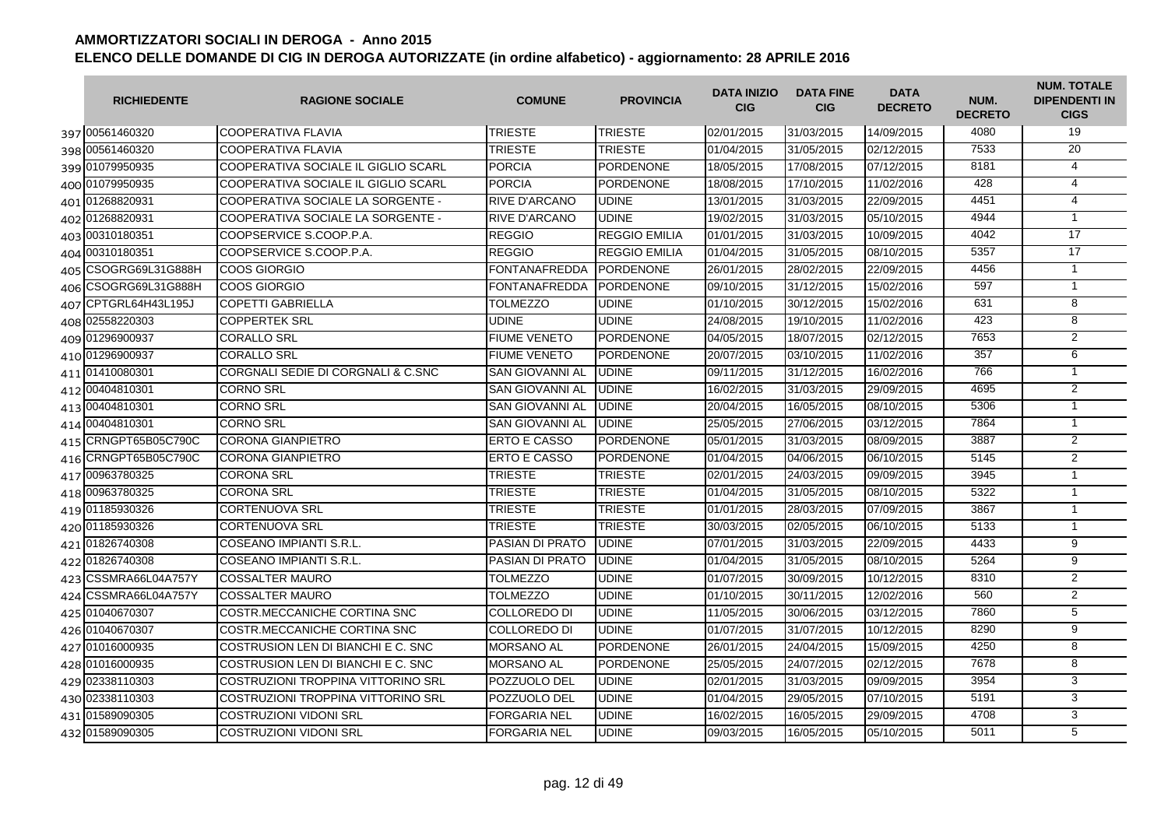| <b>RICHIEDENTE</b>   | <b>RAGIONE SOCIALE</b>              | <b>COMUNE</b>          | <b>PROVINCIA</b>     | <b>DATA INIZIO</b><br><b>CIG</b> | <b>DATA FINE</b><br><b>CIG</b> | <b>DATA</b><br><b>DECRETO</b> | NUM.<br><b>DECRETO</b> | <b>NUM. TOTALE</b><br><b>DIPENDENTI IN</b><br><b>CIGS</b> |
|----------------------|-------------------------------------|------------------------|----------------------|----------------------------------|--------------------------------|-------------------------------|------------------------|-----------------------------------------------------------|
| 397 00561460320      | COOPERATIVA FLAVIA                  | <b>TRIESTE</b>         | <b>TRIESTE</b>       | 02/01/2015                       | 31/03/2015                     | 14/09/2015                    | 4080                   | 19                                                        |
| 398 00561460320      | COOPERATIVA FLAVIA                  | <b>TRIESTE</b>         | <b>TRIESTE</b>       | 01/04/2015                       | 31/05/2015                     | 02/12/2015                    | 7533                   | 20                                                        |
| 399 01079950935      | COOPERATIVA SOCIALE IL GIGLIO SCARL | <b>PORCIA</b>          | <b>PORDENONE</b>     | 18/05/2015                       | 17/08/2015                     | 07/12/2015                    | 8181                   | $\overline{4}$                                            |
| 400 01079950935      | COOPERATIVA SOCIALE IL GIGLIO SCARL | <b>PORCIA</b>          | <b>PORDENONE</b>     | 18/08/2015                       | 17/10/2015                     | 11/02/2016                    | 428                    | $\overline{4}$                                            |
| 401 01268820931      | COOPERATIVA SOCIALE LA SORGENTE -   | <b>RIVE D'ARCANO</b>   | <b>UDINE</b>         | 13/01/2015                       | 31/03/2015                     | 22/09/2015                    | 4451                   | $\overline{4}$                                            |
| 402 01268820931      | COOPERATIVA SOCIALE LA SORGENTE -   | <b>RIVE D'ARCANO</b>   | <b>UDINE</b>         | 19/02/2015                       | 31/03/2015                     | 05/10/2015                    | 4944                   | $\mathbf{1}$                                              |
| 403 00310180351      | COOPSERVICE S.COOP.P.A.             | <b>REGGIO</b>          | <b>REGGIO EMILIA</b> | 01/01/2015                       | 31/03/2015                     | 10/09/2015                    | 4042                   | 17                                                        |
| 404 00310180351      | COOPSERVICE S.COOP.P.A.             | <b>REGGIO</b>          | <b>REGGIO EMILIA</b> | 01/04/2015                       | 31/05/2015                     | 08/10/2015                    | 5357                   | 17                                                        |
| 405 CSOGRG69L31G888H | COOS GIORGIO                        | <b>FONTANAFREDDA</b>   | <b>PORDENONE</b>     | 26/01/2015                       | 28/02/2015                     | 22/09/2015                    | 4456                   | $\mathbf{1}$                                              |
| 406 CSOGRG69L31G888H | COOS GIORGIO                        | FONTANAFREDDA          | <b>PORDENONE</b>     | 09/10/2015                       | 31/12/2015                     | 15/02/2016                    | 597                    | $\mathbf{1}$                                              |
| 407 CPTGRL64H43L195J | <b>COPETTI GABRIELLA</b>            | TOLMEZZO               | <b>UDINE</b>         | 01/10/2015                       | 30/12/2015                     | 15/02/2016                    | 631                    | $\overline{8}$                                            |
| 408 02558220303      | <b>COPPERTEK SRL</b>                | <b>UDINE</b>           | <b>UDINE</b>         | 24/08/2015                       | 19/10/2015                     | 11/02/2016                    | 423                    | $\overline{8}$                                            |
| 409 01296900937      | CORALLO SRL                         | <b>FIUME VENETO</b>    | <b>PORDENONE</b>     | 04/05/2015                       | 18/07/2015                     | 02/12/2015                    | 7653                   | $\overline{2}$                                            |
| 410 01296900937      | <b>CORALLO SRL</b>                  | <b>FIUME VENETO</b>    | <b>PORDENONE</b>     | 20/07/2015                       | 03/10/2015                     | 11/02/2016                    | 357                    | 6                                                         |
| 411 01410080301      | CORGNALI SEDIE DI CORGNALI & C.SNC  | <b>SAN GIOVANNI AL</b> | <b>UDINE</b>         | 09/11/2015                       | 31/12/2015                     | 16/02/2016                    | 766                    | $\mathbf{1}$                                              |
| 412 00404810301      | CORNO SRL                           | <b>SAN GIOVANNI AL</b> | <b>UDINE</b>         | 16/02/2015                       | 31/03/2015                     | 29/09/2015                    | 4695                   | 2                                                         |
| 413 00404810301      | CORNO SRL                           | <b>SAN GIOVANNI AL</b> | <b>UDINE</b>         | 20/04/2015                       | 16/05/2015                     | 08/10/2015                    | 5306                   | $\mathbf{1}$                                              |
| 414 00404810301      | CORNO SRL                           | SAN GIOVANNI AL        | <b>UDINE</b>         | 25/05/2015                       | 27/06/2015                     | 03/12/2015                    | 7864                   | $\mathbf{1}$                                              |
| 415 CRNGPT65B05C790C | CORONA GIANPIETRO                   | <b>ERTO E CASSO</b>    | <b>PORDENONE</b>     | 05/01/2015                       | 31/03/2015                     | 08/09/2015                    | 3887                   | 2                                                         |
| 416 CRNGPT65B05C790C | CORONA GIANPIETRO                   | <b>ERTO E CASSO</b>    | <b>PORDENONE</b>     | 01/04/2015                       | 04/06/2015                     | 06/10/2015                    | 5145                   | $\overline{2}$                                            |
| 417 00963780325      | CORONA SRL                          | TRIESTE                | <b>TRIESTE</b>       | 02/01/2015                       | 24/03/2015                     | 09/09/2015                    | 3945                   | $\mathbf{1}$                                              |
| 418 00963780325      | CORONA SRL                          | <b>TRIESTE</b>         | <b>TRIESTE</b>       | 01/04/2015                       | 31/05/2015                     | 08/10/2015                    | 5322                   | $\mathbf{1}$                                              |
| 419 01185930326      | CORTENUOVA SRL                      | <b>TRIESTE</b>         | <b>TRIESTE</b>       | 01/01/2015                       | 28/03/2015                     | 07/09/2015                    | 3867                   | $\mathbf{1}$                                              |
| 420 01185930326      | CORTENUOVA SRL                      | <b>TRIESTE</b>         | <b>TRIESTE</b>       | 30/03/2015                       | 02/05/2015                     | 06/10/2015                    | 5133                   | $\mathbf{1}$                                              |
| 421 01826740308      | COSEANO IMPIANTI S.R.L.             | PASIAN DI PRATO        | <b>UDINE</b>         | 07/01/2015                       | 31/03/2015                     | 22/09/2015                    | 4433                   | 9                                                         |
| 422 01826740308      | COSEANO IMPIANTI S.R.L.             | <b>PASIAN DI PRATO</b> | <b>UDINE</b>         | 01/04/2015                       | 31/05/2015                     | 08/10/2015                    | 5264                   | $\overline{9}$                                            |
| 423 CSSMRA66L04A757Y | <b>COSSALTER MAURO</b>              | <b>TOLMEZZO</b>        | <b>UDINE</b>         | 01/07/2015                       | 30/09/2015                     | 10/12/2015                    | 8310                   | 2                                                         |
| 424 CSSMRA66L04A757Y | <b>COSSALTER MAURO</b>              | <b>TOLMEZZO</b>        | <b>UDINE</b>         | 01/10/2015                       | 30/11/2015                     | 12/02/2016                    | 560                    | $\overline{2}$                                            |
| 425 01040670307      | COSTR.MECCANICHE CORTINA SNC        | <b>COLLOREDO DI</b>    | <b>UDINE</b>         | 11/05/2015                       | 30/06/2015                     | 03/12/2015                    | 7860                   | 5                                                         |
| 426 01040670307      | COSTR.MECCANICHE CORTINA SNC        | <b>COLLOREDO DI</b>    | <b>UDINE</b>         | 01/07/2015                       | 31/07/2015                     | 10/12/2015                    | 8290                   | 9                                                         |
| 427 01016000935      | COSTRUSION LEN DI BIANCHI E C. SNC  | <b>MORSANO AL</b>      | <b>PORDENONE</b>     | 26/01/2015                       | 24/04/2015                     | 15/09/2015                    | 4250                   | 8                                                         |
| 428 01016000935      | COSTRUSION LEN DI BIANCHI E C. SNC  | <b>MORSANO AL</b>      | <b>PORDENONE</b>     | 25/05/2015                       | 24/07/2015                     | 02/12/2015                    | 7678                   | 8                                                         |
| 429 02338110303      | COSTRUZIONI TROPPINA VITTORINO SRL  | POZZUOLO DEL           | <b>UDINE</b>         | 02/01/2015                       | 31/03/2015                     | 09/09/2015                    | 3954                   | 3                                                         |
| 430 02338110303      | COSTRUZIONI TROPPINA VITTORINO SRL  | POZZUOLO DEL           | <b>UDINE</b>         | 01/04/2015                       | 29/05/2015                     | 07/10/2015                    | 5191                   | $\overline{3}$                                            |
| 431 01589090305      | COSTRUZIONI VIDONI SRL              | FORGARIA NEL           | <b>UDINE</b>         | 16/02/2015                       | 16/05/2015                     | 29/09/2015                    | 4708                   | 3                                                         |
| 432 01589090305      | COSTRUZIONI VIDONI SRL              | <b>FORGARIA NEL</b>    | <b>UDINE</b>         | 09/03/2015                       | 16/05/2015                     | 05/10/2015                    | 5011                   | $\overline{5}$                                            |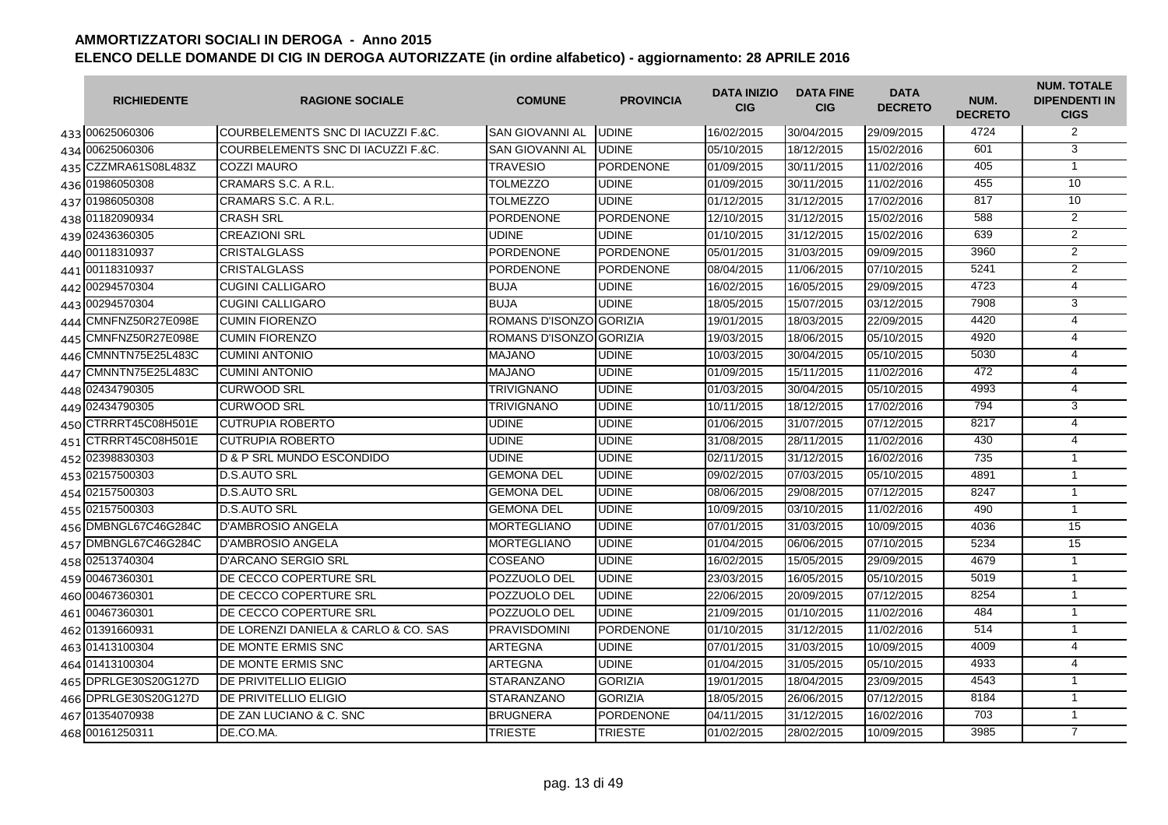| <b>RICHIEDENTE</b>   | <b>RAGIONE SOCIALE</b>               | <b>COMUNE</b>           | <b>PROVINCIA</b> | <b>DATA INIZIO</b><br><b>CIG</b> | <b>DATA FINE</b><br><b>CIG</b> | <b>DATA</b><br><b>DECRETO</b> | NUM.<br><b>DECRETO</b> | <b>NUM. TOTALE</b><br><b>DIPENDENTI IN</b><br><b>CIGS</b> |
|----------------------|--------------------------------------|-------------------------|------------------|----------------------------------|--------------------------------|-------------------------------|------------------------|-----------------------------------------------------------|
| 433 00625060306      | COURBELEMENTS SNC DI IACUZZI F.&C.   | <b>SAN GIOVANNI AL</b>  | <b>UDINE</b>     | 16/02/2015                       | 30/04/2015                     | 29/09/2015                    | 4724                   | 2                                                         |
| 434 00625060306      | COURBELEMENTS SNC DI IACUZZI F.&C.   | SAN GIOVANNI AL         | <b>UDINE</b>     | 05/10/2015                       | 18/12/2015                     | 15/02/2016                    | 601                    | 3                                                         |
| 435 CZZMRA61S08L483Z | <b>COZZI MAURO</b>                   | <b>TRAVESIO</b>         | <b>PORDENONE</b> | 01/09/2015                       | 30/11/2015                     | 11/02/2016                    | 405                    | $\mathbf{1}$                                              |
| 436 01986050308      | CRAMARS S.C. A R.L.                  | <b>TOLMEZZO</b>         | <b>UDINE</b>     | 01/09/2015                       | 30/11/2015                     | 11/02/2016                    | 455                    | 10                                                        |
| 437 01986050308      | CRAMARS S.C. A R.L.                  | <b>TOLMEZZO</b>         | <b>UDINE</b>     | 01/12/2015                       | 31/12/2015                     | 17/02/2016                    | 817                    | 10                                                        |
| 438 01182090934      | <b>CRASH SRL</b>                     | <b>PORDENONE</b>        | <b>PORDENONE</b> | 12/10/2015                       | 31/12/2015                     | 15/02/2016                    | 588                    | $\overline{2}$                                            |
| 439 02436360305      | <b>CREAZIONI SRL</b>                 | <b>UDINE</b>            | <b>UDINE</b>     | 01/10/2015                       | 31/12/2015                     | 15/02/2016                    | 639                    | $\overline{2}$                                            |
| 440 00118310937      | <b>CRISTALGLASS</b>                  | <b>PORDENONE</b>        | PORDENONE        | 05/01/2015                       | 31/03/2015                     | 09/09/2015                    | 3960                   | $\overline{2}$                                            |
| 441 00118310937      | <b>CRISTALGLASS</b>                  | <b>PORDENONE</b>        | <b>PORDENONE</b> | 08/04/2015                       | 11/06/2015                     | 07/10/2015                    | 5241                   | $\overline{2}$                                            |
| 442 00294570304      | <b>CUGINI CALLIGARO</b>              | <b>BUJA</b>             | <b>UDINE</b>     | 16/02/2015                       | 16/05/2015                     | 29/09/2015                    | 4723                   | 4                                                         |
| 443 00294570304      | <b>CUGINI CALLIGARO</b>              | <b>BUJA</b>             | <b>UDINE</b>     | 18/05/2015                       | 15/07/2015                     | 03/12/2015                    | 7908                   | 3                                                         |
| 444 CMNFNZ50R27E098E | <b>CUMIN FIORENZO</b>                | ROMANS D'ISONZO GORIZIA |                  | 19/01/2015                       | 18/03/2015                     | 22/09/2015                    | 4420                   | 4                                                         |
| 445 CMNFNZ50R27E098E | <b>CUMIN FIORENZO</b>                | ROMANS D'ISONZO GORIZIA |                  | 19/03/2015                       | 18/06/2015                     | 05/10/2015                    | 4920                   | $\overline{4}$                                            |
| 446 CMNNTN75E25L483C | <b>CUMINI ANTONIO</b>                | <b>MAJANO</b>           | <b>UDINE</b>     | 10/03/2015                       | 30/04/2015                     | 05/10/2015                    | 5030                   | $\overline{4}$                                            |
| 447 CMNNTN75E25L483C | <b>CUMINI ANTONIO</b>                | <b>MAJANO</b>           | <b>UDINE</b>     | 01/09/2015                       | 15/11/2015                     | 11/02/2016                    | 472                    | $\overline{4}$                                            |
| 448 02434790305      | <b>CURWOOD SRL</b>                   | <b>TRIVIGNANO</b>       | <b>UDINE</b>     | 01/03/2015                       | 30/04/2015                     | 05/10/2015                    | 4993                   | 4                                                         |
| 449 02434790305      | <b>CURWOOD SRL</b>                   | <b>TRIVIGNANO</b>       | <b>UDINE</b>     | 10/11/2015                       | 18/12/2015                     | 17/02/2016                    | 794                    | 3                                                         |
| 450 CTRRRT45C08H501E | <b>CUTRUPIA ROBERTO</b>              | <b>UDINE</b>            | <b>UDINE</b>     | 01/06/2015                       | 31/07/2015                     | 07/12/2015                    | 8217                   | 4                                                         |
| 451 CTRRRT45C08H501E | <b>CUTRUPIA ROBERTO</b>              | <b>UDINE</b>            | <b>UDINE</b>     | 31/08/2015                       | 28/11/2015                     | 11/02/2016                    | 430                    | 4                                                         |
| 452 02398830303      | <b>D &amp; P SRL MUNDO ESCONDIDO</b> | <b>UDINE</b>            | <b>UDINE</b>     | 02/11/2015                       | 31/12/2015                     | 16/02/2016                    | 735                    | $\mathbf{1}$                                              |
| 453 02157500303      | <b>D.S.AUTO SRL</b>                  | <b>GEMONA DEL</b>       | <b>UDINE</b>     | 09/02/2015                       | 07/03/2015                     | 05/10/2015                    | 4891                   | $\mathbf{1}$                                              |
| 454 02157500303      | <b>D.S.AUTO SRL</b>                  | <b>GEMONA DEL</b>       | <b>UDINE</b>     | 08/06/2015                       | 29/08/2015                     | 07/12/2015                    | 8247                   | $\mathbf{1}$                                              |
| 455 02157500303      | <b>D.S.AUTO SRL</b>                  | <b>GEMONA DEL</b>       | <b>UDINE</b>     | 10/09/2015                       | 03/10/2015                     | 11/02/2016                    | 490                    | $\overline{1}$                                            |
| 456 DMBNGL67C46G284C | <b>D'AMBROSIO ANGELA</b>             | <b>MORTEGLIANO</b>      | <b>UDINE</b>     | 07/01/2015                       | 31/03/2015                     | 10/09/2015                    | 4036                   | 15                                                        |
| 457 DMBNGL67C46G284C | <b>D'AMBROSIO ANGELA</b>             | <b>MORTEGLIANO</b>      | <b>UDINE</b>     | 01/04/2015                       | 06/06/2015                     | 07/10/2015                    | 5234                   | 15                                                        |
| 458 02513740304      | <b>D'ARCANO SERGIO SRL</b>           | COSEANO                 | <b>UDINE</b>     | 16/02/2015                       | 15/05/2015                     | 29/09/2015                    | 4679                   | $\mathbf{1}$                                              |
| 459 00467360301      | DE CECCO COPERTURE SRL               | POZZUOLO DEL            | <b>UDINE</b>     | 23/03/2015                       | 16/05/2015                     | 05/10/2015                    | 5019                   | $\mathbf{1}$                                              |
| 460 00467360301      | DE CECCO COPERTURE SRL               | POZZUOLO DEL            | <b>UDINE</b>     | 22/06/2015                       | 20/09/2015                     | 07/12/2015                    | 8254                   | $\mathbf{1}$                                              |
| 461 00467360301      | DE CECCO COPERTURE SRL               | POZZUOLO DEL            | <b>UDINE</b>     | 21/09/2015                       | 01/10/2015                     | 11/02/2016                    | 484                    | $\mathbf{1}$                                              |
| 462 01391660931      | DE LORENZI DANIELA & CARLO & CO. SAS | <b>PRAVISDOMINI</b>     | PORDENONE        | 01/10/2015                       | 31/12/2015                     | 11/02/2016                    | 514                    | $\overline{1}$                                            |
| 463 01413100304      | <b>IDE MONTE ERMIS SNC</b>           | <b>ARTEGNA</b>          | <b>UDINE</b>     | 07/01/2015                       | 31/03/2015                     | 10/09/2015                    | 4009                   | $\overline{4}$                                            |
| 464 01413100304      | DE MONTE ERMIS SNC                   | <b>ARTEGNA</b>          | <b>UDINE</b>     | 01/04/2015                       | 31/05/2015                     | 05/10/2015                    | 4933                   | 4                                                         |
| 465 DPRLGE30S20G127D | <b>DE PRIVITELLIO ELIGIO</b>         | <b>STARANZANO</b>       | <b>GORIZIA</b>   | 19/01/2015                       | 18/04/2015                     | 23/09/2015                    | 4543                   | $\mathbf{1}$                                              |
| 466 DPRLGE30S20G127D | <b>IDE PRIVITELLIO ELIGIO</b>        | <b>STARANZANO</b>       | <b>GORIZIA</b>   | 18/05/2015                       | 26/06/2015                     | 07/12/2015                    | 8184                   | $\mathbf{1}$                                              |
| 467 01354070938      | DE ZAN LUCIANO & C. SNC              | <b>BRUGNERA</b>         | <b>PORDENONE</b> | 04/11/2015                       | 31/12/2015                     | 16/02/2016                    | 703                    | $\mathbf{1}$                                              |
| 468 00161250311      | DE.CO.MA.                            | <b>TRIESTE</b>          | <b>TRIESTE</b>   | 01/02/2015                       | 28/02/2015                     | 10/09/2015                    | 3985                   | $\overline{7}$                                            |
|                      |                                      |                         |                  |                                  |                                |                               |                        |                                                           |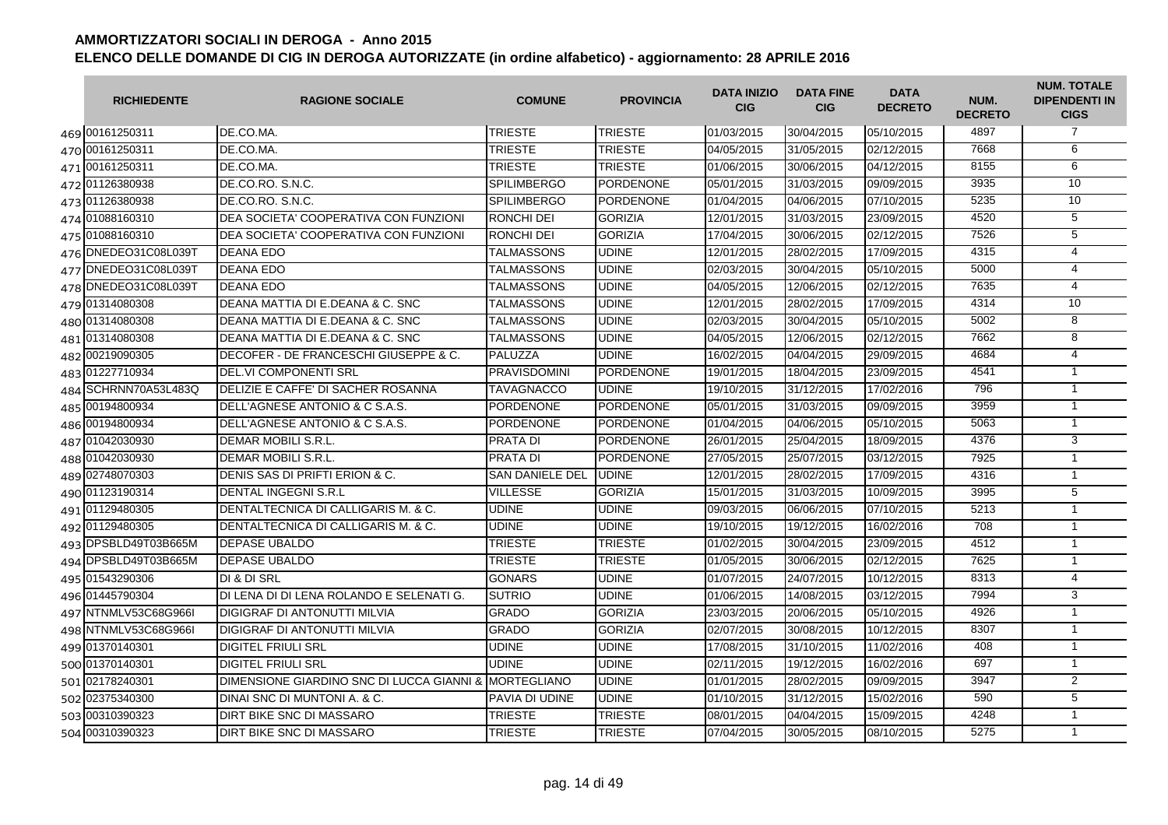| <b>RICHIEDENTE</b>   | <b>RAGIONE SOCIALE</b>                                | <b>COMUNE</b>          | <b>PROVINCIA</b> | <b>DATA INIZIO</b><br><b>CIG</b> | <b>DATA FINE</b><br><b>CIG</b> | <b>DATA</b><br><b>DECRETO</b> | NUM.<br><b>DECRETO</b> | <b>NUM. TOTALE</b><br><b>DIPENDENTI IN</b><br><b>CIGS</b> |
|----------------------|-------------------------------------------------------|------------------------|------------------|----------------------------------|--------------------------------|-------------------------------|------------------------|-----------------------------------------------------------|
| 469 00161250311      | DE.CO.MA.                                             | <b>TRIESTE</b>         | <b>TRIESTE</b>   | 01/03/2015                       | 30/04/2015                     | 05/10/2015                    | 4897                   | $\overline{7}$                                            |
| 470 00161250311      | DE.CO.MA.                                             | <b>TRIESTE</b>         | <b>TRIESTE</b>   | 04/05/2015                       | 31/05/2015                     | 02/12/2015                    | 7668                   | 6                                                         |
| 471 00161250311      | DE.CO.MA.                                             | <b>TRIESTE</b>         | <b>TRIESTE</b>   | 01/06/2015                       | 30/06/2015                     | 04/12/2015                    | 8155                   | 6                                                         |
| 472 01126380938      | DE.CO.RO. S.N.C.                                      | <b>SPILIMBERGO</b>     | PORDENONE        | 05/01/2015                       | 31/03/2015                     | 09/09/2015                    | 3935                   | 10                                                        |
| 473 01126380938      | DE.CO.RO. S.N.C.                                      | <b>SPILIMBERGO</b>     | PORDENONE        | 01/04/2015                       | 04/06/2015                     | 07/10/2015                    | 5235                   | 10                                                        |
| 474 01088160310      | DEA SOCIETA' COOPERATIVA CON FUNZIONI                 | <b>RONCHI DEI</b>      | <b>GORIZIA</b>   | 12/01/2015                       | 31/03/2015                     | 23/09/2015                    | 4520                   | 5                                                         |
| 475 01088160310      | DEA SOCIETA' COOPERATIVA CON FUNZIONI                 | <b>RONCHI DEI</b>      | <b>GORIZIA</b>   | 17/04/2015                       | 30/06/2015                     | 02/12/2015                    | 7526                   | $\overline{5}$                                            |
| 476 DNEDEO31C08L039T | <b>DEANA EDO</b>                                      | <b>TALMASSONS</b>      | <b>UDINE</b>     | 12/01/2015                       | 28/02/2015                     | 17/09/2015                    | 4315                   | $\overline{4}$                                            |
| 477 DNEDE031C08L039T | <b>DEANA EDO</b>                                      | <b>TALMASSONS</b>      | <b>UDINE</b>     | 02/03/2015                       | 30/04/2015                     | 05/10/2015                    | 5000                   | 4                                                         |
| 478 DNEDEO31C08L039T | <b>DEANA EDO</b>                                      | <b>TALMASSONS</b>      | <b>UDINE</b>     | 04/05/2015                       | 12/06/2015                     | 02/12/2015                    | 7635                   | $\overline{4}$                                            |
| 479 01314080308      | DEANA MATTIA DI E.DEANA & C. SNC                      | <b>TALMASSONS</b>      | <b>UDINE</b>     | 12/01/2015                       | 28/02/2015                     | 17/09/2015                    | 4314                   | 10                                                        |
| 480 01314080308      | DEANA MATTIA DI E.DEANA & C. SNC                      | TALMASSONS             | <b>UDINE</b>     | 02/03/2015                       | 30/04/2015                     | 05/10/2015                    | 5002                   | 8                                                         |
| 481 01314080308      | DEANA MATTIA DI E.DEANA & C. SNC                      | <b>TALMASSONS</b>      | <b>UDINE</b>     | 04/05/2015                       | 12/06/2015                     | 02/12/2015                    | 7662                   | 8                                                         |
| 482 00219090305      | DECOFER - DE FRANCESCHI GIUSEPPE & C.                 | PALUZZA                | <b>UDINE</b>     | 16/02/2015                       | 04/04/2015                     | 29/09/2015                    | 4684                   | $\overline{4}$                                            |
| 483 01227710934      | <b>DEL.VI COMPONENTI SRL</b>                          | <b>PRAVISDOMINI</b>    | PORDENONE        | 19/01/2015                       | 18/04/2015                     | 23/09/2015                    | 4541                   | $\overline{1}$                                            |
| 484 SCHRNN70A53L483Q | <b>IDELIZIE E CAFFE' DI SACHER ROSANNA</b>            | <b>TAVAGNACCO</b>      | <b>UDINE</b>     | 19/10/2015                       | 31/12/2015                     | 17/02/2016                    | 796                    | $\overline{1}$                                            |
| 485 00194800934      | <b>IDELL'AGNESE ANTONIO &amp; C S.A.S.</b>            | <b>PORDENONE</b>       | <b>PORDENONE</b> | 05/01/2015                       | 31/03/2015                     | 09/09/2015                    | 3959                   | $\mathbf{1}$                                              |
| 486 00194800934      | <b>IDELL'AGNESE ANTONIO &amp; C S.A.S.</b>            | <b>PORDENONE</b>       | <b>PORDENONE</b> | 01/04/2015                       | 04/06/2015                     | 05/10/2015                    | 5063                   | $\mathbf{1}$                                              |
| 487 01042030930      | DEMAR MOBILI S.R.L.                                   | <b>PRATA DI</b>        | <b>PORDENONE</b> | 26/01/2015                       | 25/04/2015                     | 18/09/2015                    | 4376                   | 3                                                         |
| 488 01042030930      | DEMAR MOBILI S.R.L.                                   | <b>PRATA DI</b>        | <b>PORDENONE</b> | 27/05/2015                       | 25/07/2015                     | 03/12/2015                    | 7925                   | $\mathbf{1}$                                              |
| 489 02748070303      | DENIS SAS DI PRIFTI ERION & C.                        | <b>SAN DANIELE DEL</b> | <b>UDINE</b>     | 12/01/2015                       | 28/02/2015                     | 17/09/2015                    | 4316                   | $\mathbf{1}$                                              |
| 490 01123190314      | <b>DENTAL INGEGNI S.R.L</b>                           | <b>VILLESSE</b>        | <b>GORIZIA</b>   | 15/01/2015                       | 31/03/2015                     | 10/09/2015                    | 3995                   | $\overline{5}$                                            |
| 491 01129480305      | DENTALTECNICA DI CALLIGARIS M. & C.                   | <b>UDINE</b>           | <b>UDINE</b>     | 09/03/2015                       | 06/06/2015                     | 07/10/2015                    | 5213                   | $\mathbf{1}$                                              |
| 492 01129480305      | DENTALTECNICA DI CALLIGARIS M. & C.                   | <b>UDINE</b>           | <b>UDINE</b>     | 19/10/2015                       | 19/12/2015                     | 16/02/2016                    | 708                    | $\mathbf{1}$                                              |
| 493 DPSBLD49T03B665M | <b>DEPASE UBALDO</b>                                  | <b>TRIESTE</b>         | <b>TRIESTE</b>   | 01/02/2015                       | 30/04/2015                     | 23/09/2015                    | 4512                   | $\mathbf{1}$                                              |
| 494 DPSBLD49T03B665M | <b>DEPASE UBALDO</b>                                  | <b>TRIESTE</b>         | <b>TRIESTE</b>   | 01/05/2015                       | 30/06/2015                     | 02/12/2015                    | 7625                   | $\mathbf{1}$                                              |
| 495 01543290306      | <b>DI &amp; DI SRL</b>                                | <b>GONARS</b>          | <b>UDINE</b>     | 01/07/2015                       | 24/07/2015                     | 10/12/2015                    | 8313                   | $\overline{4}$                                            |
| 496 01445790304      | DI LENA DI DI LENA ROLANDO E SELENATI G.              | <b>SUTRIO</b>          | <b>UDINE</b>     | 01/06/2015                       | 14/08/2015                     | 03/12/2015                    | 7994                   | 3                                                         |
| 497 NTNMLV53C68G966I | <b>DIGIGRAF DI ANTONUTTI MILVIA</b>                   | <b>GRADO</b>           | <b>GORIZIA</b>   | 23/03/2015                       | 20/06/2015                     | 05/10/2015                    | 4926                   | $\mathbf{1}$                                              |
| 498 NTNMLV53C68G966I | <b>DIGIGRAF DI ANTONUTTI MILVIA</b>                   | <b>GRADO</b>           | <b>GORIZIA</b>   | 02/07/2015                       | 30/08/2015                     | 10/12/2015                    | 8307                   | $\mathbf{1}$                                              |
| 499 01370140301      | <b>IDIGITEL FRIULI SRL</b>                            | <b>UDINE</b>           | <b>UDINE</b>     | 17/08/2015                       | 31/10/2015                     | 11/02/2016                    | 408                    | $\mathbf{1}$                                              |
| 500 01370140301      | <b>DIGITEL FRIULI SRL</b>                             | <b>UDINE</b>           | <b>UDINE</b>     | 02/11/2015                       | 19/12/2015                     | 16/02/2016                    | 697                    | $\mathbf{1}$                                              |
| 501 02178240301      | DIMENSIONE GIARDINO SNC DI LUCCA GIANNI & MORTEGLIANO |                        | <b>UDINE</b>     | 01/01/2015                       | 28/02/2015                     | 09/09/2015                    | 3947                   | $\overline{2}$                                            |
| 502 02375340300      | DINAI SNC DI MUNTONI A. & C.                          | <b>PAVIA DI UDINE</b>  | <b>UDINE</b>     | 01/10/2015                       | 31/12/2015                     | 15/02/2016                    | 590                    | $\overline{5}$                                            |
| 503 00310390323      | <b>DIRT BIKE SNC DI MASSARO</b>                       | <b>TRIESTE</b>         | <b>TRIESTE</b>   | 08/01/2015                       | 04/04/2015                     | 15/09/2015                    | 4248                   | $\mathbf{1}$                                              |
| 504 00310390323      | DIRT BIKE SNC DI MASSARO                              | <b>TRIESTE</b>         | <b>TRIESTE</b>   | 07/04/2015                       | 30/05/2015                     | 08/10/2015                    | 5275                   | $\mathbf{1}$                                              |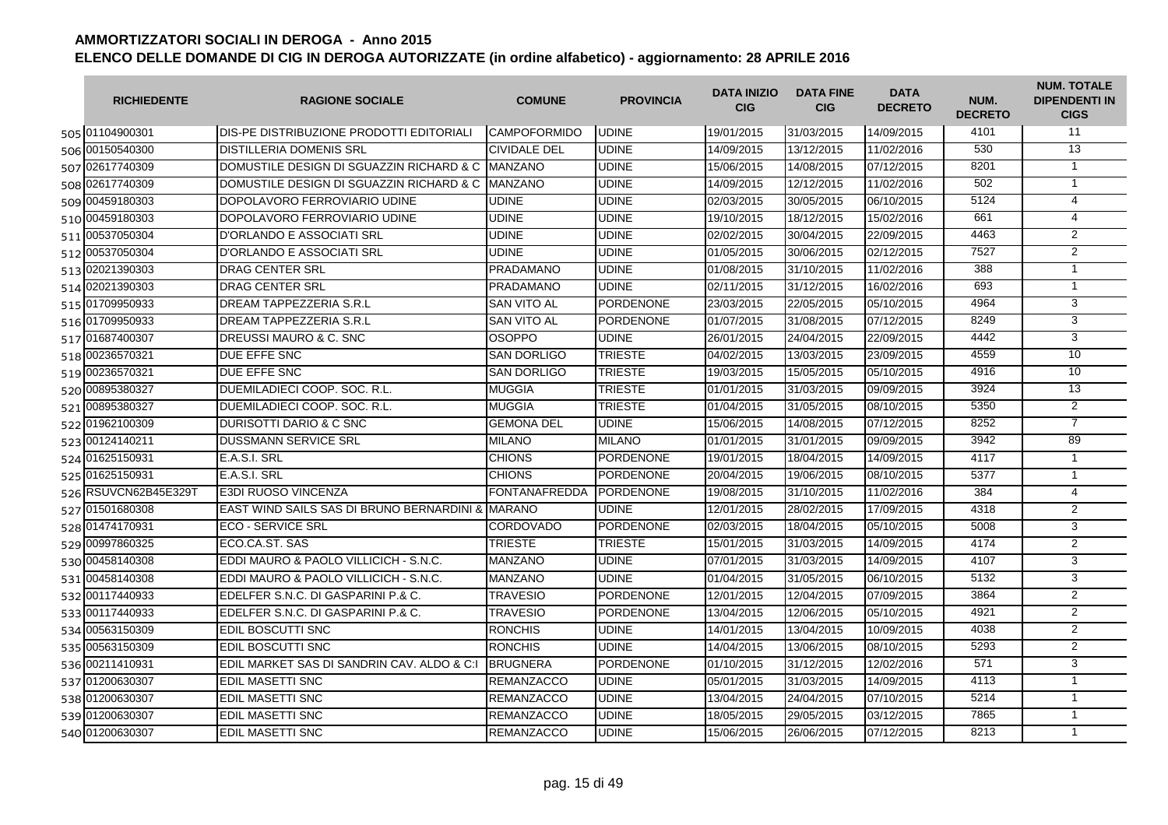| <b>RICHIEDENTE</b>   | <b>RAGIONE SOCIALE</b>                              | <b>COMUNE</b>       | <b>PROVINCIA</b> | <b>DATA INIZIO</b><br><b>CIG</b> | <b>DATA FINE</b><br><b>CIG</b> | <b>DATA</b><br><b>DECRETO</b> | NUM.<br><b>DECRETO</b> | <b>NUM. TOTALE</b><br><b>DIPENDENTI IN</b><br><b>CIGS</b> |
|----------------------|-----------------------------------------------------|---------------------|------------------|----------------------------------|--------------------------------|-------------------------------|------------------------|-----------------------------------------------------------|
| 505 01104900301      | DIS-PE DISTRIBUZIONE PRODOTTI EDITORIALI            | <b>CAMPOFORMIDO</b> | <b>UDINE</b>     | 19/01/2015                       | 31/03/2015                     | 14/09/2015                    | 4101                   | 11                                                        |
| 506 00150540300      | <b>DISTILLERIA DOMENIS SRL</b>                      | <b>CIVIDALE DEL</b> | <b>UDINE</b>     | 14/09/2015                       | 13/12/2015                     | 11/02/2016                    | 530                    | $\overline{13}$                                           |
| 507 02617740309      | DOMUSTILE DESIGN DI SGUAZZIN RICHARD & C MANZANO    |                     | <b>UDINE</b>     | 15/06/2015                       | 14/08/2015                     | 07/12/2015                    | 8201                   | $\mathbf{1}$                                              |
| 508 02617740309      | DOMUSTILE DESIGN DI SGUAZZIN RICHARD & C MANZANO    |                     | <b>UDINE</b>     | 14/09/2015                       | 12/12/2015                     | 11/02/2016                    | 502                    | $\mathbf{1}$                                              |
| 509 00459180303      | DOPOLAVORO FERROVIARIO UDINE                        | <b>UDINE</b>        | <b>UDINE</b>     | 02/03/2015                       | 30/05/2015                     | 06/10/2015                    | 5124                   | $\overline{4}$                                            |
| 510 00459180303      | DOPOLAVORO FERROVIARIO UDINE                        | <b>UDINE</b>        | <b>UDINE</b>     | 19/10/2015                       | 18/12/2015                     | 15/02/2016                    | 661                    | $\overline{4}$                                            |
| 511 00537050304      | <b>D'ORLANDO E ASSOCIATI SRL</b>                    | <b>UDINE</b>        | <b>UDINE</b>     | 02/02/2015                       | 30/04/2015                     | 22/09/2015                    | 4463                   | $\overline{2}$                                            |
| 512 00537050304      | D'ORLANDO E ASSOCIATI SRL                           | <b>UDINE</b>        | <b>UDINE</b>     | 01/05/2015                       | 30/06/2015                     | 02/12/2015                    | 7527                   | $\overline{2}$                                            |
| 513 02021390303      | <b>DRAG CENTER SRL</b>                              | <b>PRADAMANO</b>    | <b>UDINE</b>     | 01/08/2015                       | 31/10/2015                     | 11/02/2016                    | 388                    | $\mathbf{1}$                                              |
| 514 02021390303      | <b>DRAG CENTER SRL</b>                              | <b>PRADAMANO</b>    | <b>UDINE</b>     | 02/11/2015                       | 31/12/2015                     | 16/02/2016                    | 693                    | $\mathbf{1}$                                              |
| 515 01709950933      | DREAM TAPPEZZERIA S.R.L                             | <b>SAN VITO AL</b>  | <b>PORDENONE</b> | 23/03/2015                       | 22/05/2015                     | 05/10/2015                    | 4964                   | 3                                                         |
| 516 01709950933      | DREAM TAPPEZZERIA S.R.L                             | <b>SAN VITO AL</b>  | <b>PORDENONE</b> | 01/07/2015                       | 31/08/2015                     | 07/12/2015                    | 8249                   | 3                                                         |
| 517 01687400307      | DREUSSI MAURO & C. SNC                              | <b>OSOPPO</b>       | <b>UDINE</b>     | 26/01/2015                       | 24/04/2015                     | 22/09/2015                    | 4442                   | $\overline{3}$                                            |
| 518 00236570321      | DUE EFFE SNC                                        | <b>SAN DORLIGO</b>  | <b>TRIESTE</b>   | 04/02/2015                       | 13/03/2015                     | 23/09/2015                    | 4559                   | 10                                                        |
| 519 00236570321      | DUE EFFE SNC                                        | <b>SAN DORLIGO</b>  | <b>TRIESTE</b>   | 19/03/2015                       | 15/05/2015                     | 05/10/2015                    | 4916                   | 10                                                        |
| 520 00895380327      | DUEMILADIECI COOP, SOC. R.L.                        | <b>MUGGIA</b>       | <b>TRIESTE</b>   | 01/01/2015                       | 31/03/2015                     | 09/09/2015                    | 3924                   | 13                                                        |
| 521 00895380327      | DUEMILADIECI COOP, SOC. R.L.                        | <b>MUGGIA</b>       | <b>TRIESTE</b>   | 01/04/2015                       | 31/05/2015                     | 08/10/2015                    | 5350                   | 2                                                         |
| 522 01962100309      | DURISOTTI DARIO & C SNC                             | <b>GEMONA DEL</b>   | <b>UDINE</b>     | 15/06/2015                       | 14/08/2015                     | 07/12/2015                    | 8252                   | $\overline{7}$                                            |
| 523 00124140211      | <b>DUSSMANN SERVICE SRL</b>                         | <b>MILANO</b>       | <b>MILANO</b>    | 01/01/2015                       | 31/01/2015                     | 09/09/2015                    | 3942                   | 89                                                        |
| 524 01625150931      | E.A.S.I. SRL                                        | <b>CHIONS</b>       | <b>PORDENONE</b> | 19/01/2015                       | 18/04/2015                     | 14/09/2015                    | 4117                   | $\mathbf{1}$                                              |
| 525 01625150931      | E.A.S.I. SRL                                        | <b>CHIONS</b>       | <b>PORDENONE</b> | 20/04/2015                       | 19/06/2015                     | 08/10/2015                    | 5377                   | $\mathbf{1}$                                              |
| 526 RSUVCN62B45E329T | <b>E3DI RUOSO VINCENZA</b>                          | FONTANAFREDDA       | <b>PORDENONE</b> | 19/08/2015                       | 31/10/2015                     | 11/02/2016                    | 384                    | $\overline{4}$                                            |
| 527 01501680308      | EAST WIND SAILS SAS DI BRUNO BERNARDINI & MARANO    |                     | <b>UDINE</b>     | 12/01/2015                       | 28/02/2015                     | 17/09/2015                    | 4318                   | 2                                                         |
| 528 01474170931      | <b>ECO - SERVICE SRL</b>                            | <b>CORDOVADO</b>    | <b>PORDENONE</b> | 02/03/2015                       | 18/04/2015                     | 05/10/2015                    | 5008                   | 3                                                         |
| 529 00997860325      | ECO.CA.ST. SAS                                      | TRIESTE             | <b>TRIESTE</b>   | 15/01/2015                       | 31/03/2015                     | 14/09/2015                    | 4174                   | 2                                                         |
| 530 00458140308      | EDDI MAURO & PAOLO VILLICICH - S.N.C.               | <b>MANZANO</b>      | <b>UDINE</b>     | 07/01/2015                       | 31/03/2015                     | 14/09/2015                    | 4107                   | 3                                                         |
| 531 00458140308      | EDDI MAURO & PAOLO VILLICICH - S.N.C.               | <b>MANZANO</b>      | <b>UDINE</b>     | 01/04/2015                       | 31/05/2015                     | 06/10/2015                    | 5132                   | 3                                                         |
| 532 00117440933      | EDELFER S.N.C. DI GASPARINI P.& C.                  | <b>TRAVESIO</b>     | <b>PORDENONE</b> | 12/01/2015                       | 12/04/2015                     | 07/09/2015                    | 3864                   | $\overline{2}$                                            |
| 533 00117440933      | EDELFER S.N.C. DI GASPARINI P.& C.                  | <b>TRAVESIO</b>     | PORDENONE        | 13/04/2015                       | 12/06/2015                     | 05/10/2015                    | 4921                   | $\overline{2}$                                            |
| 534 00563150309      | EDIL BOSCUTTI SNC                                   | <b>RONCHIS</b>      | <b>UDINE</b>     | 14/01/2015                       | 13/04/2015                     | 10/09/2015                    | 4038                   | 2                                                         |
| 535 00563150309      | <b>EDIL BOSCUTTI SNC</b>                            | <b>RONCHIS</b>      | <b>UDINE</b>     | 14/04/2015                       | 13/06/2015                     | 08/10/2015                    | 5293                   | $\overline{2}$                                            |
| 536 00211410931      | EDIL MARKET SAS DI SANDRIN CAV. ALDO & C:I BRUGNERA |                     | <b>PORDENONE</b> | 01/10/2015                       | 31/12/2015                     | 12/02/2016                    | 571                    | 3                                                         |
| 537 01200630307      | <b>EDIL MASETTI SNC</b>                             | <b>REMANZACCO</b>   | <b>UDINE</b>     | 05/01/2015                       | 31/03/2015                     | 14/09/2015                    | 4113                   | $\overline{1}$                                            |
| 538 01200630307      | <b>EDIL MASETTI SNC</b>                             | <b>REMANZACCO</b>   | <b>UDINE</b>     | 13/04/2015                       | 24/04/2015                     | 07/10/2015                    | 5214                   | $\mathbf{1}$                                              |
| 539 01200630307      | <b>EDIL MASETTI SNC</b>                             | <b>REMANZACCO</b>   | <b>UDINE</b>     | 18/05/2015                       | 29/05/2015                     | 03/12/2015                    | 7865                   | $\mathbf{1}$                                              |
| 540 01200630307      | <b>EDIL MASETTI SNC</b>                             | <b>REMANZACCO</b>   | <b>UDINE</b>     | 15/06/2015                       | 26/06/2015                     | 07/12/2015                    | 8213                   | $\mathbf{1}$                                              |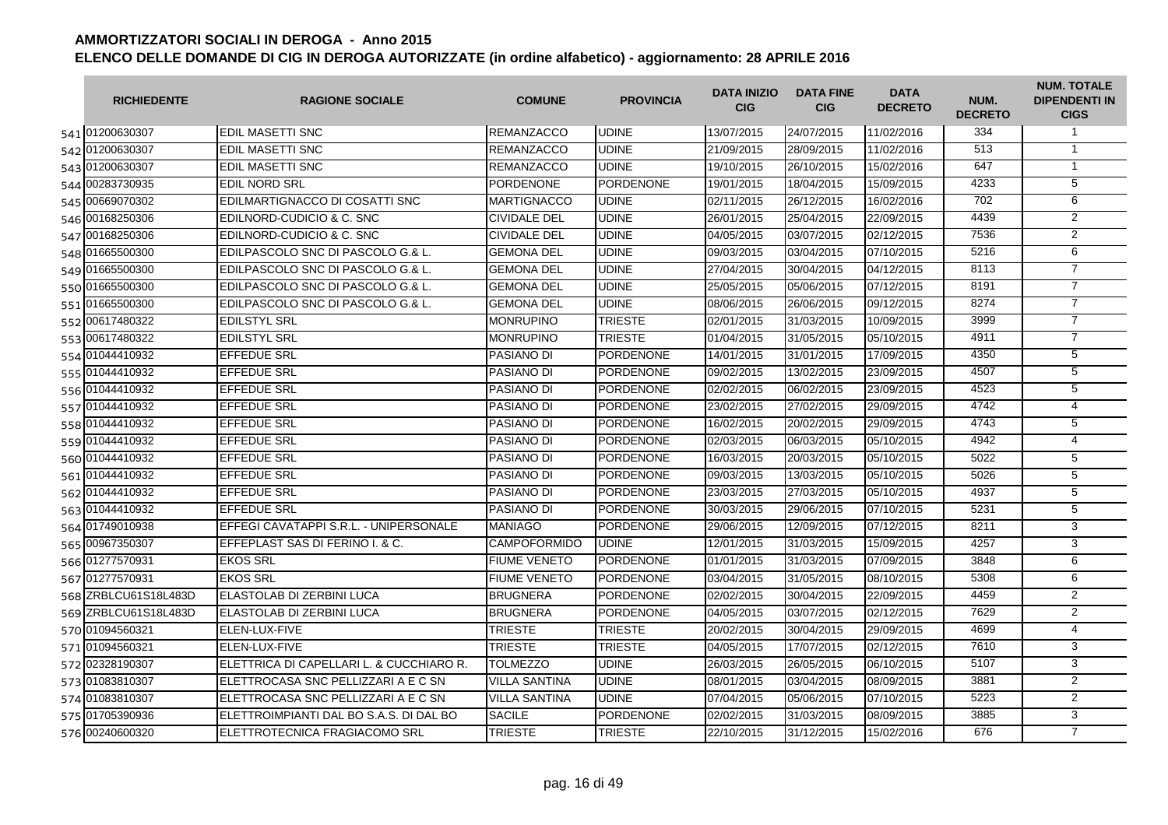| <b>RICHIEDENTE</b>   | <b>RAGIONE SOCIALE</b>                   | <b>COMUNE</b>        | <b>PROVINCIA</b> | <b>DATA INIZIO</b><br><b>CIG</b> | <b>DATA FINE</b><br><b>CIG</b> | <b>DATA</b><br><b>DECRETO</b> | NUM.<br><b>DECRETO</b> | <b>NUM. TOTALE</b><br><b>DIPENDENTI IN</b><br><b>CIGS</b> |
|----------------------|------------------------------------------|----------------------|------------------|----------------------------------|--------------------------------|-------------------------------|------------------------|-----------------------------------------------------------|
| 541 01200630307      | <b>EDIL MASETTI SNC</b>                  | <b>REMANZACCO</b>    | <b>UDINE</b>     | 13/07/2015                       | 24/07/2015                     | 11/02/2016                    | 334                    | $\mathbf{1}$                                              |
| 542 01200630307      | <b>EDIL MASETTI SNC</b>                  | <b>REMANZACCO</b>    | <b>UDINE</b>     | 21/09/2015                       | 28/09/2015                     | 11/02/2016                    | 513                    | $\mathbf{1}$                                              |
| 543 01200630307      | <b>EDIL MASETTI SNC</b>                  | <b>REMANZACCO</b>    | <b>UDINE</b>     | 19/10/2015                       | 26/10/2015                     | 15/02/2016                    | 647                    | $\overline{1}$                                            |
| 544 00283730935      | <b>EDIL NORD SRL</b>                     | PORDENONE            | <b>PORDENONE</b> | 19/01/2015                       | 18/04/2015                     | 15/09/2015                    | 4233                   | 5                                                         |
| 545 00669070302      | EDILMARTIGNACCO DI COSATTI SNC           | <b>MARTIGNACCO</b>   | <b>UDINE</b>     | 02/11/2015                       | 26/12/2015                     | 16/02/2016                    | 702                    | 6                                                         |
| 546 00168250306      | EDILNORD-CUDICIO & C. SNC                | <b>CIVIDALE DEL</b>  | <b>UDINE</b>     | 26/01/2015                       | 25/04/2015                     | 22/09/2015                    | 4439                   | $\overline{2}$                                            |
| 547 00168250306      | EDILNORD-CUDICIO & C. SNC                | <b>CIVIDALE DEL</b>  | <b>UDINE</b>     | 04/05/2015                       | 03/07/2015                     | 02/12/2015                    | 7536                   | $\overline{2}$                                            |
| 548 01665500300      | EDILPASCOLO SNC DI PASCOLO G.& L.        | <b>GEMONA DEL</b>    | <b>UDINE</b>     | 09/03/2015                       | 03/04/2015                     | 07/10/2015                    | 5216                   | 6                                                         |
| 549 01665500300      | EDILPASCOLO SNC DI PASCOLO G.& L.        | <b>GEMONA DEL</b>    | <b>UDINE</b>     | 27/04/2015                       | 30/04/2015                     | 04/12/2015                    | 8113                   | $\overline{7}$                                            |
| 550 01665500300      | EDILPASCOLO SNC DI PASCOLO G.& L.        | <b>GEMONA DEL</b>    | <b>UDINE</b>     | 25/05/2015                       | 05/06/2015                     | 07/12/2015                    | 8191                   | $\overline{7}$                                            |
| 551 01665500300      | EDILPASCOLO SNC DI PASCOLO G.& L.        | <b>GEMONA DEL</b>    | <b>UDINE</b>     | 08/06/2015                       | 26/06/2015                     | 09/12/2015                    | 8274                   | $\overline{7}$                                            |
| 552 00617480322      | <b>EDILSTYL SRL</b>                      | <b>MONRUPINO</b>     | <b>TRIESTE</b>   | 02/01/2015                       | 31/03/2015                     | 10/09/2015                    | 3999                   | $\overline{7}$                                            |
| 553 00617480322      | <b>EDILSTYL SRL</b>                      | <b>MONRUPINO</b>     | <b>TRIESTE</b>   | 01/04/2015                       | 31/05/2015                     | 05/10/2015                    | 4911                   | $\overline{7}$                                            |
| 554 01044410932      | <b>EFFEDUE SRL</b>                       | <b>PASIANO DI</b>    | <b>PORDENONE</b> | 14/01/2015                       | 31/01/2015                     | 17/09/2015                    | 4350                   | $\overline{5}$                                            |
| 555 01044410932      | <b>EFFEDUE SRL</b>                       | PASIANO DI           | <b>PORDENONE</b> | 09/02/2015                       | 13/02/2015                     | 23/09/2015                    | 4507                   | $\overline{5}$                                            |
| 556 01044410932      | <b>EFFEDUE SRL</b>                       | <b>PASIANO DI</b>    | <b>PORDENONE</b> | 02/02/2015                       | 06/02/2015                     | 23/09/2015                    | 4523                   | $\overline{5}$                                            |
| 557 01044410932      | <b>EFFEDUE SRL</b>                       | <b>PASIANO DI</b>    | <b>PORDENONE</b> | 23/02/2015                       | 27/02/2015                     | 29/09/2015                    | 4742                   | $\overline{4}$                                            |
| 558 01044410932      | <b>EFFEDUE SRL</b>                       | PASIANO DI           | PORDENONE        | 16/02/2015                       | 20/02/2015                     | 29/09/2015                    | 4743                   | $\overline{5}$                                            |
| 559 01044410932      | <b>EFFEDUE SRL</b>                       | <b>PASIANO DI</b>    | PORDENONE        | 02/03/2015                       | 06/03/2015                     | 05/10/2015                    | 4942                   | 4                                                         |
| 560 01044410932      | <b>EFFEDUE SRL</b>                       | <b>PASIANO DI</b>    | <b>PORDENONE</b> | 16/03/2015                       | 20/03/2015                     | 05/10/2015                    | 5022                   | 5                                                         |
| 561 01044410932      | <b>EFFEDUE SRL</b>                       | <b>PASIANO DI</b>    | <b>PORDENONE</b> | 09/03/2015                       | 13/03/2015                     | 05/10/2015                    | 5026                   | $\overline{5}$                                            |
| 562 01044410932      | <b>EFFEDUE SRL</b>                       | <b>PASIANO DI</b>    | <b>PORDENONE</b> | 23/03/2015                       | 27/03/2015                     | 05/10/2015                    | 4937                   | 5                                                         |
| 563 01044410932      | <b>EFFEDUE SRL</b>                       | <b>PASIANO DI</b>    | <b>PORDENONE</b> | 30/03/2015                       | 29/06/2015                     | 07/10/2015                    | 5231                   | 5                                                         |
| 564 01749010938      | EFFEGI CAVATAPPI S.R.L. - UNIPERSONALE   | <b>MANIAGO</b>       | PORDENONE        | 29/06/2015                       | 12/09/2015                     | 07/12/2015                    | 8211                   | 3                                                         |
| 565 00967350307      | EFFEPLAST SAS DI FERINO I. & C.          | <b>CAMPOFORMIDO</b>  | <b>UDINE</b>     | 12/01/2015                       | 31/03/2015                     | 15/09/2015                    | 4257                   | 3                                                         |
| 566 01277570931      | <b>EKOS SRL</b>                          | <b>FIUME VENETO</b>  | <b>PORDENONE</b> | 01/01/2015                       | 31/03/2015                     | 07/09/2015                    | 3848                   | 6                                                         |
| 567 01277570931      | <b>EKOS SRL</b>                          | <b>FIUME VENETO</b>  | <b>PORDENONE</b> | 03/04/2015                       | 31/05/2015                     | 08/10/2015                    | 5308                   | 6                                                         |
| 568 ZRBLCU61S18L483D | ELASTOLAB DI ZERBINI LUCA                | <b>BRUGNERA</b>      | <b>PORDENONE</b> | 02/02/2015                       | 30/04/2015                     | 22/09/2015                    | 4459                   | $\overline{2}$                                            |
| 569 ZRBLCU61S18L483D | ELASTOLAB DI ZERBINI LUCA                | <b>BRUGNERA</b>      | <b>PORDENONE</b> | 04/05/2015                       | 03/07/2015                     | 02/12/2015                    | 7629                   | $\overline{2}$                                            |
| 570 01094560321      | ELEN-LUX-FIVE                            | <b>TRIESTE</b>       | <b>TRIESTE</b>   | 20/02/2015                       | 30/04/2015                     | 29/09/2015                    | 4699                   | $\overline{4}$                                            |
| 571 01094560321      | ELEN-LUX-FIVE                            | <b>TRIESTE</b>       | <b>TRIESTE</b>   | 04/05/2015                       | 17/07/2015                     | 02/12/2015                    | 7610                   | 3                                                         |
| 572 02328190307      | ELETTRICA DI CAPELLARI L. & CUCCHIARO R. | <b>TOLMEZZO</b>      | <b>UDINE</b>     | 26/03/2015                       | 26/05/2015                     | 06/10/2015                    | 5107                   | 3                                                         |
| 573 01083810307      | ELETTROCASA SNC PELLIZZARI A E C SN      | <b>VILLA SANTINA</b> | <b>UDINE</b>     | 08/01/2015                       | 03/04/2015                     | 08/09/2015                    | 3881                   | $\overline{2}$                                            |
| 574 01083810307      | ELETTROCASA SNC PELLIZZARI A E C SN      | <b>VILLA SANTINA</b> | <b>UDINE</b>     | 07/04/2015                       | 05/06/2015                     | 07/10/2015                    | 5223                   | $\overline{2}$                                            |
| 575 01705390936      | ELETTROIMPIANTI DAL BO S.A.S. DI DAL BO  | <b>SACILE</b>        | <b>PORDENONE</b> | 02/02/2015                       | 31/03/2015                     | 08/09/2015                    | 3885                   | 3                                                         |
| 576 00240600320      | ELETTROTECNICA FRAGIACOMO SRL            | <b>TRIESTE</b>       | <b>TRIESTE</b>   | 22/10/2015                       | 31/12/2015                     | 15/02/2016                    | 676                    | $\overline{7}$                                            |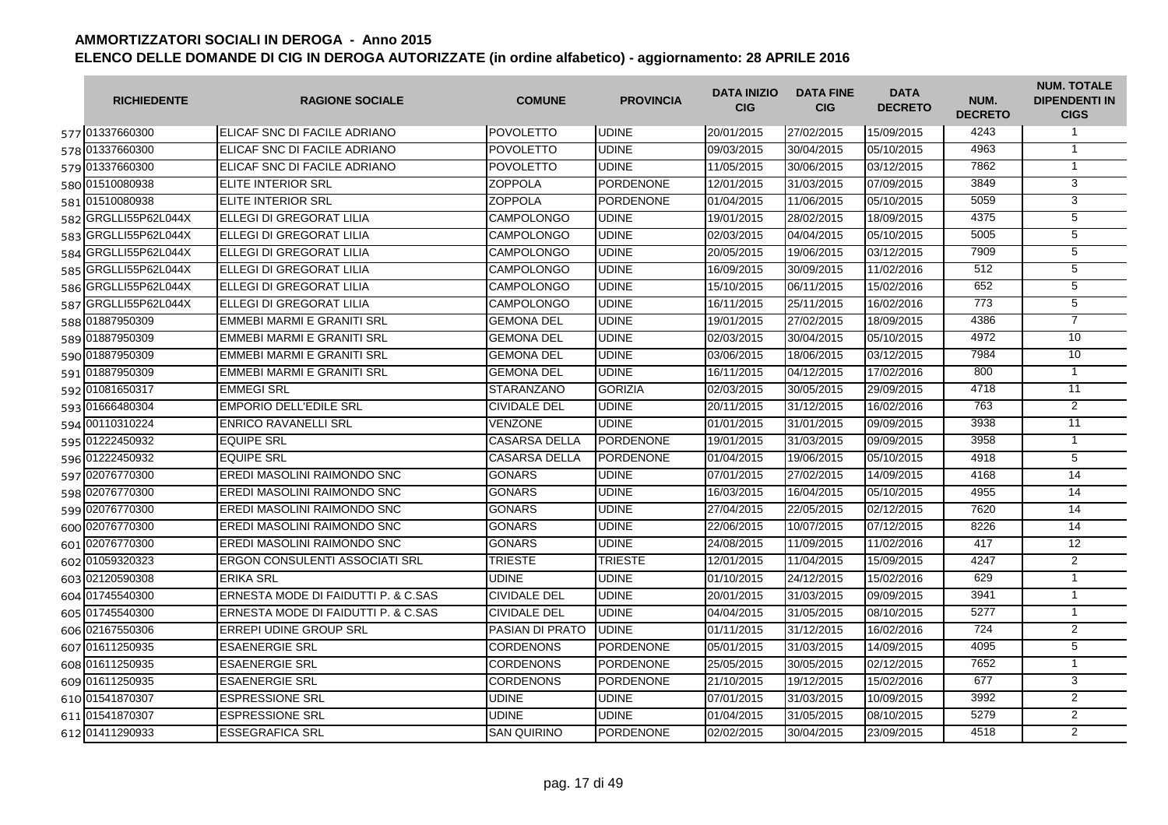| <b>RICHIEDENTE</b>   | <b>RAGIONE SOCIALE</b>                | <b>COMUNE</b>        | <b>PROVINCIA</b> | <b>DATA INIZIO</b><br><b>CIG</b> | <b>DATA FINE</b><br><b>CIG</b> | <b>DATA</b><br><b>DECRETO</b> | NUM.<br><b>DECRETO</b> | <b>NUM. TOTALE</b><br><b>DIPENDENTI IN</b><br><b>CIGS</b> |
|----------------------|---------------------------------------|----------------------|------------------|----------------------------------|--------------------------------|-------------------------------|------------------------|-----------------------------------------------------------|
| 577 01337660300      | <b>IELICAF SNC DI FACILE ADRIANO</b>  | <b>POVOLETTO</b>     | <b>UDINE</b>     | 20/01/2015                       | 27/02/2015                     | 15/09/2015                    | 4243                   | $\mathbf{1}$                                              |
| 578 01337660300      | <b>IELICAF SNC DI FACILE ADRIANO</b>  | <b>POVOLETTO</b>     | <b>UDINE</b>     | 09/03/2015                       | 30/04/2015                     | 05/10/2015                    | 4963                   | $\overline{1}$                                            |
| 579 01337660300      | ELICAF SNC DI FACILE ADRIANO          | <b>POVOLETTO</b>     | <b>UDINE</b>     | 11/05/2015                       | 30/06/2015                     | 03/12/2015                    | 7862                   | $\mathbf{1}$                                              |
| 580 01510080938      | <b>ELITE INTERIOR SRL</b>             | <b>ZOPPOLA</b>       | <b>PORDENONE</b> | 12/01/2015                       | 31/03/2015                     | 07/09/2015                    | 3849                   | 3                                                         |
| 581 01510080938      | ELITE INTERIOR SRL                    | <b>ZOPPOLA</b>       | PORDENONE        | 01/04/2015                       | 11/06/2015                     | 05/10/2015                    | 5059                   | 3                                                         |
| 582 GRGLLI55P62L044X | ELLEGI DI GREGORAT LILIA              | <b>CAMPOLONGO</b>    | <b>UDINE</b>     | 19/01/2015                       | 28/02/2015                     | 18/09/2015                    | 4375                   | $\overline{5}$                                            |
| 583 GRGLL155P62L044X | <b>I</b> ELLEGI DI GREGORAT LILIA     | <b>CAMPOLONGO</b>    | <b>UDINE</b>     | 02/03/2015                       | 04/04/2015                     | 05/10/2015                    | 5005                   | $\overline{5}$                                            |
| 584 GRGLLI55P62L044X | <b>IELLEGI DI GREGORAT LILIA</b>      | <b>CAMPOLONGO</b>    | <b>UDINE</b>     | 20/05/2015                       | 19/06/2015                     | 03/12/2015                    | 7909                   | $\overline{5}$                                            |
| 585 GRGLLI55P62L044X | <b>I</b> ELLEGI DI GREGORAT LILIA     | <b>CAMPOLONGO</b>    | <b>UDINE</b>     | 16/09/2015                       | 30/09/2015                     | 11/02/2016                    | 512                    | $\overline{5}$                                            |
| 586 GRGLL 55P62L044X | <b>IELLEGI DI GREGORAT LILIA</b>      | <b>CAMPOLONGO</b>    | <b>UDINE</b>     | 15/10/2015                       | 06/11/2015                     | 15/02/2016                    | 652                    | $\overline{5}$                                            |
| 587 GRGLLI55P62L044X | ELLEGI DI GREGORAT LILIA              | <b>CAMPOLONGO</b>    | <b>UDINE</b>     | 16/11/2015                       | 25/11/2015                     | 16/02/2016                    | 773                    | $\overline{5}$                                            |
| 588 01887950309      | <b>EMMEBI MARMI E GRANITI SRL</b>     | <b>GEMONA DEL</b>    | <b>UDINE</b>     | 19/01/2015                       | 27/02/2015                     | 18/09/2015                    | 4386                   | $\overline{7}$                                            |
| 589 01887950309      | EMMEBI MARMI E GRANITI SRL            | <b>GEMONA DEL</b>    | <b>UDINE</b>     | 02/03/2015                       | 30/04/2015                     | 05/10/2015                    | 4972                   | 10                                                        |
| 590 01887950309      | EMMEBI MARMI E GRANITI SRL            | <b>GEMONA DEL</b>    | <b>UDINE</b>     | 03/06/2015                       | 18/06/2015                     | 03/12/2015                    | 7984                   | 10                                                        |
| 591 01887950309      | EMMEBI MARMI E GRANITI SRL            | <b>GEMONA DEL</b>    | <b>UDINE</b>     | 16/11/2015                       | 04/12/2015                     | 17/02/2016                    | 800                    | $\overline{1}$                                            |
| 592 01081650317      | <b>EMMEGI SRL</b>                     | <b>STARANZANO</b>    | <b>GORIZIA</b>   | 02/03/2015                       | 30/05/2015                     | 29/09/2015                    | 4718                   | $\overline{11}$                                           |
| 593 01666480304      | <b>EMPORIO DELL'EDILE SRL</b>         | <b>CIVIDALE DEL</b>  | <b>UDINE</b>     | 20/11/2015                       | 31/12/2015                     | 16/02/2016                    | 763                    | $\overline{2}$                                            |
| 594 00110310224      | <b>ENRICO RAVANELLI SRL</b>           | <b>VENZONE</b>       | <b>UDINE</b>     | 01/01/2015                       | 31/01/2015                     | 09/09/2015                    | 3938                   | $\overline{11}$                                           |
| 595 01222450932      | <b>EQUIPE SRL</b>                     | <b>CASARSA DELLA</b> | <b>PORDENONE</b> | 19/01/2015                       | 31/03/2015                     | 09/09/2015                    | 3958                   | $\mathbf{1}$                                              |
| 596 01222450932      | <b>EQUIPE SRL</b>                     | <b>CASARSA DELLA</b> | <b>PORDENONE</b> | 01/04/2015                       | 19/06/2015                     | 05/10/2015                    | 4918                   | 5                                                         |
| 597 02076770300      | <b>IEREDI MASOLINI RAIMONDO SNC</b>   | <b>GONARS</b>        | <b>UDINE</b>     | 07/01/2015                       | 27/02/2015                     | 14/09/2015                    | 4168                   | 14                                                        |
| 598 02076770300      | EREDI MASOLINI RAIMONDO SNC           | <b>GONARS</b>        | <b>UDINE</b>     | 16/03/2015                       | 16/04/2015                     | 05/10/2015                    | 4955                   | 14                                                        |
| 599 02076770300      | <b>EREDI MASOLINI RAIMONDO SNC</b>    | <b>GONARS</b>        | <b>UDINE</b>     | 27/04/2015                       | 22/05/2015                     | 02/12/2015                    | 7620                   | 14                                                        |
| 600 02076770300      | EREDI MASOLINI RAIMONDO SNC           | <b>GONARS</b>        | <b>UDINE</b>     | 22/06/2015                       | 10/07/2015                     | 07/12/2015                    | 8226                   | 14                                                        |
| 601 02076770300      | EREDI MASOLINI RAIMONDO SNC           | <b>GONARS</b>        | <b>UDINE</b>     | 24/08/2015                       | 11/09/2015                     | 11/02/2016                    | 417                    | 12                                                        |
| 602 01059320323      | <b>ERGON CONSULENTI ASSOCIATI SRL</b> | <b>TRIESTE</b>       | <b>TRIESTE</b>   | 12/01/2015                       | 11/04/2015                     | 15/09/2015                    | 4247                   | 2                                                         |
| 603 02120590308      | <b>ERIKA SRL</b>                      | <b>UDINE</b>         | <b>UDINE</b>     | 01/10/2015                       | 24/12/2015                     | 15/02/2016                    | 629                    | $\mathbf{1}$                                              |
| 604 01745540300      | ERNESTA MODE DI FAIDUTTI P. & C.SAS   | <b>CIVIDALE DEL</b>  | <b>UDINE</b>     | 20/01/2015                       | 31/03/2015                     | 09/09/2015                    | 3941                   | $\mathbf{1}$                                              |
| 605 01745540300      | ERNESTA MODE DI FAIDUTTI P. & C.SAS   | <b>CIVIDALE DEL</b>  | <b>UDINE</b>     | 04/04/2015                       | 31/05/2015                     | 08/10/2015                    | 5277                   | $\mathbf{1}$                                              |
| 606 02167550306      | <b>ERREPI UDINE GROUP SRL</b>         | PASIAN DI PRATO      | <b>UDINE</b>     | 01/11/2015                       | 31/12/2015                     | 16/02/2016                    | 724                    | 2                                                         |
| 607 01611250935      | <b>ESAENERGIE SRL</b>                 | <b>CORDENONS</b>     | <b>PORDENONE</b> | 05/01/2015                       | 31/03/2015                     | 14/09/2015                    | 4095                   | $\overline{5}$                                            |
| 608 01611250935      | <b>IESAENERGIE SRL</b>                | <b>CORDENONS</b>     | <b>PORDENONE</b> | 25/05/2015                       | 30/05/2015                     | 02/12/2015                    | 7652                   | $\mathbf{1}$                                              |
| 609 01611250935      | <b>ESAENERGIE SRL</b>                 | <b>CORDENONS</b>     | <b>PORDENONE</b> | 21/10/2015                       | 19/12/2015                     | 15/02/2016                    | 677                    | 3                                                         |
| 610 01541870307      | <b>ESPRESSIONE SRL</b>                | <b>UDINE</b>         | <b>UDINE</b>     | 07/01/2015                       | 31/03/2015                     | 10/09/2015                    | 3992                   | $\overline{2}$                                            |
| 611 01541870307      | <b>ESPRESSIONE SRL</b>                | <b>UDINE</b>         | <b>UDINE</b>     | 01/04/2015                       | 31/05/2015                     | 08/10/2015                    | 5279                   | $\overline{2}$                                            |
| 612 01411290933      | <b>ESSEGRAFICA SRL</b>                | <b>SAN QUIRINO</b>   | <b>PORDENONE</b> | 02/02/2015                       | 30/04/2015                     | 23/09/2015                    | 4518                   | $\overline{2}$                                            |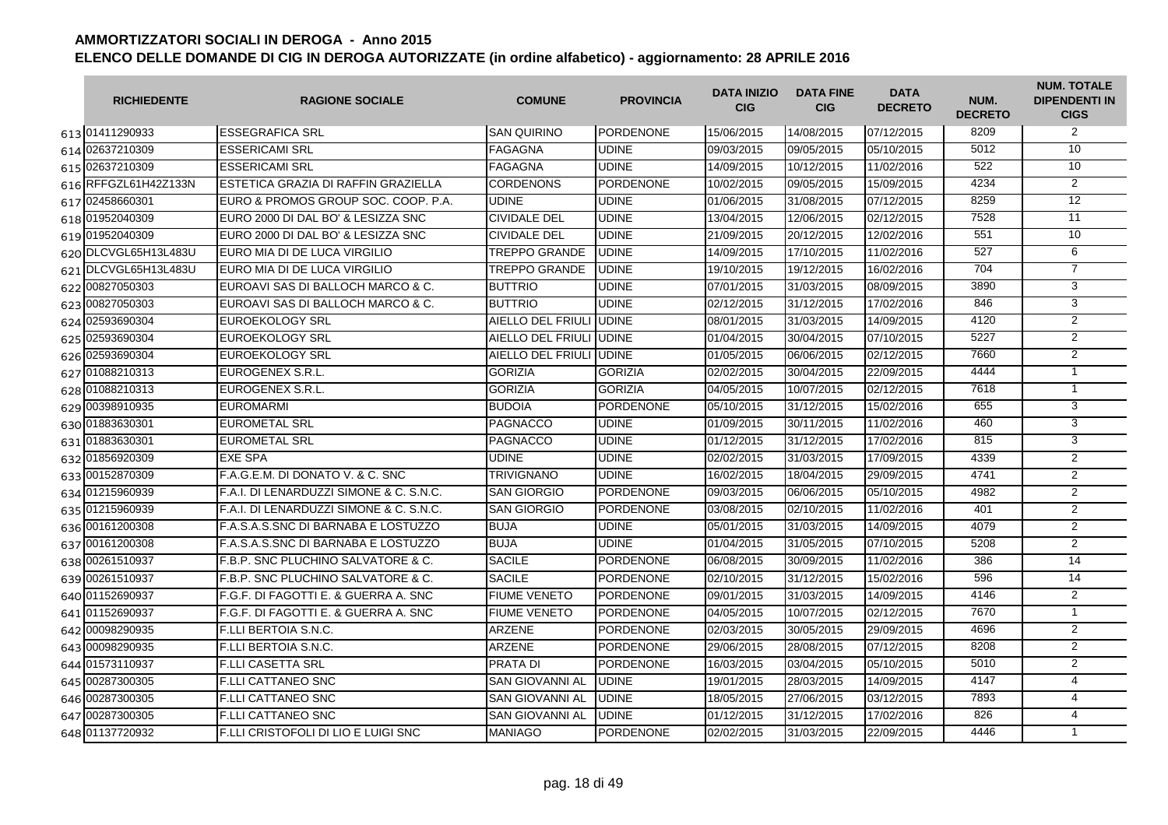| <b>RICHIEDENTE</b>   | <b>RAGIONE SOCIALE</b>                  | <b>COMUNE</b>            | <b>PROVINCIA</b> | <b>DATA INIZIO</b><br><b>CIG</b> | <b>DATA FINE</b><br><b>CIG</b> | <b>DATA</b><br><b>DECRETO</b> | NUM.<br><b>DECRETO</b> | <b>NUM. TOTALE</b><br><b>DIPENDENTI IN</b><br><b>CIGS</b> |
|----------------------|-----------------------------------------|--------------------------|------------------|----------------------------------|--------------------------------|-------------------------------|------------------------|-----------------------------------------------------------|
| 613 01411290933      | <b>ESSEGRAFICA SRL</b>                  | <b>SAN QUIRINO</b>       | <b>PORDENONE</b> | 15/06/2015                       | 14/08/2015                     | 07/12/2015                    | 8209                   | $\overline{2}$                                            |
| 614 02637210309      | <b>ESSERICAMI SRL</b>                   | <b>FAGAGNA</b>           | <b>UDINE</b>     | 09/03/2015                       | 09/05/2015                     | 05/10/2015                    | 5012                   | 10                                                        |
| 615 02637210309      | <b>ESSERICAMI SRL</b>                   | <b>FAGAGNA</b>           | <b>UDINE</b>     | 14/09/2015                       | 10/12/2015                     | 11/02/2016                    | 522                    | 10                                                        |
| 616 RFFGZL61H42Z133N | ESTETICA GRAZIA DI RAFFIN GRAZIELLA     | <b>CORDENONS</b>         | <b>PORDENONE</b> | 10/02/2015                       | 09/05/2015                     | 15/09/2015                    | 4234                   | $\overline{2}$                                            |
| 617 02458660301      | EURO & PROMOS GROUP SOC. COOP. P.A.     | <b>UDINE</b>             | <b>UDINE</b>     | 01/06/2015                       | 31/08/2015                     | 07/12/2015                    | 8259                   | $\overline{12}$                                           |
| 618 01952040309      | EURO 2000 DI DAL BO' & LESIZZA SNC      | <b>CIVIDALE DEL</b>      | <b>UDINE</b>     | 13/04/2015                       | 12/06/2015                     | 02/12/2015                    | 7528                   | $\overline{11}$                                           |
| 619 01952040309      | EURO 2000 DI DAL BO' & LESIZZA SNC      | <b>CIVIDALE DEL</b>      | <b>UDINE</b>     | 21/09/2015                       | 20/12/2015                     | 12/02/2016                    | 551                    | 10 <sup>°</sup>                                           |
| 620 DLCVGL65H13L483U | EURO MIA DI DE LUCA VIRGILIO            | <b>TREPPO GRANDE</b>     | <b>UDINE</b>     | 14/09/2015                       | 17/10/2015                     | 11/02/2016                    | 527                    | 6                                                         |
| 621 DLCVGL65H13L483U | EURO MIA DI DE LUCA VIRGILIO            | <b>TREPPO GRANDE</b>     | <b>UDINE</b>     | 19/10/2015                       | 19/12/2015                     | 16/02/2016                    | 704                    | $\overline{7}$                                            |
| 622 00827050303      | EUROAVI SAS DI BALLOCH MARCO & C.       | <b>BUTTRIO</b>           | <b>UDINE</b>     | 07/01/2015                       | 31/03/2015                     | 08/09/2015                    | 3890                   | 3                                                         |
| 623 00827050303      | EUROAVI SAS DI BALLOCH MARCO & C.       | <b>BUTTRIO</b>           | <b>UDINE</b>     | 02/12/2015                       | 31/12/2015                     | 17/02/2016                    | 846                    | 3                                                         |
| 624 02593690304      | EUROEKOLOGY SRL                         | AIELLO DEL FRIULI        | <b>UDINE</b>     | 08/01/2015                       | 31/03/2015                     | 14/09/2015                    | 4120                   | $\overline{2}$                                            |
| 625 02593690304      | <b>EUROEKOLOGY SRL</b>                  | AIELLO DEL FRIULI JUDINE |                  | 01/04/2015                       | 30/04/2015                     | 07/10/2015                    | 5227                   | $\overline{2}$                                            |
| 626 02593690304      | <b>EUROEKOLOGY SRL</b>                  | AIELLO DEL FRIULI JUDINE |                  | 01/05/2015                       | 06/06/2015                     | 02/12/2015                    | 7660                   | $\overline{2}$                                            |
| 627 01088210313      | EUROGENEX S.R.L.                        | <b>GORIZIA</b>           | <b>GORIZIA</b>   | 02/02/2015                       | 30/04/2015                     | 22/09/2015                    | 4444                   | $\overline{1}$                                            |
| 628 01088210313      | EUROGENEX S.R.L.                        | <b>GORIZIA</b>           | <b>GORIZIA</b>   | 04/05/2015                       | 10/07/2015                     | 02/12/2015                    | 7618                   | $\mathbf{1}$                                              |
| 629 00398910935      | <b>EUROMARMI</b>                        | <b>BUDOIA</b>            | <b>PORDENONE</b> | 05/10/2015                       | 31/12/2015                     | 15/02/2016                    | 655                    | 3                                                         |
| 630 01883630301      | <b>EUROMETAL SRL</b>                    | <b>PAGNACCO</b>          | <b>UDINE</b>     | 01/09/2015                       | 30/11/2015                     | 11/02/2016                    | 460                    | 3                                                         |
| 631 01883630301      | EUROMETAL SRL                           | <b>PAGNACCO</b>          | <b>UDINE</b>     | 01/12/2015                       | 31/12/2015                     | 17/02/2016                    | 815                    | 3                                                         |
| 632 01856920309      | <b>EXE SPA</b>                          | <b>UDINE</b>             | <b>UDINE</b>     | 02/02/2015                       | 31/03/2015                     | 17/09/2015                    | 4339                   | $\overline{2}$                                            |
| 633 00152870309      | F.A.G.E.M. DI DONATO V. & C. SNC        | <b>TRIVIGNANO</b>        | <b>UDINE</b>     | 16/02/2015                       | 18/04/2015                     | 29/09/2015                    | 4741                   | $\overline{2}$                                            |
| 634 01215960939      | F.A.I. DI LENARDUZZI SIMONE & C. S.N.C. | <b>SAN GIORGIO</b>       | <b>PORDENONE</b> | 09/03/2015                       | 06/06/2015                     | 05/10/2015                    | 4982                   | $\overline{2}$                                            |
| 635 01215960939      | F.A.I. DI LENARDUZZI SIMONE & C. S.N.C. | <b>SAN GIORGIO</b>       | <b>PORDENONE</b> | 03/08/2015                       | 02/10/2015                     | 11/02/2016                    | 401                    | 2                                                         |
| 636 00161200308      | F.A.S.A.S.SNC DI BARNABA E LOSTUZZO     | <b>BUJA</b>              | <b>UDINE</b>     | 05/01/2015                       | 31/03/2015                     | 14/09/2015                    | 4079                   | 2                                                         |
| 637 00161200308      | F.A.S.A.S.SNC DI BARNABA E LOSTUZZO     | <b>BUJA</b>              | <b>UDINE</b>     | 01/04/2015                       | 31/05/2015                     | 07/10/2015                    | 5208                   | 2                                                         |
| 638 00261510937      | F.B.P. SNC PLUCHINO SALVATORE & C.      | <b>SACILE</b>            | <b>PORDENONE</b> | 06/08/2015                       | 30/09/2015                     | 11/02/2016                    | 386                    | 14                                                        |
| 639 00261510937      | F.B.P. SNC PLUCHINO SALVATORE & C.      | <b>SACILE</b>            | <b>PORDENONE</b> | 02/10/2015                       | 31/12/2015                     | 15/02/2016                    | 596                    | 14                                                        |
| 640 01152690937      | F.G.F. DI FAGOTTI E. & GUERRA A. SNC    | <b>FIUME VENETO</b>      | <b>PORDENONE</b> | 09/01/2015                       | 31/03/2015                     | 14/09/2015                    | 4146                   | $\overline{2}$                                            |
| 641 01152690937      | F.G.F. DI FAGOTTI E. & GUERRA A. SNC    | <b>FIUME VENETO</b>      | <b>PORDENONE</b> | 04/05/2015                       | 10/07/2015                     | 02/12/2015                    | 7670                   | $\overline{1}$                                            |
| 642 00098290935      | F.LLI BERTOIA S.N.C.                    | <b>ARZENE</b>            | PORDENONE        | 02/03/2015                       | 30/05/2015                     | 29/09/2015                    | 4696                   | 2                                                         |
| 643 00098290935      | F.LLI BERTOIA S.N.C.                    | <b>ARZENE</b>            | <b>PORDENONE</b> | 29/06/2015                       | 28/08/2015                     | 07/12/2015                    | 8208                   | $\overline{2}$                                            |
| 644 01573110937      | <b>F.LLI CASETTA SRL</b>                | <b>PRATA DI</b>          | <b>PORDENONE</b> | 16/03/2015                       | 03/04/2015                     | 05/10/2015                    | 5010                   | $\overline{2}$                                            |
| 645 00287300305      | <b>F.LLI CATTANEO SNC</b>               | <b>SAN GIOVANNI AL</b>   | <b>UDINE</b>     | 19/01/2015                       | 28/03/2015                     | 14/09/2015                    | 4147                   | $\overline{4}$                                            |
| 646 00287300305      | <b>F.LLI CATTANEO SNC</b>               | <b>SAN GIOVANNI AL</b>   | <b>UDINE</b>     | 18/05/2015                       | 27/06/2015                     | 03/12/2015                    | 7893                   | $\overline{4}$                                            |
| 647 00287300305      | <b>F.LLI CATTANEO SNC</b>               | <b>SAN GIOVANNI AL</b>   | <b>UDINE</b>     | 01/12/2015                       | 31/12/2015                     | 17/02/2016                    | 826                    | $\overline{4}$                                            |
| 648 01137720932      | F.LLI CRISTOFOLI DI LIO E LUIGI SNC     | <b>MANIAGO</b>           | <b>PORDENONE</b> | 02/02/2015                       | 31/03/2015                     | 22/09/2015                    | 4446                   | $\mathbf{1}$                                              |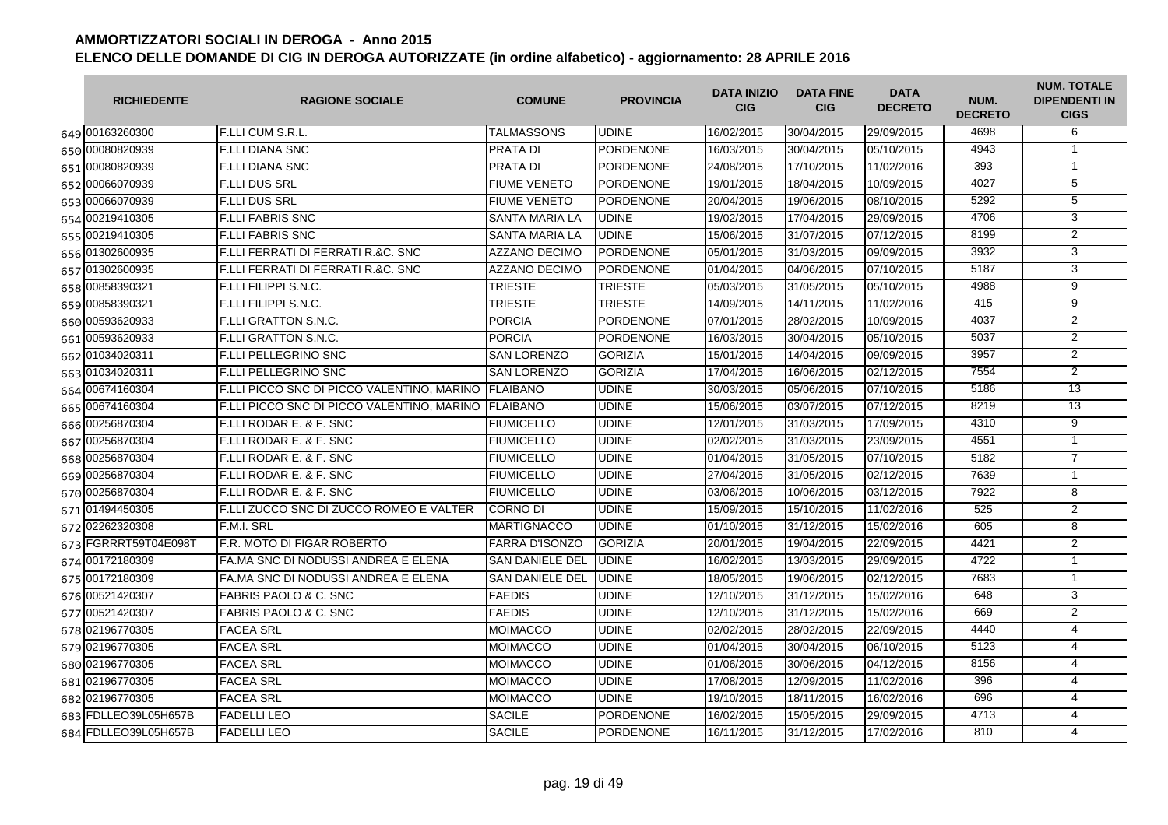| <b>RICHIEDENTE</b>   | <b>RAGIONE SOCIALE</b>                              | <b>COMUNE</b>          | <b>PROVINCIA</b> | <b>DATA INIZIO</b><br><b>CIG</b> | <b>DATA FINE</b><br><b>CIG</b> | <b>DATA</b><br><b>DECRETO</b> | NUM.<br><b>DECRETO</b> | <b>NUM. TOTALE</b><br><b>DIPENDENTI IN</b><br><b>CIGS</b> |
|----------------------|-----------------------------------------------------|------------------------|------------------|----------------------------------|--------------------------------|-------------------------------|------------------------|-----------------------------------------------------------|
| 649 00163260300      | <b>F.LLI CUM S.R.L.</b>                             | <b>TALMASSONS</b>      | <b>UDINE</b>     | 16/02/2015                       | 30/04/2015                     | 29/09/2015                    | 4698                   | 6                                                         |
| 650 00080820939      | <b>F.LLI DIANA SNC</b>                              | <b>PRATA DI</b>        | <b>PORDENONE</b> | 16/03/2015                       | 30/04/2015                     | 05/10/2015                    | 4943                   | $\mathbf{1}$                                              |
| 651 00080820939      | <b>F.LLI DIANA SNC</b>                              | <b>PRATA DI</b>        | <b>PORDENONE</b> | 24/08/2015                       | 17/10/2015                     | 11/02/2016                    | 393                    | $\mathbf{1}$                                              |
| 652 00066070939      | <b>F.LLI DUS SRL</b>                                | <b>FIUME VENETO</b>    | <b>PORDENONE</b> | 19/01/2015                       | 18/04/2015                     | 10/09/2015                    | 4027                   | 5                                                         |
| 653 00066070939      | <b>F.LLI DUS SRL</b>                                | <b>FIUME VENETO</b>    | PORDENONE        | 20/04/2015                       | 19/06/2015                     | 08/10/2015                    | 5292                   | $\overline{5}$                                            |
| 654 00219410305      | <b>F.LLI FABRIS SNC</b>                             | <b>SANTA MARIA LA</b>  | <b>UDINE</b>     | 19/02/2015                       | 17/04/2015                     | 29/09/2015                    | 4706                   | 3                                                         |
| 655 00219410305      | <b>F.LLI FABRIS SNC</b>                             | <b>SANTA MARIA LA</b>  | <b>UDINE</b>     | 15/06/2015                       | 31/07/2015                     | 07/12/2015                    | 8199                   | $\overline{2}$                                            |
| 656 01302600935      | F.LLI FERRATI DI FERRATI R.&C. SNC                  | <b>AZZANO DECIMO</b>   | <b>PORDENONE</b> | 05/01/2015                       | 31/03/2015                     | 09/09/2015                    | 3932                   | 3                                                         |
| 657 01302600935      | F.LLI FERRATI DI FERRATI R.&C. SNC                  | <b>AZZANO DECIMO</b>   | <b>PORDENONE</b> | 01/04/2015                       | 04/06/2015                     | 07/10/2015                    | 5187                   | 3                                                         |
| 658 00858390321      | <b>F.LLI FILIPPI S.N.C.</b>                         | <b>TRIESTE</b>         | <b>TRIESTE</b>   | 05/03/2015                       | 31/05/2015                     | 05/10/2015                    | 4988                   | $\overline{9}$                                            |
| 659 00858390321      | <b>F.LLI FILIPPI S.N.C.</b>                         | <b>TRIESTE</b>         | <b>TRIESTE</b>   | 14/09/2015                       | 14/11/2015                     | 11/02/2016                    | 415                    | $\overline{9}$                                            |
| 660 00593620933      | F.LLI GRATTON S.N.C.                                | <b>PORCIA</b>          | PORDENONE        | 07/01/2015                       | 28/02/2015                     | 10/09/2015                    | 4037                   | $\overline{2}$                                            |
| 661 00593620933      | <b>F.LLI GRATTON S.N.C.</b>                         | <b>PORCIA</b>          | <b>PORDENONE</b> | 16/03/2015                       | 30/04/2015                     | 05/10/2015                    | 5037                   | $\overline{2}$                                            |
| 662 01034020311      | <b>F.LLI PELLEGRINO SNC</b>                         | <b>SAN LORENZO</b>     | <b>GORIZIA</b>   | 15/01/2015                       | 14/04/2015                     | 09/09/2015                    | 3957                   | $\overline{2}$                                            |
| 663 01034020311      | <b>F.LLI PELLEGRINO SNC</b>                         | <b>SAN LORENZO</b>     | <b>GORIZIA</b>   | 17/04/2015                       | 16/06/2015                     | 02/12/2015                    | 7554                   | $\overline{2}$                                            |
| 664 00674160304      | F.LLI PICCO SNC DI PICCO VALENTINO, MARINO          | <b>FLAIBANO</b>        | <b>UDINE</b>     | 30/03/2015                       | 05/06/2015                     | 07/10/2015                    | 5186                   | $\overline{13}$                                           |
| 665 00674160304      | F.LLI PICCO SNC DI PICCO VALENTINO, MARINO FLAIBANO |                        | <b>UDINE</b>     | 15/06/2015                       | 03/07/2015                     | 07/12/2015                    | 8219                   | $\overline{13}$                                           |
| 666 00256870304      | F.LLI RODAR E. & F. SNC                             | <b>FIUMICELLO</b>      | <b>UDINE</b>     | 12/01/2015                       | 31/03/2015                     | 17/09/2015                    | 4310                   | $\overline{9}$                                            |
| 667 00256870304      | F.LLI RODAR E. & F. SNC                             | <b>FIUMICELLO</b>      | <b>UDINE</b>     | 02/02/2015                       | 31/03/2015                     | 23/09/2015                    | 4551                   | $\mathbf{1}$                                              |
| 668 00256870304      | <b>F.LLI RODAR E. &amp; F. SNC</b>                  | <b>FIUMICELLO</b>      | <b>UDINE</b>     | 01/04/2015                       | 31/05/2015                     | 07/10/2015                    | 5182                   | $\overline{7}$                                            |
| 669 00256870304      | F.LLI RODAR E. & F. SNC                             | <b>FIUMICELLO</b>      | <b>UDINE</b>     | 27/04/2015                       | 31/05/2015                     | 02/12/2015                    | 7639                   | $\mathbf{1}$                                              |
| 670 00256870304      | <b>F.LLI RODAR E. &amp; F. SNC</b>                  | <b>FIUMICELLO</b>      | <b>UDINE</b>     | 03/06/2015                       | 10/06/2015                     | 03/12/2015                    | 7922                   | 8                                                         |
| 671 01494450305      | F.LLI ZUCCO SNC DI ZUCCO ROMEO E VALTER             | <b>CORNO DI</b>        | <b>UDINE</b>     | 15/09/2015                       | 15/10/2015                     | 11/02/2016                    | 525                    | 2                                                         |
| 672 02262320308      | F.M.I. SRL                                          | <b>MARTIGNACCO</b>     | <b>UDINE</b>     | 01/10/2015                       | 31/12/2015                     | 15/02/2016                    | 605                    | 8                                                         |
| 673 FGRRRT59T04E098T | F.R. MOTO DI FIGAR ROBERTO                          | <b>FARRA D'ISONZO</b>  | <b>GORIZIA</b>   | 20/01/2015                       | 19/04/2015                     | 22/09/2015                    | 4421                   | 2                                                         |
| 674 00172180309      | FA.MA SNC DI NODUSSI ANDREA E ELENA                 | <b>SAN DANIELE DEL</b> | <b>UDINE</b>     | 16/02/2015                       | 13/03/2015                     | 29/09/2015                    | 4722                   | $\mathbf{1}$                                              |
| 675 00172180309      | FA.MA SNC DI NODUSSI ANDREA E ELENA                 | <b>SAN DANIELE DEL</b> | <b>UDINE</b>     | 18/05/2015                       | 19/06/2015                     | 02/12/2015                    | 7683                   | $\mathbf{1}$                                              |
| 676 00521420307      | <b>FABRIS PAOLO &amp; C. SNC</b>                    | <b>FAEDIS</b>          | <b>UDINE</b>     | 12/10/2015                       | 31/12/2015                     | 15/02/2016                    | 648                    | 3                                                         |
| 677 00521420307      | <b>FABRIS PAOLO &amp; C. SNC</b>                    | <b>FAEDIS</b>          | <b>UDINE</b>     | 12/10/2015                       | 31/12/2015                     | 15/02/2016                    | 669                    | $\overline{2}$                                            |
| 678 02196770305      | <b>FACEA SRL</b>                                    | <b>MOIMACCO</b>        | <b>UDINE</b>     | 02/02/2015                       | 28/02/2015                     | 22/09/2015                    | 4440                   | $\overline{4}$                                            |
| 679 02196770305      | <b>FACEA SRL</b>                                    | <b>MOIMACCO</b>        | <b>UDINE</b>     | 01/04/2015                       | 30/04/2015                     | 06/10/2015                    | 5123                   | $\overline{4}$                                            |
| 680 02196770305      | <b>FACEA SRL</b>                                    | <b>MOIMACCO</b>        | <b>UDINE</b>     | 01/06/2015                       | 30/06/2015                     | 04/12/2015                    | 8156                   | 4                                                         |
| 681 02196770305      | <b>FACEA SRL</b>                                    | <b>MOIMACCO</b>        | <b>UDINE</b>     | 17/08/2015                       | 12/09/2015                     | 11/02/2016                    | 396                    | $\overline{4}$                                            |
| 682 02196770305      | <b>FACEA SRL</b>                                    | <b>MOIMACCO</b>        | <b>UDINE</b>     | 19/10/2015                       | 18/11/2015                     | 16/02/2016                    | 696                    | $\overline{4}$                                            |
| 683 FDLLEO39L05H657B | <b>FADELLI LEO</b>                                  | <b>SACILE</b>          | <b>PORDENONE</b> | 16/02/2015                       | 15/05/2015                     | 29/09/2015                    | 4713                   | $\overline{4}$                                            |
| 684 FDLLEO39L05H657B | <b>FADELLI LEO</b>                                  | <b>SACILE</b>          | <b>PORDENONE</b> | 16/11/2015                       | 31/12/2015                     | 17/02/2016                    | 810                    | 4                                                         |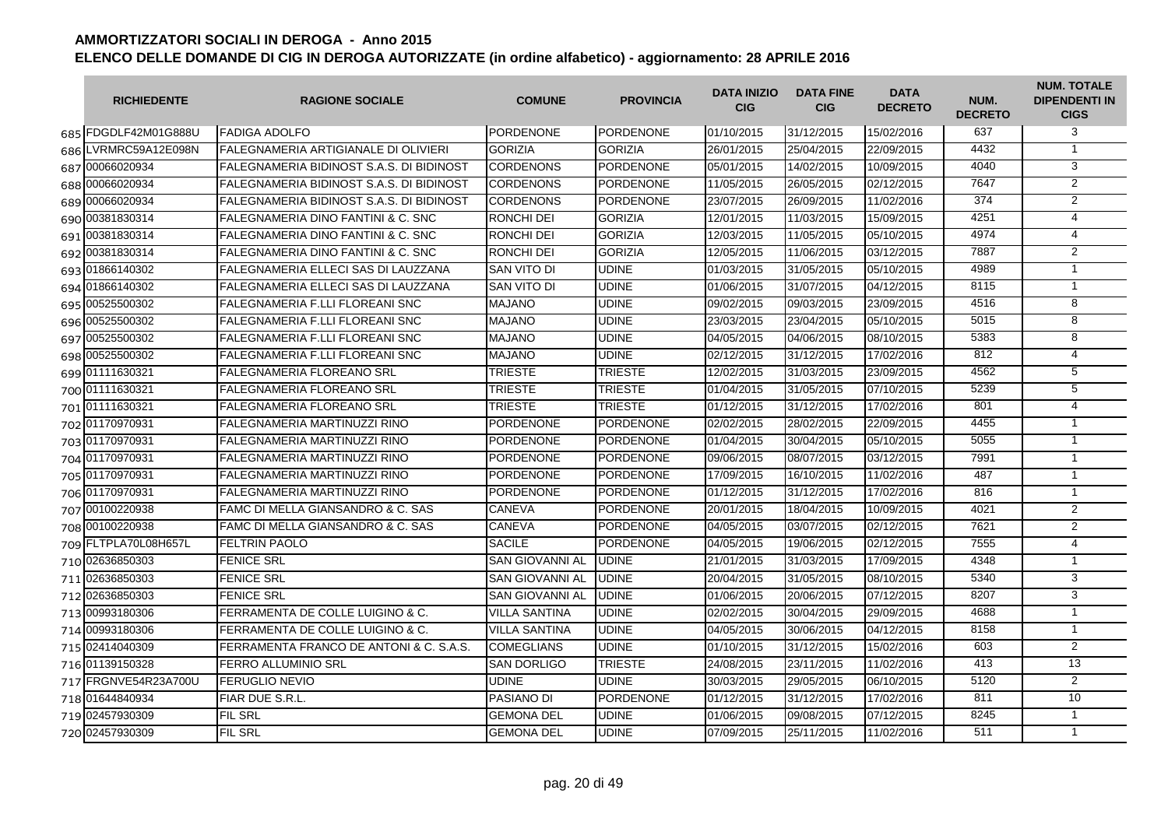| <b>RICHIEDENTE</b>   | <b>RAGIONE SOCIALE</b>                        | <b>COMUNE</b>          | <b>PROVINCIA</b> | <b>DATA INIZIO</b><br><b>CIG</b> | <b>DATA FINE</b><br><b>CIG</b> | <b>DATA</b><br><b>DECRETO</b> | NUM.<br><b>DECRETO</b> | <b>NUM. TOTALE</b><br><b>DIPENDENTI IN</b><br><b>CIGS</b> |
|----------------------|-----------------------------------------------|------------------------|------------------|----------------------------------|--------------------------------|-------------------------------|------------------------|-----------------------------------------------------------|
| 685 FDGDLF42M01G888U | <b>FADIGA ADOLFO</b>                          | PORDENONE              | PORDENONE        | 01/10/2015                       | 31/12/2015                     | 15/02/2016                    | 637                    | 3                                                         |
| 686 LVRMRC59A12E098N | <b>FALEGNAMERIA ARTIGIANALE DI OLIVIERI</b>   | <b>GORIZIA</b>         | <b>GORIZIA</b>   | 26/01/2015                       | 25/04/2015                     | 22/09/2015                    | 4432                   | $\mathbf{1}$                                              |
| 687 00066020934      | FALEGNAMERIA BIDINOST S.A.S. DI BIDINOST      | <b>CORDENONS</b>       | PORDENONE        | 05/01/2015                       | 14/02/2015                     | 10/09/2015                    | 4040                   | 3                                                         |
| 688 00066020934      | FALEGNAMERIA BIDINOST S.A.S. DI BIDINOST      | <b>CORDENONS</b>       | <b>PORDENONE</b> | 11/05/2015                       | 26/05/2015                     | 02/12/2015                    | 7647                   | $\overline{2}$                                            |
| 689 00066020934      | FALEGNAMERIA BIDINOST S.A.S. DI BIDINOST      | <b>CORDENONS</b>       | <b>PORDENONE</b> | 23/07/2015                       | 26/09/2015                     | 11/02/2016                    | 374                    | $\overline{2}$                                            |
| 690 00381830314      | <b>FALEGNAMERIA DINO FANTINI &amp; C. SNC</b> | <b>RONCHI DEI</b>      | <b>GORIZIA</b>   | 12/01/2015                       | 11/03/2015                     | 15/09/2015                    | 4251                   | $\overline{4}$                                            |
| 691 00381830314      | FALEGNAMERIA DINO FANTINI & C. SNC            | <b>RONCHI DEI</b>      | <b>GORIZIA</b>   | 12/03/2015                       | 11/05/2015                     | 05/10/2015                    | 4974                   | $\overline{4}$                                            |
| 692 00381830314      | <b>FALEGNAMERIA DINO FANTINI &amp; C. SNC</b> | <b>RONCHI DEI</b>      | <b>GORIZIA</b>   | 12/05/2015                       | 11/06/2015                     | 03/12/2015                    | 7887                   | 2                                                         |
| 693 01866140302      | FALEGNAMERIA ELLECI SAS DI LAUZZANA           | SAN VITO DI            | <b>UDINE</b>     | 01/03/2015                       | 31/05/2015                     | 05/10/2015                    | 4989                   | $\mathbf{1}$                                              |
| 694 01866140302      | FALEGNAMERIA ELLECI SAS DI LAUZZANA           | SAN VITO DI            | <b>UDINE</b>     | 01/06/2015                       | 31/07/2015                     | 04/12/2015                    | 8115                   | $\mathbf{1}$                                              |
| 695 00525500302      | FALEGNAMERIA F.LLI FLOREANI SNC               | <b>MAJANO</b>          | <b>UDINE</b>     | 09/02/2015                       | 09/03/2015                     | 23/09/2015                    | 4516                   | $\overline{8}$                                            |
| 696 00525500302      | FALEGNAMERIA F.LLI FLOREANI SNC               | <b>MAJANO</b>          | <b>UDINE</b>     | 23/03/2015                       | 23/04/2015                     | 05/10/2015                    | 5015                   | $\overline{8}$                                            |
| 697 00525500302      | <b>FALEGNAMERIA F.LLI FLOREANI SNC</b>        | <b>MAJANO</b>          | <b>UDINE</b>     | 04/05/2015                       | 04/06/2015                     | 08/10/2015                    | 5383                   | $\overline{8}$                                            |
| 698 00525500302      | FALEGNAMERIA F.LLI FLOREANI SNC               | <b>MAJANO</b>          | <b>UDINE</b>     | 02/12/2015                       | 31/12/2015                     | 17/02/2016                    | 812                    | 4                                                         |
| 699 01111630321      | <b>FALEGNAMERIA FLOREANO SRL</b>              | <b>TRIESTE</b>         | <b>TRIESTE</b>   | 12/02/2015                       | 31/03/2015                     | 23/09/2015                    | 4562                   | $\overline{5}$                                            |
| 700 01111630321      | <b>FALEGNAMERIA FLOREANO SRL</b>              | <b>TRIESTE</b>         | <b>TRIESTE</b>   | 01/04/2015                       | 31/05/2015                     | 07/10/2015                    | 5239                   | $\overline{5}$                                            |
| 701 01111630321      | <b>FALEGNAMERIA FLOREANO SRL</b>              | <b>TRIESTE</b>         | <b>TRIESTE</b>   | 01/12/2015                       | 31/12/2015                     | 17/02/2016                    | 801                    | $\overline{4}$                                            |
| 702 01170970931      | FALEGNAMERIA MARTINUZZI RINO                  | <b>PORDENONE</b>       | <b>PORDENONE</b> | 02/02/2015                       | 28/02/2015                     | 22/09/2015                    | 4455                   | $\overline{1}$                                            |
| 703 01170970931      | FALEGNAMERIA MARTINUZZI RINO                  | <b>PORDENONE</b>       | <b>PORDENONE</b> | 01/04/2015                       | 30/04/2015                     | 05/10/2015                    | 5055                   | $\mathbf{1}$                                              |
| 704 01170970931      | FALEGNAMERIA MARTINUZZI RINO                  | <b>PORDENONE</b>       | <b>PORDENONE</b> | 09/06/2015                       | 08/07/2015                     | 03/12/2015                    | 7991                   | $\mathbf{1}$                                              |
| 705 01170970931      | FALEGNAMERIA MARTINUZZI RINO                  | <b>PORDENONE</b>       | PORDENONE        | 17/09/2015                       | 16/10/2015                     | 11/02/2016                    | 487                    | $\mathbf{1}$                                              |
| 706 01170970931      | FALEGNAMERIA MARTINUZZI RINO                  | <b>PORDENONE</b>       | <b>PORDENONE</b> | 01/12/2015                       | 31/12/2015                     | 17/02/2016                    | 816                    | $\mathbf{1}$                                              |
| 707 00100220938      | FAMC DI MELLA GIANSANDRO & C. SAS             | CANEVA                 | <b>PORDENONE</b> | 20/01/2015                       | 18/04/2015                     | 10/09/2015                    | 4021                   | $\overline{2}$                                            |
| 708 00100220938      | FAMC DI MELLA GIANSANDRO & C. SAS             | CANEVA                 | <b>PORDENONE</b> | 04/05/2015                       | 03/07/2015                     | 02/12/2015                    | 7621                   | $\overline{2}$                                            |
| 709 FLTPLA70L08H657L | <b>FELTRIN PAOLO</b>                          | <b>SACILE</b>          | <b>PORDENONE</b> | 04/05/2015                       | 19/06/2015                     | 02/12/2015                    | 7555                   | $\overline{4}$                                            |
| 710 02636850303      | <b>FENICE SRL</b>                             | SAN GIOVANNI AL        | <b>UDINE</b>     | 21/01/2015                       | 31/03/2015                     | 17/09/2015                    | 4348                   | $\mathbf{1}$                                              |
| 711 02636850303      | <b>FENICE SRL</b>                             | <b>SAN GIOVANNI AL</b> | <b>UDINE</b>     | 20/04/2015                       | 31/05/2015                     | 08/10/2015                    | 5340                   | 3                                                         |
| 712 02636850303      | <b>FENICE SRL</b>                             | <b>SAN GIOVANNI AL</b> | <b>UDINE</b>     | 01/06/2015                       | 20/06/2015                     | 07/12/2015                    | 8207                   | 3                                                         |
| 713 00993180306      | FERRAMENTA DE COLLE LUIGINO & C.              | <b>VILLA SANTINA</b>   | <b>UDINE</b>     | 02/02/2015                       | 30/04/2015                     | 29/09/2015                    | 4688                   | $\mathbf{1}$                                              |
| 714 00993180306      | FERRAMENTA DE COLLE LUIGINO & C.              | <b>VILLA SANTINA</b>   | <b>UDINE</b>     | 04/05/2015                       | 30/06/2015                     | 04/12/2015                    | 8158                   | $\mathbf{1}$                                              |
| 715 02414040309      | FERRAMENTA FRANCO DE ANTONI & C. S.A.S.       | <b>COMEGLIANS</b>      | <b>UDINE</b>     | 01/10/2015                       | 31/12/2015                     | 15/02/2016                    | 603                    | $\overline{2}$                                            |
| 716 01139150328      | <b>FERRO ALLUMINIO SRL</b>                    | <b>SAN DORLIGO</b>     | <b>TRIESTE</b>   | 24/08/2015                       | 23/11/2015                     | 11/02/2016                    | 413                    | 13                                                        |
| 717 FRGNVE54R23A700U | <b>FERUGLIO NEVIO</b>                         | <b>UDINE</b>           | <b>UDINE</b>     | 30/03/2015                       | 29/05/2015                     | 06/10/2015                    | 5120                   | $\overline{2}$                                            |
| 718 01644840934      | FIAR DUE S.R.L.                               | PASIANO DI             | <b>PORDENONE</b> | 01/12/2015                       | 31/12/2015                     | 17/02/2016                    | 811                    | 10                                                        |
| 719 02457930309      | <b>FIL SRL</b>                                | <b>GEMONA DEL</b>      | <b>UDINE</b>     | 01/06/2015                       | 09/08/2015                     | 07/12/2015                    | 8245                   | $\mathbf{1}$                                              |
| 720 02457930309      | <b>FIL SRL</b>                                | <b>GEMONA DEL</b>      | <b>UDINE</b>     | 07/09/2015                       | 25/11/2015                     | 11/02/2016                    | 511                    | $\mathbf{1}$                                              |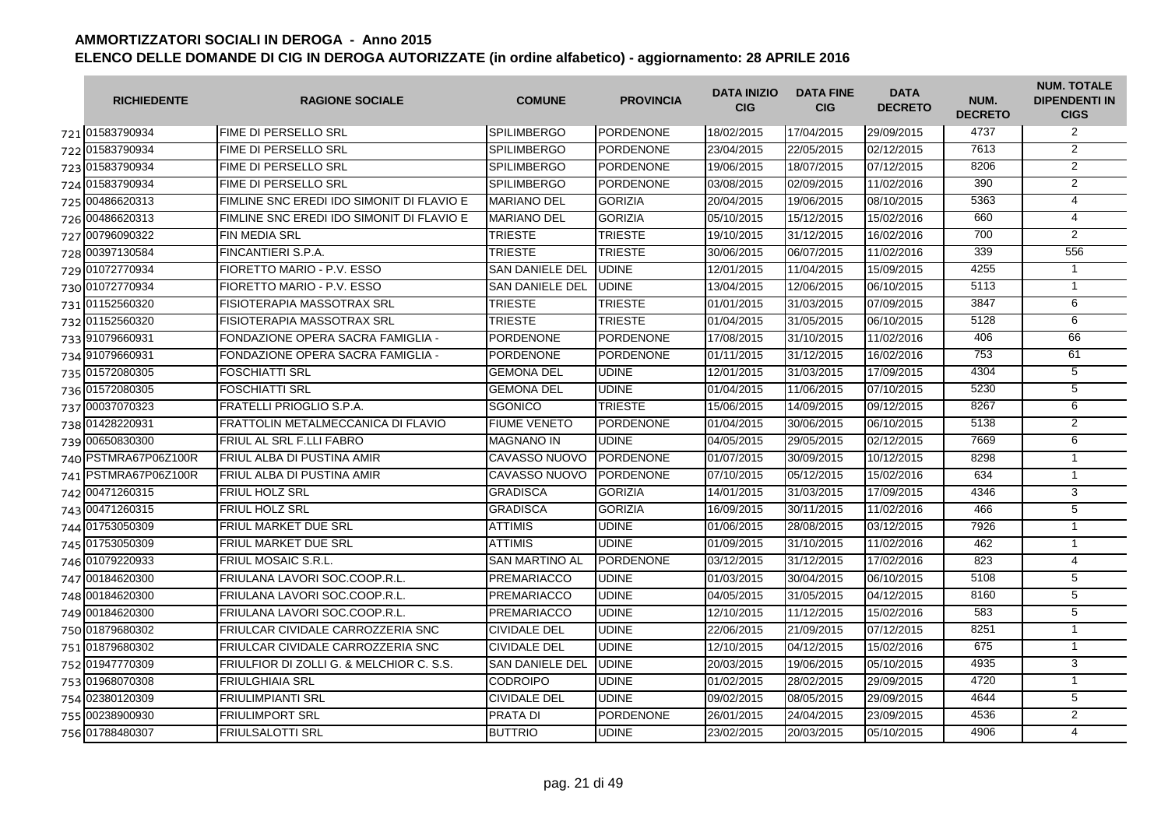| <b>RICHIEDENTE</b>   | <b>RAGIONE SOCIALE</b>                    | <b>COMUNE</b>          | <b>PROVINCIA</b> | <b>DATA INIZIO</b><br><b>CIG</b> | <b>DATA FINE</b><br><b>CIG</b> | <b>DATA</b><br><b>DECRETO</b> | NUM.<br><b>DECRETO</b> | <b>NUM. TOTALE</b><br><b>DIPENDENTI IN</b><br><b>CIGS</b> |
|----------------------|-------------------------------------------|------------------------|------------------|----------------------------------|--------------------------------|-------------------------------|------------------------|-----------------------------------------------------------|
| 721 01583790934      | FIME DI PERSELLO SRL                      | <b>SPILIMBERGO</b>     | PORDENONE        | 18/02/2015                       | 17/04/2015                     | 29/09/2015                    | 4737                   | $\overline{2}$                                            |
| 722 01583790934      | FIME DI PERSELLO SRL                      | <b>SPILIMBERGO</b>     | PORDENONE        | 23/04/2015                       | 22/05/2015                     | 02/12/2015                    | 7613                   | $\overline{2}$                                            |
| 723 01583790934      | FIME DI PERSELLO SRL                      | <b>SPILIMBERGO</b>     | <b>PORDENONE</b> | 19/06/2015                       | 18/07/2015                     | 07/12/2015                    | 8206                   | $\overline{2}$                                            |
| 724 01583790934      | FIME DI PERSELLO SRL                      | <b>SPILIMBERGO</b>     | PORDENONE        | 03/08/2015                       | 02/09/2015                     | 11/02/2016                    | 390                    | $\overline{2}$                                            |
| 725 00486620313      | FIMLINE SNC EREDI IDO SIMONIT DI FLAVIO E | <b>MARIANO DEL</b>     | <b>GORIZIA</b>   | 20/04/2015                       | 19/06/2015                     | 08/10/2015                    | 5363                   | $\overline{4}$                                            |
| 726 00486620313      | FIMLINE SNC EREDI IDO SIMONIT DI FLAVIO E | <b>MARIANO DEL</b>     | <b>GORIZIA</b>   | 05/10/2015                       | 15/12/2015                     | 15/02/2016                    | 660                    | $\overline{4}$                                            |
| 727 00796090322      | <b>FIN MEDIA SRL</b>                      | <b>TRIESTE</b>         | <b>TRIESTE</b>   | 19/10/2015                       | 31/12/2015                     | 16/02/2016                    | 700                    | $\overline{2}$                                            |
| 728 00397130584      | FINCANTIERI S.P.A.                        | <b>TRIESTE</b>         | <b>TRIESTE</b>   | 30/06/2015                       | 06/07/2015                     | 11/02/2016                    | 339                    | 556                                                       |
| 729 01072770934      | FIORETTO MARIO - P.V. ESSO                | <b>SAN DANIELE DEL</b> | <b>UDINE</b>     | 12/01/2015                       | 11/04/2015                     | 15/09/2015                    | 4255                   | $\mathbf{1}$                                              |
| 730 01072770934      | FIORETTO MARIO - P.V. ESSO                | <b>SAN DANIELE DEL</b> | <b>UDINE</b>     | 13/04/2015                       | 12/06/2015                     | 06/10/2015                    | 5113                   | $\mathbf{1}$                                              |
| 731 01152560320      | FISIOTERAPIA MASSOTRAX SRL                | <b>TRIESTE</b>         | <b>TRIESTE</b>   | 01/01/2015                       | 31/03/2015                     | 07/09/2015                    | 3847                   | 6                                                         |
| 732 01152560320      | FISIOTERAPIA MASSOTRAX SRL                | <b>TRIESTE</b>         | <b>TRIESTE</b>   | 01/04/2015                       | 31/05/2015                     | 06/10/2015                    | 5128                   | 6                                                         |
| 733 91079660931      | FONDAZIONE OPERA SACRA FAMIGLIA -         | <b>PORDENONE</b>       | <b>PORDENONE</b> | 17/08/2015                       | 31/10/2015                     | 11/02/2016                    | 406                    | 66                                                        |
| 734 91079660931      | FONDAZIONE OPERA SACRA FAMIGLIA -         | <b>PORDENONE</b>       | <b>PORDENONE</b> | 01/11/2015                       | 31/12/2015                     | 16/02/2016                    | 753                    | 61                                                        |
| 735 01572080305      | FOSCHIATTI SRL                            | <b>GEMONA DEL</b>      | <b>UDINE</b>     | 12/01/2015                       | 31/03/2015                     | 17/09/2015                    | 4304                   | $\overline{5}$                                            |
| 736 01572080305      | FOSCHIATTI SRL                            | <b>GEMONA DEL</b>      | <b>UDINE</b>     | 01/04/2015                       | 11/06/2015                     | 07/10/2015                    | 5230                   | $\overline{5}$                                            |
| 737 00037070323      | FRATELLI PRIOGLIO S.P.A.                  | SGONICO                | <b>TRIESTE</b>   | 15/06/2015                       | 14/09/2015                     | 09/12/2015                    | 8267                   | 6                                                         |
| 738 01428220931      | FRATTOLIN METALMECCANICA DI FLAVIO        | <b>FIUME VENETO</b>    | <b>PORDENONE</b> | 01/04/2015                       | 30/06/2015                     | 06/10/2015                    | 5138                   | 2                                                         |
| 739 00650830300      | FRIUL AL SRL F.LLI FABRO                  | <b>MAGNANO IN</b>      | <b>UDINE</b>     | 04/05/2015                       | 29/05/2015                     | 02/12/2015                    | 7669                   | 6                                                         |
| 740 PSTMRA67P06Z100R | FRIUL ALBA DI PUSTINA AMIR                | <b>CAVASSO NUOVO</b>   | <b>PORDENONE</b> | 01/07/2015                       | 30/09/2015                     | 10/12/2015                    | 8298                   | $\mathbf{1}$                                              |
| 741 PSTMRA67P06Z100R | FRIUL ALBA DI PUSTINA AMIR                | CAVASSO NUOVO          | <b>PORDENONE</b> | 07/10/2015                       | 05/12/2015                     | 15/02/2016                    | 634                    | $\mathbf{1}$                                              |
| 742 00471260315      | FRIUL HOLZ SRL                            | <b>GRADISCA</b>        | <b>GORIZIA</b>   | 14/01/2015                       | 31/03/2015                     | 17/09/2015                    | 4346                   | $\overline{3}$                                            |
| 743 00471260315      | <b>FRIUL HOLZ SRL</b>                     | <b>GRADISCA</b>        | <b>GORIZIA</b>   | 16/09/2015                       | 30/11/2015                     | 11/02/2016                    | 466                    | $\overline{5}$                                            |
| 744 01753050309      | FRIUL MARKET DUE SRL                      | <b>ATTIMIS</b>         | <b>UDINE</b>     | 01/06/2015                       | 28/08/2015                     | 03/12/2015                    | 7926                   | $\mathbf{1}$                                              |
| 745 01753050309      | FRIUL MARKET DUE SRL                      | <b>ATTIMIS</b>         | <b>UDINE</b>     | 01/09/2015                       | 31/10/2015                     | 11/02/2016                    | 462                    | $\mathbf{1}$                                              |
| 746 01079220933      | <b>FRIUL MOSAIC S.R.L</b>                 | <b>SAN MARTINO AL</b>  | <b>PORDENONE</b> | 03/12/2015                       | 31/12/2015                     | 17/02/2016                    | 823                    | $\overline{4}$                                            |
| 747 00184620300      | FRIULANA LAVORI SOC.COOP.R.L.             | <b>PREMARIACCO</b>     | <b>UDINE</b>     | 01/03/2015                       | 30/04/2015                     | 06/10/2015                    | 5108                   | 5                                                         |
| 748 00184620300      | FRIULANA LAVORI SOC.COOP.R.L.             | PREMARIACCO            | <b>UDINE</b>     | 04/05/2015                       | 31/05/2015                     | 04/12/2015                    | 8160                   | $\overline{5}$                                            |
| 749 00184620300      | FRIULANA LAVORI SOC.COOP.R.L.             | PREMARIACCO            | <b>UDINE</b>     | 12/10/2015                       | 11/12/2015                     | 15/02/2016                    | 583                    | $\overline{5}$                                            |
| 750 01879680302      | FRIULCAR CIVIDALE CARROZZERIA SNC         | <b>CIVIDALE DEL</b>    | <b>UDINE</b>     | 22/06/2015                       | 21/09/2015                     | 07/12/2015                    | 8251                   | $\mathbf{1}$                                              |
| 751 01879680302      | FRIULCAR CIVIDALE CARROZZERIA SNC         | <b>CIVIDALE DEL</b>    | <b>UDINE</b>     | 12/10/2015                       | 04/12/2015                     | 15/02/2016                    | 675                    | $\mathbf{1}$                                              |
| 752 01947770309      | FRIULFIOR DI ZOLLI G. & MELCHIOR C. S.S.  | <b>SAN DANIELE DEL</b> | <b>UDINE</b>     | 20/03/2015                       | 19/06/2015                     | 05/10/2015                    | 4935                   | 3                                                         |
| 753 01968070308      | FRIULGHIAIA SRL                           | <b>CODROIPO</b>        | <b>UDINE</b>     | 01/02/2015                       | 28/02/2015                     | 29/09/2015                    | 4720                   | $\overline{1}$                                            |
| 754 02380120309      | FRIULIMPIANTI SRL                         | <b>CIVIDALE DEL</b>    | <b>UDINE</b>     | 09/02/2015                       | 08/05/2015                     | 29/09/2015                    | 4644                   | $\overline{5}$                                            |
| 755 00238900930      | <b>FRIULIMPORT SRL</b>                    | <b>PRATA DI</b>        | <b>PORDENONE</b> | 26/01/2015                       | 24/04/2015                     | 23/09/2015                    | 4536                   | $\overline{2}$                                            |
| 756 01788480307      | FRIULSALOTTI SRL                          | <b>BUTTRIO</b>         | <b>UDINE</b>     | 23/02/2015                       | 20/03/2015                     | 05/10/2015                    | 4906                   | $\overline{4}$                                            |
|                      |                                           |                        |                  |                                  |                                |                               |                        |                                                           |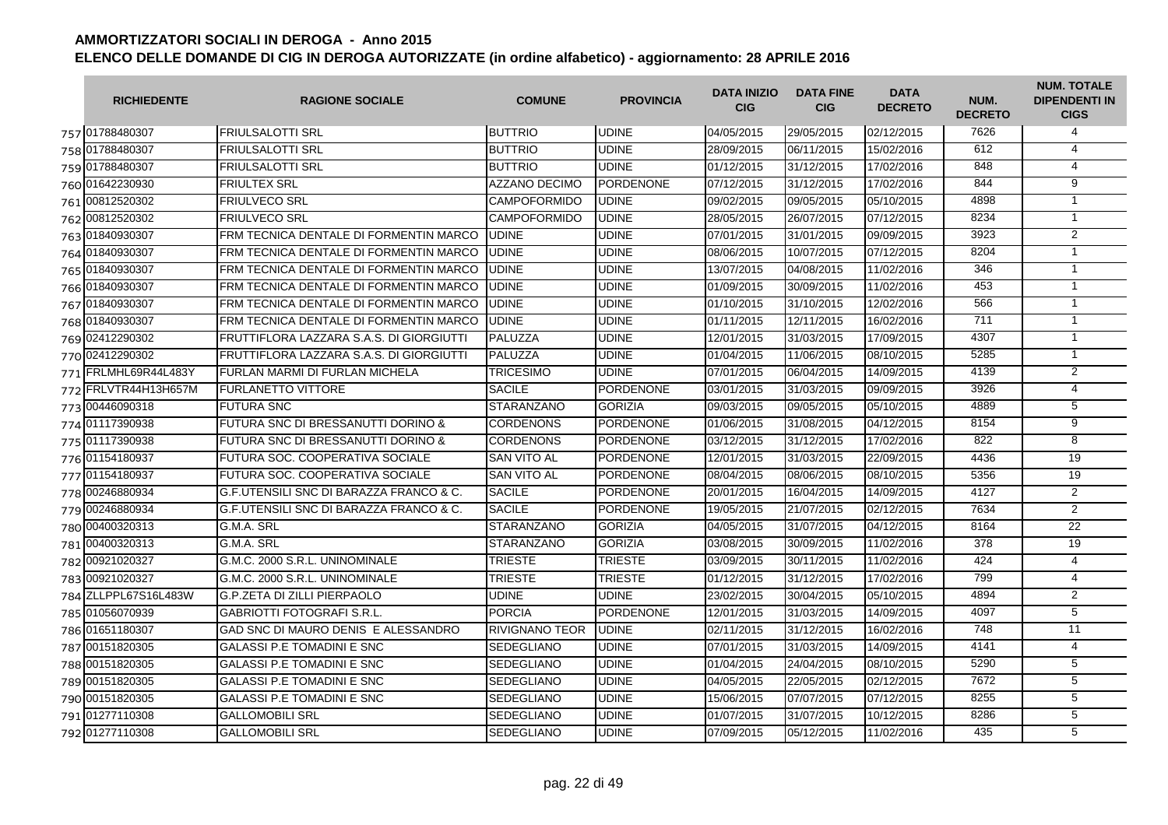| <b>RICHIEDENTE</b>   | <b>RAGIONE SOCIALE</b>                   | <b>COMUNE</b>         | <b>PROVINCIA</b> | <b>DATA INIZIO</b><br><b>CIG</b> | <b>DATA FINE</b><br><b>CIG</b> | <b>DATA</b><br><b>DECRETO</b> | NUM.<br><b>DECRETO</b> | <b>NUM. TOTALE</b><br><b>DIPENDENTI IN</b><br><b>CIGS</b> |
|----------------------|------------------------------------------|-----------------------|------------------|----------------------------------|--------------------------------|-------------------------------|------------------------|-----------------------------------------------------------|
| 757 01788480307      | <b>FRIULSALOTTI SRL</b>                  | <b>BUTTRIO</b>        | <b>UDINE</b>     | 04/05/2015                       | 29/05/2015                     | 02/12/2015                    | 7626                   | 4                                                         |
| 758 01788480307      | <b>FRIULSALOTTI SRL</b>                  | <b>BUTTRIO</b>        | <b>UDINE</b>     | 28/09/2015                       | 06/11/2015                     | 15/02/2016                    | 612                    | $\overline{4}$                                            |
| 759 01788480307      | <b>FRIULSALOTTI SRL</b>                  | <b>BUTTRIO</b>        | <b>UDINE</b>     | 01/12/2015                       | 31/12/2015                     | 17/02/2016                    | 848                    | $\overline{4}$                                            |
| 760 01642230930      | <b>FRIULTEX SRL</b>                      | <b>AZZANO DECIMO</b>  | <b>PORDENONE</b> | 07/12/2015                       | 31/12/2015                     | 17/02/2016                    | 844                    | $\overline{9}$                                            |
| 761 00812520302      | <b>FRIULVECO SRL</b>                     | <b>CAMPOFORMIDO</b>   | <b>UDINE</b>     | 09/02/2015                       | 09/05/2015                     | 05/10/2015                    | 4898                   | $\mathbf{1}$                                              |
| 762 00812520302      | <b>FRIULVECO SRL</b>                     | <b>CAMPOFORMIDO</b>   | <b>UDINE</b>     | 28/05/2015                       | 26/07/2015                     | 07/12/2015                    | 8234                   | $\mathbf{1}$                                              |
| 763 01840930307      | FRM TECNICA DENTALE DI FORMENTIN MARCO   | <b>UDINE</b>          | <b>UDINE</b>     | 07/01/2015                       | 31/01/2015                     | 09/09/2015                    | 3923                   | $\overline{2}$                                            |
| 764 01840930307      | FRM TECNICA DENTALE DI FORMENTIN MARCO   | <b>UDINE</b>          | <b>UDINE</b>     | 08/06/2015                       | 10/07/2015                     | 07/12/2015                    | 8204                   | $\overline{1}$                                            |
| 765 01840930307      | FRM TECNICA DENTALE DI FORMENTIN MARCO   | <b>UDINE</b>          | <b>UDINE</b>     | 13/07/2015                       | 04/08/2015                     | 11/02/2016                    | 346                    | $\mathbf{1}$                                              |
| 766 01840930307      | FRM TECNICA DENTALE DI FORMENTIN MARCO   | <b>UDINE</b>          | <b>UDINE</b>     | 01/09/2015                       | 30/09/2015                     | 11/02/2016                    | 453                    | $\mathbf{1}$                                              |
| 767 01840930307      | FRM TECNICA DENTALE DI FORMENTIN MARCO   | <b>UDINE</b>          | <b>UDINE</b>     | 01/10/2015                       | 31/10/2015                     | 12/02/2016                    | 566                    | $\mathbf{1}$                                              |
| 768 01840930307      | FRM TECNICA DENTALE DI FORMENTIN MARCO   | <b>UDINE</b>          | <b>UDINE</b>     | 01/11/2015                       | 12/11/2015                     | 16/02/2016                    | 711                    | $\mathbf{1}$                                              |
| 769 02412290302      | FRUTTIFLORA LAZZARA S.A.S. DI GIORGIUTTI | PALUZZA               | <b>UDINE</b>     | 12/01/2015                       | 31/03/2015                     | 17/09/2015                    | 4307                   | $\mathbf{1}$                                              |
| 770 02412290302      | FRUTTIFLORA LAZZARA S.A.S. DI GIORGIUTTI | PALUZZA               | <b>UDINE</b>     | 01/04/2015                       | 11/06/2015                     | 08/10/2015                    | 5285                   | $\mathbf{1}$                                              |
| 771 FRLMHL69R44L483Y | <b>FURLAN MARMI DI FURLAN MICHELA</b>    | <b>TRICESIMO</b>      | <b>UDINE</b>     | 07/01/2015                       | 06/04/2015                     | 14/09/2015                    | 4139                   | $\overline{2}$                                            |
| 772 FRLVTR44H13H657M | <b>FURLANETTO VITTORE</b>                | <b>SACILE</b>         | <b>PORDENONE</b> | 03/01/2015                       | 31/03/2015                     | 09/09/2015                    | 3926                   | $\overline{4}$                                            |
| 773 00446090318      | <b>FUTURA SNC</b>                        | <b>STARANZANO</b>     | <b>GORIZIA</b>   | 09/03/2015                       | 09/05/2015                     | 05/10/2015                    | 4889                   | 5                                                         |
| 774 01117390938      | FUTURA SNC DI BRESSANUTTI DORINO &       | <b>CORDENONS</b>      | <b>PORDENONE</b> | 01/06/2015                       | 31/08/2015                     | 04/12/2015                    | 8154                   | $\overline{9}$                                            |
| 775 01117390938      | FUTURA SNC DI BRESSANUTTI DORINO &       | <b>CORDENONS</b>      | <b>PORDENONE</b> | 03/12/2015                       | 31/12/2015                     | 17/02/2016                    | 822                    | 8                                                         |
| 776 01154180937      | FUTURA SOC. COOPERATIVA SOCIALE          | <b>SAN VITO AL</b>    | <b>PORDENONE</b> | 12/01/2015                       | 31/03/2015                     | 22/09/2015                    | 4436                   | 19                                                        |
| 777 01154180937      | FUTURA SOC. COOPERATIVA SOCIALE          | <b>SAN VITO AL</b>    | <b>PORDENONE</b> | 08/04/2015                       | 08/06/2015                     | 08/10/2015                    | 5356                   | 19                                                        |
| 778 00246880934      | G.F.UTENSILI SNC DI BARAZZA FRANCO & C.  | <b>SACILE</b>         | <b>PORDENONE</b> | 20/01/2015                       | 16/04/2015                     | 14/09/2015                    | 4127                   | 2                                                         |
| 779 00246880934      | G.F.UTENSILI SNC DI BARAZZA FRANCO & C.  | <b>SACILE</b>         | <b>PORDENONE</b> | 19/05/2015                       | 21/07/2015                     | 02/12/2015                    | 7634                   | 2                                                         |
| 780 00400320313      | G.M.A. SRL                               | <b>STARANZANO</b>     | <b>GORIZIA</b>   | 04/05/2015                       | 31/07/2015                     | 04/12/2015                    | 8164                   | 22                                                        |
| 781 00400320313      | G.M.A. SRL                               | STARANZANO            | <b>GORIZIA</b>   | 03/08/2015                       | 30/09/2015                     | 11/02/2016                    | 378                    | 19                                                        |
| 782 00921020327      | G.M.C. 2000 S.R.L. UNINOMINALE           | <b>TRIESTE</b>        | <b>TRIESTE</b>   | 03/09/2015                       | 30/11/2015                     | 11/02/2016                    | 424                    | $\overline{4}$                                            |
| 783 00921020327      | G.M.C. 2000 S.R.L. UNINOMINALE           | <b>TRIESTE</b>        | <b>TRIESTE</b>   | 01/12/2015                       | 31/12/2015                     | 17/02/2016                    | 799                    | $\overline{4}$                                            |
| 784 ZLLPPL67S16L483W | <b>G.P.ZETA DI ZILLI PIERPAOLO</b>       | <b>UDINE</b>          | <b>UDINE</b>     | 23/02/2015                       | 30/04/2015                     | 05/10/2015                    | 4894                   | $\overline{2}$                                            |
| 785 01056070939      | <b>GABRIOTTI FOTOGRAFI S.R.L.</b>        | <b>PORCIA</b>         | <b>PORDENONE</b> | 12/01/2015                       | 31/03/2015                     | 14/09/2015                    | 4097                   | $\overline{5}$                                            |
| 786 01651180307      | GAD SNC DI MAURO DENIS E ALESSANDRO      | <b>RIVIGNANO TEOR</b> | <b>UDINE</b>     | 02/11/2015                       | 31/12/2015                     | 16/02/2016                    | 748                    | 11                                                        |
| 787 00151820305      | <b>GALASSI P.E TOMADINI E SNC</b>        | <b>SEDEGLIANO</b>     | <b>UDINE</b>     | 07/01/2015                       | 31/03/2015                     | 14/09/2015                    | 4141                   | $\overline{4}$                                            |
| 788 00151820305      | <b>GALASSI P.E TOMADINI E SNC</b>        | <b>SEDEGLIANO</b>     | <b>UDINE</b>     | 01/04/2015                       | 24/04/2015                     | 08/10/2015                    | 5290                   | 5                                                         |
| 789 00151820305      | <b>GALASSI P.E TOMADINI E SNC</b>        | <b>SEDEGLIANO</b>     | <b>UDINE</b>     | 04/05/2015                       | 22/05/2015                     | 02/12/2015                    | 7672                   | 5                                                         |
| 790 00151820305      | <b>GALASSI P.E TOMADINI E SNC</b>        | <b>SEDEGLIANO</b>     | <b>UDINE</b>     | 15/06/2015                       | 07/07/2015                     | 07/12/2015                    | 8255                   | $\overline{5}$                                            |
| 791 01277110308      | <b>GALLOMOBILI SRL</b>                   | <b>SEDEGLIANO</b>     | <b>UDINE</b>     | 01/07/2015                       | 31/07/2015                     | 10/12/2015                    | 8286                   | $\overline{5}$                                            |
| 792 01277110308      | <b>GALLOMOBILI SRL</b>                   | <b>SEDEGLIANO</b>     | <b>UDINE</b>     | 07/09/2015                       | 05/12/2015                     | 11/02/2016                    | 435                    | $\overline{5}$                                            |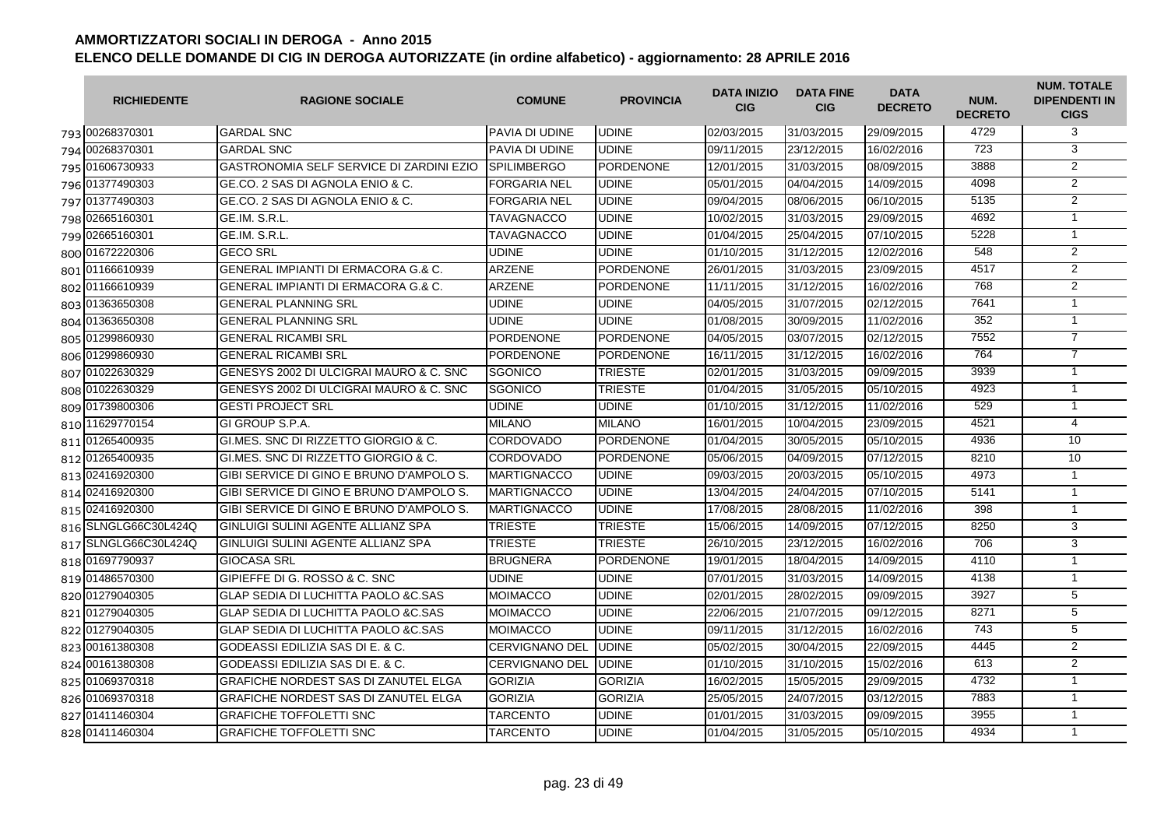| <b>RICHIEDENTE</b>   | <b>RAGIONE SOCIALE</b>                         | <b>COMUNE</b>         | <b>PROVINCIA</b> | <b>DATA INIZIO</b><br><b>CIG</b> | <b>DATA FINE</b><br><b>CIG</b> | <b>DATA</b><br><b>DECRETO</b> | NUM.<br><b>DECRETO</b> | <b>NUM. TOTALE</b><br><b>DIPENDENTI IN</b><br><b>CIGS</b> |
|----------------------|------------------------------------------------|-----------------------|------------------|----------------------------------|--------------------------------|-------------------------------|------------------------|-----------------------------------------------------------|
| 793 00268370301      | <b>GARDAL SNC</b>                              | PAVIA DI UDINE        | <b>UDINE</b>     | 02/03/2015                       | 31/03/2015                     | 29/09/2015                    | 4729                   | 3                                                         |
| 794 00268370301      | <b>GARDAL SNC</b>                              | PAVIA DI UDINE        | <b>UDINE</b>     | 09/11/2015                       | 23/12/2015                     | 16/02/2016                    | 723                    | 3                                                         |
| 795 01606730933      | GASTRONOMIA SELF SERVICE DI ZARDINI EZIO       | <b>SPILIMBERGO</b>    | <b>PORDENONE</b> | 12/01/2015                       | 31/03/2015                     | 08/09/2015                    | 3888                   | 2                                                         |
| 796 01377490303      | GE.CO. 2 SAS DI AGNOLA ENIO & C.               | <b>FORGARIA NEL</b>   | <b>UDINE</b>     | 05/01/2015                       | 04/04/2015                     | 14/09/2015                    | 4098                   | $\overline{2}$                                            |
| 797 01377490303      | GE.CO. 2 SAS DI AGNOLA ENIO & C.               | <b>FORGARIA NEL</b>   | <b>UDINE</b>     | 09/04/2015                       | 08/06/2015                     | 06/10/2015                    | 5135                   | $\overline{2}$                                            |
| 798 02665160301      | GE.IM. S.R.L.                                  | <b>TAVAGNACCO</b>     | <b>UDINE</b>     | 10/02/2015                       | 31/03/2015                     | 29/09/2015                    | 4692                   | $\mathbf{1}$                                              |
| 799 02665160301      | GE.IM. S.R.L.                                  | <b>TAVAGNACCO</b>     | <b>UDINE</b>     | 01/04/2015                       | 25/04/2015                     | 07/10/2015                    | 5228                   | $\overline{1}$                                            |
| 800 01672220306      | <b>GECO SRL</b>                                | <b>UDINE</b>          | <b>UDINE</b>     | 01/10/2015                       | 31/12/2015                     | 12/02/2016                    | 548                    | $\overline{2}$                                            |
| 801 01166610939      | <b>GENERAL IMPIANTI DI ERMACORA G.&amp; C.</b> | <b>ARZENE</b>         | <b>PORDENONE</b> | 26/01/2015                       | 31/03/2015                     | 23/09/2015                    | 4517                   | $\overline{2}$                                            |
| 802 01166610939      | <b>GENERAL IMPIANTI DI ERMACORA G.&amp; C.</b> | <b>ARZENE</b>         | <b>PORDENONE</b> | 11/11/2015                       | 31/12/2015                     | 16/02/2016                    | 768                    | 2                                                         |
| 803 01363650308      | <b>GENERAL PLANNING SRL</b>                    | <b>UDINE</b>          | <b>UDINE</b>     | 04/05/2015                       | 31/07/2015                     | 02/12/2015                    | 7641                   | $\mathbf{1}$                                              |
| 804 01363650308      | <b>GENERAL PLANNING SRL</b>                    | <b>UDINE</b>          | <b>UDINE</b>     | 01/08/2015                       | 30/09/2015                     | 11/02/2016                    | 352                    | $\mathbf{1}$                                              |
| 805 01299860930      | <b>GENERAL RICAMBI SRL</b>                     | PORDENONE             | <b>PORDENONE</b> | 04/05/2015                       | 03/07/2015                     | 02/12/2015                    | 7552                   | $\overline{7}$                                            |
| 806 01299860930      | <b>GENERAL RICAMBI SRL</b>                     | <b>PORDENONE</b>      | <b>PORDENONE</b> | 16/11/2015                       | 31/12/2015                     | 16/02/2016                    | 764                    | $\overline{7}$                                            |
| 807 01022630329      | GENESYS 2002 DI ULCIGRAI MAURO & C. SNC        | SGONICO               | <b>TRIESTE</b>   | 02/01/2015                       | 31/03/2015                     | 09/09/2015                    | 3939                   | $\overline{1}$                                            |
| 808 01022630329      | GENESYS 2002 DI ULCIGRAI MAURO & C. SNC        | <b>SGONICO</b>        | <b>TRIESTE</b>   | 01/04/2015                       | 31/05/2015                     | 05/10/2015                    | 4923                   | $\mathbf{1}$                                              |
| 809 01739800306      | <b>GESTI PROJECT SRL</b>                       | <b>UDINE</b>          | <b>UDINE</b>     | 01/10/2015                       | 31/12/2015                     | 11/02/2016                    | 529                    | $\mathbf{1}$                                              |
| 810 11629770154      | <b>GI GROUP S.P.A.</b>                         | <b>MILANO</b>         | <b>MILANO</b>    | 16/01/2015                       | 10/04/2015                     | 23/09/2015                    | 4521                   | $\overline{4}$                                            |
| 811 01265400935      | GI.MES. SNC DI RIZZETTO GIORGIO & C.           | <b>CORDOVADO</b>      | <b>PORDENONE</b> | 01/04/2015                       | 30/05/2015                     | 05/10/2015                    | 4936                   | 10                                                        |
| 812 01265400935      | GI.MES. SNC DI RIZZETTO GIORGIO & C.           | <b>CORDOVADO</b>      | <b>PORDENONE</b> | 05/06/2015                       | 04/09/2015                     | 07/12/2015                    | 8210                   | 10                                                        |
| 813 02416920300      | GIBI SERVICE DI GINO E BRUNO D'AMPOLO S.       | <b>MARTIGNACCO</b>    | <b>UDINE</b>     | 09/03/2015                       | 20/03/2015                     | 05/10/2015                    | 4973                   | $\mathbf{1}$                                              |
| 814 02416920300      | GIBI SERVICE DI GINO E BRUNO D'AMPOLO S.       | <b>MARTIGNACCO</b>    | <b>UDINE</b>     | 13/04/2015                       | 24/04/2015                     | 07/10/2015                    | 5141                   | $\mathbf{1}$                                              |
| 815 02416920300      | GIBI SERVICE DI GINO E BRUNO D'AMPOLO S.       | <b>MARTIGNACCO</b>    | <b>UDINE</b>     | 17/08/2015                       | 28/08/2015                     | 11/02/2016                    | 398                    | $\overline{1}$                                            |
| 816 SLNGLG66C30L424Q | GINLUIGI SULINI AGENTE ALLIANZ SPA             | <b>TRIESTE</b>        | <b>TRIESTE</b>   | 15/06/2015                       | 14/09/2015                     | 07/12/2015                    | 8250                   | 3                                                         |
| 817 SLNGLG66C30L424Q | GINLUIGI SULINI AGENTE ALLIANZ SPA             | TRIESTE               | <b>TRIESTE</b>   | 26/10/2015                       | 23/12/2015                     | 16/02/2016                    | 706                    | 3                                                         |
| 818 01697790937      | <b>GIOCASA SRL</b>                             | <b>BRUGNERA</b>       | <b>PORDENONE</b> | 19/01/2015                       | 18/04/2015                     | 14/09/2015                    | 4110                   | $\mathbf{1}$                                              |
| 819 01486570300      | GIPIEFFE DI G. ROSSO & C. SNC                  | <b>UDINE</b>          | <b>UDINE</b>     | 07/01/2015                       | 31/03/2015                     | 14/09/2015                    | 4138                   | $\mathbf{1}$                                              |
| 820 01279040305      | <b>GLAP SEDIA DI LUCHITTA PAOLO &amp;C.SAS</b> | <b>MOIMACCO</b>       | <b>UDINE</b>     | 02/01/2015                       | 28/02/2015                     | 09/09/2015                    | 3927                   | $\overline{5}$                                            |
| 821 01279040305      | GLAP SEDIA DI LUCHITTA PAOLO & C.SAS           | <b>MOIMACCO</b>       | <b>UDINE</b>     | 22/06/2015                       | 21/07/2015                     | 09/12/2015                    | 8271                   | $\overline{5}$                                            |
| 822 01279040305      | GLAP SEDIA DI LUCHITTA PAOLO & C.SAS           | <b>MOIMACCO</b>       | <b>UDINE</b>     | 09/11/2015                       | 31/12/2015                     | 16/02/2016                    | 743                    | 5                                                         |
| 823 00161380308      | GODEASSI EDILIZIA SAS DI E. & C.               | <b>CERVIGNANO DEL</b> | <b>UDINE</b>     | 05/02/2015                       | 30/04/2015                     | 22/09/2015                    | 4445                   | $\overline{2}$                                            |
| 824 00161380308      | GODEASSI EDILIZIA SAS DI E. & C.               | CERVIGNANO DEL        | <b>UDINE</b>     | 01/10/2015                       | 31/10/2015                     | 15/02/2016                    | 613                    | $\overline{2}$                                            |
| 825 01069370318      | <b>GRAFICHE NORDEST SAS DI ZANUTEL ELGA</b>    | <b>GORIZIA</b>        | <b>GORIZIA</b>   | 16/02/2015                       | 15/05/2015                     | 29/09/2015                    | 4732                   | $\mathbf{1}$                                              |
| 826 01069370318      | <b>GRAFICHE NORDEST SAS DI ZANUTEL ELGA</b>    | <b>GORIZIA</b>        | <b>GORIZIA</b>   | 25/05/2015                       | 24/07/2015                     | 03/12/2015                    | 7883                   | $\mathbf{1}$                                              |
| 827 01411460304      | <b>GRAFICHE TOFFOLETTI SNC</b>                 | <b>TARCENTO</b>       | <b>UDINE</b>     | 01/01/2015                       | 31/03/2015                     | 09/09/2015                    | 3955                   | $\mathbf{1}$                                              |
| 828 01411460304      | <b>GRAFICHE TOFFOLETTI SNC</b>                 | <b>TARCENTO</b>       | <b>UDINE</b>     | 01/04/2015                       | 31/05/2015                     | 05/10/2015                    | 4934                   | $\mathbf{1}$                                              |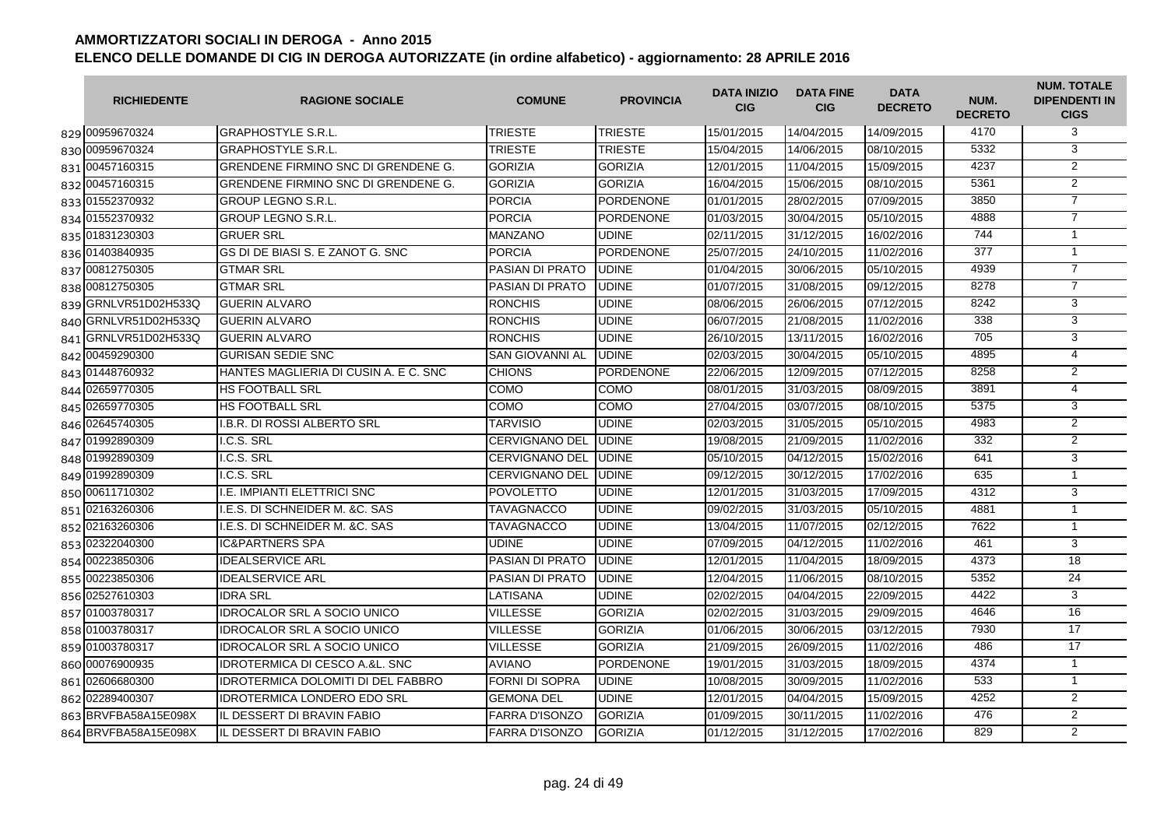| <b>RICHIEDENTE</b>   | <b>RAGIONE SOCIALE</b>                     | <b>COMUNE</b>          | <b>PROVINCIA</b> | <b>DATA INIZIO</b><br><b>CIG</b> | <b>DATA FINE</b><br><b>CIG</b> | <b>DATA</b><br><b>DECRETO</b> | NUM.<br><b>DECRETO</b> | <b>NUM. TOTALE</b><br><b>DIPENDENTI IN</b><br><b>CIGS</b> |
|----------------------|--------------------------------------------|------------------------|------------------|----------------------------------|--------------------------------|-------------------------------|------------------------|-----------------------------------------------------------|
| 829 00959670324      | <b>IGRAPHOSTYLE S.R.L.</b>                 | <b>TRIESTE</b>         | <b>TRIESTE</b>   | 15/01/2015                       | 14/04/2015                     | 14/09/2015                    | 4170                   | 3                                                         |
| 830 00959670324      | <b>GRAPHOSTYLE S.R.L</b>                   | <b>TRIESTE</b>         | <b>TRIESTE</b>   | 15/04/2015                       | 14/06/2015                     | 08/10/2015                    | 5332                   | 3                                                         |
| 831 00457160315      | <b>GRENDENE FIRMINO SNC DI GRENDENE G.</b> | <b>GORIZIA</b>         | <b>GORIZIA</b>   | 12/01/2015                       | 11/04/2015                     | 15/09/2015                    | 4237                   | $\overline{2}$                                            |
| 832 00457160315      | <b>GRENDENE FIRMINO SNC DI GRENDENE G.</b> | <b>GORIZIA</b>         | <b>GORIZIA</b>   | 16/04/2015                       | 15/06/2015                     | 08/10/2015                    | 5361                   | $\overline{2}$                                            |
| 833 01552370932      | <b>GROUP LEGNO S.R.L.</b>                  | <b>PORCIA</b>          | PORDENONE        | 01/01/2015                       | 28/02/2015                     | 07/09/2015                    | 3850                   | $\overline{7}$                                            |
| 834 01552370932      | <b>GROUP LEGNO S.R.L.</b>                  | <b>PORCIA</b>          | <b>PORDENONE</b> | 01/03/2015                       | 30/04/2015                     | 05/10/2015                    | 4888                   | $\overline{7}$                                            |
| 835 01831230303      | <b>GRUER SRL</b>                           | <b>MANZANO</b>         | <b>UDINE</b>     | 02/11/2015                       | 31/12/2015                     | 16/02/2016                    | 744                    | $\mathbf{1}$                                              |
| 836 01403840935      | GS DI DE BIASI S. E ZANOT G. SNC           | <b>PORCIA</b>          | <b>PORDENONE</b> | 25/07/2015                       | 24/10/2015                     | 11/02/2016                    | $\overline{377}$       | $\mathbf{1}$                                              |
| 837 00812750305      | <b>GTMAR SRL</b>                           | <b>PASIAN DI PRATO</b> | <b>UDINE</b>     | 01/04/2015                       | 30/06/2015                     | 05/10/2015                    | 4939                   | $\overline{7}$                                            |
| 838 00812750305      | <b>GTMAR SRL</b>                           | <b>PASIAN DI PRATO</b> | <b>UDINE</b>     | 01/07/2015                       | 31/08/2015                     | 09/12/2015                    | 8278                   | $\overline{7}$                                            |
| 839 GRNLVR51D02H533Q | <b>GUERIN ALVARO</b>                       | <b>RONCHIS</b>         | <b>UDINE</b>     | 08/06/2015                       | 26/06/2015                     | 07/12/2015                    | 8242                   | 3                                                         |
| 840 GRNLVR51D02H533Q | <b>GUERIN ALVARO</b>                       | <b>RONCHIS</b>         | <b>UDINE</b>     | 06/07/2015                       | 21/08/2015                     | 11/02/2016                    | 338                    | 3                                                         |
| 841 GRNLVR51D02H533Q | <b>GUERIN ALVARO</b>                       | <b>RONCHIS</b>         | <b>UDINE</b>     | 26/10/2015                       | 13/11/2015                     | 16/02/2016                    | 705                    | 3                                                         |
| 842 00459290300      | <b>GURISAN SEDIE SNC</b>                   | SAN GIOVANNI AL        | <b>UDINE</b>     | 02/03/2015                       | 30/04/2015                     | 05/10/2015                    | 4895                   | $\overline{4}$                                            |
| 843 01448760932      | HANTES MAGLIERIA DI CUSIN A. E C. SNC      | <b>CHIONS</b>          | <b>PORDENONE</b> | 22/06/2015                       | 12/09/2015                     | 07/12/2015                    | 8258                   | $\overline{2}$                                            |
| 844 02659770305      | <b>HS FOOTBALL SRL</b>                     | COMO                   | COMO             | 08/01/2015                       | 31/03/2015                     | 08/09/2015                    | 3891                   | 4                                                         |
| 845 02659770305      | <b>HS FOOTBALL SRL</b>                     | COMO                   | COMO             | 27/04/2015                       | 03/07/2015                     | 08/10/2015                    | 5375                   | 3                                                         |
| 846 02645740305      | <b>I.B.R. DI ROSSI ALBERTO SRL</b>         | <b>TARVISIO</b>        | <b>UDINE</b>     | 02/03/2015                       | 31/05/2015                     | 05/10/2015                    | 4983                   | $\overline{2}$                                            |
| 847 01992890309      | I.C.S. SRL                                 | <b>CERVIGNANO DEL</b>  | <b>UDINE</b>     | 19/08/2015                       | 21/09/2015                     | 11/02/2016                    | 332                    | 2                                                         |
| 848 01992890309      | I.C.S. SRL                                 | <b>CERVIGNANO DEL</b>  | <b>UDINE</b>     | 05/10/2015                       | 04/12/2015                     | 15/02/2016                    | 641                    | 3                                                         |
| 849 01992890309      | I.C.S. SRL                                 | <b>CERVIGNANO DEL</b>  | <b>UDINE</b>     | 09/12/2015                       | 30/12/2015                     | 17/02/2016                    | 635                    | $\mathbf{1}$                                              |
| 850 00611710302      | I.E. IMPIANTI ELETTRICI SNC                | <b>POVOLETTO</b>       | <b>UDINE</b>     | 12/01/2015                       | 31/03/2015                     | 17/09/2015                    | 4312                   | 3                                                         |
| 851 02163260306      | I.E.S. DI SCHNEIDER M. &C. SAS             | <b>TAVAGNACCO</b>      | <b>UDINE</b>     | 09/02/2015                       | 31/03/2015                     | 05/10/2015                    | 4881                   | $\mathbf{1}$                                              |
| 852 02163260306      | I.E.S. DI SCHNEIDER M. &C. SAS             | <b>TAVAGNACCO</b>      | <b>UDINE</b>     | 13/04/2015                       | 11/07/2015                     | 02/12/2015                    | 7622                   | $\mathbf{1}$                                              |
| 853 02322040300      | <b>IC&amp;PARTNERS SPA</b>                 | <b>UDINE</b>           | <b>UDINE</b>     | 07/09/2015                       | 04/12/2015                     | 11/02/2016                    | 461                    | 3                                                         |
| 854 00223850306      | <b>IDEALSERVICE ARL</b>                    | PASIAN DI PRATO        | <b>UDINE</b>     | 12/01/2015                       | 11/04/2015                     | 18/09/2015                    | 4373                   | 18                                                        |
| 855 00223850306      | <b>IDEALSERVICE ARL</b>                    | PASIAN DI PRATO        | <b>UDINE</b>     | 12/04/2015                       | 11/06/2015                     | 08/10/2015                    | 5352                   | 24                                                        |
| 856 02527610303      | <b>IDRA SRL</b>                            | LATISANA               | <b>UDINE</b>     | 02/02/2015                       | 04/04/2015                     | 22/09/2015                    | 4422                   | 3                                                         |
| 857 01003780317      | <b>IDROCALOR SRL A SOCIO UNICO</b>         | <b>VILLESSE</b>        | <b>GORIZIA</b>   | 02/02/2015                       | 31/03/2015                     | 29/09/2015                    | 4646                   | 16                                                        |
| 858 01003780317      | <b>IDROCALOR SRL A SOCIO UNICO</b>         | <b>VILLESSE</b>        | <b>GORIZIA</b>   | 01/06/2015                       | 30/06/2015                     | 03/12/2015                    | 7930                   | 17                                                        |
| 859 01003780317      | <b>IDROCALOR SRL A SOCIO UNICO</b>         | <b>VILLESSE</b>        | <b>GORIZIA</b>   | 21/09/2015                       | 26/09/2015                     | 11/02/2016                    | 486                    | $\overline{17}$                                           |
| 860 00076900935      | <b>IDROTERMICA DI CESCO A.&amp;L. SNC</b>  | <b>AVIANO</b>          | <b>PORDENONE</b> | 19/01/2015                       | 31/03/2015                     | 18/09/2015                    | 4374                   | $\mathbf{1}$                                              |
| 861 02606680300      | <b>IDROTERMICA DOLOMITI DI DEL FABBRO</b>  | FORNI DI SOPRA         | <b>UDINE</b>     | 10/08/2015                       | 30/09/2015                     | 11/02/2016                    | 533                    | $\mathbf{1}$                                              |
| 862 02289400307      | <b>IDROTERMICA LONDERO EDO SRL</b>         | <b>GEMONA DEL</b>      | <b>UDINE</b>     | 12/01/2015                       | 04/04/2015                     | 15/09/2015                    | 4252                   | $\overline{2}$                                            |
| 863 BRVFBA58A15E098X | <b>IL DESSERT DI BRAVIN FABIO</b>          | <b>FARRA D'ISONZO</b>  | <b>GORIZIA</b>   | 01/09/2015                       | 30/11/2015                     | 11/02/2016                    | 476                    | $\overline{2}$                                            |
| 864 BRVFBA58A15E098X | IL DESSERT DI BRAVIN FABIO                 | <b>FARRA D'ISONZO</b>  | <b>GORIZIA</b>   | 01/12/2015                       | 31/12/2015                     | 17/02/2016                    | 829                    | $\overline{2}$                                            |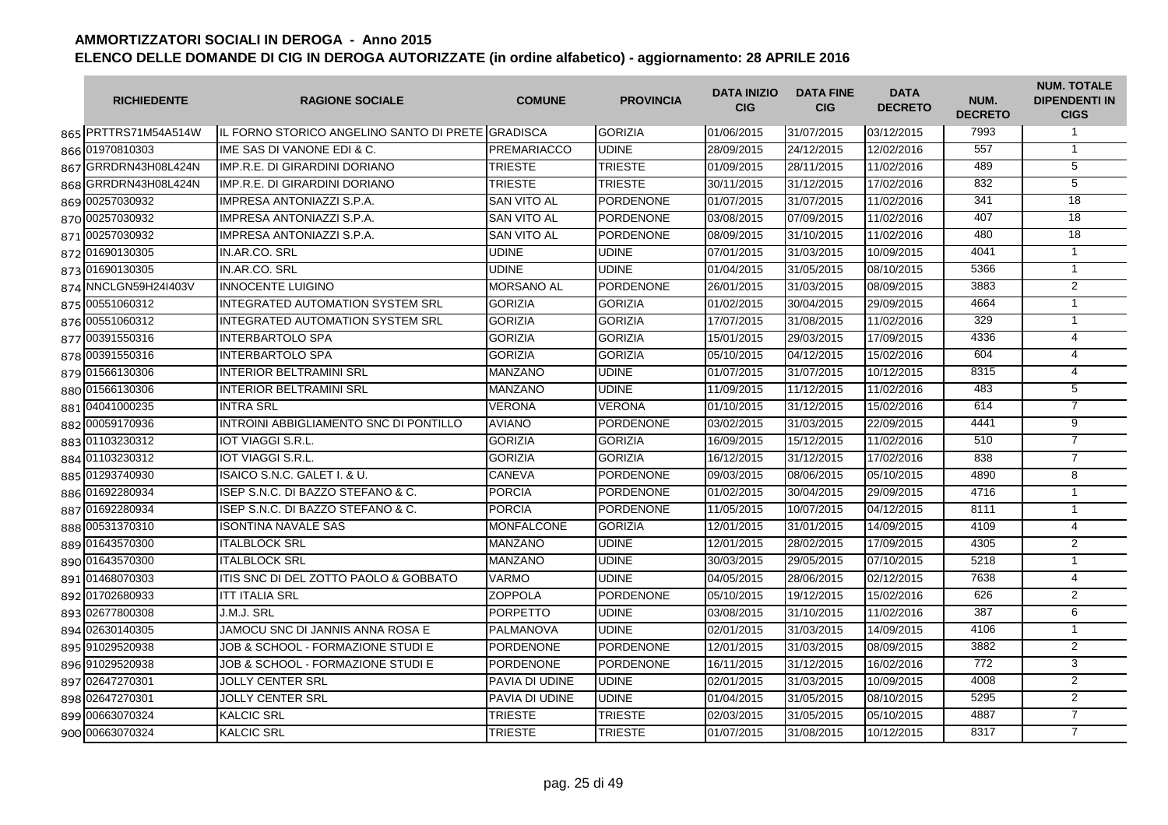| <b>RICHIEDENTE</b>   | <b>RAGIONE SOCIALE</b>                            | <b>COMUNE</b>         | <b>PROVINCIA</b> | <b>DATA INIZIO</b><br><b>CIG</b> | <b>DATA FINE</b><br><b>CIG</b> | <b>DATA</b><br><b>DECRETO</b> | NUM.<br><b>DECRETO</b> | <b>NUM. TOTALE</b><br><b>DIPENDENTI IN</b><br><b>CIGS</b> |
|----------------------|---------------------------------------------------|-----------------------|------------------|----------------------------------|--------------------------------|-------------------------------|------------------------|-----------------------------------------------------------|
| 865 PRTTRS71M54A514W | IL FORNO STORICO ANGELINO SANTO DI PRETE GRADISCA |                       | <b>GORIZIA</b>   | 01/06/2015                       | 31/07/2015                     | 03/12/2015                    | 7993                   | $\mathbf{1}$                                              |
| 866 01970810303      | IME SAS DI VANONE EDI & C.                        | <b>PREMARIACCO</b>    | <b>UDINE</b>     | 28/09/2015                       | 24/12/2015                     | 12/02/2016                    | 557                    | $\mathbf{1}$                                              |
| 867 GRRDRN43H08L424N | IMP.R.E. DI GIRARDINI DORIANO                     | <b>TRIESTE</b>        | <b>TRIESTE</b>   | 01/09/2015                       | 28/11/2015                     | 11/02/2016                    | 489                    | 5                                                         |
| 868 GRRDRN43H08L424N | IMP.R.E. DI GIRARDINI DORIANO                     | <b>TRIESTE</b>        | <b>TRIESTE</b>   | 30/11/2015                       | 31/12/2015                     | 17/02/2016                    | 832                    | $\overline{5}$                                            |
| 869 00257030932      | <b>IMPRESA ANTONIAZZI S.P.A.</b>                  | <b>SAN VITO AL</b>    | <b>PORDENONE</b> | 01/07/2015                       | 31/07/2015                     | 11/02/2016                    | 341                    | 18                                                        |
| 870 00257030932      | <b>IMPRESA ANTONIAZZI S.P.A.</b>                  | <b>SAN VITO AL</b>    | <b>PORDENONE</b> | 03/08/2015                       | 07/09/2015                     | 11/02/2016                    | 407                    | $\overline{18}$                                           |
| 871 00257030932      | <b>IMPRESA ANTONIAZZI S.P.A.</b>                  | <b>SAN VITO AL</b>    | <b>PORDENONE</b> | 08/09/2015                       | 31/10/2015                     | 11/02/2016                    | 480                    | 18                                                        |
| 872 01690130305      | IN.AR.CO. SRL                                     | <b>UDINE</b>          | <b>UDINE</b>     | 07/01/2015                       | 31/03/2015                     | 10/09/2015                    | 4041                   | $\mathbf{1}$                                              |
| 873 01690130305      | IN.AR.CO. SRL                                     | <b>UDINE</b>          | <b>UDINE</b>     | 01/04/2015                       | 31/05/2015                     | 08/10/2015                    | 5366                   | $\mathbf{1}$                                              |
| 874 NNCLGN59H24I403V | <b>INNOCENTE LUIGINO</b>                          | <b>MORSANO AL</b>     | <b>PORDENONE</b> | 26/01/2015                       | 31/03/2015                     | 08/09/2015                    | 3883                   | 2                                                         |
| 875 00551060312      | <b>INTEGRATED AUTOMATION SYSTEM SRL</b>           | <b>GORIZIA</b>        | <b>GORIZIA</b>   | 01/02/2015                       | 30/04/2015                     | 29/09/2015                    | 4664                   | $\mathbf{1}$                                              |
| 876 00551060312      | INTEGRATED AUTOMATION SYSTEM SRL                  | <b>GORIZIA</b>        | <b>GORIZIA</b>   | 17/07/2015                       | 31/08/2015                     | 11/02/2016                    | 329                    | $\mathbf{1}$                                              |
| 877 00391550316      | <b>INTERBARTOLO SPA</b>                           | <b>GORIZIA</b>        | <b>GORIZIA</b>   | 15/01/2015                       | 29/03/2015                     | 17/09/2015                    | 4336                   | $\overline{4}$                                            |
| 878 00391550316      | <b>INTERBARTOLO SPA</b>                           | <b>GORIZIA</b>        | <b>GORIZIA</b>   | 05/10/2015                       | 04/12/2015                     | 15/02/2016                    | 604                    | $\overline{4}$                                            |
| 879 01566130306      | <b>INTERIOR BELTRAMINI SRL</b>                    | <b>MANZANO</b>        | <b>UDINE</b>     | 01/07/2015                       | 31/07/2015                     | 10/12/2015                    | 8315                   | $\overline{4}$                                            |
| 880 01566130306      | <b>INTERIOR BELTRAMINI SRL</b>                    | <b>MANZANO</b>        | <b>UDINE</b>     | 11/09/2015                       | 11/12/2015                     | 11/02/2016                    | 483                    | 5                                                         |
| 881 04041000235      | <b>INTRA SRL</b>                                  | <b>VERONA</b>         | <b>VERONA</b>    | 01/10/2015                       | 31/12/2015                     | 15/02/2016                    | 614                    | $\overline{7}$                                            |
| 882 00059170936      | INTROINI ABBIGLIAMENTO SNC DI PONTILLO            | <b>AVIANO</b>         | <b>PORDENONE</b> | 03/02/2015                       | 31/03/2015                     | 22/09/2015                    | 4441                   | $\overline{9}$                                            |
| 883 01103230312      | <b>IOT VIAGGI S.R.L</b>                           | <b>GORIZIA</b>        | <b>GORIZIA</b>   | 16/09/2015                       | 15/12/2015                     | 11/02/2016                    | 510                    | $\overline{7}$                                            |
| 884 01103230312      | <b>IOT VIAGGI S.R.L</b>                           | <b>GORIZIA</b>        | <b>GORIZIA</b>   | 16/12/2015                       | 31/12/2015                     | 17/02/2016                    | 838                    | $\overline{7}$                                            |
| 885 01293740930      | ISAICO S.N.C. GALET I. & U.                       | <b>CANEVA</b>         | <b>PORDENONE</b> | 09/03/2015                       | 08/06/2015                     | 05/10/2015                    | 4890                   | 8                                                         |
| 886 01692280934      | ISEP S.N.C. DI BAZZO STEFANO & C.                 | <b>PORCIA</b>         | <b>PORDENONE</b> | 01/02/2015                       | 30/04/2015                     | 29/09/2015                    | 4716                   | $\mathbf{1}$                                              |
| 887 01692280934      | ISEP S.N.C. DI BAZZO STEFANO & C.                 | <b>PORCIA</b>         | <b>PORDENONE</b> | 11/05/2015                       | 10/07/2015                     | 04/12/2015                    | 8111                   | $\mathbf{1}$                                              |
| 888 00531370310      | <b>ISONTINA NAVALE SAS</b>                        | <b>MONFALCONE</b>     | <b>GORIZIA</b>   | 12/01/2015                       | 31/01/2015                     | 14/09/2015                    | 4109                   | $\overline{4}$                                            |
| 889 01643570300      | <b>ITALBLOCK SRL</b>                              | <b>MANZANO</b>        | <b>UDINE</b>     | 12/01/2015                       | 28/02/2015                     | 17/09/2015                    | 4305                   | 2                                                         |
| 890 01643570300      | <b>ITALBLOCK SRL</b>                              | <b>MANZANO</b>        | <b>UDINE</b>     | 30/03/2015                       | 29/05/2015                     | 07/10/2015                    | 5218                   | $\mathbf{1}$                                              |
| 891 01468070303      | ITIS SNC DI DEL ZOTTO PAOLO & GOBBATO             | <b>VARMO</b>          | <b>UDINE</b>     | 04/05/2015                       | 28/06/2015                     | 02/12/2015                    | 7638                   | $\overline{4}$                                            |
| 892 01702680933      | <b>ITT ITALIA SRL</b>                             | <b>ZOPPOLA</b>        | <b>PORDENONE</b> | 05/10/2015                       | 19/12/2015                     | 15/02/2016                    | 626                    | $\overline{2}$                                            |
| 893 02677800308      | J.M.J. SRL                                        | <b>PORPETTO</b>       | <b>UDINE</b>     | 03/08/2015                       | 31/10/2015                     | 11/02/2016                    | 387                    | 6                                                         |
| 894 02630140305      | JAMOCU SNC DI JANNIS ANNA ROSA E                  | <b>PALMANOVA</b>      | <b>UDINE</b>     | 02/01/2015                       | 31/03/2015                     | 14/09/2015                    | 4106                   | $\mathbf{1}$                                              |
| 895 91029520938      | JOB & SCHOOL - FORMAZIONE STUDI E                 | <b>PORDENONE</b>      | <b>PORDENONE</b> | 12/01/2015                       | 31/03/2015                     | 08/09/2015                    | 3882                   | $\overline{2}$                                            |
| 896 91029520938      | JOB & SCHOOL - FORMAZIONE STUDI E                 | <b>PORDENONE</b>      | <b>PORDENONE</b> | 16/11/2015                       | 31/12/2015                     | 16/02/2016                    | 772                    | 3                                                         |
| 897 02647270301      | <b>JOLLY CENTER SRL</b>                           | PAVIA DI UDINE        | <b>UDINE</b>     | 02/01/2015                       | 31/03/2015                     | 10/09/2015                    | 4008                   | 2                                                         |
| 898 02647270301      | <b>JOLLY CENTER SRL</b>                           | <b>PAVIA DI UDINE</b> | <b>UDINE</b>     | 01/04/2015                       | 31/05/2015                     | 08/10/2015                    | 5295                   | $\overline{2}$                                            |
| 899 00663070324      | <b>KALCIC SRL</b>                                 | <b>TRIESTE</b>        | <b>TRIESTE</b>   | 02/03/2015                       | 31/05/2015                     | 05/10/2015                    | 4887                   | $\overline{7}$                                            |
| 900 00663070324      | <b>KALCIC SRL</b>                                 | <b>TRIESTE</b>        | <b>TRIESTE</b>   | 01/07/2015                       | 31/08/2015                     | 10/12/2015                    | 8317                   | $\overline{7}$                                            |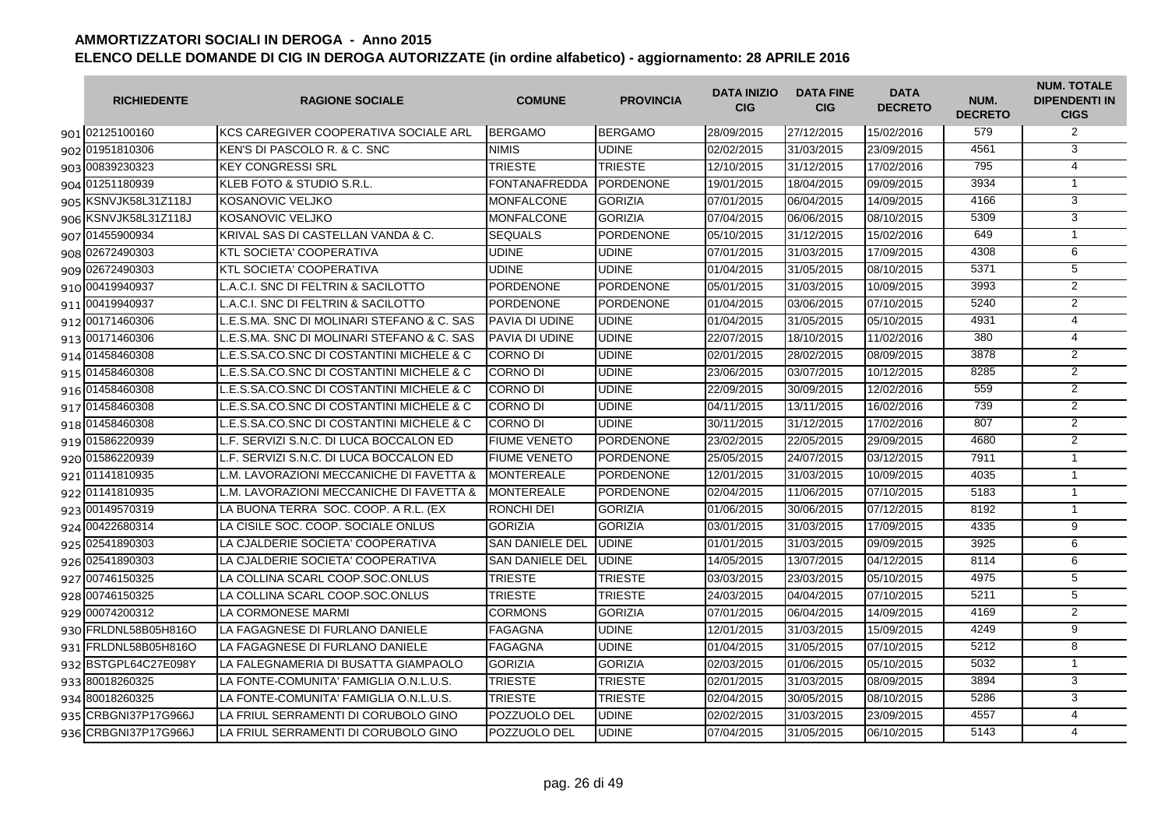| <b>RICHIEDENTE</b>   | <b>RAGIONE SOCIALE</b>                     | <b>COMUNE</b>          | <b>PROVINCIA</b> | <b>DATA INIZIO</b><br><b>CIG</b> | <b>DATA FINE</b><br><b>CIG</b> | <b>DATA</b><br><b>DECRETO</b> | NUM.<br><b>DECRETO</b> | <b>NUM. TOTALE</b><br><b>DIPENDENTI IN</b><br><b>CIGS</b> |
|----------------------|--------------------------------------------|------------------------|------------------|----------------------------------|--------------------------------|-------------------------------|------------------------|-----------------------------------------------------------|
| 901 02125100160      | KCS CAREGIVER COOPERATIVA SOCIALE ARL      | <b>BERGAMO</b>         | <b>BERGAMO</b>   | 28/09/2015                       | 27/12/2015                     | 15/02/2016                    | 579                    | 2                                                         |
| 902 01951810306      | KEN'S DI PASCOLO R. & C. SNC               | <b>NIMIS</b>           | <b>UDINE</b>     | 02/02/2015                       | 31/03/2015                     | 23/09/2015                    | 4561                   | $\overline{3}$                                            |
| 903 00839230323      | <b>KEY CONGRESSI SRL</b>                   | <b>TRIESTE</b>         | <b>TRIESTE</b>   | 12/10/2015                       | 31/12/2015                     | 17/02/2016                    | 795                    | $\overline{4}$                                            |
| 904 01251180939      | KLEB FOTO & STUDIO S.R.L                   | <b>FONTANAFREDDA</b>   | <b>PORDENONE</b> | 19/01/2015                       | 18/04/2015                     | 09/09/2015                    | 3934                   | $\mathbf{1}$                                              |
| 905 KSNVJK58L31Z118J | KOSANOVIC VELJKO                           | <b>MONFALCONE</b>      | <b>GORIZIA</b>   | 07/01/2015                       | 06/04/2015                     | 14/09/2015                    | 4166                   | 3                                                         |
| 906 KSNVJK58L31Z118J | KOSANOVIC VELJKO                           | <b>MONFALCONE</b>      | <b>GORIZIA</b>   | 07/04/2015                       | 06/06/2015                     | 08/10/2015                    | 5309                   | $\overline{3}$                                            |
| 907 01455900934      | KRIVAL SAS DI CASTELLAN VANDA & C.         | <b>SEQUALS</b>         | <b>PORDENONE</b> | 05/10/2015                       | 31/12/2015                     | 15/02/2016                    | 649                    | $\mathbf{1}$                                              |
| 908 02672490303      | KTL SOCIETA' COOPERATIVA                   | <b>UDINE</b>           | <b>UDINE</b>     | 07/01/2015                       | 31/03/2015                     | 17/09/2015                    | 4308                   | 6                                                         |
| 909 02672490303      | KTL SOCIETA' COOPERATIVA                   | <b>UDINE</b>           | <b>UDINE</b>     | 01/04/2015                       | 31/05/2015                     | 08/10/2015                    | 5371                   | $\overline{5}$                                            |
| 910 00419940937      | L.A.C.I. SNC DI FELTRIN & SACILOTTO        | <b>PORDENONE</b>       | <b>PORDENONE</b> | 05/01/2015                       | 31/03/2015                     | 10/09/2015                    | 3993                   | $\overline{2}$                                            |
| 911 00419940937      | L.A.C.I. SNC DI FELTRIN & SACILOTTO        | <b>PORDENONE</b>       | <b>PORDENONE</b> | 01/04/2015                       | 03/06/2015                     | 07/10/2015                    | 5240                   | $\overline{2}$                                            |
| 912 00171460306      | L.E.S.MA. SNC DI MOLINARI STEFANO & C. SAS | <b>PAVIA DI UDINE</b>  | <b>UDINE</b>     | 01/04/2015                       | 31/05/2015                     | 05/10/2015                    | 4931                   | $\overline{4}$                                            |
| 913 00171460306      | E.S.MA. SNC DI MOLINARI STEFANO & C. SAS   | PAVIA DI UDINE         | <b>UDINE</b>     | 22/07/2015                       | 18/10/2015                     | 11/02/2016                    | 380                    | $\overline{4}$                                            |
| 914 01458460308      | L.E.S.SA.CO.SNC DI COSTANTINI MICHELE & C  | <b>CORNO DI</b>        | <b>UDINE</b>     | 02/01/2015                       | 28/02/2015                     | 08/09/2015                    | 3878                   | $\overline{2}$                                            |
| 915 01458460308      | L.E.S.SA.CO.SNC DI COSTANTINI MICHELE & C  | <b>CORNO DI</b>        | <b>UDINE</b>     | 23/06/2015                       | 03/07/2015                     | 10/12/2015                    | 8285                   | $\overline{2}$                                            |
| 916 01458460308      | LE.S.SA.CO.SNC DI COSTANTINI MICHELE & C   | <b>CORNO DI</b>        | <b>UDINE</b>     | 22/09/2015                       | 30/09/2015                     | 12/02/2016                    | 559                    | $\overline{2}$                                            |
| 917 01458460308      | L.E.S.SA.CO.SNC DI COSTANTINI MICHELE & C  | <b>CORNO DI</b>        | <b>UDINE</b>     | 04/11/2015                       | 13/11/2015                     | 16/02/2016                    | 739                    | $\overline{2}$                                            |
| 918 01458460308      | L.E.S.SA.CO.SNC DI COSTANTINI MICHELE & C  | <b>CORNO DI</b>        | <b>UDINE</b>     | 30/11/2015                       | 31/12/2015                     | 17/02/2016                    | 807                    | $\overline{2}$                                            |
| 919 01586220939      | L.F. SERVIZI S.N.C. DI LUCA BOCCALON ED    | <b>FIUME VENETO</b>    | <b>PORDENONE</b> | 23/02/2015                       | 22/05/2015                     | 29/09/2015                    | 4680                   | $\overline{2}$                                            |
| 920 01586220939      | L.F. SERVIZI S.N.C. DI LUCA BOCCALON ED    | <b>FIUME VENETO</b>    | <b>PORDENONE</b> | 25/05/2015                       | 24/07/2015                     | 03/12/2015                    | 7911                   | $\mathbf{1}$                                              |
| 921 01141810935      | M. LAVORAZIONI MECCANICHE DI FAVETTA &     | <b>MONTEREALE</b>      | <b>PORDENONE</b> | 12/01/2015                       | 31/03/2015                     | 10/09/2015                    | 4035                   | $\mathbf{1}$                                              |
| 922 01141810935      | L.M. LAVORAZIONI MECCANICHE DI FAVETTA &   | <b>MONTEREALE</b>      | <b>PORDENONE</b> | 02/04/2015                       | 11/06/2015                     | 07/10/2015                    | 5183                   | $\mathbf{1}$                                              |
| 923 00149570319      | LA BUONA TERRA SOC. COOP. A R.L. (EX       | <b>RONCHI DEI</b>      | <b>GORIZIA</b>   | 01/06/2015                       | 30/06/2015                     | 07/12/2015                    | 8192                   | $\overline{1}$                                            |
| 924 00422680314      | LA CISILE SOC. COOP. SOCIALE ONLUS         | <b>GORIZIA</b>         | <b>GORIZIA</b>   | 03/01/2015                       | 31/03/2015                     | 17/09/2015                    | 4335                   | $\overline{9}$                                            |
| 925 02541890303      | LA CJALDERIE SOCIETA' COOPERATIVA          | <b>SAN DANIELE DEL</b> | <b>UDINE</b>     | 01/01/2015                       | 31/03/2015                     | 09/09/2015                    | 3925                   | 6                                                         |
| 926 02541890303      | LA CJALDERIE SOCIETA' COOPERATIVA          | <b>SAN DANIELE DEL</b> | <b>UDINE</b>     | 14/05/2015                       | 13/07/2015                     | 04/12/2015                    | 8114                   | 6                                                         |
| 927 00746150325      | LA COLLINA SCARL COOP.SOC.ONLUS            | <b>TRIESTE</b>         | <b>TRIESTE</b>   | 03/03/2015                       | 23/03/2015                     | 05/10/2015                    | 4975                   | 5                                                         |
| 928 00746150325      | LA COLLINA SCARL COOP.SOC.ONLUS            | <b>TRIESTE</b>         | <b>TRIESTE</b>   | 24/03/2015                       | 04/04/2015                     | 07/10/2015                    | 5211                   | 5                                                         |
| 929 00074200312      | LA CORMONESE MARMI                         | <b>CORMONS</b>         | <b>GORIZIA</b>   | 07/01/2015                       | 06/04/2015                     | 14/09/2015                    | 4169                   | $\overline{2}$                                            |
| 930 FRLDNL58B05H816O | LA FAGAGNESE DI FURLANO DANIELE            | <b>FAGAGNA</b>         | <b>UDINE</b>     | 12/01/2015                       | 31/03/2015                     | 15/09/2015                    | 4249                   | 9                                                         |
| 931 FRLDNL58B05H816O | LA FAGAGNESE DI FURLANO DANIELE            | <b>FAGAGNA</b>         | <b>UDINE</b>     | 01/04/2015                       | 31/05/2015                     | 07/10/2015                    | 5212                   | 8                                                         |
| 932 BSTGPL64C27E098Y | LA FALEGNAMERIA DI BUSATTA GIAMPAOLO       | <b>GORIZIA</b>         | <b>GORIZIA</b>   | 02/03/2015                       | 01/06/2015                     | 05/10/2015                    | 5032                   | $\mathbf{1}$                                              |
| 933 80018260325      | LA FONTE-COMUNITA' FAMIGLIA O.N.L.U.S.     | <b>TRIESTE</b>         | <b>TRIESTE</b>   | 02/01/2015                       | 31/03/2015                     | 08/09/2015                    | 3894                   | 3                                                         |
| 934 80018260325      | LA FONTE-COMUNITA' FAMIGLIA O.N.L.U.S.     | <b>TRIESTE</b>         | <b>TRIESTE</b>   | 02/04/2015                       | 30/05/2015                     | 08/10/2015                    | 5286                   | $\overline{3}$                                            |
| 935 CRBGNI37P17G966J | LA FRIUL SERRAMENTI DI CORUBOLO GINO       | POZZUOLO DEL           | <b>UDINE</b>     | 02/02/2015                       | 31/03/2015                     | 23/09/2015                    | 4557                   | $\overline{4}$                                            |
| 936 CRBGNI37P17G966J | LA FRIUL SERRAMENTI DI CORUBOLO GINO       | POZZUOLO DEL           | <b>UDINE</b>     | 07/04/2015                       | 31/05/2015                     | 06/10/2015                    | 5143                   | $\overline{4}$                                            |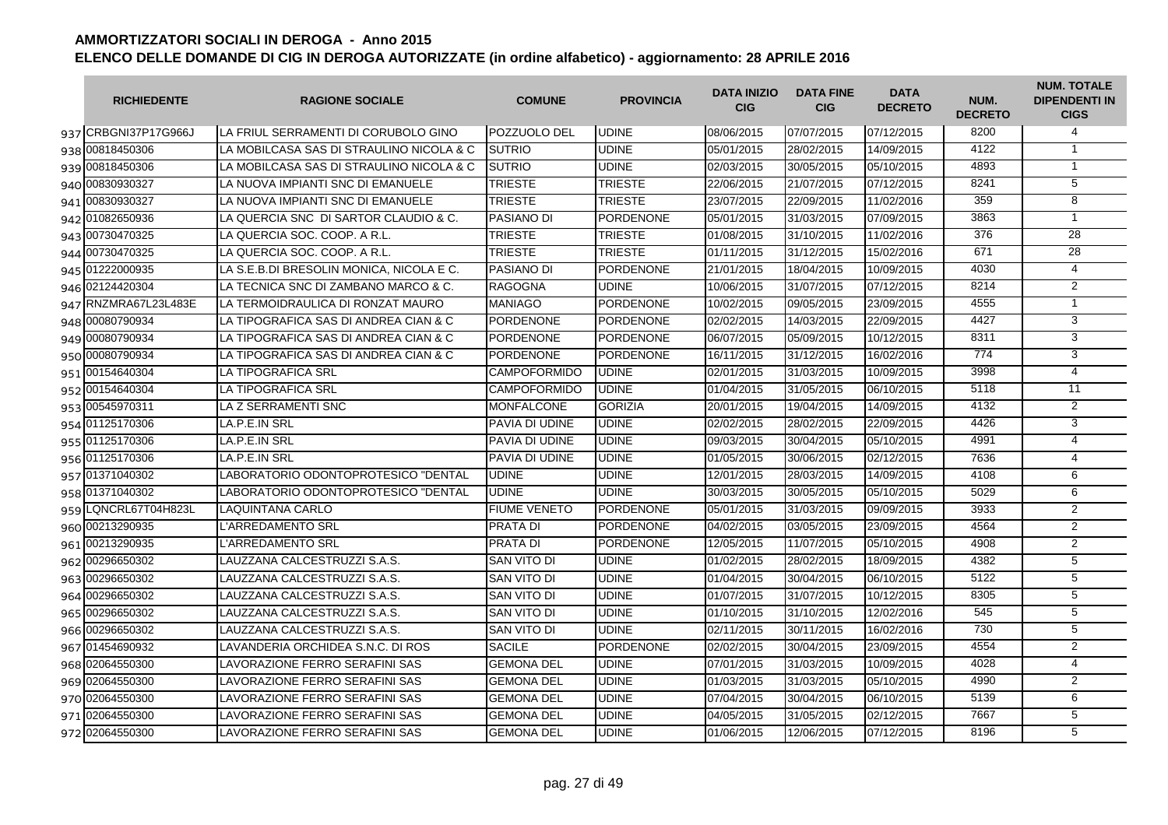| <b>RICHIEDENTE</b>   | <b>RAGIONE SOCIALE</b>                   | <b>COMUNE</b>         | <b>PROVINCIA</b> | <b>DATA INIZIO</b><br><b>CIG</b> | <b>DATA FINE</b><br><b>CIG</b> | <b>DATA</b><br><b>DECRETO</b> | NUM.<br><b>DECRETO</b> | <b>NUM. TOTALE</b><br><b>DIPENDENTI IN</b><br><b>CIGS</b> |
|----------------------|------------------------------------------|-----------------------|------------------|----------------------------------|--------------------------------|-------------------------------|------------------------|-----------------------------------------------------------|
| 937 CRBGNI37P17G966J | LA FRIUL SERRAMENTI DI CORUBOLO GINO     | <b>POZZUOLO DEL</b>   | <b>UDINE</b>     | 08/06/2015                       | 07/07/2015                     | 07/12/2015                    | 8200                   | 4                                                         |
| 938 00818450306      | LA MOBILCASA SAS DI STRAULINO NICOLA & C | <b>SUTRIO</b>         | <b>UDINE</b>     | 05/01/2015                       | 28/02/2015                     | 14/09/2015                    | 4122                   | $\mathbf{1}$                                              |
| 939 00818450306      | LA MOBILCASA SAS DI STRAULINO NICOLA & C | <b>SUTRIO</b>         | <b>UDINE</b>     | 02/03/2015                       | 30/05/2015                     | 05/10/2015                    | 4893                   | $\mathbf{1}$                                              |
| 940 00830930327      | LA NUOVA IMPIANTI SNC DI EMANUELE        | <b>TRIESTE</b>        | <b>TRIESTE</b>   | 22/06/2015                       | 21/07/2015                     | 07/12/2015                    | 8241                   | $\overline{5}$                                            |
| 941 00830930327      | LA NUOVA IMPIANTI SNC DI EMANUELE        | <b>TRIESTE</b>        | <b>TRIESTE</b>   | 23/07/2015                       | 22/09/2015                     | 11/02/2016                    | 359                    | $\overline{8}$                                            |
| 942 01082650936      | LA QUERCIA SNC DI SARTOR CLAUDIO & C.    | <b>PASIANO DI</b>     | <b>PORDENONE</b> | 05/01/2015                       | 31/03/2015                     | 07/09/2015                    | 3863                   | $\mathbf{1}$                                              |
| 943 00730470325      | LA QUERCIA SOC. COOP. A R.L.             | <b>TRIESTE</b>        | <b>TRIESTE</b>   | 01/08/2015                       | 31/10/2015                     | 11/02/2016                    | 376                    | $\overline{28}$                                           |
| 944 00730470325      | LA QUERCIA SOC. COOP. A R.L.             | <b>TRIESTE</b>        | <b>TRIESTE</b>   | 01/11/2015                       | 31/12/2015                     | 15/02/2016                    | 671                    | 28                                                        |
| 945 01222000935      | LA S.E.B.DI BRESOLIN MONICA, NICOLA E C. | <b>PASIANO DI</b>     | <b>PORDENONE</b> | 21/01/2015                       | 18/04/2015                     | 10/09/2015                    | 4030                   | $\overline{4}$                                            |
| 946 02124420304      | LA TECNICA SNC DI ZAMBANO MARCO & C.     | <b>RAGOGNA</b>        | <b>UDINE</b>     | 10/06/2015                       | 31/07/2015                     | 07/12/2015                    | 8214                   | $\overline{2}$                                            |
| 947 RNZMRA67L23L483E | LA TERMOIDRAULICA DI RONZAT MAURO        | <b>MANIAGO</b>        | PORDENONE        | 10/02/2015                       | 09/05/2015                     | 23/09/2015                    | 4555                   | $\overline{1}$                                            |
| 948 00080790934      | LA TIPOGRAFICA SAS DI ANDREA CIAN & C    | <b>PORDENONE</b>      | <b>PORDENONE</b> | 02/02/2015                       | 14/03/2015                     | 22/09/2015                    | 4427                   | $\overline{3}$                                            |
| 949 00080790934      | LA TIPOGRAFICA SAS DI ANDREA CIAN & C    | <b>PORDENONE</b>      | <b>PORDENONE</b> | 06/07/2015                       | 05/09/2015                     | 10/12/2015                    | 8311                   | 3                                                         |
| 950 00080790934      | LA TIPOGRAFICA SAS DI ANDREA CIAN & C    | <b>PORDENONE</b>      | <b>PORDENONE</b> | 16/11/2015                       | 31/12/2015                     | 16/02/2016                    | 774                    | 3                                                         |
| 951 00154640304      | <b>LA TIPOGRAFICA SRL</b>                | <b>CAMPOFORMIDO</b>   | <b>UDINE</b>     | 02/01/2015                       | 31/03/2015                     | 10/09/2015                    | 3998                   | $\overline{4}$                                            |
| 952 00154640304      | <b>LA TIPOGRAFICA SRL</b>                | <b>CAMPOFORMIDO</b>   | <b>UDINE</b>     | 01/04/2015                       | 31/05/2015                     | 06/10/2015                    | 5118                   | $\overline{11}$                                           |
| 953 00545970311      | LA Z SERRAMENTI SNC                      | <b>MONFALCONE</b>     | <b>GORIZIA</b>   | 20/01/2015                       | 19/04/2015                     | 14/09/2015                    | 4132                   | $\overline{2}$                                            |
| 954 01125170306      | LA.P.E.IN SRL                            | PAVIA DI UDINE        | <b>UDINE</b>     | 02/02/2015                       | 28/02/2015                     | 22/09/2015                    | 4426                   | $\overline{3}$                                            |
| 955 01125170306      | LA.P.E.IN SRL                            | <b>PAVIA DI UDINE</b> | <b>UDINE</b>     | 09/03/2015                       | 30/04/2015                     | 05/10/2015                    | 4991                   | 4                                                         |
| 956 01125170306      | LA.P.E.IN SRL                            | <b>PAVIA DI UDINE</b> | <b>UDINE</b>     | 01/05/2015                       | 30/06/2015                     | 02/12/2015                    | 7636                   | $\overline{4}$                                            |
| 957 01371040302      | LABORATORIO ODONTOPROTESICO "DENTAL      | <b>UDINE</b>          | <b>UDINE</b>     | 12/01/2015                       | 28/03/2015                     | 14/09/2015                    | 4108                   | 6                                                         |
| 958 01371040302      | LABORATORIO ODONTOPROTESICO "DENTAL      | <b>UDINE</b>          | <b>UDINE</b>     | 30/03/2015                       | 30/05/2015                     | 05/10/2015                    | 5029                   | 6                                                         |
| 959 LQNCRL67T04H823L | <b>LAQUINTANA CARLO</b>                  | <b>FIUME VENETO</b>   | <b>PORDENONE</b> | 05/01/2015                       | 31/03/2015                     | 09/09/2015                    | 3933                   | $\overline{2}$                                            |
| 960 00213290935      | L'ARREDAMENTO SRL                        | <b>PRATA DI</b>       | PORDENONE        | 04/02/2015                       | 03/05/2015                     | 23/09/2015                    | 4564                   | $\overline{2}$                                            |
| 961 00213290935      | <b>L'ARREDAMENTO SRL</b>                 | <b>PRATA DI</b>       | <b>PORDENONE</b> | 12/05/2015                       | 11/07/2015                     | 05/10/2015                    | 4908                   | 2                                                         |
| 962 00296650302      | LAUZZANA CALCESTRUZZI S.A.S.             | <b>SAN VITO DI</b>    | <b>UDINE</b>     | 01/02/2015                       | 28/02/2015                     | 18/09/2015                    | 4382                   | 5                                                         |
| 963 00296650302      | LAUZZANA CALCESTRUZZI S.A.S.             | <b>SAN VITO DI</b>    | <b>UDINE</b>     | 01/04/2015                       | 30/04/2015                     | 06/10/2015                    | 5122                   | 5                                                         |
| 964 00296650302      | LAUZZANA CALCESTRUZZI S.A.S.             | <b>SAN VITO DI</b>    | <b>UDINE</b>     | 01/07/2015                       | 31/07/2015                     | 10/12/2015                    | 8305                   | $\overline{5}$                                            |
| 965 00296650302      | LAUZZANA CALCESTRUZZI S.A.S.             | <b>SAN VITO DI</b>    | <b>UDINE</b>     | 01/10/2015                       | 31/10/2015                     | 12/02/2016                    | 545                    | $\overline{5}$                                            |
| 966 00296650302      | LAUZZANA CALCESTRUZZI S.A.S.             | <b>SAN VITO DI</b>    | <b>UDINE</b>     | 02/11/2015                       | 30/11/2015                     | 16/02/2016                    | 730                    | 5                                                         |
| 967 01454690932      | LAVANDERIA ORCHIDEA S.N.C. DI ROS        | <b>SACILE</b>         | <b>PORDENONE</b> | 02/02/2015                       | 30/04/2015                     | 23/09/2015                    | 4554                   | 2                                                         |
| 968 02064550300      | LAVORAZIONE FERRO SERAFINI SAS           | <b>GEMONA DEL</b>     | <b>UDINE</b>     | 07/01/2015                       | 31/03/2015                     | 10/09/2015                    | 4028                   | $\overline{4}$                                            |
| 969 02064550300      | LAVORAZIONE FERRO SERAFINI SAS           | <b>GEMONA DEL</b>     | <b>UDINE</b>     | 01/03/2015                       | 31/03/2015                     | 05/10/2015                    | 4990                   | $\overline{2}$                                            |
| 970 02064550300      | LAVORAZIONE FERRO SERAFINI SAS           | <b>GEMONA DEL</b>     | <b>UDINE</b>     | 07/04/2015                       | 30/04/2015                     | 06/10/2015                    | 5139                   | 6                                                         |
| 971 02064550300      | LAVORAZIONE FERRO SERAFINI SAS           | <b>GEMONA DEL</b>     | <b>UDINE</b>     | 04/05/2015                       | 31/05/2015                     | 02/12/2015                    | 7667                   | $\overline{5}$                                            |
| 972 02064550300      | LAVORAZIONE FERRO SERAFINI SAS           | <b>GEMONA DEL</b>     | <b>UDINE</b>     | 01/06/2015                       | 12/06/2015                     | 07/12/2015                    | 8196                   | $\overline{5}$                                            |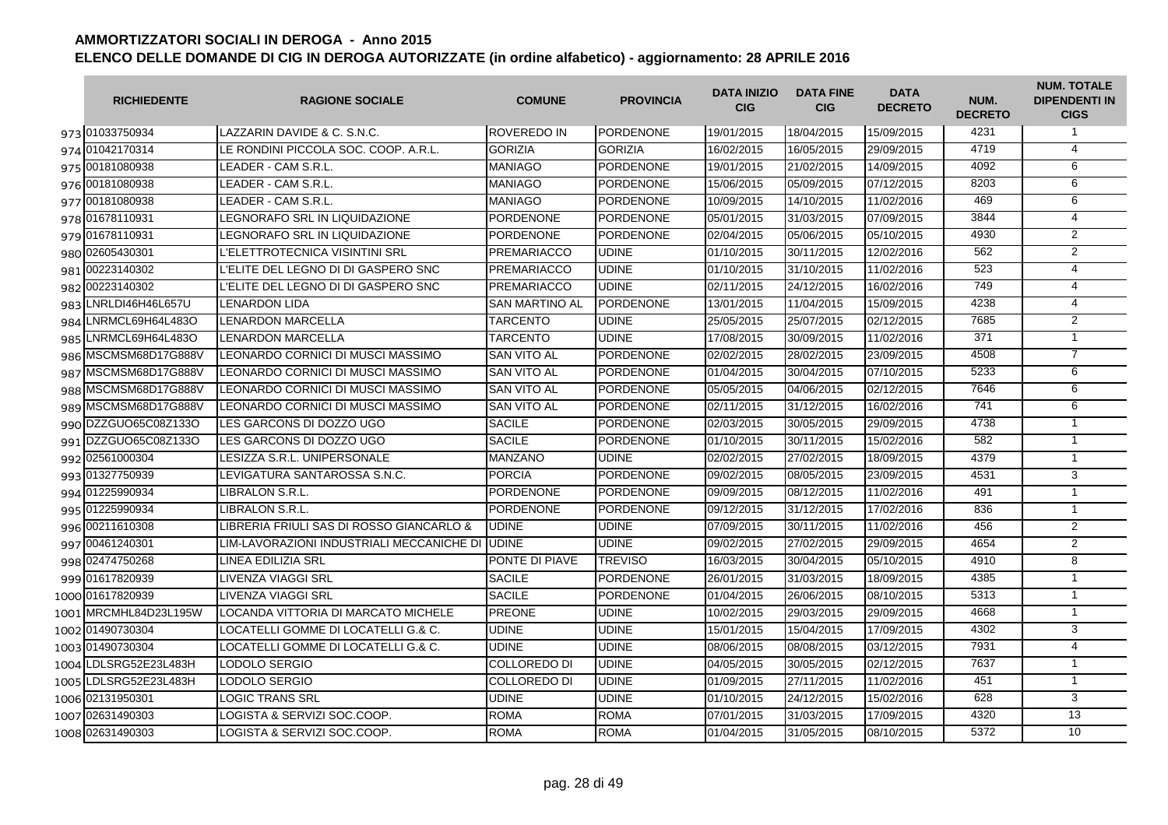| <b>RICHIEDENTE</b>    | <b>RAGIONE SOCIALE</b>                           | <b>COMUNE</b>         | <b>PROVINCIA</b> | <b>DATA INIZIO</b><br><b>CIG</b> | <b>DATA FINE</b><br><b>CIG</b> | <b>DATA</b><br><b>DECRETO</b> | NUM.<br><b>DECRETO</b> | <b>NUM. TOTALE</b><br><b>DIPENDENTI IN</b><br><b>CIGS</b> |
|-----------------------|--------------------------------------------------|-----------------------|------------------|----------------------------------|--------------------------------|-------------------------------|------------------------|-----------------------------------------------------------|
| 973 01033750934       | LAZZARIN DAVIDE & C. S.N.C.                      | <b>ROVEREDO IN</b>    | <b>PORDENONE</b> | 19/01/2015                       | 18/04/2015                     | 15/09/2015                    | 4231                   | $\mathbf{1}$                                              |
| 974 01042170314       | LE RONDINI PICCOLA SOC. COOP. A.R.L.             | <b>GORIZIA</b>        | <b>GORIZIA</b>   | 16/02/2015                       | 16/05/2015                     | 29/09/2015                    | 4719                   | $\overline{4}$                                            |
| 975 00181080938       | LEADER - CAM S.R.L.                              | <b>MANIAGO</b>        | <b>PORDENONE</b> | 19/01/2015                       | 21/02/2015                     | 14/09/2015                    | 4092                   | 6                                                         |
| 976 00181080938       | LEADER - CAM S.R.L.                              | <b>MANIAGO</b>        | <b>PORDENONE</b> | 15/06/2015                       | 05/09/2015                     | 07/12/2015                    | 8203                   | 6                                                         |
| 977 00181080938       | LEADER - CAM S.R.L.                              | <b>MANIAGO</b>        | PORDENONE        | 10/09/2015                       | 14/10/2015                     | 11/02/2016                    | 469                    | 6                                                         |
| 978 01678110931       | LEGNORAFO SRL IN LIQUIDAZIONE                    | <b>PORDENONE</b>      | <b>PORDENONE</b> | 05/01/2015                       | 31/03/2015                     | 07/09/2015                    | 3844                   | $\overline{4}$                                            |
| 979 01678110931       | LEGNORAFO SRL IN LIQUIDAZIONE                    | PORDENONE             | <b>PORDENONE</b> | 02/04/2015                       | 05/06/2015                     | 05/10/2015                    | 4930                   | $\overline{2}$                                            |
| 980 02605430301       | L'ELETTROTECNICA VISINTINI SRL                   | <b>PREMARIACCO</b>    | <b>UDINE</b>     | 01/10/2015                       | 30/11/2015                     | 12/02/2016                    | 562                    | 2                                                         |
| 981 00223140302       | L'ELITE DEL LEGNO DI DI GASPERO SNC              | <b>PREMARIACCO</b>    | <b>UDINE</b>     | 01/10/2015                       | 31/10/2015                     | 11/02/2016                    | 523                    | $\overline{4}$                                            |
| 982 00223140302       | L'ELITE DEL LEGNO DI DI GASPERO SNC              | <b>PREMARIACCO</b>    | <b>UDINE</b>     | 02/11/2015                       | 24/12/2015                     | 16/02/2016                    | 749                    | $\overline{4}$                                            |
| 983 LNRLDI46H46L657U  | <b>LENARDON LIDA</b>                             | <b>SAN MARTINO AL</b> | <b>PORDENONE</b> | 13/01/2015                       | 11/04/2015                     | 15/09/2015                    | 4238                   | 4                                                         |
| 984 LNRMCL69H64L483O  | <b>LENARDON MARCELLA</b>                         | <b>TARCENTO</b>       | <b>UDINE</b>     | 25/05/2015                       | 25/07/2015                     | 02/12/2015                    | 7685                   | 2                                                         |
| 985 LNRMCL69H64L483O  | LENARDON MARCELLA                                | <b>TARCENTO</b>       | <b>UDINE</b>     | 17/08/2015                       | 30/09/2015                     | 11/02/2016                    | 371                    | $\mathbf{1}$                                              |
| 986 MSCMSM68D17G888V  | LEONARDO CORNICI DI MUSCI MASSIMO                | <b>SAN VITO AL</b>    | PORDENONE        | 02/02/2015                       | 28/02/2015                     | 23/09/2015                    | 4508                   | $\overline{7}$                                            |
| 987 MSCMSM68D17G888V  | LEONARDO CORNICI DI MUSCI MASSIMO                | SAN VITO AL           | <b>PORDENONE</b> | 01/04/2015                       | 30/04/2015                     | 07/10/2015                    | 5233                   | 6                                                         |
| 988 MSCMSM68D17G888V  | LEONARDO CORNICI DI MUSCI MASSIMO                | <b>SAN VITO AL</b>    | <b>PORDENONE</b> | 05/05/2015                       | 04/06/2015                     | 02/12/2015                    | 7646                   | 6                                                         |
| 989 MSCMSM68D17G888V  | LEONARDO CORNICI DI MUSCI MASSIMO                | <b>SAN VITO AL</b>    | <b>PORDENONE</b> | 02/11/2015                       | 31/12/2015                     | 16/02/2016                    | 741                    | 6                                                         |
| 990 DZZGUO65C08Z133O  | LES GARCONS DI DOZZO UGO                         | <b>SACILE</b>         | <b>PORDENONE</b> | 02/03/2015                       | 30/05/2015                     | 29/09/2015                    | 4738                   | $\mathbf{1}$                                              |
| 991 DZZGUO65C08Z133O  | LES GARCONS DI DOZZO UGO                         | <b>SACILE</b>         | <b>PORDENONE</b> | 01/10/2015                       | 30/11/2015                     | 15/02/2016                    | 582                    | $\mathbf{1}$                                              |
| 992 02561000304       | LESIZZA S.R.L. UNIPERSONALE                      | <b>MANZANO</b>        | <b>UDINE</b>     | 02/02/2015                       | 27/02/2015                     | 18/09/2015                    | 4379                   | $\mathbf{1}$                                              |
| 993 01327750939       | LEVIGATURA SANTAROSSA S.N.C.                     | <b>PORCIA</b>         | <b>PORDENONE</b> | 09/02/2015                       | 08/05/2015                     | 23/09/2015                    | 4531                   | 3                                                         |
| 994 01225990934       | LIBRALON S.R.L.                                  | <b>PORDENONE</b>      | <b>PORDENONE</b> | 09/09/2015                       | 08/12/2015                     | 11/02/2016                    | 491                    | $\mathbf{1}$                                              |
| 995 01225990934       | LIBRALON S.R.L.                                  | <b>PORDENONE</b>      | <b>PORDENONE</b> | 09/12/2015                       | 31/12/2015                     | 17/02/2016                    | 836                    | $\mathbf{1}$                                              |
| 996 00211610308       | LIBRERIA FRIULI SAS DI ROSSO GIANCARLO &         | <b>UDINE</b>          | <b>UDINE</b>     | 07/09/2015                       | 30/11/2015                     | 11/02/2016                    | 456                    | 2                                                         |
| 997 00461240301       | LIM-LAVORAZIONI INDUSTRIALI MECCANICHE DI IUDINE |                       | <b>UDINE</b>     | 09/02/2015                       | 27/02/2015                     | 29/09/2015                    | 4654                   | 2                                                         |
| 998 02474750268       | LINEA EDILIZIA SRL                               | PONTE DI PIAVE        | <b>TREVISO</b>   | 16/03/2015                       | 30/04/2015                     | 05/10/2015                    | 4910                   | 8                                                         |
| 999 01617820939       | LIVENZA VIAGGI SRL                               | <b>SACILE</b>         | <b>PORDENONE</b> | 26/01/2015                       | 31/03/2015                     | 18/09/2015                    | 4385                   | $\mathbf{1}$                                              |
| 1000 01617820939      | LIVENZA VIAGGI SRL                               | <b>SACILE</b>         | PORDENONE        | 01/04/2015                       | 26/06/2015                     | 08/10/2015                    | 5313                   | $\mathbf{1}$                                              |
| 1001 MRCMHL84D23L195W | LOCANDA VITTORIA DI MARCATO MICHELE              | <b>PREONE</b>         | <b>UDINE</b>     | 10/02/2015                       | 29/03/2015                     | 29/09/2015                    | 4668                   | $\mathbf{1}$                                              |
| 1002 01490730304      | LOCATELLI GOMME DI LOCATELLI G.& C.              | <b>UDINE</b>          | <b>UDINE</b>     | 15/01/2015                       | 15/04/2015                     | 17/09/2015                    | 4302                   | 3                                                         |
| 1003 01490730304      | LOCATELLI GOMME DI LOCATELLI G.& C.              | <b>UDINE</b>          | <b>UDINE</b>     | 08/06/2015                       | 08/08/2015                     | 03/12/2015                    | 7931                   | $\overline{4}$                                            |
| 1004 LDLSRG52E23L483H | <b>LODOLO SERGIO</b>                             | <b>COLLOREDO DI</b>   | <b>UDINE</b>     | 04/05/2015                       | 30/05/2015                     | 02/12/2015                    | 7637                   | $\mathbf{1}$                                              |
| 1005 LDLSRG52E23L483H | LODOLO SERGIO                                    | <b>COLLOREDO DI</b>   | <b>UDINE</b>     | 01/09/2015                       | 27/11/2015                     | 11/02/2016                    | 451                    | $\mathbf{1}$                                              |
| 1006 02131950301      | LOGIC TRANS SRL                                  | <b>UDINE</b>          | <b>UDINE</b>     | 01/10/2015                       | 24/12/2015                     | 15/02/2016                    | 628                    | 3                                                         |
| 1007 02631490303      | LOGISTA & SERVIZI SOC.COOP.                      | <b>ROMA</b>           | <b>ROMA</b>      | 07/01/2015                       | 31/03/2015                     | 17/09/2015                    | 4320                   | 13                                                        |
| 1008 02631490303      | LOGISTA & SERVIZI SOC.COOP.                      | <b>ROMA</b>           | <b>ROMA</b>      | 01/04/2015                       | 31/05/2015                     | 08/10/2015                    | 5372                   | 10                                                        |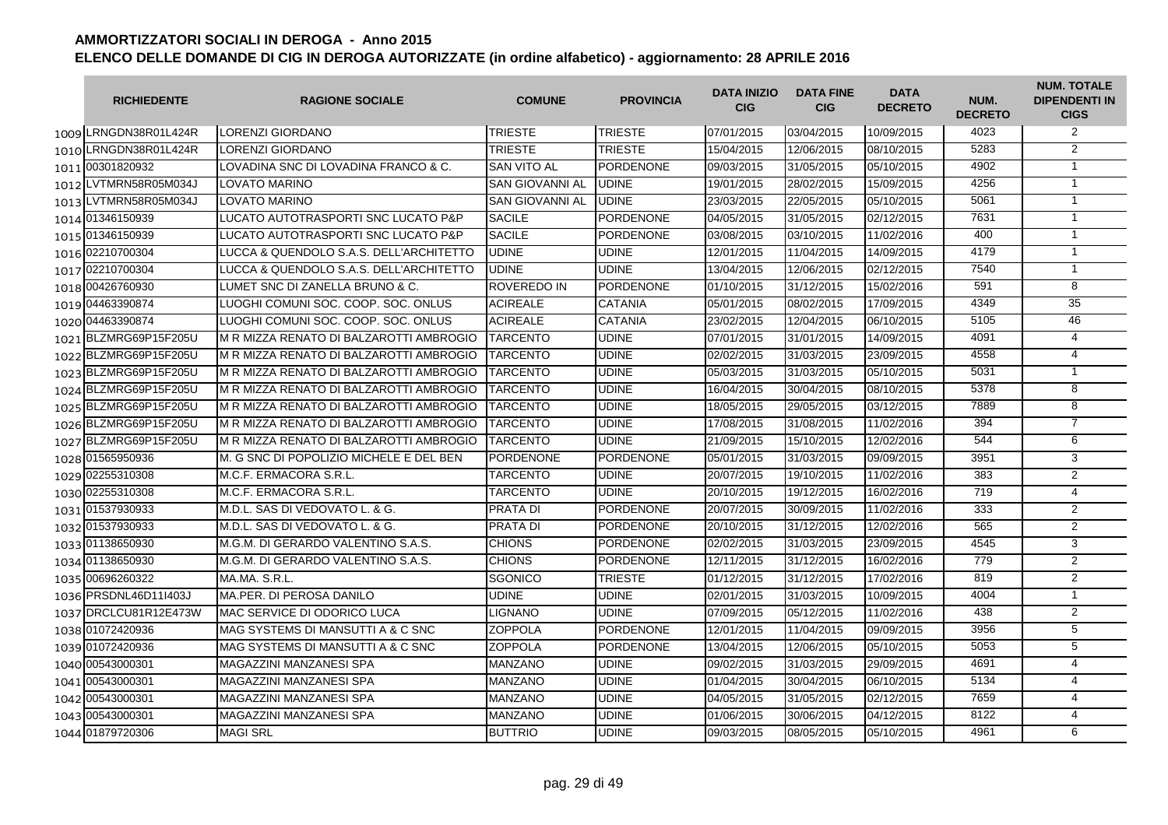| <b>RICHIEDENTE</b>    | <b>RAGIONE SOCIALE</b>                   | <b>COMUNE</b>          | <b>PROVINCIA</b> | <b>DATA INIZIO</b><br><b>CIG</b> | <b>DATA FINE</b><br><b>CIG</b> | <b>DATA</b><br><b>DECRETO</b> | NUM.<br><b>DECRETO</b> | <b>NUM. TOTALE</b><br><b>DIPENDENTI IN</b><br><b>CIGS</b> |
|-----------------------|------------------------------------------|------------------------|------------------|----------------------------------|--------------------------------|-------------------------------|------------------------|-----------------------------------------------------------|
| 1009 LRNGDN38R01L424R | <b>LORENZI GIORDANO</b>                  | <b>TRIESTE</b>         | <b>TRIESTE</b>   | 07/01/2015                       | 03/04/2015                     | 10/09/2015                    | 4023                   | 2                                                         |
| 1010 LRNGDN38R01L424R | LORENZI GIORDANO                         | <b>TRIESTE</b>         | TRIESTE          | 15/04/2015                       | 12/06/2015                     | 08/10/2015                    | 5283                   | $\overline{2}$                                            |
| 1011 00301820932      | LOVADINA SNC DI LOVADINA FRANCO & C.     | <b>SAN VITO AL</b>     | PORDENONE        | 09/03/2015                       | 31/05/2015                     | 05/10/2015                    | 4902                   | $\mathbf{1}$                                              |
| 1012 LVTMRN58R05M034J | <b>LOVATO MARINO</b>                     | <b>SAN GIOVANNI AL</b> | <b>UDINE</b>     | 19/01/2015                       | 28/02/2015                     | 15/09/2015                    | 4256                   | $\mathbf{1}$                                              |
| 1013 LVTMRN58R05M034J | <b>LOVATO MARINO</b>                     | <b>SAN GIOVANNI AL</b> | <b>UDINE</b>     | 23/03/2015                       | 22/05/2015                     | 05/10/2015                    | 5061                   | $\mathbf{1}$                                              |
| 1014 01346150939      | LUCATO AUTOTRASPORTI SNC LUCATO P&P      | <b>SACILE</b>          | PORDENONE        | 04/05/2015                       | 31/05/2015                     | 02/12/2015                    | 7631                   | $\mathbf{1}$                                              |
| 1015 01346150939      | LUCATO AUTOTRASPORTI SNC LUCATO P&P      | <b>SACILE</b>          | <b>PORDENONE</b> | 03/08/2015                       | 03/10/2015                     | 11/02/2016                    | 400                    | $\mathbf{1}$                                              |
| 1016 02210700304      | LUCCA & QUENDOLO S.A.S. DELL'ARCHITETTO  | <b>UDINE</b>           | UDINE            | 12/01/2015                       | 11/04/2015                     | 14/09/2015                    | 4179                   | $\mathbf{1}$                                              |
| 1017 02210700304      | LUCCA & QUENDOLO S.A.S. DELL'ARCHITETTO  | UDINE                  | <b>UDINE</b>     | 13/04/2015                       | 12/06/2015                     | 02/12/2015                    | 7540                   | $\mathbf{1}$                                              |
| 1018 00426760930      | LUMET SNC DI ZANELLA BRUNO & C.          | <b>ROVEREDO IN</b>     | <b>PORDENONE</b> | 01/10/2015                       | 31/12/2015                     | 15/02/2016                    | 591                    | 8                                                         |
| 1019 044 63390874     | LUOGHI COMUNI SOC. COOP. SOC. ONLUS      | <b>ACIREALE</b>        | <b>CATANIA</b>   | 05/01/2015                       | 08/02/2015                     | 17/09/2015                    | 4349                   | 35                                                        |
| 1020 04463390874      | LUOGHI COMUNI SOC. COOP. SOC. ONLUS      | <b>ACIREALE</b>        | <b>CATANIA</b>   | 23/02/2015                       | 12/04/2015                     | 06/10/2015                    | 5105                   | 46                                                        |
| 1021 BLZMRG69P15F205U | M R MIZZA RENATO DI BALZAROTTI AMBROGIO  | <b>TARCENTO</b>        | <b>UDINE</b>     | 07/01/2015                       | 31/01/2015                     | 14/09/2015                    | 4091                   | $\overline{4}$                                            |
| 1022 BLZMRG69P15F205U | IM R MIZZA RENATO DI BALZAROTTI AMBROGIO | <b>TARCENTO</b>        | <b>UDINE</b>     | 02/02/2015                       | 31/03/2015                     | 23/09/2015                    | 4558                   | $\overline{4}$                                            |
| 1023 BLZMRG69P15F205U | IM R MIZZA RENATO DI BALZAROTTI AMBROGIO | <b>TARCENTO</b>        | <b>UDINE</b>     | 05/03/2015                       | 31/03/2015                     | 05/10/2015                    | 5031                   | $\overline{1}$                                            |
| 1024 BLZMRG69P15F205U | M R MIZZA RENATO DI BALZAROTTI AMBROGIO  | <b>TARCENTO</b>        | UDINE            | 16/04/2015                       | 30/04/2015                     | 08/10/2015                    | 5378                   | 8                                                         |
| 1025 BLZMRG69P15F205U | IM R MIZZA RENATO DI BALZAROTTI AMBROGIO | <b>TARCENTO</b>        | <b>UDINE</b>     | 18/05/2015                       | 29/05/2015                     | 03/12/2015                    | 7889                   | 8                                                         |
| 1026 BLZMRG69P15F205U | IM R MIZZA RENATO DI BALZAROTTI AMBROGIO | <b>TARCENTO</b>        | <b>UDINE</b>     | 17/08/2015                       | 31/08/2015                     | 11/02/2016                    | 394                    | $\overline{7}$                                            |
| 1027 BLZMRG69P15F205U | IM R MIZZA RENATO DI BALZAROTTI AMBROGIO | <b>TARCENTO</b>        | <b>UDINE</b>     | 21/09/2015                       | 15/10/2015                     | 12/02/2016                    | 544                    | 6                                                         |
| 1028 01565950936      | M. G SNC DI POPOLIZIO MICHELE E DEL BEN  | <b>PORDENONE</b>       | <b>PORDENONE</b> | 05/01/2015                       | 31/03/2015                     | 09/09/2015                    | 3951                   | 3                                                         |
| 1029 02255310308      | M.C.F. ERMACORA S.R.L.                   | <b>TARCENTO</b>        | <b>UDINE</b>     | 20/07/2015                       | 19/10/2015                     | 11/02/2016                    | 383                    | $\overline{2}$                                            |
| 1030 02255310308      | M.C.F. ERMACORA S.R.L.                   | <b>TARCENTO</b>        | <b>UDINE</b>     | 20/10/2015                       | 19/12/2015                     | 16/02/2016                    | 719                    | $\overline{4}$                                            |
| 1031 01537930933      | M.D.L. SAS DI VEDOVATO L. & G.           | <b>PRATA DI</b>        | <b>PORDENONE</b> | 20/07/2015                       | 30/09/2015                     | 11/02/2016                    | 333                    | $\overline{2}$                                            |
| 1032 01537930933      | M.D.L. SAS DI VEDOVATO L. & G.           | <b>PRATA DI</b>        | <b>PORDENONE</b> | 20/10/2015                       | 31/12/2015                     | 12/02/2016                    | 565                    | 2                                                         |
| 1033 01138650930      | M.G.M. DI GERARDO VALENTINO S.A.S.       | <b>CHIONS</b>          | <b>PORDENONE</b> | 02/02/2015                       | 31/03/2015                     | 23/09/2015                    | 4545                   | 3                                                         |
| 1034 01138650930      | M.G.M. DI GERARDO VALENTINO S.A.S.       | <b>CHIONS</b>          | <b>PORDENONE</b> | 12/11/2015                       | 31/12/2015                     | 16/02/2016                    | 779                    | $\overline{2}$                                            |
| 1035 00696260322      | MA.MA. S.R.L.                            | <b>SGONICO</b>         | <b>TRIESTE</b>   | 01/12/2015                       | 31/12/2015                     | 17/02/2016                    | 819                    | 2                                                         |
| 1036 PRSDNL46D11I403J | MA.PER. DI PEROSA DANILO                 | <b>UDINE</b>           | <b>UDINE</b>     | 02/01/2015                       | 31/03/2015                     | 10/09/2015                    | 4004                   | $\mathbf{1}$                                              |
| 1037 DRCLCU81R12E473W | <b>MAC SERVICE DI ODORICO LUCA</b>       | LIGNANO                | UDINE            | 07/09/2015                       | 05/12/2015                     | 11/02/2016                    | 438                    | $\overline{2}$                                            |
| 1038 01072420936      | MAG SYSTEMS DI MANSUTTI A & C SNC        | <b>ZOPPOLA</b>         | <b>PORDENONE</b> | 12/01/2015                       | 11/04/2015                     | 09/09/2015                    | 3956                   | $\overline{5}$                                            |
| 1039 01072420936      | MAG SYSTEMS DI MANSUTTI A & C SNC        | <b>ZOPPOLA</b>         | <b>PORDENONE</b> | 13/04/2015                       | 12/06/2015                     | 05/10/2015                    | 5053                   | 5                                                         |
| 1040 00543000301      | MAGAZZINI MANZANESI SPA                  | <b>MANZANO</b>         | <b>UDINE</b>     | 09/02/2015                       | 31/03/2015                     | 29/09/2015                    | 4691                   | 4                                                         |
| 1041 00543000301      | MAGAZZINI MANZANESI SPA                  | <b>MANZANO</b>         | <b>UDINE</b>     | 01/04/2015                       | 30/04/2015                     | 06/10/2015                    | 5134                   | 4                                                         |
| 1042 00543000301      | MAGAZZINI MANZANESI SPA                  | <b>MANZANO</b>         | <b>UDINE</b>     | 04/05/2015                       | 31/05/2015                     | 02/12/2015                    | 7659                   | $\overline{4}$                                            |
| 1043 00543000301      | MAGAZZINI MANZANESI SPA                  | <b>MANZANO</b>         | <b>UDINE</b>     | 01/06/2015                       | 30/06/2015                     | 04/12/2015                    | 8122                   | $\overline{4}$                                            |
| 1044 01879720306      | <b>MAGI SRL</b>                          | <b>BUTTRIO</b>         | UDINE            | 09/03/2015                       | 08/05/2015                     | 05/10/2015                    | 4961                   | 6                                                         |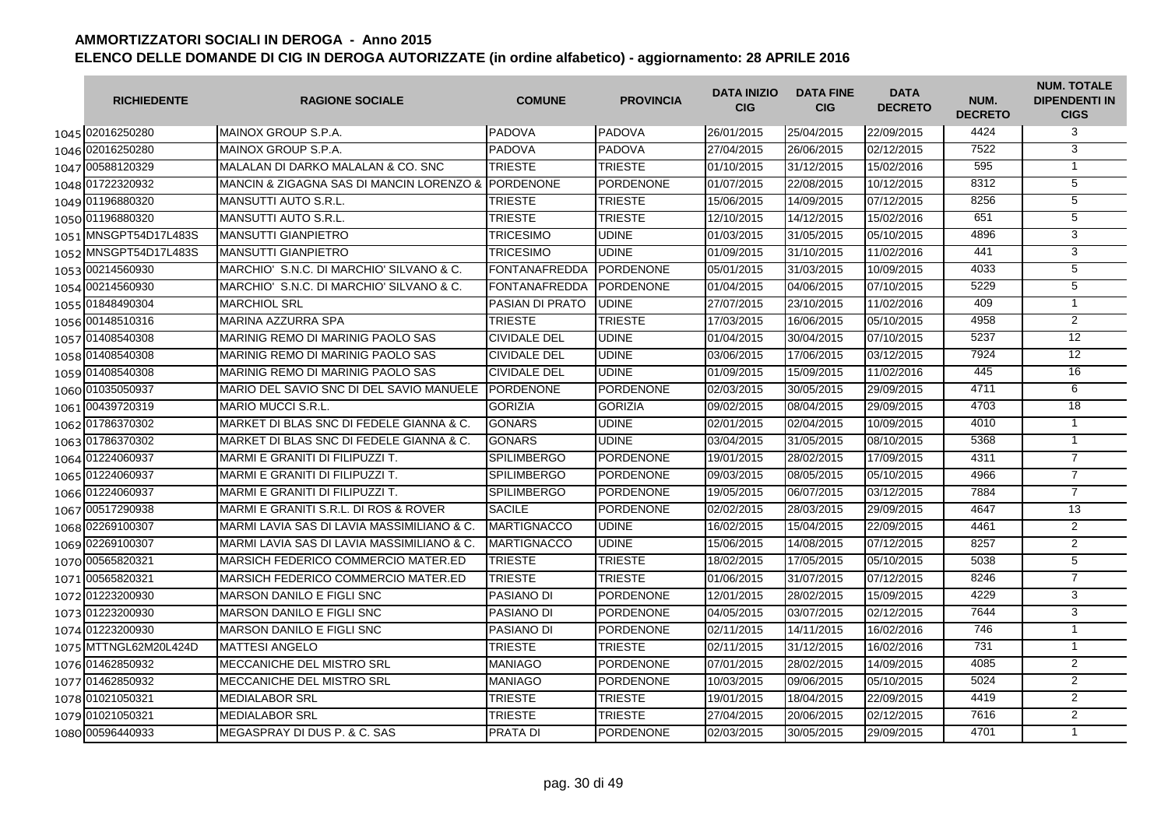|      | <b>RICHIEDENTE</b>    | <b>RAGIONE SOCIALE</b>                             | <b>COMUNE</b>        | <b>PROVINCIA</b> | <b>DATA INIZIO</b><br><b>CIG</b> | <b>DATA FINE</b><br><b>CIG</b> | <b>DATA</b><br><b>DECRETO</b> | NUM.<br><b>DECRETO</b> | <b>NUM. TOTALE</b><br><b>DIPENDENTI IN</b><br><b>CIGS</b> |
|------|-----------------------|----------------------------------------------------|----------------------|------------------|----------------------------------|--------------------------------|-------------------------------|------------------------|-----------------------------------------------------------|
|      | 1045 02016250280      | MAINOX GROUP S.P.A.                                | <b>PADOVA</b>        | <b>PADOVA</b>    | 26/01/2015                       | 25/04/2015                     | 22/09/2015                    | 4424                   | 3                                                         |
|      | 1046 02016250280      | MAINOX GROUP S.P.A.                                | <b>PADOVA</b>        | <b>PADOVA</b>    | 27/04/2015                       | 26/06/2015                     | 02/12/2015                    | 7522                   | 3                                                         |
|      | 1047 00588120329      | MALALAN DI DARKO MALALAN & CO. SNC                 | <b>TRIESTE</b>       | <b>TRIESTE</b>   | 01/10/2015                       | 31/12/2015                     | 15/02/2016                    | 595                    | $\mathbf{1}$                                              |
|      | 1048 01722320932      | MANCIN & ZIGAGNA SAS DI MANCIN LORENZO & PORDENONE |                      | <b>PORDENONE</b> | 01/07/2015                       | 22/08/2015                     | 10/12/2015                    | 8312                   | 5                                                         |
|      | 1049 01196880320      | <b>MANSUTTI AUTO S.R.L.</b>                        | <b>TRIESTE</b>       | <b>TRIESTE</b>   | 15/06/2015                       | 14/09/2015                     | 07/12/2015                    | 8256                   | 5                                                         |
|      | 1050 01196880320      | <b>MANSUTTI AUTO S.R.L.</b>                        | <b>TRIESTE</b>       | <b>TRIESTE</b>   | 12/10/2015                       | 14/12/2015                     | 15/02/2016                    | 651                    | $\overline{5}$                                            |
|      | 1051 MNSGPT54D17L483S | <b>MANSUTTI GIANPIETRO</b>                         | <b>TRICESIMO</b>     | <b>UDINE</b>     | 01/03/2015                       | 31/05/2015                     | 05/10/2015                    | 4896                   | 3                                                         |
| 1052 | MNSGPT54D17L483S      | <b>MANSUTTI GIANPIETRO</b>                         | <b>TRICESIMO</b>     | <b>UDINE</b>     | 01/09/2015                       | 31/10/2015                     | 11/02/2016                    | 441                    | 3                                                         |
| 1053 | 00214560930           | MARCHIO' S.N.C. DI MARCHIO' SILVANO & C.           | <b>FONTANAFREDDA</b> | <b>PORDENONE</b> | 05/01/2015                       | 31/03/2015                     | 10/09/2015                    | 4033                   | 5                                                         |
|      | 1054 00214560930      | MARCHIO'S.N.C. DI MARCHIO'SILVANO & C.             | FONTANAFREDDA        | <b>PORDENONE</b> | 01/04/2015                       | 04/06/2015                     | 07/10/2015                    | 5229                   | $\overline{5}$                                            |
|      | 1055 01848490304      | <b>MARCHIOL SRL</b>                                | PASIAN DI PRATO      | <b>UDINE</b>     | 27/07/2015                       | 23/10/2015                     | 11/02/2016                    | 409                    | $\mathbf{1}$                                              |
|      | 1056 00148510316      | MARINA AZZURRA SPA                                 | <b>TRIESTE</b>       | <b>TRIESTE</b>   | 17/03/2015                       | 16/06/2015                     | 05/10/2015                    | 4958                   | $\overline{2}$                                            |
|      | 1057 01408540308      | MARINIG REMO DI MARINIG PAOLO SAS                  | <b>CIVIDALE DEL</b>  | <b>UDINE</b>     | 01/04/2015                       | 30/04/2015                     | 07/10/2015                    | 5237                   | $\overline{12}$                                           |
|      | 1058 01408540308      | MARINIG REMO DI MARINIG PAOLO SAS                  | <b>CIVIDALE DEL</b>  | <b>UDINE</b>     | 03/06/2015                       | 17/06/2015                     | 03/12/2015                    | 7924                   | $\overline{12}$                                           |
|      | 1059 01408540308      | MARINIG REMO DI MARINIG PAOLO SAS                  | <b>CIVIDALE DEL</b>  | <b>UDINE</b>     | 01/09/2015                       | 15/09/2015                     | 11/02/2016                    | 445                    | 16                                                        |
|      | 1060 01035050937      | MARIO DEL SAVIO SNC DI DEL SAVIO MANUELE           | <b>PORDENONE</b>     | <b>PORDENONE</b> | 02/03/2015                       | 30/05/2015                     | 29/09/2015                    | 4711                   | 6                                                         |
|      | 1061 00439720319      | <b>MARIO MUCCI S.R.L.</b>                          | <b>GORIZIA</b>       | <b>GORIZIA</b>   | 09/02/2015                       | 08/04/2015                     | 29/09/2015                    | 4703                   | 18                                                        |
|      | 1062 01786370302      | MARKET DI BLAS SNC DI FEDELE GIANNA & C.           | <b>GONARS</b>        | <b>UDINE</b>     | 02/01/2015                       | 02/04/2015                     | 10/09/2015                    | 4010                   | $\mathbf{1}$                                              |
|      | 1063 01786370302      | MARKET DI BLAS SNC DI FEDELE GIANNA & C.           | <b>GONARS</b>        | <b>UDINE</b>     | 03/04/2015                       | 31/05/2015                     | 08/10/2015                    | 5368                   | $\mathbf{1}$                                              |
|      | 1064 01224060937      | MARMI E GRANITI DI FILIPUZZI T.                    | <b>SPILIMBERGO</b>   | <b>PORDENONE</b> | 19/01/2015                       | 28/02/2015                     | 17/09/2015                    | 4311                   | $\overline{7}$                                            |
|      | 1065 01224060937      | MARMI E GRANITI DI FILIPUZZI T.                    | <b>SPILIMBERGO</b>   | <b>PORDENONE</b> | 09/03/2015                       | 08/05/2015                     | 05/10/2015                    | 4966                   | $\overline{7}$                                            |
|      | 1066 01224060937      | MARMI E GRANITI DI FILIPUZZI T.                    | <b>SPILIMBERGO</b>   | <b>PORDENONE</b> | 19/05/2015                       | 06/07/2015                     | 03/12/2015                    | 7884                   | $\overline{7}$                                            |
|      | 1067 00517290938      | MARMI E GRANITI S.R.L. DI ROS & ROVER              | <b>SACILE</b>        | <b>PORDENONE</b> | 02/02/2015                       | 28/03/2015                     | 29/09/2015                    | 4647                   | 13                                                        |
|      | 1068 02269100307      | MARMI LAVIA SAS DI LAVIA MASSIMILIANO & C.         | <b>MARTIGNACCO</b>   | UDINE            | 16/02/2015                       | 15/04/2015                     | 22/09/2015                    | 4461                   | $\overline{2}$                                            |
|      | 1069 02269100307      | MARMI LAVIA SAS DI LAVIA MASSIMILIANO & C.         | <b>MARTIGNACCO</b>   | <b>UDINE</b>     | 15/06/2015                       | 14/08/2015                     | 07/12/2015                    | 8257                   | 2                                                         |
|      | 1070 00565820321      | MARSICH FEDERICO COMMERCIO MATER.ED                | <b>TRIESTE</b>       | <b>TRIESTE</b>   | 18/02/2015                       | 17/05/2015                     | 05/10/2015                    | 5038                   | 5                                                         |
|      | 1071 00565820321      | MARSICH FEDERICO COMMERCIO MATER.ED                | <b>TRIESTE</b>       | <b>TRIESTE</b>   | 01/06/2015                       | 31/07/2015                     | 07/12/2015                    | 8246                   | $\overline{7}$                                            |
|      | 1072 01223200930      | <b>MARSON DANILO E FIGLI SNC</b>                   | <b>PASIANO DI</b>    | PORDENONE        | 12/01/2015                       | 28/02/2015                     | 15/09/2015                    | 4229                   | 3                                                         |
|      | 1073 01223200930      | <b>MARSON DANILO E FIGLI SNC</b>                   | <b>PASIANO DI</b>    | <b>PORDENONE</b> | 04/05/2015                       | 03/07/2015                     | 02/12/2015                    | 7644                   | $\overline{3}$                                            |
|      | 1074 01223200930      | <b>MARSON DANILO E FIGLI SNC</b>                   | <b>PASIANO DI</b>    | <b>PORDENONE</b> | 02/11/2015                       | 14/11/2015                     | 16/02/2016                    | 746                    | $\mathbf{1}$                                              |
|      | 1075 MTTNGL62M20L424D | <b>MATTESI ANGELO</b>                              | <b>TRIESTE</b>       | <b>TRIESTE</b>   | 02/11/2015                       | 31/12/2015                     | 16/02/2016                    | 731                    | $\mathbf{1}$                                              |
|      | 1076 01462850932      | <b>MECCANICHE DEL MISTRO SRL</b>                   | <b>MANIAGO</b>       | <b>PORDENONE</b> | 07/01/2015                       | 28/02/2015                     | 14/09/2015                    | 4085                   | $\overline{2}$                                            |
|      | 1077 01462850932      | MECCANICHE DEL MISTRO SRL                          | <b>MANIAGO</b>       | <b>PORDENONE</b> | 10/03/2015                       | 09/06/2015                     | 05/10/2015                    | 5024                   | $\overline{2}$                                            |
|      | 1078 01021050321      | <b>MEDIALABOR SRL</b>                              | <b>TRIESTE</b>       | TRIESTE          | 19/01/2015                       | 18/04/2015                     | 22/09/2015                    | 4419                   | $\overline{2}$                                            |
|      | 1079 01021050321      | <b>MEDIALABOR SRL</b>                              | <b>TRIESTE</b>       | TRIESTE          | 27/04/2015                       | 20/06/2015                     | 02/12/2015                    | 7616                   | $\overline{2}$                                            |
|      | 1080 00596440933      | MEGASPRAY DI DUS P. & C. SAS                       | <b>PRATA DI</b>      | <b>PORDENONE</b> | 02/03/2015                       | 30/05/2015                     | 29/09/2015                    | 4701                   | $\mathbf{1}$                                              |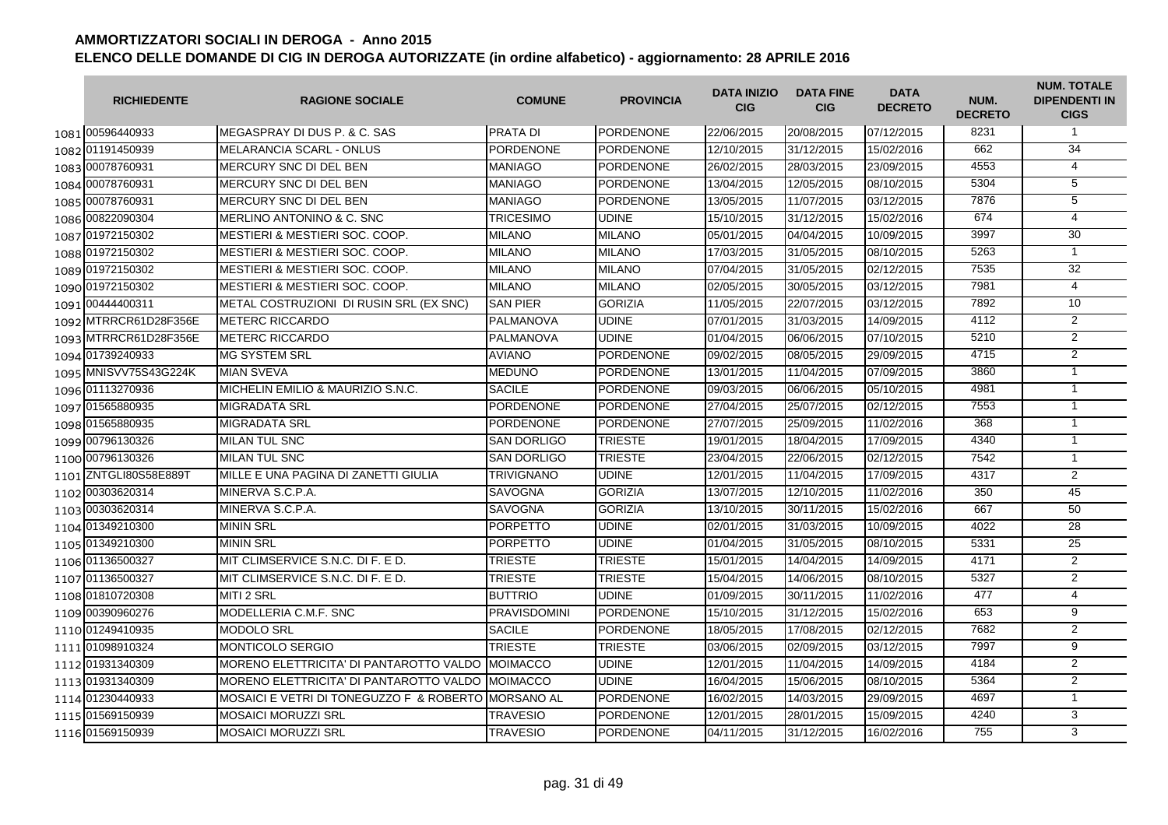| <b>RICHIEDENTE</b>    | <b>RAGIONE SOCIALE</b>                              | <b>COMUNE</b>       | <b>PROVINCIA</b> | <b>DATA INIZIO</b><br><b>CIG</b> | <b>DATA FINE</b><br><b>CIG</b> | <b>DATA</b><br><b>DECRETO</b> | NUM.<br><b>DECRETO</b> | <b>NUM. TOTALE</b><br><b>DIPENDENTI IN</b><br><b>CIGS</b> |
|-----------------------|-----------------------------------------------------|---------------------|------------------|----------------------------------|--------------------------------|-------------------------------|------------------------|-----------------------------------------------------------|
| 1081 00596440933      | <b>IMEGASPRAY DI DUS P. &amp; C. SAS</b>            | <b>PRATA DI</b>     | <b>PORDENONE</b> | 22/06/2015                       | 20/08/2015                     | 07/12/2015                    | 8231                   | $\mathbf{1}$                                              |
| 1082 01191450939      | MELARANCIA SCARL - ONLUS                            | <b>PORDENONE</b>    | PORDENONE        | 12/10/2015                       | 31/12/2015                     | 15/02/2016                    | 662                    | 34                                                        |
| 1083 00078760931      | MERCURY SNC DI DEL BEN                              | <b>MANIAGO</b>      | PORDENONE        | 26/02/2015                       | 28/03/2015                     | 23/09/2015                    | 4553                   | 4                                                         |
| 1084 00078760931      | MERCURY SNC DI DEL BEN                              | <b>MANIAGO</b>      | <b>PORDENONE</b> | 13/04/2015                       | 12/05/2015                     | 08/10/2015                    | 5304                   | 5                                                         |
| 1085 00078760931      | MERCURY SNC DI DEL BEN                              | <b>MANIAGO</b>      | PORDENONE        | 13/05/2015                       | 11/07/2015                     | 03/12/2015                    | 7876                   | 5                                                         |
| 1086 00822090304      | MERLINO ANTONINO & C. SNC                           | <b>TRICESIMO</b>    | <b>UDINE</b>     | 15/10/2015                       | 31/12/2015                     | 15/02/2016                    | 674                    | $\overline{4}$                                            |
| 1087 01972150302      | <b>MESTIERI &amp; MESTIERI SOC. COOP.</b>           | <b>MILANO</b>       | <b>MILANO</b>    | 05/01/2015                       | 04/04/2015                     | 10/09/2015                    | 3997                   | 30                                                        |
| 1088 01972150302      | <b>MESTIERI &amp; MESTIERI SOC. COOP.</b>           | <b>MILANO</b>       | <b>MILANO</b>    | 17/03/2015                       | 31/05/2015                     | 08/10/2015                    | 5263                   | $\mathbf{1}$                                              |
| 1089 01972150302      | <b>MESTIERI &amp; MESTIERI SOC. COOP.</b>           | <b>MILANO</b>       | <b>MILANO</b>    | 07/04/2015                       | 31/05/2015                     | 02/12/2015                    | 7535                   | 32                                                        |
| 1090 01972150302      | <b>MESTIERI &amp; MESTIERI SOC. COOP.</b>           | <b>MILANO</b>       | <b>MILANO</b>    | 02/05/2015                       | 30/05/2015                     | 03/12/2015                    | 7981                   | $\overline{4}$                                            |
| 1091 00444400311      | METAL COSTRUZIONI DI RUSIN SRL (EX SNC)             | <b>SAN PIER</b>     | <b>GORIZIA</b>   | 11/05/2015                       | 22/07/2015                     | 03/12/2015                    | 7892                   | 10                                                        |
| 1092 MTRRCR61D28F356E | <b>METERC RICCARDO</b>                              | PALMANOVA           | <b>UDINE</b>     | 07/01/2015                       | 31/03/2015                     | 14/09/2015                    | 4112                   | $\overline{2}$                                            |
| 1093 MTRRCR61D28F356E | <b>METERC RICCARDO</b>                              | PALMANOVA           | <b>UDINE</b>     | 01/04/2015                       | 06/06/2015                     | 07/10/2015                    | 5210                   | $\overline{2}$                                            |
| 1094 01739240933      | <b>MG SYSTEM SRL</b>                                | <b>AVIANO</b>       | <b>PORDENONE</b> | 09/02/2015                       | 08/05/2015                     | 29/09/2015                    | 4715                   | $\overline{2}$                                            |
| 1095 MNISVV75S43G224K | <b>MIAN SVEVA</b>                                   | <b>MEDUNO</b>       | PORDENONE        | 13/01/2015                       | 11/04/2015                     | 07/09/2015                    | 3860                   | $\mathbf{1}$                                              |
| 1096 01113270936      | MICHELIN EMILIO & MAURIZIO S.N.C.                   | <b>SACILE</b>       | PORDENONE        | 09/03/2015                       | 06/06/2015                     | 05/10/2015                    | 4981                   | $\mathbf{1}$                                              |
| 1097 01565880935      | <b>MIGRADATA SRL</b>                                | PORDENONE           | <b>PORDENONE</b> | 27/04/2015                       | 25/07/2015                     | 02/12/2015                    | 7553                   | $\mathbf{1}$                                              |
| 1098 01565880935      | <b>MIGRADATA SRL</b>                                | <b>PORDENONE</b>    | <b>PORDENONE</b> | 27/07/2015                       | 25/09/2015                     | 11/02/2016                    | 368                    | $\mathbf{1}$                                              |
| 1099 00796130326      | <b>MILAN TUL SNC</b>                                | <b>SAN DORLIGO</b>  | <b>TRIESTE</b>   | 19/01/2015                       | 18/04/2015                     | 17/09/2015                    | 4340                   | $\mathbf{1}$                                              |
| 1100 00796130326      | <b>MILAN TUL SNC</b>                                | <b>SAN DORLIGO</b>  | <b>TRIESTE</b>   | 23/04/2015                       | 22/06/2015                     | 02/12/2015                    | 7542                   | $\mathbf{1}$                                              |
| 1101 ZNTGLI80S58E889T | MILLE E UNA PAGINA DI ZANETTI GIULIA                | <b>TRIVIGNANO</b>   | <b>UDINE</b>     | 12/01/2015                       | 11/04/2015                     | 17/09/2015                    | 4317                   | $\overline{2}$                                            |
| 1102 00303620314      | MINERVA S.C.P.A.                                    | <b>SAVOGNA</b>      | <b>GORIZIA</b>   | 13/07/2015                       | 12/10/2015                     | 11/02/2016                    | 350                    | 45                                                        |
| 1103 00303620314      | MINERVA S.C.P.A.                                    | <b>SAVOGNA</b>      | <b>GORIZIA</b>   | 13/10/2015                       | 30/11/2015                     | 15/02/2016                    | 667                    | 50                                                        |
| 1104 01349210300      | <b>MININ SRL</b>                                    | <b>PORPETTO</b>     | <b>UDINE</b>     | 02/01/2015                       | 31/03/2015                     | 10/09/2015                    | 4022                   | 28                                                        |
| 1105 01349210300      | <b>MININ SRL</b>                                    | <b>PORPETTO</b>     | <b>UDINE</b>     | 01/04/2015                       | 31/05/2015                     | 08/10/2015                    | 5331                   | 25                                                        |
| 1106 01136500327      | MIT CLIMSERVICE S.N.C. DI F. E D.                   | <b>TRIESTE</b>      | <b>TRIESTE</b>   | 15/01/2015                       | 14/04/2015                     | 14/09/2015                    | 4171                   | 2                                                         |
| 1107 01136500327      | MIT CLIMSERVICE S.N.C. DI F. E D.                   | <b>TRIESTE</b>      | <b>TRIESTE</b>   | 15/04/2015                       | 14/06/2015                     | 08/10/2015                    | 5327                   | $\overline{2}$                                            |
| 1108 01810720308      | <b>MITI 2 SRL</b>                                   | <b>BUTTRIO</b>      | <b>UDINE</b>     | 01/09/2015                       | 30/11/2015                     | 11/02/2016                    | 477                    | $\overline{4}$                                            |
| 1109 00390960276      | MODELLERIA C.M.F. SNC                               | <b>PRAVISDOMINI</b> | <b>PORDENONE</b> | 15/10/2015                       | 31/12/2015                     | 15/02/2016                    | 653                    | 9                                                         |
| 1110 01249410935      | MODOLO SRL                                          | <b>SACILE</b>       | <b>PORDENONE</b> | 18/05/2015                       | 17/08/2015                     | 02/12/2015                    | 7682                   | 2                                                         |
| 1111 01098910324      | MONTICOLO SERGIO                                    | <b>TRIESTE</b>      | <b>TRIESTE</b>   | 03/06/2015                       | 02/09/2015                     | 03/12/2015                    | 7997                   | 9                                                         |
| 1112 01931340309      | MORENO ELETTRICITA' DI PANTAROTTO VALDO MOIMACCO    |                     | <b>UDINE</b>     | 12/01/2015                       | 11/04/2015                     | 14/09/2015                    | 4184                   | $\overline{2}$                                            |
| 1113 01931340309      | MORENO ELETTRICITA' DI PANTAROTTO VALDO IMOIMACCO   |                     | <b>UDINE</b>     | 16/04/2015                       | 15/06/2015                     | 08/10/2015                    | 5364                   | $\overline{2}$                                            |
| 1114 01230440933      | MOSAICI E VETRI DI TONEGUZZO F & ROBERTO MORSANO AL |                     | <b>PORDENONE</b> | 16/02/2015                       | 14/03/2015                     | 29/09/2015                    | 4697                   | $\mathbf{1}$                                              |
| 1115 01569150939      | <b>MOSAICI MORUZZI SRL</b>                          | <b>TRAVESIO</b>     | <b>PORDENONE</b> | 12/01/2015                       | 28/01/2015                     | 15/09/2015                    | 4240                   | 3                                                         |
| 1116 01569150939      | <b>MOSAICI MORUZZI SRL</b>                          | <b>TRAVESIO</b>     | <b>PORDENONE</b> | 04/11/2015                       | 31/12/2015                     | 16/02/2016                    | 755                    | $\overline{3}$                                            |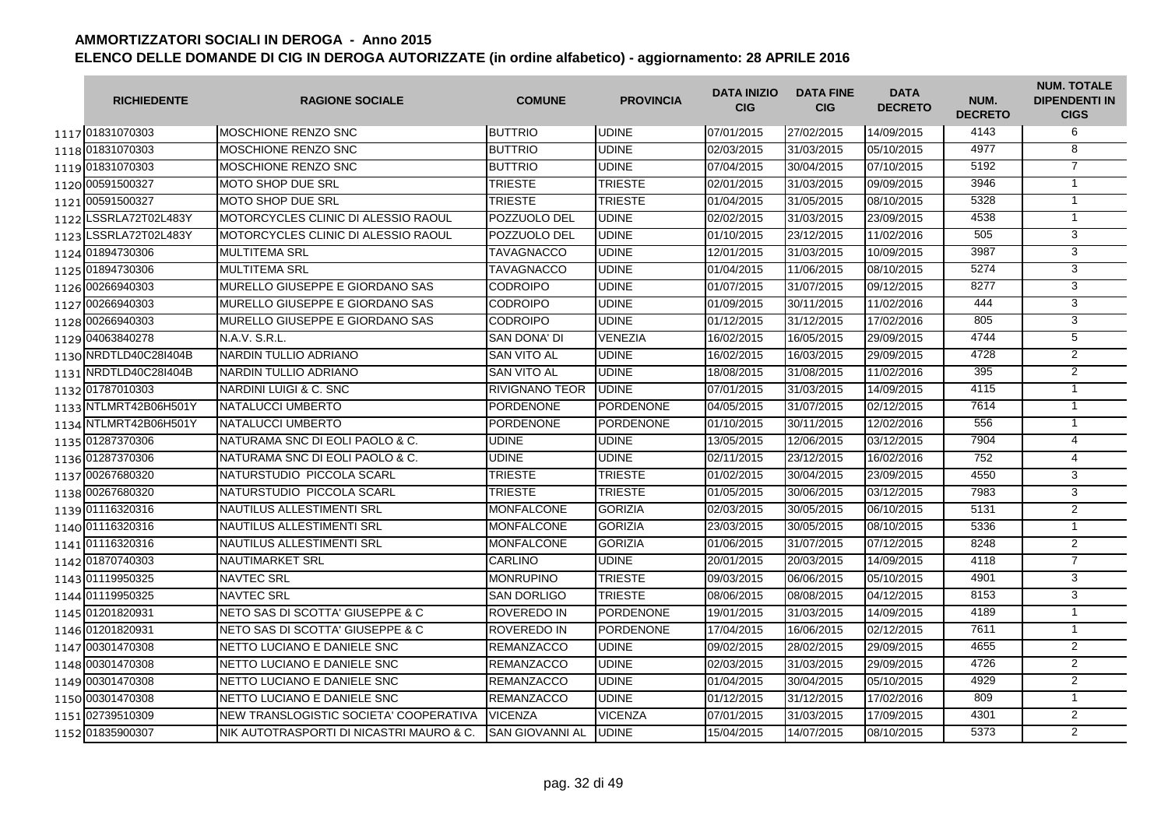| <b>RICHIEDENTE</b>    | <b>RAGIONE SOCIALE</b>                   | <b>COMUNE</b>         | <b>PROVINCIA</b> | <b>DATA INIZIO</b><br><b>CIG</b> | <b>DATA FINE</b><br><b>CIG</b> | <b>DATA</b><br><b>DECRETO</b> | NUM.<br><b>DECRETO</b> | <b>NUM. TOTALE</b><br><b>DIPENDENTI IN</b><br><b>CIGS</b> |
|-----------------------|------------------------------------------|-----------------------|------------------|----------------------------------|--------------------------------|-------------------------------|------------------------|-----------------------------------------------------------|
| 1117 01831070303      | <b>MOSCHIONE RENZO SNC</b>               | <b>BUTTRIO</b>        | <b>UDINE</b>     | 07/01/2015                       | 27/02/2015                     | 14/09/2015                    | 4143                   | 6                                                         |
| 1118 01831070303      | MOSCHIONE RENZO SNC                      | <b>BUTTRIO</b>        | <b>UDINE</b>     | 02/03/2015                       | 31/03/2015                     | 05/10/2015                    | 4977                   | 8                                                         |
| 1119 01831070303      | MOSCHIONE RENZO SNC                      | <b>BUTTRIO</b>        | <b>UDINE</b>     | 07/04/2015                       | 30/04/2015                     | 07/10/2015                    | 5192                   | $\overline{7}$                                            |
| 1120 00591500327      | MOTO SHOP DUE SRL                        | <b>TRIESTE</b>        | <b>TRIESTE</b>   | 02/01/2015                       | 31/03/2015                     | 09/09/2015                    | 3946                   | $\mathbf{1}$                                              |
| 1121 00591500327      | <b>MOTO SHOP DUE SRL</b>                 | <b>TRIESTE</b>        | <b>TRIESTE</b>   | 01/04/2015                       | 31/05/2015                     | 08/10/2015                    | 5328                   | $\mathbf{1}$                                              |
| 1122 LSSRLA72T02L483Y | MOTORCYCLES CLINIC DI ALESSIO RAOUL      | POZZUOLO DEL          | <b>UDINE</b>     | 02/02/2015                       | 31/03/2015                     | 23/09/2015                    | 4538                   | $\overline{1}$                                            |
| 1123 LSSRLA72T02L483Y | MOTORCYCLES CLINIC DI ALESSIO RAOUL      | <b>POZZUOLO DEL</b>   | <b>UDINE</b>     | 01/10/2015                       | 23/12/2015                     | 11/02/2016                    | 505                    | 3                                                         |
| 1124 01894730306      | <b>MULTITEMA SRL</b>                     | <b>TAVAGNACCO</b>     | <b>UDINE</b>     | 12/01/2015                       | 31/03/2015                     | 10/09/2015                    | 3987                   | 3                                                         |
| 1125 01894730306      | <b>MULTITEMA SRL</b>                     | <b>TAVAGNACCO</b>     | <b>UDINE</b>     | 01/04/2015                       | 11/06/2015                     | 08/10/2015                    | 5274                   | 3                                                         |
| 1126 00266940303      | MURELLO GIUSEPPE E GIORDANO SAS          | <b>CODROIPO</b>       | <b>UDINE</b>     | 01/07/2015                       | 31/07/2015                     | 09/12/2015                    | 8277                   | 3                                                         |
| 1127 00266940303      | MURELLO GIUSEPPE E GIORDANO SAS          | <b>CODROIPO</b>       | <b>UDINE</b>     | 01/09/2015                       | 30/11/2015                     | 11/02/2016                    | 444                    | $\overline{3}$                                            |
| 1128 00266940303      | MURELLO GIUSEPPE E GIORDANO SAS          | <b>CODROIPO</b>       | <b>UDINE</b>     | 01/12/2015                       | 31/12/2015                     | 17/02/2016                    | 805                    | 3                                                         |
| 1129 04063840278      | N.A.V. S.R.L.                            | <b>SAN DONA' DI</b>   | VENEZIA          | 16/02/2015                       | 16/05/2015                     | 29/09/2015                    | 4744                   | $\overline{5}$                                            |
| 1130 NRDTLD40C28I404B | NARDIN TULLIO ADRIANO                    | <b>SAN VITO AL</b>    | <b>UDINE</b>     | 16/02/2015                       | 16/03/2015                     | 29/09/2015                    | 4728                   | $\overline{2}$                                            |
| 1131 NRDTLD40C28I404B | NARDIN TULLIO ADRIANO                    | <b>SAN VITO AL</b>    | <b>UDINE</b>     | 18/08/2015                       | 31/08/2015                     | 11/02/2016                    | 395                    | $\overline{2}$                                            |
| 1132 01787010303      | NARDINI LUIGI & C. SNC                   | <b>RIVIGNANO TEOR</b> | <b>UDINE</b>     | 07/01/2015                       | 31/03/2015                     | 14/09/2015                    | 4115                   | $\mathbf{1}$                                              |
| 1133 NTLMRT42B06H501Y | NATALUCCI UMBERTO                        | <b>PORDENONE</b>      | <b>PORDENONE</b> | 04/05/2015                       | 31/07/2015                     | 02/12/2015                    | 7614                   | $\mathbf{1}$                                              |
| 1134 NTLMRT42B06H501Y | NATALUCCI UMBERTO                        | <b>PORDENONE</b>      | <b>PORDENONE</b> | 01/10/2015                       | 30/11/2015                     | 12/02/2016                    | 556                    | $\mathbf{1}$                                              |
| 1135 01287370306      | NATURAMA SNC DI EOLI PAOLO & C.          | <b>UDINE</b>          | <b>UDINE</b>     | 13/05/2015                       | 12/06/2015                     | 03/12/2015                    | 7904                   | $\overline{4}$                                            |
| 1136 01287370306      | NATURAMA SNC DI EOLI PAOLO & C.          | <b>UDINE</b>          | <b>UDINE</b>     | 02/11/2015                       | 23/12/2015                     | 16/02/2016                    | 752                    | 4                                                         |
| 1137 00267680320      | NATURSTUDIO PICCOLA SCARL                | <b>TRIESTE</b>        | <b>TRIESTE</b>   | 01/02/2015                       | 30/04/2015                     | 23/09/2015                    | 4550                   | 3                                                         |
| 1138 00267680320      | NATURSTUDIO PICCOLA SCARL                | <b>TRIESTE</b>        | <b>TRIESTE</b>   | 01/05/2015                       | 30/06/2015                     | 03/12/2015                    | 7983                   | 3                                                         |
| 1139 01116320316      | NAUTILUS ALLESTIMENTI SRL                | <b>MONFALCONE</b>     | <b>GORIZIA</b>   | 02/03/2015                       | 30/05/2015                     | 06/10/2015                    | 5131                   | $\overline{2}$                                            |
| 1140 01116320316      | NAUTILUS ALLESTIMENTI SRL                | <b>MONFALCONE</b>     | <b>GORIZIA</b>   | 23/03/2015                       | 30/05/2015                     | 08/10/2015                    | 5336                   | $\overline{1}$                                            |
| 1141 01116320316      | NAUTILUS ALLESTIMENTI SRL                | <b>MONFALCONE</b>     | <b>GORIZIA</b>   | 01/06/2015                       | 31/07/2015                     | 07/12/2015                    | 8248                   | 2                                                         |
| 1142 01870740303      | <b>NAUTIMARKET SRL</b>                   | CARLINO               | <b>UDINE</b>     | 20/01/2015                       | 20/03/2015                     | 14/09/2015                    | 4118                   | $\overline{7}$                                            |
| 1143 01119950325      | <b>NAVTEC SRL</b>                        | <b>MONRUPINO</b>      | <b>TRIESTE</b>   | 09/03/2015                       | 06/06/2015                     | 05/10/2015                    | 4901                   | 3                                                         |
| 1144 01119950325      | <b>NAVTEC SRL</b>                        | <b>SAN DORLIGO</b>    | <b>TRIESTE</b>   | 08/06/2015                       | 08/08/2015                     | 04/12/2015                    | 8153                   | 3                                                         |
| 1145 01201820931      | NETO SAS DI SCOTTA' GIUSEPPE & C         | <b>ROVEREDO IN</b>    | <b>PORDENONE</b> | 19/01/2015                       | 31/03/2015                     | 14/09/2015                    | 4189                   | $\mathbf{1}$                                              |
| 1146 01201820931      | NETO SAS DI SCOTTA' GIUSEPPE & C         | <b>ROVEREDO IN</b>    | <b>PORDENONE</b> | 17/04/2015                       | 16/06/2015                     | 02/12/2015                    | 7611                   | $\mathbf{1}$                                              |
| 1147 00301470308      | NETTO LUCIANO E DANIELE SNC              | <b>REMANZACCO</b>     | <b>UDINE</b>     | 09/02/2015                       | 28/02/2015                     | 29/09/2015                    | 4655                   | 2                                                         |
| 1148 00301470308      | NETTO LUCIANO E DANIELE SNC              | <b>REMANZACCO</b>     | <b>UDINE</b>     | 02/03/2015                       | 31/03/2015                     | 29/09/2015                    | 4726                   | $\overline{2}$                                            |
| 1149 00301470308      | NETTO LUCIANO E DANIELE SNC              | <b>REMANZACCO</b>     | <b>UDINE</b>     | 01/04/2015                       | 30/04/2015                     | 05/10/2015                    | 4929                   | $\overline{2}$                                            |
| 1150 00301470308      | NETTO LUCIANO E DANIELE SNC              | <b>REMANZACCO</b>     | <b>UDINE</b>     | 01/12/2015                       | 31/12/2015                     | 17/02/2016                    | 809                    | $\overline{1}$                                            |
| 1151 02739510309      | NEW TRANSLOGISTIC SOCIETA' COOPERATIVA   | <b>VICENZA</b>        | <b>VICENZA</b>   | 07/01/2015                       | 31/03/2015                     | 17/09/2015                    | 4301                   | $\overline{2}$                                            |
| 1152 01835900307      | NIK AUTOTRASPORTI DI NICASTRI MAURO & C. | SAN GIOVANNI AL       | <b>UDINE</b>     | 15/04/2015                       | 14/07/2015                     | 08/10/2015                    | 5373                   | $\overline{2}$                                            |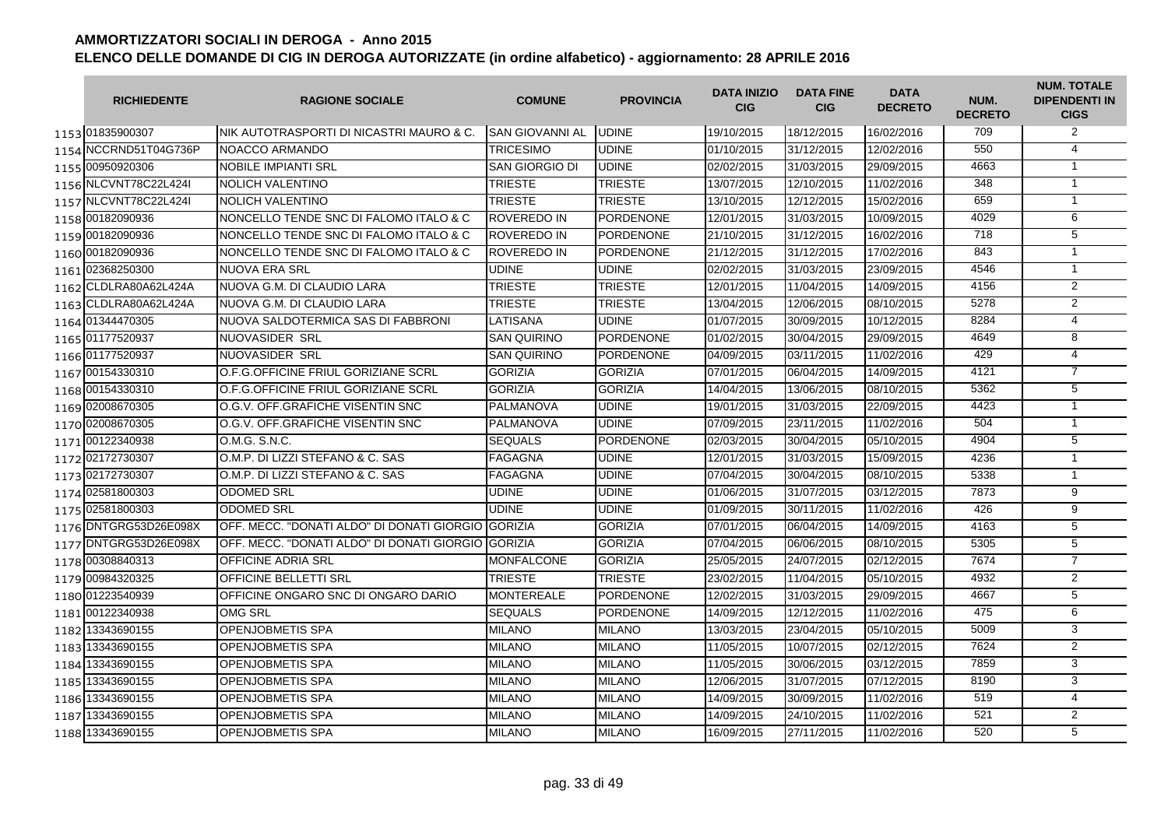|      | <b>RICHIEDENTE</b>    | <b>RAGIONE SOCIALE</b>                              | <b>COMUNE</b>          | <b>PROVINCIA</b> | <b>DATA INIZIO</b><br><b>CIG</b> | <b>DATA FINE</b><br><b>CIG</b> | <b>DATA</b><br><b>DECRETO</b> | NUM.<br><b>DECRETO</b> | <b>NUM. TOTALE</b><br><b>DIPENDENTI IN</b><br><b>CIGS</b> |
|------|-----------------------|-----------------------------------------------------|------------------------|------------------|----------------------------------|--------------------------------|-------------------------------|------------------------|-----------------------------------------------------------|
|      | 1153 01835900307      | INIK AUTOTRASPORTI DI NICASTRI MAURO & C.           | <b>SAN GIOVANNI AL</b> | <b>UDINE</b>     | 19/10/2015                       | 18/12/2015                     | 16/02/2016                    | 709                    | 2                                                         |
|      | 1154 NCCRND51T04G736P | NOACCO ARMANDO                                      | <b>TRICESIMO</b>       | <b>UDINE</b>     | 01/10/2015                       | 31/12/2015                     | 12/02/2016                    | 550                    | $\overline{4}$                                            |
|      | 1155 00950920306      | <b>NOBILE IMPIANTI SRL</b>                          | SAN GIORGIO DI         | <b>UDINE</b>     | 02/02/2015                       | 31/03/2015                     | 29/09/2015                    | 4663                   | $\mathbf{1}$                                              |
|      | 1156 NLCVNT78C22L424  | <b>NOLICH VALENTINO</b>                             | <b>TRIESTE</b>         | <b>TRIESTE</b>   | 13/07/2015                       | 12/10/2015                     | 11/02/2016                    | $\overline{348}$       | $\mathbf{1}$                                              |
|      | 1157 NLCVNT78C22L424I | <b>NOLICH VALENTINO</b>                             | <b>TRIESTE</b>         | <b>TRIESTE</b>   | 13/10/2015                       | 12/12/2015                     | 15/02/2016                    | 659                    | $\mathbf{1}$                                              |
|      | 1158 00182090936      | NONCELLO TENDE SNC DI FALOMO ITALO & C              | ROVEREDO IN            | <b>PORDENONE</b> | 12/01/2015                       | 31/03/2015                     | 10/09/2015                    | 4029                   | 6                                                         |
|      | 1159 00182090936      | NONCELLO TENDE SNC DI FALOMO ITALO & C              | <b>ROVEREDO IN</b>     | <b>PORDENONE</b> | 21/10/2015                       | 31/12/2015                     | 16/02/2016                    | 718                    | 5                                                         |
|      | 1160 00182090936      | NONCELLO TENDE SNC DI FALOMO ITALO & C              | ROVEREDO IN            | <b>PORDENONE</b> | 21/12/2015                       | 31/12/2015                     | 17/02/2016                    | 843                    | $\mathbf{1}$                                              |
|      | 1161 02368250300      | NUOVA ERA SRL                                       | UDINE                  | <b>UDINE</b>     | 02/02/2015                       | 31/03/2015                     | 23/09/2015                    | 4546                   | $\mathbf{1}$                                              |
|      | 1162 CLDLRA80A62L424A | NUOVA G.M. DI CLAUDIO LARA                          | TRIESTE                | <b>TRIESTE</b>   | 12/01/2015                       | 11/04/2015                     | 14/09/2015                    | 4156                   | 2                                                         |
|      | 1163 CLDLRA80A62L424A | NUOVA G.M. DI CLAUDIO LARA                          | <b>TRIESTE</b>         | <b>TRIESTE</b>   | 13/04/2015                       | 12/06/2015                     | 08/10/2015                    | 5278                   | $\overline{2}$                                            |
|      | 1164 01344470305      | NUOVA SALDOTERMICA SAS DI FABBRONI                  | LATISANA               | <b>UDINE</b>     | 01/07/2015                       | 30/09/2015                     | 10/12/2015                    | 8284                   | $\overline{4}$                                            |
|      | 1165 01177520937      | NUOVASIDER SRL                                      | <b>SAN QUIRINO</b>     | <b>PORDENONE</b> | 01/02/2015                       | 30/04/2015                     | 29/09/2015                    | 4649                   | $\overline{8}$                                            |
|      | 1166 01177520937      | NUOVASIDER SRL                                      | <b>SAN QUIRINO</b>     | <b>PORDENONE</b> | 04/09/2015                       | 03/11/2015                     | 11/02/2016                    | 429                    | $\overline{4}$                                            |
|      | 1167 00154330310      | O.F.G.OFFICINE FRIUL GORIZIANE SCRL                 | <b>GORIZIA</b>         | <b>GORIZIA</b>   | 07/01/2015                       | 06/04/2015                     | 14/09/2015                    | 4121                   | $\overline{7}$                                            |
|      | 1168 00154330310      | O.F.G.OFFICINE FRIUL GORIZIANE SCRL                 | <b>GORIZIA</b>         | <b>GORIZIA</b>   | 14/04/2015                       | 13/06/2015                     | 08/10/2015                    | 5362                   | 5                                                         |
|      | 1169 02008670305      | O.G.V. OFF.GRAFICHE VISENTIN SNC                    | <b>PALMANOVA</b>       | <b>UDINE</b>     | 19/01/2015                       | 31/03/2015                     | 22/09/2015                    | 4423                   | $\mathbf{1}$                                              |
|      | 1170 02008670305      | O.G.V. OFF.GRAFICHE VISENTIN SNC                    | <b>PALMANOVA</b>       | <b>UDINE</b>     | 07/09/2015                       | 23/11/2015                     | 11/02/2016                    | 504                    | $\mathbf{1}$                                              |
|      | 1171 00122340938      | O.M.G. S.N.C.                                       | <b>SEQUALS</b>         | <b>PORDENONE</b> | 02/03/2015                       | 30/04/2015                     | 05/10/2015                    | 4904                   | $\overline{5}$                                            |
|      | 1172 02172730307      | O.M.P. DI LIZZI STEFANO & C. SAS                    | <b>FAGAGNA</b>         | <b>UDINE</b>     | 12/01/2015                       | 31/03/2015                     | 15/09/2015                    | 4236                   | $\mathbf{1}$                                              |
|      | 1173 02172730307      | O.M.P. DI LIZZI STEFANO & C. SAS                    | <b>FAGAGNA</b>         | <b>UDINE</b>     | 07/04/2015                       | 30/04/2015                     | 08/10/2015                    | 5338                   | $\mathbf{1}$                                              |
|      | 1174 02581800303      | <b>ODOMED SRL</b>                                   | <b>UDINE</b>           | <b>UDINE</b>     | 01/06/2015                       | 31/07/2015                     | 03/12/2015                    | 7873                   | $\overline{9}$                                            |
|      | 1175 02581800303      | <b>ODOMED SRL</b>                                   | UDINE                  | <b>UDINE</b>     | 01/09/2015                       | 30/11/2015                     | 11/02/2016                    | 426                    | 9                                                         |
|      | 1176 DNTGRG53D26E098X | OFF. MECC. "DONATI ALDO" DI DONATI GIORGIO IGORIZIA |                        | <b>GORIZIA</b>   | 07/01/2015                       | 06/04/2015                     | 14/09/2015                    | 4163                   | 5                                                         |
|      | 1177 DNTGRG53D26E098X | OFF. MECC. "DONATI ALDO" DI DONATI GIORGIO GORIZIA  |                        | <b>GORIZIA</b>   | 07/04/2015                       | 06/06/2015                     | 08/10/2015                    | 5305                   | 5                                                         |
|      | 1178 00308840313      | <b>OFFICINE ADRIA SRL</b>                           | <b>MONFALCONE</b>      | <b>GORIZIA</b>   | 25/05/2015                       | 24/07/2015                     | 02/12/2015                    | 7674                   | $\overline{7}$                                            |
|      | 1179 00984320325      | <b>OFFICINE BELLETTI SRL</b>                        | <b>TRIESTE</b>         | <b>TRIESTE</b>   | 23/02/2015                       | 11/04/2015                     | 05/10/2015                    | 4932                   | 2                                                         |
|      | 1180 01223540939      | OFFICINE ONGARO SNC DI ONGARO DARIO                 | <b>MONTEREALE</b>      | <b>PORDENONE</b> | 12/02/2015                       | 31/03/2015                     | 29/09/2015                    | 4667                   | $\overline{5}$                                            |
|      | 1181 00122340938      | OMG SRL                                             | <b>SEQUALS</b>         | <b>PORDENONE</b> | 14/09/2015                       | 12/12/2015                     | 11/02/2016                    | 475                    | 6                                                         |
|      | 1182 13343690155      | <b>OPENJOBMETIS SPA</b>                             | <b>MILANO</b>          | <b>MILANO</b>    | 13/03/2015                       | 23/04/2015                     | 05/10/2015                    | 5009                   | 3                                                         |
|      | 1183 13343690155      | <b>OPENJOBMETIS SPA</b>                             | <b>MILANO</b>          | <b>MILANO</b>    | 11/05/2015                       | 10/07/2015                     | 02/12/2015                    | 7624                   | 2                                                         |
|      | 1184 13343690155      | <b>OPENJOBMETIS SPA</b>                             | <b>MILANO</b>          | <b>MILANO</b>    | 11/05/2015                       | 30/06/2015                     | 03/12/2015                    | 7859                   | 3                                                         |
|      | 1185 13343690155      | <b>OPENJOBMETIS SPA</b>                             | <b>MILANO</b>          | <b>MILANO</b>    | 12/06/2015                       | 31/07/2015                     | 07/12/2015                    | 8190                   | 3                                                         |
|      | 1186 13343690155      | <b>OPENJOBMETIS SPA</b>                             | <b>MILANO</b>          | <b>MILANO</b>    | 14/09/2015                       | 30/09/2015                     | 11/02/2016                    | 519                    | $\overline{4}$                                            |
| 1187 | 13343690155           | <b>OPENJOBMETIS SPA</b>                             | <b>MILANO</b>          | <b>MILANO</b>    | 14/09/2015                       | 24/10/2015                     | 11/02/2016                    | 521                    | $\overline{2}$                                            |
|      | 1188 13343690155      | OPENJOBMETIS SPA                                    | <b>MILANO</b>          | <b>MILANO</b>    | 16/09/2015                       | 27/11/2015                     | 11/02/2016                    | 520                    | $\overline{5}$                                            |
|      |                       |                                                     |                        |                  |                                  |                                |                               |                        |                                                           |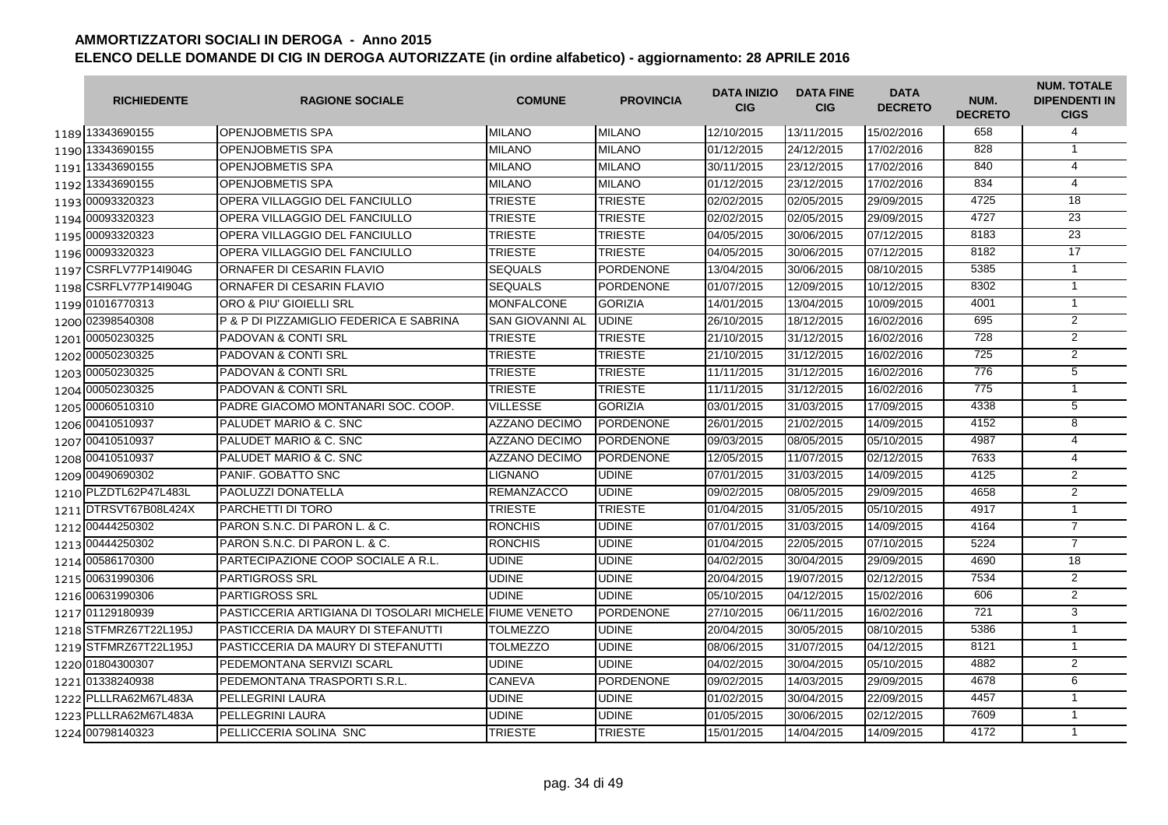|      | <b>RICHIEDENTE</b>    | <b>RAGIONE SOCIALE</b>                                 | <b>COMUNE</b>          | <b>PROVINCIA</b> | <b>DATA INIZIO</b><br><b>CIG</b> | <b>DATA FINE</b><br><b>CIG</b> | <b>DATA</b><br><b>DECRETO</b> | NUM.<br><b>DECRETO</b> | <b>NUM. TOTALE</b><br><b>DIPENDENTI IN</b><br><b>CIGS</b> |
|------|-----------------------|--------------------------------------------------------|------------------------|------------------|----------------------------------|--------------------------------|-------------------------------|------------------------|-----------------------------------------------------------|
|      | 1189 13343690155      | <b>OPENJOBMETIS SPA</b>                                | <b>MILANO</b>          | <b>MILANO</b>    | 12/10/2015                       | 13/11/2015                     | 15/02/2016                    | 658                    | 4                                                         |
|      | 1190 13343690155      | OPENJOBMETIS SPA                                       | <b>MILANO</b>          | <b>MILANO</b>    | 01/12/2015                       | 24/12/2015                     | 17/02/2016                    | 828                    | $\mathbf{1}$                                              |
|      | 1191 13343690155      | <b>OPENJOBMETIS SPA</b>                                | <b>MILANO</b>          | <b>MILANO</b>    | 30/11/2015                       | 23/12/2015                     | 17/02/2016                    | 840                    | $\overline{4}$                                            |
|      | 1192 13343690155      | <b>OPENJOBMETIS SPA</b>                                | <b>MILANO</b>          | <b>MILANO</b>    | 01/12/2015                       | 23/12/2015                     | 17/02/2016                    | 834                    | 4                                                         |
|      | 1193 00093320323      | OPERA VILLAGGIO DEL FANCIULLO                          | <b>TRIESTE</b>         | <b>TRIESTE</b>   | 02/02/2015                       | 02/05/2015                     | 29/09/2015                    | 4725                   | 18                                                        |
|      | 1194 00093320323      | OPERA VILLAGGIO DEL FANCIULLO                          | <b>TRIESTE</b>         | <b>TRIESTE</b>   | 02/02/2015                       | 02/05/2015                     | 29/09/2015                    | 4727                   | $\overline{23}$                                           |
|      | 1195 00093320323      | OPERA VILLAGGIO DEL FANCIULLO                          | <b>TRIESTE</b>         | <b>TRIESTE</b>   | 04/05/2015                       | 30/06/2015                     | 07/12/2015                    | 8183                   | $\overline{23}$                                           |
|      | 1196 00093320323      | OPERA VILLAGGIO DEL FANCIULLO                          | <b>TRIESTE</b>         | <b>TRIESTE</b>   | 04/05/2015                       | 30/06/2015                     | 07/12/2015                    | 8182                   | 17                                                        |
|      | 1197 CSRFLV77P14l904G | ORNAFER DI CESARIN FLAVIO                              | <b>SEQUALS</b>         | <b>PORDENONE</b> | 13/04/2015                       | 30/06/2015                     | 08/10/2015                    | 5385                   | $\mathbf{1}$                                              |
| 1198 | CSRFLV77P14I904G      | ORNAFER DI CESARIN FLAVIO                              | <b>SEQUALS</b>         | <b>PORDENONE</b> | 01/07/2015                       | 12/09/2015                     | 10/12/2015                    | 8302                   | $\mathbf{1}$                                              |
|      | 1199 01016770313      | ORO & PIU' GIOIELLI SRL                                | <b>MONFALCONE</b>      | <b>GORIZIA</b>   | 14/01/2015                       | 13/04/2015                     | 10/09/2015                    | 4001                   | $\mathbf{1}$                                              |
|      | 1200 02398540308      | P & P DI PIZZAMIGLIO FEDERICA E SABRINA                | <b>SAN GIOVANNI AL</b> | <b>UDINE</b>     | 26/10/2015                       | 18/12/2015                     | 16/02/2016                    | 695                    | 2                                                         |
|      | 1201 00050230325      | <b>PADOVAN &amp; CONTI SRL</b>                         | <b>TRIESTE</b>         | <b>TRIESTE</b>   | 21/10/2015                       | 31/12/2015                     | 16/02/2016                    | 728                    | $\overline{2}$                                            |
|      | 1202 00050230325      | <b>PADOVAN &amp; CONTI SRL</b>                         | <b>TRIESTE</b>         | <b>TRIESTE</b>   | 21/10/2015                       | 31/12/2015                     | 16/02/2016                    | 725                    | $\overline{2}$                                            |
|      | 1203 00050230325      | <b>PADOVAN &amp; CONTI SRL</b>                         | <b>TRIESTE</b>         | <b>TRIESTE</b>   | 11/11/2015                       | 31/12/2015                     | 16/02/2016                    | 776                    | $\overline{5}$                                            |
|      | 1204 00050230325      | <b>PADOVAN &amp; CONTI SRL</b>                         | <b>TRIESTE</b>         | <b>TRIESTE</b>   | 11/11/2015                       | 31/12/2015                     | 16/02/2016                    | 775                    | $\mathbf{1}$                                              |
|      | 1205 00060510310      | PADRE GIACOMO MONTANARI SOC. COOP.                     | <b>VILLESSE</b>        | <b>GORIZIA</b>   | 03/01/2015                       | 31/03/2015                     | 17/09/2015                    | 4338                   | $\overline{5}$                                            |
|      | 1206 00410510937      | PALUDET MARIO & C. SNC                                 | <b>AZZANO DECIMO</b>   | <b>PORDENONE</b> | 26/01/2015                       | 21/02/2015                     | 14/09/2015                    | 4152                   | $\overline{8}$                                            |
|      | 1207 00410510937      | PALUDET MARIO & C. SNC                                 | AZZANO DECIMO          | <b>PORDENONE</b> | 09/03/2015                       | 08/05/2015                     | 05/10/2015                    | 4987                   | $\overline{4}$                                            |
|      | 1208 00410510937      | PALUDET MARIO & C. SNC                                 | <b>AZZANO DECIMO</b>   | <b>PORDENONE</b> | 12/05/2015                       | 11/07/2015                     | 02/12/2015                    | 7633                   | $\overline{4}$                                            |
|      | 1209 00490690302      | PANIF. GOBATTO SNC                                     | <b>LIGNANO</b>         | <b>UDINE</b>     | 07/01/2015                       | 31/03/2015                     | 14/09/2015                    | 4125                   | 2                                                         |
|      | 1210 PLZDTL62P47L483L | PAOLUZZI DONATELLA                                     | <b>REMANZACCO</b>      | <b>UDINE</b>     | 09/02/2015                       | 08/05/2015                     | 29/09/2015                    | 4658                   | $\overline{2}$                                            |
|      | 1211 DTRSVT67B08L424X | PARCHETTI DI TORO                                      | <b>TRIESTE</b>         | <b>TRIESTE</b>   | 01/04/2015                       | 31/05/2015                     | 05/10/2015                    | 4917                   | $\mathbf{1}$                                              |
|      | 1212 00444250302      | PARON S.N.C. DI PARON L. & C.                          | <b>RONCHIS</b>         | <b>UDINE</b>     | 07/01/2015                       | 31/03/2015                     | 14/09/2015                    | 4164                   | $\overline{7}$                                            |
|      | 1213 00444250302      | PARON S.N.C. DI PARON L. & C.                          | <b>RONCHIS</b>         | <b>UDINE</b>     | 01/04/2015                       | 22/05/2015                     | 07/10/2015                    | 5224                   | $\overline{7}$                                            |
|      | 1214 00586170300      | PARTECIPAZIONE COOP SOCIALE A R.L.                     | <b>UDINE</b>           | <b>UDINE</b>     | 04/02/2015                       | 30/04/2015                     | 29/09/2015                    | 4690                   | 18                                                        |
|      | 1215 00631990306      | <b>PARTIGROSS SRL</b>                                  | UDINE                  | <b>UDINE</b>     | 20/04/2015                       | 19/07/2015                     | 02/12/2015                    | 7534                   | $\overline{2}$                                            |
|      | 1216 00631990306      | <b>PARTIGROSS SRL</b>                                  | <b>UDINE</b>           | <b>UDINE</b>     | 05/10/2015                       | 04/12/2015                     | 15/02/2016                    | 606                    | $\overline{2}$                                            |
|      | 1217 01129180939      | PASTICCERIA ARTIGIANA DI TOSOLARI MICHELEIFIUME VENETO |                        | <b>PORDENONE</b> | 27/10/2015                       | 06/11/2015                     | 16/02/2016                    | 721                    | $\overline{3}$                                            |
|      | 1218 STFMRZ67T22L195J | PASTICCERIA DA MAURY DI STEFANUTTI                     | TOLMEZZO               | <b>UDINE</b>     | 20/04/2015                       | 30/05/2015                     | 08/10/2015                    | 5386                   | $\mathbf{1}$                                              |
|      | 1219 STFMRZ67T22L195J | PASTICCERIA DA MAURY DI STEFANUTTI                     | <b>TOLMEZZO</b>        | <b>UDINE</b>     | 08/06/2015                       | 31/07/2015                     | 04/12/2015                    | 8121                   | $\mathbf{1}$                                              |
|      | 1220 01804300307      | PEDEMONTANA SERVIZI SCARL                              | <b>UDINE</b>           | <b>UDINE</b>     | 04/02/2015                       | 30/04/2015                     | 05/10/2015                    | 4882                   | 2                                                         |
|      | 1221 01338240938      | PEDEMONTANA TRASPORTI S.R.L.                           | CANEVA                 | <b>PORDENONE</b> | 09/02/2015                       | 14/03/2015                     | 29/09/2015                    | 4678                   | 6                                                         |
|      | 1222 PLLLRA62M67L483A | PELLEGRINI LAURA                                       | <b>UDINE</b>           | <b>UDINE</b>     | 01/02/2015                       | 30/04/2015                     | 22/09/2015                    | 4457                   | $\mathbf{1}$                                              |
|      | 1223 PLLLRA62M67L483A | PELLEGRINI LAURA                                       | <b>UDINE</b>           | <b>UDINE</b>     | 01/05/2015                       | 30/06/2015                     | 02/12/2015                    | 7609                   | $\mathbf{1}$                                              |
|      | 1224 00798 140323     | PELLICCERIA SOLINA SNC                                 | <b>TRIESTE</b>         | <b>TRIESTE</b>   | 15/01/2015                       | 14/04/2015                     | 14/09/2015                    | 4172                   | $\mathbf{1}$                                              |
|      |                       |                                                        |                        |                  |                                  |                                |                               |                        |                                                           |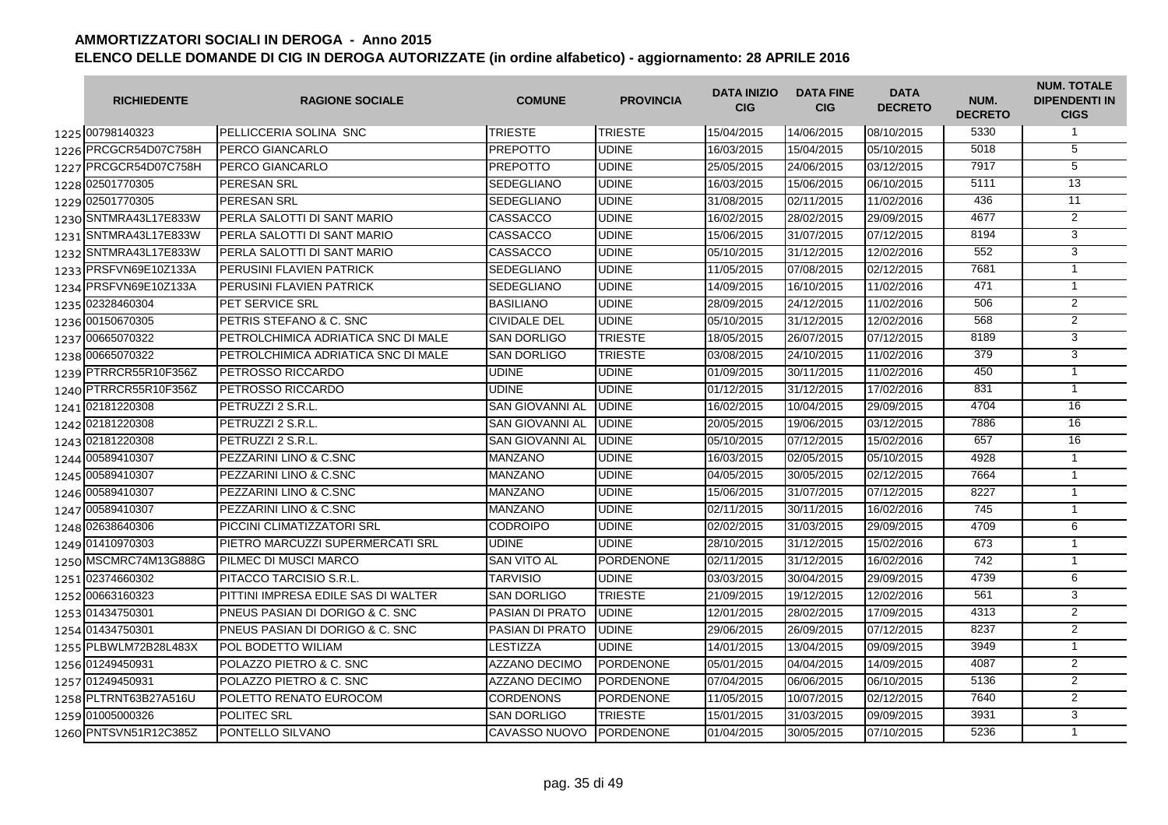| <b>RICHIEDENTE</b>    | <b>RAGIONE SOCIALE</b>                     | <b>COMUNE</b>          | <b>PROVINCIA</b> | <b>DATA INIZIO</b><br><b>CIG</b> | <b>DATA FINE</b><br><b>CIG</b> | <b>DATA</b><br><b>DECRETO</b> | NUM.<br><b>DECRETO</b> | <b>NUM. TOTALE</b><br><b>DIPENDENTI IN</b><br><b>CIGS</b> |
|-----------------------|--------------------------------------------|------------------------|------------------|----------------------------------|--------------------------------|-------------------------------|------------------------|-----------------------------------------------------------|
| 1225 00798140323      | <b>PELLICCERIA SOLINA SNC</b>              | <b>TRIESTE</b>         | <b>TRIESTE</b>   | 15/04/2015                       | 14/06/2015                     | 08/10/2015                    | 5330                   | $\mathbf{1}$                                              |
| 1226 PRCGCR54D07C758H | PERCO GIANCARLO                            | <b>PREPOTTO</b>        | <b>UDINE</b>     | 16/03/2015                       | 15/04/2015                     | 05/10/2015                    | 5018                   | $\overline{5}$                                            |
| 1227 PRCGCR54D07C758H | <b>PERCO GIANCARLO</b>                     | <b>PREPOTTO</b>        | <b>UDINE</b>     | 25/05/2015                       | 24/06/2015                     | 03/12/2015                    | 7917                   | $\overline{5}$                                            |
| 1228 02501770305      | PERESAN SRL                                | SEDEGLIANO             | <b>UDINE</b>     | 16/03/2015                       | 15/06/2015                     | 06/10/2015                    | 5111                   | 13                                                        |
| 1229 02501770305      | <b>PERESAN SRL</b>                         | <b>SEDEGLIANO</b>      | <b>UDINE</b>     | 31/08/2015                       | 02/11/2015                     | 11/02/2016                    | 436                    | 11                                                        |
| 1230 SNTMRA43L17E833W | PERLA SALOTTI DI SANT MARIO                | CASSACCO               | <b>UDINE</b>     | 16/02/2015                       | 28/02/2015                     | 29/09/2015                    | 4677                   | $\overline{2}$                                            |
| 1231 SNTMRA43L17E833W | PERLA SALOTTI DI SANT MARIO                | <b>CASSACCO</b>        | <b>UDINE</b>     | 15/06/2015                       | 31/07/2015                     | 07/12/2015                    | 8194                   | 3                                                         |
| 1232 SNTMRA43L17E833W | PERLA SALOTTI DI SANT MARIO                | CASSACCO               | <b>UDINE</b>     | 05/10/2015                       | 31/12/2015                     | 12/02/2016                    | 552                    | 3                                                         |
| 1233 PRSFVN69E10Z133A | PERUSINI FLAVIEN PATRICK                   | <b>SEDEGLIANO</b>      | <b>UDINE</b>     | 11/05/2015                       | 07/08/2015                     | 02/12/2015                    | 7681                   | $\mathbf{1}$                                              |
| 1234 PRSFVN69E10Z133A | PERUSINI FLAVIEN PATRICK                   | <b>SEDEGLIANO</b>      | <b>UDINE</b>     | 14/09/2015                       | 16/10/2015                     | 11/02/2016                    | 471                    | $\mathbf{1}$                                              |
| 1235 02328460304      | PET SERVICE SRL                            | <b>BASILIANO</b>       | <b>UDINE</b>     | 28/09/2015                       | 24/12/2015                     | 11/02/2016                    | 506                    | 2                                                         |
| 1236 00150670305      | PETRIS STEFANO & C. SNC                    | <b>CIVIDALE DEL</b>    | <b>UDINE</b>     | 05/10/2015                       | 31/12/2015                     | 12/02/2016                    | 568                    | $\overline{2}$                                            |
| 1237 00665070322      | PETROLCHIMICA ADRIATICA SNC DI MALE        | <b>SAN DORLIGO</b>     | <b>TRIESTE</b>   | 18/05/2015                       | 26/07/2015                     | 07/12/2015                    | 8189                   | $\overline{3}$                                            |
| 1238 00665070322      | PETROLCHIMICA ADRIATICA SNC DI MALE        | <b>SAN DORLIGO</b>     | <b>TRIESTE</b>   | 03/08/2015                       | 24/10/2015                     | 11/02/2016                    | 379                    | $\overline{3}$                                            |
| 1239 PTRRCR55R10F356Z | PETROSSO RICCARDO                          | <b>UDINE</b>           | <b>UDINE</b>     | 01/09/2015                       | 30/11/2015                     | 11/02/2016                    | 450                    | $\overline{1}$                                            |
| 1240 PTRRCR55R10F356Z | <b>PETROSSO RICCARDO</b>                   | <b>UDINE</b>           | <b>UDINE</b>     | 01/12/2015                       | 31/12/2015                     | 17/02/2016                    | 831                    | $\mathbf{1}$                                              |
| 1241 02181220308      | PETRUZZI 2 S.R.L.                          | <b>SAN GIOVANNI AL</b> | <b>UDINE</b>     | 16/02/2015                       | 10/04/2015                     | 29/09/2015                    | 4704                   | 16                                                        |
| 1242 02181220308      | PETRUZZI 2 S.R.L.                          | <b>SAN GIOVANNI AL</b> | <b>UDINE</b>     | 20/05/2015                       | 19/06/2015                     | 03/12/2015                    | 7886                   | 16                                                        |
| 1243 02181220308      | PETRUZZI 2 S.R.L.                          | <b>SAN GIOVANNI AL</b> | <b>UDINE</b>     | 05/10/2015                       | 07/12/2015                     | 15/02/2016                    | 657                    | $\overline{16}$                                           |
| 1244 00589410307      | PEZZARINI LINO & C.SNC                     | <b>MANZANO</b>         | <b>UDINE</b>     | 16/03/2015                       | 02/05/2015                     | 05/10/2015                    | 4928                   | $\mathbf{1}$                                              |
| 1245 00589410307      | PEZZARINI LINO & C.SNC                     | <b>MANZANO</b>         | <b>UDINE</b>     | 04/05/2015                       | 30/05/2015                     | 02/12/2015                    | 7664                   | $\mathbf{1}$                                              |
| 1246 00589410307      | PEZZARINI LINO & C.SNC                     | <b>MANZANO</b>         | <b>UDINE</b>     | 15/06/2015                       | 31/07/2015                     | 07/12/2015                    | 8227                   | $\mathbf{1}$                                              |
| 1247 00589410307      | PEZZARINI LINO & C.SNC                     | <b>MANZANO</b>         | <b>UDINE</b>     | 02/11/2015                       | 30/11/2015                     | 16/02/2016                    | 745                    | $\mathbf{1}$                                              |
| 1248 02638640306      | PICCINI CLIMATIZZATORI SRL                 | <b>CODROIPO</b>        | <b>UDINE</b>     | 02/02/2015                       | 31/03/2015                     | 29/09/2015                    | 4709                   | 6                                                         |
| 1249 01410970303      | PIETRO MARCUZZI SUPERMERCATI SRL           | <b>UDINE</b>           | <b>UDINE</b>     | 28/10/2015                       | 31/12/2015                     | 15/02/2016                    | 673                    | $\mathbf{1}$                                              |
| 1250 MSCMRC74M13G888G | PILMEC DI MUSCI MARCO                      | <b>SAN VITO AL</b>     | <b>PORDENONE</b> | 02/11/2015                       | 31/12/2015                     | 16/02/2016                    | 742                    | $\mathbf{1}$                                              |
| 1251 02374660302      | <b>PITACCO TARCISIO S.R.L.</b>             | <b>TARVISIO</b>        | <b>UDINE</b>     | 03/03/2015                       | 30/04/2015                     | 29/09/2015                    | 4739                   | 6                                                         |
| 1252 00663160323      | PITTINI IMPRESA EDILE SAS DI WALTER        | <b>SAN DORLIGO</b>     | <b>TRIESTE</b>   | 21/09/2015                       | 19/12/2015                     | 12/02/2016                    | 561                    | $\overline{3}$                                            |
| 1253 01434750301      | PNEUS PASIAN DI DORIGO & C. SNC            | PASIAN DI PRATO        | <b>UDINE</b>     | 12/01/2015                       | 28/02/2015                     | 17/09/2015                    | 4313                   | $\overline{2}$                                            |
| 1254 01434750301      | <b>PNEUS PASIAN DI DORIGO &amp; C. SNC</b> | <b>PASIAN DI PRATO</b> | <b>UDINE</b>     | 29/06/2015                       | 26/09/2015                     | 07/12/2015                    | 8237                   | 2                                                         |
| 1255 PLBWLM72B28L483X | <b>POL BODETTO WILIAM</b>                  | <b>LESTIZZA</b>        | <b>UDINE</b>     | 14/01/2015                       | 13/04/2015                     | 09/09/2015                    | 3949                   | $\mathbf{1}$                                              |
| 1256 01249450931      | POLAZZO PIETRO & C. SNC                    | <b>AZZANO DECIMO</b>   | PORDENONE        | 05/01/2015                       | 04/04/2015                     | 14/09/2015                    | 4087                   | $\overline{2}$                                            |
| 1257 01249450931      | POLAZZO PIETRO & C. SNC                    | <b>AZZANO DECIMO</b>   | <b>PORDENONE</b> | 07/04/2015                       | 06/06/2015                     | 06/10/2015                    | 5136                   | $\overline{2}$                                            |
| 1258 PLTRNT63B27A516U | POLETTO RENATO EUROCOM                     | <b>CORDENONS</b>       | <b>PORDENONE</b> | 11/05/2015                       | 10/07/2015                     | 02/12/2015                    | 7640                   | $\overline{2}$                                            |
| 1259 01005000326      | POLITEC SRL                                | <b>SAN DORLIGO</b>     | <b>TRIESTE</b>   | 15/01/2015                       | 31/03/2015                     | 09/09/2015                    | 3931                   | $\overline{3}$                                            |
| 1260 PNTSVN51R12C385Z | PONTELLO SILVANO                           | CAVASSO NUOVO          | <b>PORDENONE</b> | 01/04/2015                       | 30/05/2015                     | 07/10/2015                    | 5236                   | $\overline{1}$                                            |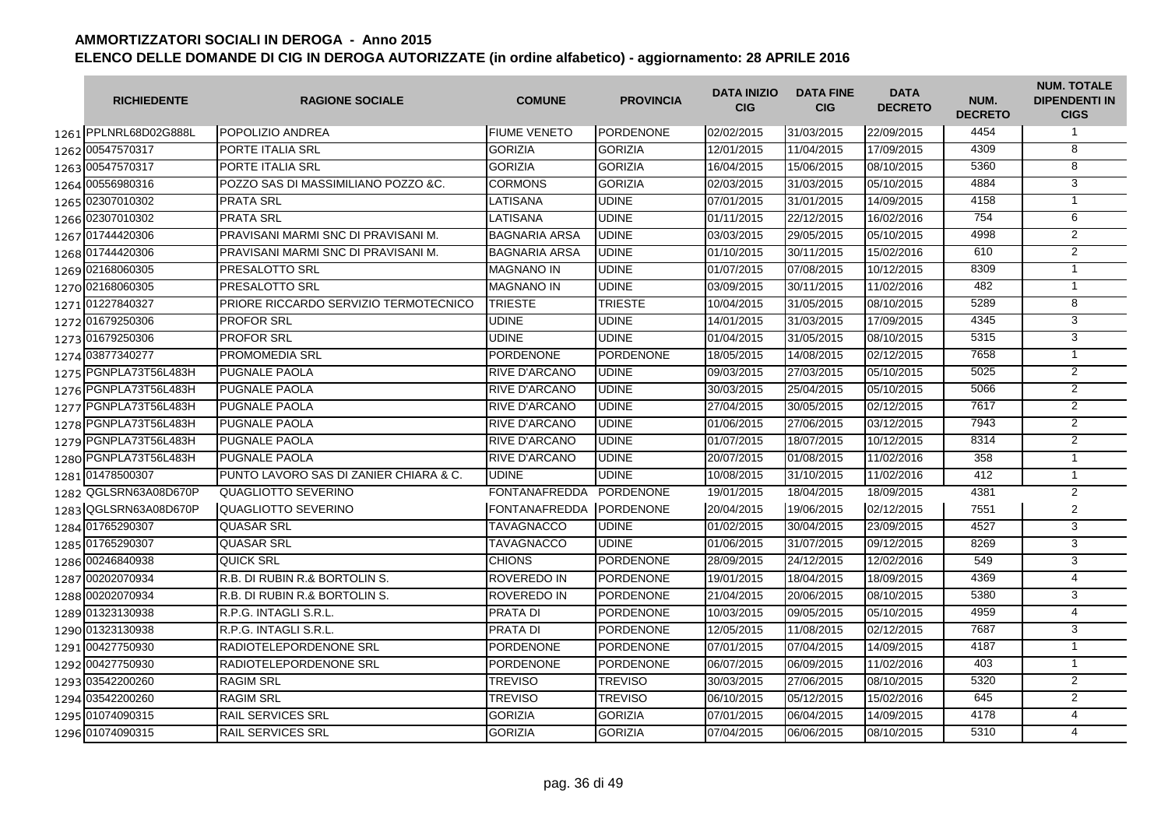| <b>RICHIEDENTE</b>    | <b>RAGIONE SOCIALE</b>                 | <b>COMUNE</b>        | <b>PROVINCIA</b> | <b>DATA INIZIO</b><br><b>CIG</b> | <b>DATA FINE</b><br><b>CIG</b> | <b>DATA</b><br><b>DECRETO</b> | NUM.<br><b>DECRETO</b> | <b>NUM. TOTALE</b><br><b>DIPENDENTI IN</b><br><b>CIGS</b> |
|-----------------------|----------------------------------------|----------------------|------------------|----------------------------------|--------------------------------|-------------------------------|------------------------|-----------------------------------------------------------|
| 1261 PPLNRL68D02G888L | POPOLIZIO ANDREA                       | <b>FIUME VENETO</b>  | <b>PORDENONE</b> | 02/02/2015                       | 31/03/2015                     | 22/09/2015                    | 4454                   | $\mathbf{1}$                                              |
| 1262 00547570317      | PORTE ITALIA SRL                       | <b>GORIZIA</b>       | <b>GORIZIA</b>   | 12/01/2015                       | 11/04/2015                     | 17/09/2015                    | 4309                   | $\overline{8}$                                            |
| 1263 00547570317      | PORTE ITALIA SRL                       | <b>GORIZIA</b>       | <b>GORIZIA</b>   | 16/04/2015                       | 15/06/2015                     | 08/10/2015                    | 5360                   | 8                                                         |
| 1264 00556980316      | POZZO SAS DI MASSIMILIANO POZZO &C.    | <b>CORMONS</b>       | <b>GORIZIA</b>   | 02/03/2015                       | 31/03/2015                     | 05/10/2015                    | 4884                   | 3                                                         |
| 1265 02307010302      | <b>PRATA SRL</b>                       | LATISANA             | <b>UDINE</b>     | 07/01/2015                       | 31/01/2015                     | 14/09/2015                    | 4158                   | $\mathbf{1}$                                              |
| 1266 02307010302      | <b>PRATA SRL</b>                       | LATISANA             | <b>UDINE</b>     | 01/11/2015                       | 22/12/2015                     | 16/02/2016                    | 754                    | 6                                                         |
| 1267 01744420306      | PRAVISANI MARMI SNC DI PRAVISANI M.    | <b>BAGNARIA ARSA</b> | <b>UDINE</b>     | 03/03/2015                       | 29/05/2015                     | 05/10/2015                    | 4998                   | $\overline{2}$                                            |
| 1268 01744420306      | PRAVISANI MARMI SNC DI PRAVISANI M.    | <b>BAGNARIA ARSA</b> | <b>UDINE</b>     | 01/10/2015                       | 30/11/2015                     | 15/02/2016                    | 610                    | $\overline{2}$                                            |
| 1269 02168060305      | PRESALOTTO SRL                         | <b>MAGNANO IN</b>    | <b>UDINE</b>     | 01/07/2015                       | 07/08/2015                     | 10/12/2015                    | 8309                   | $\mathbf{1}$                                              |
| 1270 02168060305      | PRESALOTTO SRL                         | <b>MAGNANO IN</b>    | <b>UDINE</b>     | 03/09/2015                       | 30/11/2015                     | 11/02/2016                    | 482                    | $\mathbf{1}$                                              |
| 1271 01227840327      | PRIORE RICCARDO SERVIZIO TERMOTECNICO  | <b>TRIESTE</b>       | <b>TRIESTE</b>   | 10/04/2015                       | 31/05/2015                     | 08/10/2015                    | 5289                   | 8                                                         |
| 1272 01679250306      | <b>PROFOR SRL</b>                      | UDINE                | UDINE            | 14/01/2015                       | 31/03/2015                     | 17/09/2015                    | 4345                   | 3                                                         |
| 1273 01679250306      | <b>PROFOR SRL</b>                      | <b>UDINE</b>         | <b>UDINE</b>     | 01/04/2015                       | 31/05/2015                     | 08/10/2015                    | 5315                   | 3                                                         |
| 1274 03877340277      | PROMOMEDIA SRL                         | <b>PORDENONE</b>     | <b>PORDENONE</b> | 18/05/2015                       | 14/08/2015                     | 02/12/2015                    | 7658                   | $\mathbf{1}$                                              |
| 1275 PGNPLA73T56L483H | PUGNALE PAOLA                          | RIVE D'ARCANO        | <b>UDINE</b>     | 09/03/2015                       | 27/03/2015                     | 05/10/2015                    | 5025                   | $\overline{2}$                                            |
| 1276 PGNPLA73T56L483H | <b>PUGNALE PAOLA</b>                   | <b>RIVE D'ARCANO</b> | <b>UDINE</b>     | 30/03/2015                       | 25/04/2015                     | 05/10/2015                    | 5066                   | $\overline{2}$                                            |
| 1277 PGNPLA73T56L483H | <b>PUGNALE PAOLA</b>                   | <b>RIVE D'ARCANO</b> | <b>UDINE</b>     | 27/04/2015                       | 30/05/2015                     | 02/12/2015                    | 7617                   | 2                                                         |
| 1278 PGNPLA73T56L483H | <b>PUGNALE PAOLA</b>                   | <b>RIVE D'ARCANO</b> | <b>UDINE</b>     | 01/06/2015                       | 27/06/2015                     | 03/12/2015                    | 7943                   | $\overline{2}$                                            |
| 1279 PGNPLA73T56L483H | PUGNALE PAOLA                          | <b>RIVE D'ARCANO</b> | <b>UDINE</b>     | 01/07/2015                       | 18/07/2015                     | 10/12/2015                    | 8314                   | $\overline{2}$                                            |
| 1280 PGNPLA73T56L483H | <b>PUGNALE PAOLA</b>                   | <b>RIVE D'ARCANO</b> | <b>UDINE</b>     | 20/07/2015                       | 01/08/2015                     | 11/02/2016                    | 358                    | $\mathbf{1}$                                              |
| 1281 01478500307      | PUNTO LAVORO SAS DI ZANIER CHIARA & C. | <b>UDINE</b>         | <b>UDINE</b>     | 10/08/2015                       | 31/10/2015                     | 11/02/2016                    | 412                    | $\mathbf{1}$                                              |
| 1282 QGLSRN63A08D670P | QUAGLIOTTO SEVERINO                    | <b>FONTANAFREDDA</b> | <b>PORDENONE</b> | 19/01/2015                       | 18/04/2015                     | 18/09/2015                    | 4381                   | $\overline{2}$                                            |
| 1283 QGLSRN63A08D670P | QUAGLIOTTO SEVERINO                    | <b>FONTANAFREDDA</b> | <b>PORDENONE</b> | 20/04/2015                       | 19/06/2015                     | 02/12/2015                    | 7551                   | 2                                                         |
| 1284 01765290307      | <b>QUASAR SRL</b>                      | <b>TAVAGNACCO</b>    | <b>UDINE</b>     | 01/02/2015                       | 30/04/2015                     | 23/09/2015                    | 4527                   | 3                                                         |
| 1285 01765290307      | <b>QUASAR SRL</b>                      | <b>TAVAGNACCO</b>    | <b>UDINE</b>     | 01/06/2015                       | 31/07/2015                     | 09/12/2015                    | 8269                   | 3                                                         |
| 1286 00246840938      | <b>QUICK SRL</b>                       | <b>CHIONS</b>        | <b>PORDENONE</b> | 28/09/2015                       | 24/12/2015                     | 12/02/2016                    | 549                    | 3                                                         |
| 1287 00202070934      | R.B. DI RUBIN R.& BORTOLIN S.          | <b>ROVEREDO IN</b>   | <b>PORDENONE</b> | 19/01/2015                       | 18/04/2015                     | 18/09/2015                    | 4369                   | $\overline{4}$                                            |
| 1288 00202070934      | R.B. DI RUBIN R.& BORTOLIN S.          | <b>ROVEREDO IN</b>   | <b>PORDENONE</b> | 21/04/2015                       | 20/06/2015                     | 08/10/2015                    | 5380                   | 3                                                         |
| 1289 01323130938      | R.P.G. INTAGLI S.R.L.                  | <b>PRATA DI</b>      | <b>PORDENONE</b> | 10/03/2015                       | 09/05/2015                     | 05/10/2015                    | 4959                   | $\overline{4}$                                            |
| 1290 01323130938      | R.P.G. INTAGLI S.R.L.                  | <b>PRATA DI</b>      | <b>PORDENONE</b> | 12/05/2015                       | 11/08/2015                     | 02/12/2015                    | 7687                   | 3                                                         |
| 1291 00427750930      | RADIOTELEPORDENONE SRL                 | PORDENONE            | <b>PORDENONE</b> | 07/01/2015                       | 07/04/2015                     | 14/09/2015                    | 4187                   | $\mathbf{1}$                                              |
| 1292 00427750930      | RADIOTELEPORDENONE SRL                 | <b>PORDENONE</b>     | <b>PORDENONE</b> | 06/07/2015                       | 06/09/2015                     | 11/02/2016                    | 403                    | $\overline{1}$                                            |
| 1293 03542200260      | <b>RAGIM SRL</b>                       | <b>TREVISO</b>       | <b>TREVISO</b>   | 30/03/2015                       | 27/06/2015                     | 08/10/2015                    | 5320                   | $\overline{2}$                                            |
| 1294 03542200260      | <b>RAGIM SRL</b>                       | <b>TREVISO</b>       | <b>TREVISO</b>   | 06/10/2015                       | 05/12/2015                     | 15/02/2016                    | 645                    | $\overline{2}$                                            |
| 1295 01074090315      | <b>RAIL SERVICES SRL</b>               | <b>GORIZIA</b>       | <b>GORIZIA</b>   | 07/01/2015                       | 06/04/2015                     | 14/09/2015                    | 4178                   | $\overline{4}$                                            |
| 1296 01074090315      | <b>RAIL SERVICES SRL</b>               | <b>GORIZIA</b>       | <b>GORIZIA</b>   | 07/04/2015                       | 06/06/2015                     | 08/10/2015                    | 5310                   | 4                                                         |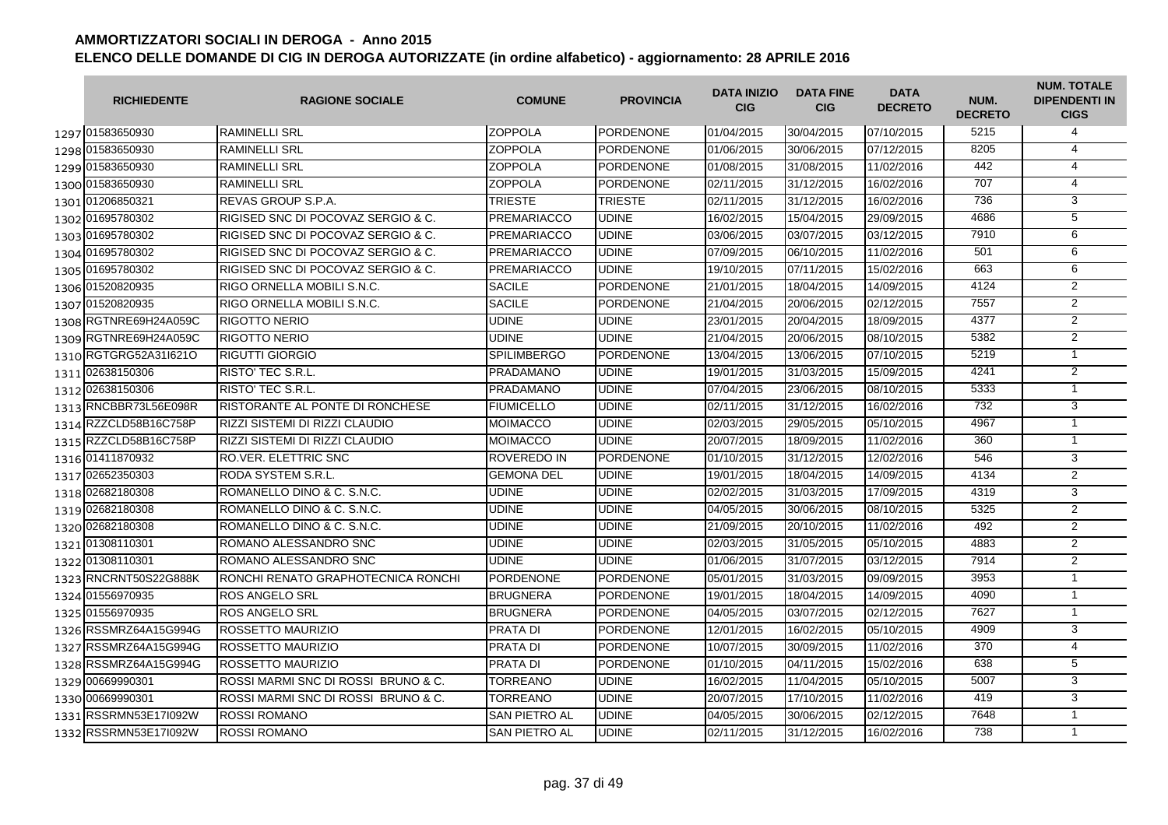| <b>RICHIEDENTE</b>    | <b>RAGIONE SOCIALE</b>                 | <b>COMUNE</b>      | <b>PROVINCIA</b> | <b>DATA INIZIO</b><br><b>CIG</b> | <b>DATA FINE</b><br><b>CIG</b> | <b>DATA</b><br><b>DECRETO</b> | NUM.<br><b>DECRETO</b> | <b>NUM. TOTALE</b><br><b>DIPENDENTI IN</b><br><b>CIGS</b> |
|-----------------------|----------------------------------------|--------------------|------------------|----------------------------------|--------------------------------|-------------------------------|------------------------|-----------------------------------------------------------|
| 1297 01583650930      | <b>RAMINELLI SRL</b>                   | <b>ZOPPOLA</b>     | <b>PORDENONE</b> | 01/04/2015                       | 30/04/2015                     | 07/10/2015                    | 5215                   | 4                                                         |
| 1298 01583650930      | <b>RAMINELLI SRL</b>                   | <b>ZOPPOLA</b>     | <b>PORDENONE</b> | 01/06/2015                       | 30/06/2015                     | 07/12/2015                    | 8205                   | $\overline{4}$                                            |
| 1299 01583650930      | <b>RAMINELLI SRL</b>                   | <b>ZOPPOLA</b>     | <b>PORDENONE</b> | 01/08/2015                       | 31/08/2015                     | 11/02/2016                    | 442                    | 4                                                         |
| 1300 01583650930      | <b>RAMINELLI SRL</b>                   | <b>ZOPPOLA</b>     | <b>PORDENONE</b> | 02/11/2015                       | 31/12/2015                     | 16/02/2016                    | 707                    | 4                                                         |
| 1301 01206850321      | REVAS GROUP S.P.A.                     | <b>TRIESTE</b>     | <b>TRIESTE</b>   | 02/11/2015                       | 31/12/2015                     | 16/02/2016                    | 736                    | 3                                                         |
| 1302 01695780302      | RIGISED SNC DI POCOVAZ SERGIO & C.     | <b>PREMARIACCO</b> | <b>UDINE</b>     | 16/02/2015                       | 15/04/2015                     | 29/09/2015                    | 4686                   | $\overline{5}$                                            |
| 1303 01695780302      | RIGISED SNC DI POCOVAZ SERGIO & C.     | PREMARIACCO        | <b>UDINE</b>     | 03/06/2015                       | 03/07/2015                     | 03/12/2015                    | 7910                   | 6                                                         |
| 1304 01695780302      | RIGISED SNC DI POCOVAZ SERGIO & C.     | PREMARIACCO        | <b>UDINE</b>     | 07/09/2015                       | 06/10/2015                     | 11/02/2016                    | 501                    | 6                                                         |
| 1305 01695780302      | RIGISED SNC DI POCOVAZ SERGIO & C.     | <b>PREMARIACCO</b> | <b>UDINE</b>     | 19/10/2015                       | 07/11/2015                     | 15/02/2016                    | 663                    | 6                                                         |
| 1306 01520820935      | RIGO ORNELLA MOBILI S.N.C.             | <b>SACILE</b>      | <b>PORDENONE</b> | 21/01/2015                       | 18/04/2015                     | 14/09/2015                    | 4124                   | $\overline{2}$                                            |
| 1307 01520820935      | RIGO ORNELLA MOBILI S.N.C.             | <b>SACILE</b>      | <b>PORDENONE</b> | 21/04/2015                       | 20/06/2015                     | 02/12/2015                    | 7557                   | $\overline{2}$                                            |
| 1308 RGTNRE69H24A059C | <b>RIGOTTO NERIO</b>                   | <b>UDINE</b>       | <b>UDINE</b>     | 23/01/2015                       | 20/04/2015                     | 18/09/2015                    | 4377                   | $\overline{2}$                                            |
| 1309 RGTNRE69H24A059C | <b>RIGOTTO NERIO</b>                   | <b>UDINE</b>       | <b>UDINE</b>     | 21/04/2015                       | 20/06/2015                     | 08/10/2015                    | 5382                   | $\overline{2}$                                            |
| 1310 RGTGRG52A31l621O | <b>IRIGUTTI GIORGIO</b>                | <b>SPILIMBERGO</b> | <b>PORDENONE</b> | 13/04/2015                       | 13/06/2015                     | 07/10/2015                    | 5219                   | $\mathbf{1}$                                              |
| 1311 02638150306      | <b>RISTO' TEC S.R.L.</b>               | PRADAMANO          | <b>UDINE</b>     | 19/01/2015                       | 31/03/2015                     | 15/09/2015                    | 4241                   | $\overline{2}$                                            |
| 1312 02638150306      | RISTO' TEC S.R.L.                      | <b>PRADAMANO</b>   | <b>UDINE</b>     | 07/04/2015                       | 23/06/2015                     | 08/10/2015                    | 5333                   | $\mathbf{1}$                                              |
| 1313 RNCBBR73L56E098R | <b>RISTORANTE AL PONTE DI RONCHESE</b> | <b>FIUMICELLO</b>  | <b>UDINE</b>     | 02/11/2015                       | 31/12/2015                     | 16/02/2016                    | 732                    | 3                                                         |
| 1314 RZZCLD58B16C758P | RIZZI SISTEMI DI RIZZI CLAUDIO         | <b>MOIMACCO</b>    | <b>UDINE</b>     | 02/03/2015                       | 29/05/2015                     | 05/10/2015                    | 4967                   | $\overline{1}$                                            |
| 1315 RZZCLD58B16C758P | RIZZI SISTEMI DI RIZZI CLAUDIO         | <b>MOIMACCO</b>    | <b>UDINE</b>     | 20/07/2015                       | 18/09/2015                     | 11/02/2016                    | 360                    | $\overline{1}$                                            |
| 1316 01411870932      | <b>RO.VER. ELETTRIC SNC</b>            | <b>ROVEREDO IN</b> | <b>PORDENONE</b> | 01/10/2015                       | 31/12/2015                     | 12/02/2016                    | 546                    | 3                                                         |
| 1317 02652350303      | <b>RODA SYSTEM S.R.L</b>               | <b>GEMONA DEL</b>  | <b>UDINE</b>     | 19/01/2015                       | 18/04/2015                     | 14/09/2015                    | 4134                   | $\overline{2}$                                            |
| 1318 02682180308      | ROMANELLO DINO & C. S.N.C.             | <b>UDINE</b>       | <b>UDINE</b>     | 02/02/2015                       | 31/03/2015                     | 17/09/2015                    | 4319                   | $\overline{3}$                                            |
| 1319 02682180308      | ROMANELLO DINO & C. S.N.C.             | <b>UDINE</b>       | <b>UDINE</b>     | 04/05/2015                       | 30/06/2015                     | 08/10/2015                    | 5325                   | $\overline{2}$                                            |
| 1320 02682180308      | ROMANELLO DINO & C. S.N.C.             | <b>UDINE</b>       | <b>UDINE</b>     | 21/09/2015                       | 20/10/2015                     | 11/02/2016                    | 492                    | $\overline{2}$                                            |
| 1321 01308110301      | ROMANO ALESSANDRO SNC                  | <b>UDINE</b>       | <b>UDINE</b>     | 02/03/2015                       | 31/05/2015                     | 05/10/2015                    | 4883                   | 2                                                         |
| 1322 01308110301      | ROMANO ALESSANDRO SNC                  | <b>UDINE</b>       | <b>UDINE</b>     | 01/06/2015                       | 31/07/2015                     | 03/12/2015                    | 7914                   | 2                                                         |
| 1323 RNCRNT50S22G888K | IRONCHI RENATO GRAPHOTECNICA RONCHI    | <b>PORDENONE</b>   | <b>PORDENONE</b> | 05/01/2015                       | 31/03/2015                     | 09/09/2015                    | 3953                   | $\mathbf{1}$                                              |
| 1324 01556970935      | <b>ROS ANGELO SRL</b>                  | <b>BRUGNERA</b>    | <b>PORDENONE</b> | 19/01/2015                       | 18/04/2015                     | 14/09/2015                    | 4090                   | $\mathbf{1}$                                              |
| 1325 01556970935      | <b>ROS ANGELO SRL</b>                  | <b>BRUGNERA</b>    | <b>PORDENONE</b> | 04/05/2015                       | 03/07/2015                     | 02/12/2015                    | 7627                   | $\mathbf{1}$                                              |
| 1326 RSSMRZ64A15G994G | ROSSETTO MAURIZIO                      | <b>PRATA DI</b>    | <b>PORDENONE</b> | 12/01/2015                       | 16/02/2015                     | 05/10/2015                    | 4909                   | 3                                                         |
| 1327 RSSMRZ64A15G994G | <b>ROSSETTO MAURIZIO</b>               | <b>PRATA DI</b>    | <b>PORDENONE</b> | 10/07/2015                       | 30/09/2015                     | 11/02/2016                    | 370                    | 4                                                         |
| 1328 RSSMRZ64A15G994G | <b>ROSSETTO MAURIZIO</b>               | <b>PRATA DI</b>    | <b>PORDENONE</b> | 01/10/2015                       | 04/11/2015                     | 15/02/2016                    | 638                    | 5                                                         |
| 1329 00669990301      | ROSSI MARMI SNC DI ROSSI BRUNO & C.    | <b>TORREANO</b>    | <b>UDINE</b>     | 16/02/2015                       | 11/04/2015                     | 05/10/2015                    | 5007                   | 3                                                         |
| 1330 00669990301      | ROSSI MARMI SNC DI ROSSI BRUNO & C.    | <b>TORREANO</b>    | <b>UDINE</b>     | 20/07/2015                       | 17/10/2015                     | 11/02/2016                    | 419                    | $\overline{3}$                                            |
| 1331 RSSRMN53E17I092W | <b>ROSSI ROMANO</b>                    | SAN PIETRO AL      | <b>UDINE</b>     | 04/05/2015                       | 30/06/2015                     | 02/12/2015                    | 7648                   | $\mathbf{1}$                                              |
| 1332 RSSRMN53E17l092W | <b>ROSSI ROMANO</b>                    | SAN PIETRO AL      | <b>UDINE</b>     | 02/11/2015                       | 31/12/2015                     | 16/02/2016                    | 738                    | $\mathbf{1}$                                              |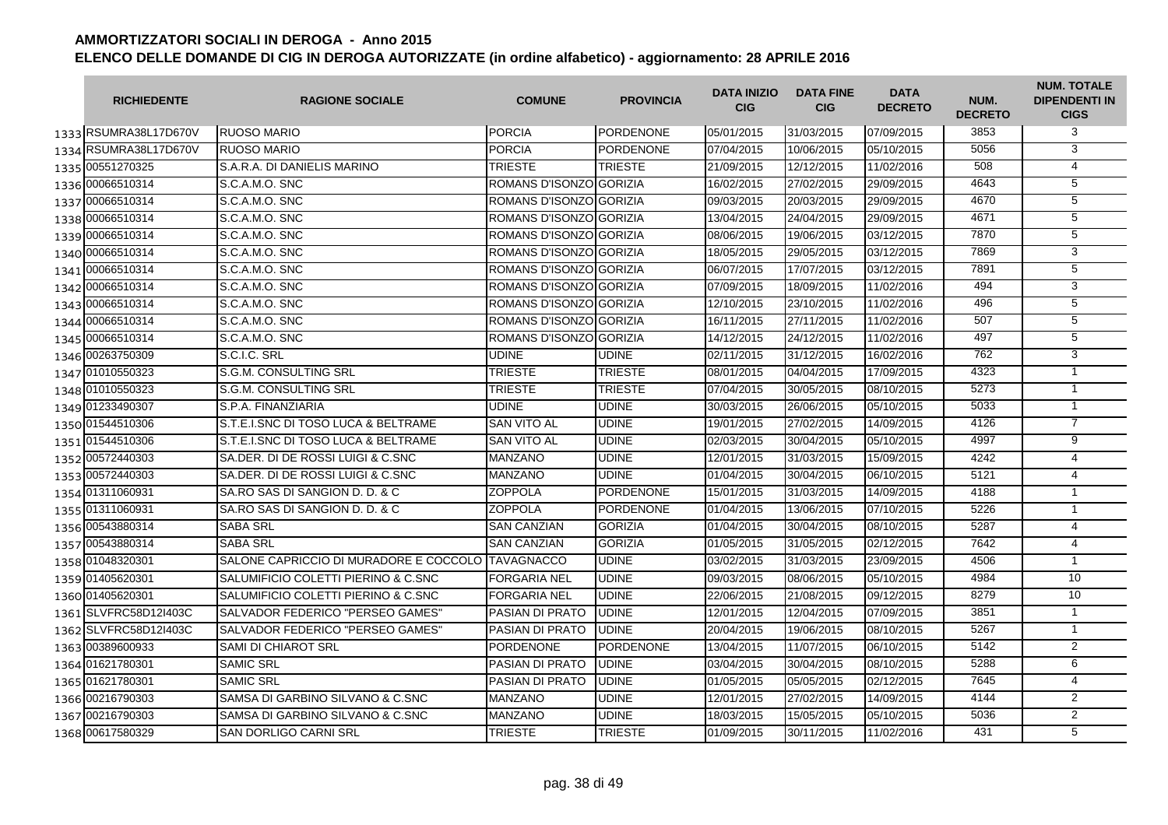| <b>RICHIEDENTE</b>    | <b>RAGIONE SOCIALE</b>                             | <b>COMUNE</b>           | <b>PROVINCIA</b> | <b>DATA INIZIO</b><br><b>CIG</b> | <b>DATA FINE</b><br><b>CIG</b> | <b>DATA</b><br><b>DECRETO</b> | NUM.<br><b>DECRETO</b> | <b>NUM. TOTALE</b><br><b>DIPENDENTI IN</b><br><b>CIGS</b> |
|-----------------------|----------------------------------------------------|-------------------------|------------------|----------------------------------|--------------------------------|-------------------------------|------------------------|-----------------------------------------------------------|
| 1333 RSUMRA38L17D670V | <b>RUOSO MARIO</b>                                 | <b>PORCIA</b>           | PORDENONE        | 05/01/2015                       | 31/03/2015                     | 07/09/2015                    | 3853                   | 3                                                         |
| 1334 RSUMRA38L17D670V | <b>RUOSO MARIO</b>                                 | <b>PORCIA</b>           | PORDENONE        | 07/04/2015                       | 10/06/2015                     | 05/10/2015                    | 5056                   | 3                                                         |
| 1335 00551270325      | S.A.R.A. DI DANIELIS MARINO                        | <b>TRIESTE</b>          | <b>TRIESTE</b>   | 21/09/2015                       | 12/12/2015                     | 11/02/2016                    | 508                    | 4                                                         |
| 1336 00066510314      | S.C.A.M.O. SNC                                     | ROMANS D'ISONZO GORIZIA |                  | 16/02/2015                       | 27/02/2015                     | 29/09/2015                    | 4643                   | 5                                                         |
| 1337 00066510314      | S.C.A.M.O. SNC                                     | ROMANS D'ISONZO GORIZIA |                  | 09/03/2015                       | 20/03/2015                     | 29/09/2015                    | 4670                   | 5                                                         |
| 1338 00066510314      | S.C.A.M.O. SNC                                     | ROMANS D'ISONZO GORIZIA |                  | 13/04/2015                       | 24/04/2015                     | 29/09/2015                    | 4671                   | 5                                                         |
| 1339 00066510314      | S.C.A.M.O. SNC                                     | ROMANS D'ISONZO GORIZIA |                  | 08/06/2015                       | 19/06/2015                     | 03/12/2015                    | 7870                   | $\overline{5}$                                            |
| 1340 00066510314      | S.C.A.M.O. SNC                                     | ROMANS D'ISONZO GORIZIA |                  | 18/05/2015                       | 29/05/2015                     | 03/12/2015                    | 7869                   | 3                                                         |
| 1341 00066510314      | S.C.A.M.O. SNC                                     | ROMANS D'ISONZO GORIZIA |                  | 06/07/2015                       | 17/07/2015                     | 03/12/2015                    | 7891                   | 5                                                         |
| 1342 00066510314      | S.C.A.M.O. SNC                                     | ROMANS D'ISONZOIGORIZIA |                  | 07/09/2015                       | 18/09/2015                     | 11/02/2016                    | 494                    | 3                                                         |
| 1343 00066510314      | S.C.A.M.O. SNC                                     | ROMANS D'ISONZOIGORIZIA |                  | 12/10/2015                       | 23/10/2015                     | 11/02/2016                    | 496                    | $\overline{5}$                                            |
| 1344 00066510314      | S.C.A.M.O. SNC                                     | ROMANS D'ISONZO GORIZIA |                  | 16/11/2015                       | 27/11/2015                     | 11/02/2016                    | 507                    | 5                                                         |
| 1345 00066510314      | S.C.A.M.O. SNC                                     | ROMANS D'ISONZO GORIZIA |                  | 14/12/2015                       | 24/12/2015                     | 11/02/2016                    | 497                    | $\overline{5}$                                            |
| 1346 00263750309      | S.C.I.C. SRL                                       | <b>UDINE</b>            | <b>UDINE</b>     | 02/11/2015                       | 31/12/2015                     | 16/02/2016                    | 762                    | $\overline{3}$                                            |
| 1347 01010550323      | S.G.M. CONSULTING SRL                              | <b>TRIESTE</b>          | <b>TRIESTE</b>   | 08/01/2015                       | 04/04/2015                     | 17/09/2015                    | 4323                   | $\overline{1}$                                            |
| 1348 01010550323      | S.G.M. CONSULTING SRL                              | <b>TRIESTE</b>          | <b>TRIESTE</b>   | 07/04/2015                       | 30/05/2015                     | 08/10/2015                    | 5273                   | $\mathbf{1}$                                              |
| 1349 01233490307      | S.P.A. FINANZIARIA                                 | <b>UDINE</b>            | <b>UDINE</b>     | 30/03/2015                       | 26/06/2015                     | 05/10/2015                    | 5033                   | $\overline{1}$                                            |
| 1350 01544510306      | S.T.E.I.SNC DI TOSO LUCA & BELTRAME                | <b>SAN VITO AL</b>      | <b>UDINE</b>     | 19/01/2015                       | 27/02/2015                     | 14/09/2015                    | 4126                   | $\overline{7}$                                            |
| 1351 01544510306      | S.T.E.I.SNC DI TOSO LUCA & BELTRAME                | <b>SAN VITO AL</b>      | <b>UDINE</b>     | 02/03/2015                       | 30/04/2015                     | 05/10/2015                    | 4997                   | 9                                                         |
| 1352 00572440303      | SA.DER. DI DE ROSSI LUIGI & C.SNC                  | <b>MANZANO</b>          | <b>UDINE</b>     | 12/01/2015                       | 31/03/2015                     | 15/09/2015                    | 4242                   | $\overline{4}$                                            |
| 1353 00572440303      | SA.DER. DI DE ROSSI LUIGI & C.SNC                  | <b>MANZANO</b>          | <b>UDINE</b>     | 01/04/2015                       | 30/04/2015                     | 06/10/2015                    | 5121                   | $\overline{4}$                                            |
| 1354 01311060931      | SA.RO SAS DI SANGION D. D. & C                     | <b>ZOPPOLA</b>          | PORDENONE        | 15/01/2015                       | 31/03/2015                     | 14/09/2015                    | 4188                   | $\mathbf{1}$                                              |
| 1355 01311060931      | SA. RO SAS DI SANGION D. D. & C                    | <b>ZOPPOLA</b>          | <b>PORDENONE</b> | 01/04/2015                       | 13/06/2015                     | 07/10/2015                    | 5226                   | $\mathbf{1}$                                              |
| 1356 00543880314      | <b>SABA SRL</b>                                    | <b>SAN CANZIAN</b>      | <b>GORIZIA</b>   | 01/04/2015                       | 30/04/2015                     | 08/10/2015                    | 5287                   | $\overline{4}$                                            |
| 1357 00543880314      | <b>SABA SRL</b>                                    | <b>SAN CANZIAN</b>      | <b>GORIZIA</b>   | 01/05/2015                       | 31/05/2015                     | 02/12/2015                    | 7642                   | 4                                                         |
| 1358 01048320301      | SALONE CAPRICCIO DI MURADORE E COCCOLO ITAVAGNACCO |                         | <b>UDINE</b>     | 03/02/2015                       | 31/03/2015                     | 23/09/2015                    | 4506                   | $\overline{1}$                                            |
| 1359 01405620301      | SALUMIFICIO COLETTI PIERINO & C.SNC                | <b>FORGARIA NEL</b>     | <b>UDINE</b>     | 09/03/2015                       | 08/06/2015                     | 05/10/2015                    | 4984                   | 10                                                        |
| 1360 01405620301      | SALUMIFICIO COLETTI PIERINO & C.SNC                | <b>FORGARIA NEL</b>     | <b>UDINE</b>     | 22/06/2015                       | 21/08/2015                     | 09/12/2015                    | 8279                   | 10                                                        |
| 1361 SLVFRC58D12I403C | SALVADOR FEDERICO "PERSEO GAMES"                   | PASIAN DI PRATO         | <b>UDINE</b>     | 12/01/2015                       | 12/04/2015                     | 07/09/2015                    | 3851                   | $\overline{1}$                                            |
| 1362 SLVFRC58D12I403C | SALVADOR FEDERICO "PERSEO GAMES"                   | PASIAN DI PRATO         | <b>UDINE</b>     | 20/04/2015                       | 19/06/2015                     | 08/10/2015                    | 5267                   | $\mathbf{1}$                                              |
| 1363 00389600933      | <b>SAMI DI CHIAROT SRL</b>                         | <b>PORDENONE</b>        | <b>PORDENONE</b> | 13/04/2015                       | 11/07/2015                     | 06/10/2015                    | 5142                   | 2                                                         |
| 1364 01621780301      | <b>SAMIC SRL</b>                                   | <b>PASIAN DI PRATO</b>  | <b>UDINE</b>     | 03/04/2015                       | 30/04/2015                     | 08/10/2015                    | 5288                   | 6                                                         |
| 1365 01621780301      | <b>SAMIC SRL</b>                                   | <b>PASIAN DI PRATO</b>  | <b>UDINE</b>     | 01/05/2015                       | 05/05/2015                     | 02/12/2015                    | 7645                   | $\overline{4}$                                            |
| 1366 00216790303      | SAMSA DI GARBINO SILVANO & C.SNC                   | <b>MANZANO</b>          | <b>UDINE</b>     | 12/01/2015                       | 27/02/2015                     | 14/09/2015                    | 4144                   | $\overline{2}$                                            |
| 1367 00216790303      | SAMSA DI GARBINO SILVANO & C.SNC                   | <b>MANZANO</b>          | <b>UDINE</b>     | 18/03/2015                       | 15/05/2015                     | 05/10/2015                    | 5036                   | $\overline{2}$                                            |
| 1368 00617580329      | <b>SAN DORLIGO CARNI SRL</b>                       | <b>TRIESTE</b>          | <b>TRIESTE</b>   | 01/09/2015                       | 30/11/2015                     | 11/02/2016                    | 431                    | 5                                                         |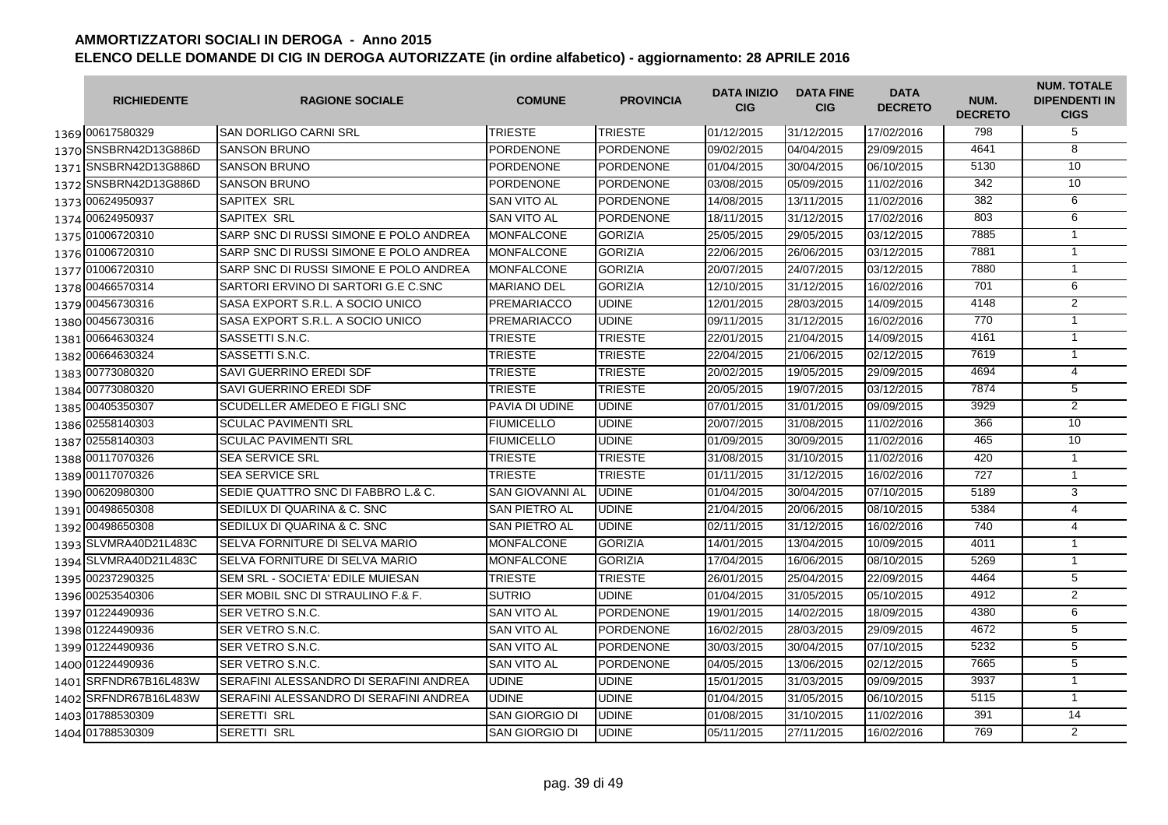|      | <b>RICHIEDENTE</b>    | <b>RAGIONE SOCIALE</b>                 | <b>COMUNE</b>          | <b>PROVINCIA</b> | <b>DATA INIZIO</b><br><b>CIG</b> | <b>DATA FINE</b><br><b>CIG</b> | <b>DATA</b><br><b>DECRETO</b> | NUM.<br><b>DECRETO</b> | <b>NUM. TOTALE</b><br><b>DIPENDENTI IN</b><br><b>CIGS</b> |
|------|-----------------------|----------------------------------------|------------------------|------------------|----------------------------------|--------------------------------|-------------------------------|------------------------|-----------------------------------------------------------|
|      | 1369 00617580329      | ISAN DORLIGO CARNI SRL                 | <b>TRIESTE</b>         | <b>TRIESTE</b>   | 01/12/2015                       | 31/12/2015                     | 17/02/2016                    | 798                    | 5                                                         |
|      | 1370 SNSBRN42D13G886D | <b>SANSON BRUNO</b>                    | <b>PORDENONE</b>       | <b>PORDENONE</b> | 09/02/2015                       | 04/04/2015                     | 29/09/2015                    | 4641                   | 8                                                         |
|      | 1371 SNSBRN42D13G886D | <b>SANSON BRUNO</b>                    | <b>PORDENONE</b>       | <b>PORDENONE</b> | 01/04/2015                       | 30/04/2015                     | 06/10/2015                    | 5130                   | 10 <sup>1</sup>                                           |
|      | 1372 SNSBRN42D13G886D | <b>SANSON BRUNO</b>                    | <b>PORDENONE</b>       | <b>PORDENONE</b> | 03/08/2015                       | 05/09/2015                     | 11/02/2016                    | 342                    | 10                                                        |
|      | 1373 00624950937      | SAPITEX SRL                            | SAN VITO AL            | <b>PORDENONE</b> | 14/08/2015                       | 13/11/2015                     | 11/02/2016                    | 382                    | 6                                                         |
|      | 1374 00624950937      | SAPITEX SRL                            | <b>SAN VITO AL</b>     | <b>PORDENONE</b> | 18/11/2015                       | 31/12/2015                     | 17/02/2016                    | 803                    | 6                                                         |
|      | 1375 01006720310      | SARP SNC DI RUSSI SIMONE E POLO ANDREA | <b>MONFALCONE</b>      | <b>GORIZIA</b>   | 25/05/2015                       | 29/05/2015                     | 03/12/2015                    | 7885                   | $\mathbf{1}$                                              |
|      | 1376 01006720310      | SARP SNC DI RUSSI SIMONE E POLO ANDREA | <b>MONFALCONE</b>      | <b>GORIZIA</b>   | 22/06/2015                       | 26/06/2015                     | 03/12/2015                    | 7881                   | $\mathbf{1}$                                              |
|      | 1377 01006720310      | SARP SNC DI RUSSI SIMONE E POLO ANDREA | <b>MONFALCONE</b>      | <b>GORIZIA</b>   | 20/07/2015                       | 24/07/2015                     | 03/12/2015                    | 7880                   | $\mathbf{1}$                                              |
|      | 1378 00466570314      | SARTORI ERVINO DI SARTORI G.E C.SNC    | <b>MARIANO DEL</b>     | <b>GORIZIA</b>   | 12/10/2015                       | 31/12/2015                     | 16/02/2016                    | 701                    | 6                                                         |
|      | 1379 00456730316      | SASA EXPORT S.R.L. A SOCIO UNICO       | <b>PREMARIACCO</b>     | <b>UDINE</b>     | 12/01/2015                       | 28/03/2015                     | 14/09/2015                    | 4148                   | $\overline{2}$                                            |
|      | 1380 00456730316      | SASA EXPORT S.R.L. A SOCIO UNICO       | <b>PREMARIACCO</b>     | <b>UDINE</b>     | 09/11/2015                       | 31/12/2015                     | 16/02/2016                    | 770                    | $\mathbf{1}$                                              |
|      | 1381 00664630324      | SASSETTI S.N.C.                        | <b>TRIESTE</b>         | <b>TRIESTE</b>   | 22/01/2015                       | 21/04/2015                     | 14/09/2015                    | 4161                   | $\mathbf{1}$                                              |
|      | 1382 00664630324      | SASSETTI S.N.C.                        | <b>TRIESTE</b>         | <b>TRIESTE</b>   | 22/04/2015                       | 21/06/2015                     | 02/12/2015                    | 7619                   | $\mathbf{1}$                                              |
|      | 1383 00773080320      | <b>SAVI GUERRINO EREDI SDF</b>         | <b>TRIESTE</b>         | <b>TRIESTE</b>   | 20/02/2015                       | 19/05/2015                     | 29/09/2015                    | 4694                   | $\overline{4}$                                            |
|      | 1384 00773080320      | SAVI GUERRINO EREDI SDF                | <b>TRIESTE</b>         | <b>TRIESTE</b>   | 20/05/2015                       | 19/07/2015                     | 03/12/2015                    | 7874                   | $\overline{5}$                                            |
|      | 1385 00405350307      | SCUDELLER AMEDEO E FIGLI SNC           | PAVIA DI UDINE         | <b>UDINE</b>     | 07/01/2015                       | 31/01/2015                     | 09/09/2015                    | 3929                   | $\overline{2}$                                            |
| 1386 | 02558140303           | <b>SCULAC PAVIMENTI SRL</b>            | <b>FIUMICELLO</b>      | <b>UDINE</b>     | 20/07/2015                       | 31/08/2015                     | 11/02/2016                    | 366                    | 10                                                        |
| 1387 | 02558140303           | <b>SCULAC PAVIMENTI SRL</b>            | <b>FIUMICELLO</b>      | <b>UDINE</b>     | 01/09/2015                       | 30/09/2015                     | 11/02/2016                    | 465                    | 10                                                        |
|      | 1388 00117070326      | <b>SEA SERVICE SRL</b>                 | <b>TRIESTE</b>         | <b>TRIESTE</b>   | 31/08/2015                       | 31/10/2015                     | 11/02/2016                    | 420                    | $\overline{1}$                                            |
|      | 1389 00117070326      | SEA SERVICE SRL                        | <b>TRIESTE</b>         | <b>TRIESTE</b>   | 01/11/2015                       | 31/12/2015                     | 16/02/2016                    | 727                    | $\mathbf{1}$                                              |
|      | 1390 00620980300      | SEDIE QUATTRO SNC DI FABBRO L.& C.     | <b>SAN GIOVANNI AL</b> | <b>UDINE</b>     | 01/04/2015                       | 30/04/2015                     | 07/10/2015                    | 5189                   | 3                                                         |
|      | 1391 00498650308      | SEDILUX DI QUARINA & C. SNC            | <b>SAN PIETRO AL</b>   | <b>UDINE</b>     | 21/04/2015                       | 20/06/2015                     | 08/10/2015                    | 5384                   | $\overline{4}$                                            |
|      | 1392 00498650308      | SEDILUX DI QUARINA & C. SNC            | SAN PIETRO AL          | <b>UDINE</b>     | 02/11/2015                       | 31/12/2015                     | 16/02/2016                    | 740                    | $\overline{4}$                                            |
|      | 1393 SLVMRA40D21L483C | SELVA FORNITURE DI SELVA MARIO         | <b>MONFALCONE</b>      | <b>GORIZIA</b>   | 14/01/2015                       | 13/04/2015                     | 10/09/2015                    | 4011                   | $\overline{1}$                                            |
|      | 1394 SLVMRA40D21L483C | SELVA FORNITURE DI SELVA MARIO         | <b>MONFALCONE</b>      | <b>GORIZIA</b>   | 17/04/2015                       | 16/06/2015                     | 08/10/2015                    | 5269                   | $\mathbf{1}$                                              |
|      | 1395 00237290325      | SEM SRL - SOCIETA' EDILE MUIESAN       | <b>TRIESTE</b>         | <b>TRIESTE</b>   | 26/01/2015                       | 25/04/2015                     | 22/09/2015                    | 4464                   | 5                                                         |
|      | 1396 00253540306      | SER MOBIL SNC DI STRAULINO F.& F.      | <b>SUTRIO</b>          | <b>UDINE</b>     | 01/04/2015                       | 31/05/2015                     | 05/10/2015                    | 4912                   | 2                                                         |
|      | 1397 01224490936      | SER VETRO S.N.C.                       | <b>SAN VITO AL</b>     | <b>PORDENONE</b> | 19/01/2015                       | 14/02/2015                     | 18/09/2015                    | 4380                   | 6                                                         |
|      | 1398 01224490936      | SER VETRO S.N.C.                       | <b>SAN VITO AL</b>     | <b>PORDENONE</b> | 16/02/2015                       | 28/03/2015                     | 29/09/2015                    | 4672                   | 5                                                         |
|      | 1399 01224490936      | SER VETRO S.N.C.                       | <b>SAN VITO AL</b>     | <b>PORDENONE</b> | 30/03/2015                       | 30/04/2015                     | 07/10/2015                    | 5232                   | 5                                                         |
|      | 1400 01224490936      | SER VETRO S.N.C.                       | <b>SAN VITO AL</b>     | <b>PORDENONE</b> | 04/05/2015                       | 13/06/2015                     | 02/12/2015                    | 7665                   | 5                                                         |
|      | 1401 SRFNDR67B16L483W | SERAFINI ALESSANDRO DI SERAFINI ANDREA | <b>UDINE</b>           | <b>UDINE</b>     | 15/01/2015                       | 31/03/2015                     | 09/09/2015                    | 3937                   | $\mathbf{1}$                                              |
|      | 1402 SRFNDR67B16L483W | SERAFINI ALESSANDRO DI SERAFINI ANDREA | <b>UDINE</b>           | <b>UDINE</b>     | 01/04/2015                       | 31/05/2015                     | 06/10/2015                    | 5115                   | $\overline{1}$                                            |
|      | 1403 01788530309      | SERETTI SRL                            | SAN GIORGIO DI         | <b>UDINE</b>     | 01/08/2015                       | 31/10/2015                     | 11/02/2016                    | 391                    | 14                                                        |
|      | 1404 01788530309      | SERETTI SRL                            | <b>SAN GIORGIO DI</b>  | <b>UDINE</b>     | 05/11/2015                       | 27/11/2015                     | 16/02/2016                    | 769                    | 2                                                         |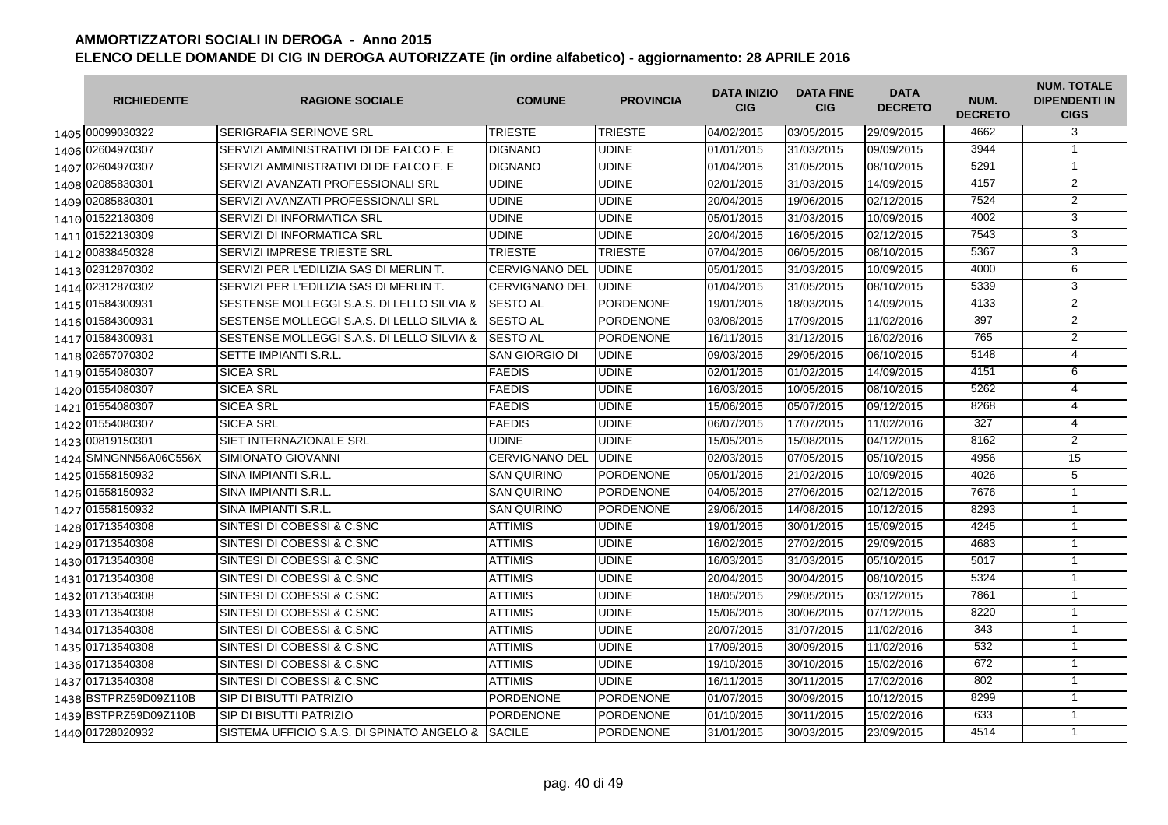| <b>RICHIEDENTE</b>    | <b>RAGIONE SOCIALE</b>                     | <b>COMUNE</b>         | <b>PROVINCIA</b> | <b>DATA INIZIO</b><br><b>CIG</b> | <b>DATA FINE</b><br><b>CIG</b> | <b>DATA</b><br><b>DECRETO</b> | NUM.<br><b>DECRETO</b> | <b>NUM. TOTALE</b><br><b>DIPENDENTI IN</b><br><b>CIGS</b> |
|-----------------------|--------------------------------------------|-----------------------|------------------|----------------------------------|--------------------------------|-------------------------------|------------------------|-----------------------------------------------------------|
| 1405 00099030322      | <b>SERIGRAFIA SERINOVE SRL</b>             | <b>TRIESTE</b>        | <b>TRIESTE</b>   | 04/02/2015                       | 03/05/2015                     | 29/09/2015                    | 4662                   | 3                                                         |
| 1406 02604970307      | SERVIZI AMMINISTRATIVI DI DE FALCO F. E    | <b>DIGNANO</b>        | UDINE            | 01/01/2015                       | 31/03/2015                     | 09/09/2015                    | 3944                   | $\mathbf{1}$                                              |
| 1407 02604970307      | SERVIZI AMMINISTRATIVI DI DE FALCO F. E    | <b>DIGNANO</b>        | <b>UDINE</b>     | 01/04/2015                       | 31/05/2015                     | 08/10/2015                    | 5291                   | $\mathbf{1}$                                              |
| 1408 02085830301      | SERVIZI AVANZATI PROFESSIONALI SRL         | <b>UDINE</b>          | <b>UDINE</b>     | 02/01/2015                       | 31/03/2015                     | 14/09/2015                    | 4157                   | $\overline{2}$                                            |
| 1409 02085830301      | SERVIZI AVANZATI PROFESSIONALI SRL         | UDINE                 | <b>UDINE</b>     | 20/04/2015                       | 19/06/2015                     | 02/12/2015                    | 7524                   | $\overline{2}$                                            |
| 1410 01522130309      | SERVIZI DI INFORMATICA SRL                 | <b>UDINE</b>          | <b>UDINE</b>     | 05/01/2015                       | 31/03/2015                     | 10/09/2015                    | 4002                   | 3                                                         |
| 1411 01522130309      | SERVIZI DI INFORMATICA SRL                 | <b>UDINE</b>          | <b>UDINE</b>     | 20/04/2015                       | 16/05/2015                     | 02/12/2015                    | 7543                   | 3                                                         |
| 1412 00838450328      | SERVIZI IMPRESE TRIESTE SRL                | <b>TRIESTE</b>        | <b>TRIESTE</b>   | 07/04/2015                       | 06/05/2015                     | 08/10/2015                    | 5367                   | 3                                                         |
| 1413 02312870302      | SERVIZI PER L'EDILIZIA SAS DI MERLIN T.    | <b>CERVIGNANO DEL</b> | <b>UDINE</b>     | 05/01/2015                       | 31/03/2015                     | 10/09/2015                    | 4000                   | 6                                                         |
| 1414 02312870302      | SERVIZI PER L'EDILIZIA SAS DI MERLIN T.    | <b>CERVIGNANO DEL</b> | <b>UDINE</b>     | 01/04/2015                       | 31/05/2015                     | 08/10/2015                    | 5339                   | $\overline{3}$                                            |
| 1415 01584300931      | SESTENSE MOLLEGGI S.A.S. DI LELLO SILVIA & | <b>SESTO AL</b>       | <b>PORDENONE</b> | 19/01/2015                       | 18/03/2015                     | 14/09/2015                    | 4133                   | $\overline{2}$                                            |
| 1416 01584300931      | SESTENSE MOLLEGGI S.A.S. DI LELLO SILVIA & | <b>SESTO AL</b>       | <b>PORDENONE</b> | 03/08/2015                       | 17/09/2015                     | 11/02/2016                    | 397                    | $\overline{2}$                                            |
| 1417 01584300931      | SESTENSE MOLLEGGI S.A.S. DI LELLO SILVIA & | <b>SESTO AL</b>       | <b>PORDENONE</b> | 16/11/2015                       | 31/12/2015                     | 16/02/2016                    | 765                    | 2                                                         |
| 1418 02657070302      | SETTE IMPIANTI S.R.L.                      | <b>SAN GIORGIO DI</b> | <b>UDINE</b>     | 09/03/2015                       | 29/05/2015                     | 06/10/2015                    | 5148                   | 4                                                         |
| 1419 01554080307      | <b>SICEA SRL</b>                           | <b>FAEDIS</b>         | <b>UDINE</b>     | 02/01/2015                       | 01/02/2015                     | 14/09/2015                    | 4151                   | 6                                                         |
| 1420 01554080307      | <b>SICEA SRL</b>                           | <b>FAEDIS</b>         | <b>UDINE</b>     | 16/03/2015                       | 10/05/2015                     | 08/10/2015                    | 5262                   | $\overline{4}$                                            |
| 1421 01554080307      | <b>SICEA SRL</b>                           | <b>FAEDIS</b>         | <b>UDINE</b>     | 15/06/2015                       | 05/07/2015                     | 09/12/2015                    | 8268                   | $\overline{4}$                                            |
| 1422 01554080307      | <b>SICEA SRL</b>                           | <b>FAEDIS</b>         | <b>UDINE</b>     | 06/07/2015                       | 17/07/2015                     | 11/02/2016                    | 327                    | $\overline{4}$                                            |
| 1423 00819150301      | SIET INTERNAZIONALE SRL                    | <b>UDINE</b>          | <b>UDINE</b>     | 15/05/2015                       | 15/08/2015                     | 04/12/2015                    | 8162                   | 2                                                         |
| 1424 SMNGNN56A06C556X | SIMIONATO GIOVANNI                         | <b>CERVIGNANO DEL</b> | <b>UDINE</b>     | 02/03/2015                       | 07/05/2015                     | 05/10/2015                    | 4956                   | 15                                                        |
| 1425 01558150932      | SINA IMPIANTI S.R.L.                       | <b>SAN QUIRINO</b>    | <b>PORDENONE</b> | 05/01/2015                       | 21/02/2015                     | 10/09/2015                    | 4026                   | 5                                                         |
| 1426 01558150932      | SINA IMPIANTI S.R.L.                       | <b>SAN QUIRINO</b>    | <b>PORDENONE</b> | 04/05/2015                       | 27/06/2015                     | 02/12/2015                    | 7676                   | $\overline{1}$                                            |
| 1427 01558150932      | SINA IMPIANTI S.R.L.                       | <b>SAN QUIRINO</b>    | PORDENONE        | 29/06/2015                       | 14/08/2015                     | 10/12/2015                    | 8293                   | $\overline{1}$                                            |
| 1428 01713540308      | SINTESI DI COBESSI & C.SNC                 | <b>ATTIMIS</b>        | <b>UDINE</b>     | 19/01/2015                       | 30/01/2015                     | 15/09/2015                    | 4245                   | $\mathbf{1}$                                              |
| 1429 01713540308      | SINTESI DI COBESSI & C.SNC                 | <b>ATTIMIS</b>        | <b>UDINE</b>     | 16/02/2015                       | 27/02/2015                     | 29/09/2015                    | 4683                   | $\overline{1}$                                            |
| 1430 01713540308      | SINTESI DI COBESSI & C.SNC                 | <b>ATTIMIS</b>        | <b>UDINE</b>     | 16/03/2015                       | 31/03/2015                     | 05/10/2015                    | 5017                   | $\overline{1}$                                            |
| 1431 01713540308      | SINTESI DI COBESSI & C.SNC                 | <b>ATTIMIS</b>        | <b>UDINE</b>     | 20/04/2015                       | 30/04/2015                     | 08/10/2015                    | 5324                   | $\mathbf{1}$                                              |
| 1432 01713540308      | SINTESI DI COBESSI & C.SNC                 | <b>ATTIMIS</b>        | <b>UDINE</b>     | 18/05/2015                       | 29/05/2015                     | 03/12/2015                    | 7861                   | $\mathbf{1}$                                              |
| 1433 01713540308      | SINTESI DI COBESSI & C.SNC                 | <b>ATTIMIS</b>        | <b>UDINE</b>     | 15/06/2015                       | 30/06/2015                     | 07/12/2015                    | 8220                   | $\mathbf{1}$                                              |
| 1434 01713540308      | SINTESI DI COBESSI & C.SNC                 | <b>ATTIMIS</b>        | <b>UDINE</b>     | 20/07/2015                       | 31/07/2015                     | 11/02/2016                    | 343                    | $\mathbf{1}$                                              |
| 1435 01713540308      | SINTESI DI COBESSI & C.SNC                 | <b>ATTIMIS</b>        | <b>UDINE</b>     | 17/09/2015                       | 30/09/2015                     | 11/02/2016                    | 532                    | $\mathbf{1}$                                              |
| 1436 01713540308      | SINTESI DI COBESSI & C.SNC                 | <b>ATTIMIS</b>        | <b>UDINE</b>     | 19/10/2015                       | 30/10/2015                     | 15/02/2016                    | 672                    | $\mathbf{1}$                                              |
| 1437 01713540308      | SINTESI DI COBESSI & C.SNC                 | <b>ATTIMIS</b>        | UDINE            | 16/11/2015                       | 30/11/2015                     | 17/02/2016                    | 802                    | $\overline{1}$                                            |
| 1438 BSTPRZ59D09Z110B | <b>SIP DI BISUTTI PATRIZIO</b>             | PORDENONE             | <b>PORDENONE</b> | 01/07/2015                       | 30/09/2015                     | 10/12/2015                    | 8299                   | $\overline{1}$                                            |
| 1439 BSTPRZ59D09Z110B | <b>SIP DI BISUTTI PATRIZIO</b>             | <b>PORDENONE</b>      | <b>PORDENONE</b> | 01/10/2015                       | 30/11/2015                     | 15/02/2016                    | 633                    | $\mathbf{1}$                                              |
| 1440 01728020932      | SISTEMA UFFICIO S.A.S. DI SPINATO ANGELO & | <b>SACILE</b>         | <b>PORDENONE</b> | 31/01/2015                       | 30/03/2015                     | 23/09/2015                    | 4514                   | $\mathbf{1}$                                              |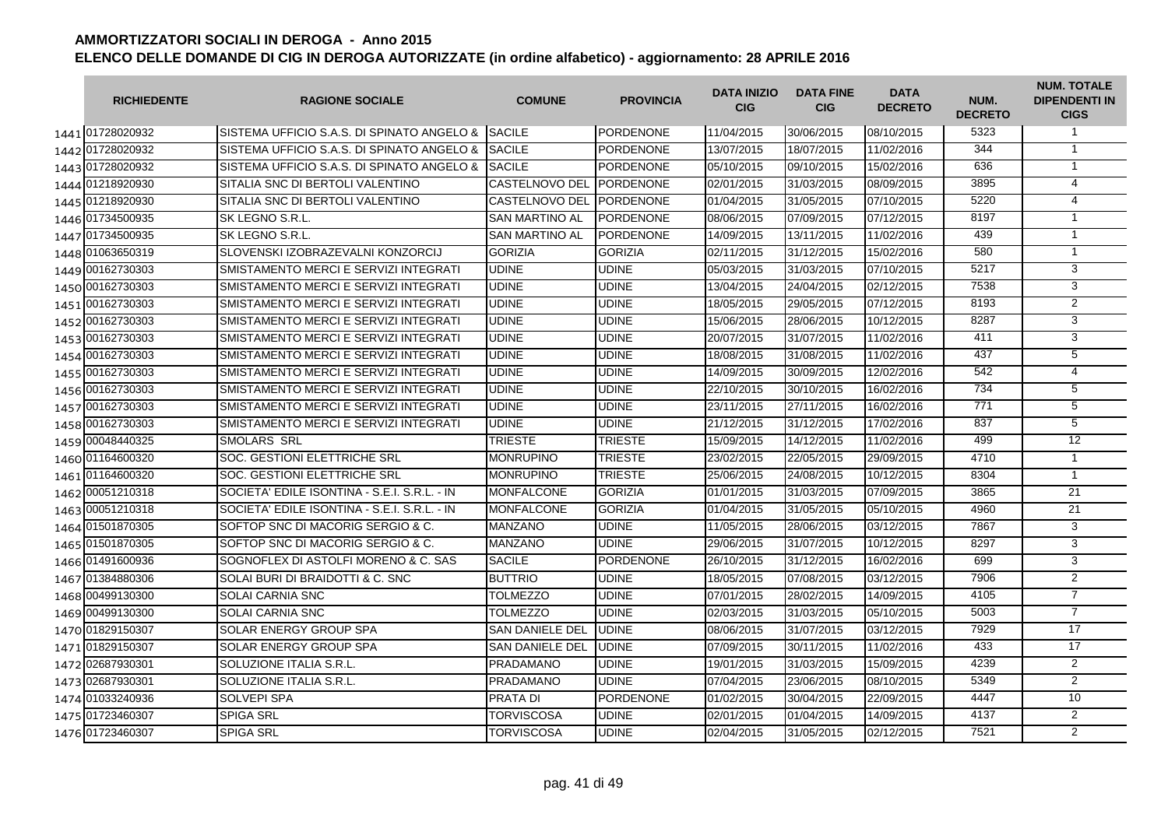| <b>RICHIEDENTE</b> | <b>RAGIONE SOCIALE</b>                       | <b>COMUNE</b>          | <b>PROVINCIA</b> | <b>DATA INIZIO</b><br><b>CIG</b> | <b>DATA FINE</b><br><b>CIG</b> | <b>DATA</b><br><b>DECRETO</b> | NUM.<br><b>DECRETO</b> | <b>NUM. TOTALE</b><br><b>DIPENDENTI IN</b><br><b>CIGS</b> |
|--------------------|----------------------------------------------|------------------------|------------------|----------------------------------|--------------------------------|-------------------------------|------------------------|-----------------------------------------------------------|
| 1441 01728020932   | SISTEMA UFFICIO S.A.S. DI SPINATO ANGELO &   | <b>SACILE</b>          | <b>PORDENONE</b> | 11/04/2015                       | 30/06/2015                     | 08/10/2015                    | 5323                   | $\mathbf{1}$                                              |
| 1442 01728020932   | SISTEMA UFFICIO S.A.S. DI SPINATO ANGELO &   | <b>SACILE</b>          | <b>PORDENONE</b> | 13/07/2015                       | 18/07/2015                     | 11/02/2016                    | 344                    | $\mathbf{1}$                                              |
| 1443 01728020932   | SISTEMA UFFICIO S.A.S. DI SPINATO ANGELO &   | <b>SACILE</b>          | <b>PORDENONE</b> | 05/10/2015                       | 09/10/2015                     | 15/02/2016                    | 636                    | $\overline{1}$                                            |
| 1444 01218920930   | SITALIA SNC DI BERTOLI VALENTINO             | <b>CASTELNOVO DEL</b>  | <b>PORDENONE</b> | 02/01/2015                       | 31/03/2015                     | 08/09/2015                    | 3895                   | $\overline{4}$                                            |
| 1445 01218920930   | SITALIA SNC DI BERTOLI VALENTINO             | <b>CASTELNOVO DEL</b>  | <b>PORDENONE</b> | 01/04/2015                       | 31/05/2015                     | 07/10/2015                    | 5220                   | $\overline{4}$                                            |
| 1446 01734500935   | SK LEGNO S.R.L.                              | <b>SAN MARTINO AL</b>  | <b>PORDENONE</b> | 08/06/2015                       | 07/09/2015                     | 07/12/2015                    | 8197                   | $\mathbf{1}$                                              |
| 1447 01734500935   | SK LEGNO S.R.L.                              | <b>SAN MARTINO AL</b>  | <b>PORDENONE</b> | 14/09/2015                       | 13/11/2015                     | 11/02/2016                    | 439                    | $\overline{1}$                                            |
| 1448 01063650319   | SLOVENSKI IZOBRAZEVALNI KONZORCIJ            | <b>GORIZIA</b>         | <b>GORIZIA</b>   | 02/11/2015                       | 31/12/2015                     | 15/02/2016                    | 580                    | $\overline{1}$                                            |
| 1449 00162730303   | SMISTAMENTO MERCI E SERVIZI INTEGRATI        | <b>UDINE</b>           | <b>UDINE</b>     | 05/03/2015                       | 31/03/2015                     | 07/10/2015                    | 5217                   | 3                                                         |
| 1450 00162730303   | SMISTAMENTO MERCI E SERVIZI INTEGRATI        | <b>UDINE</b>           | <b>UDINE</b>     | 13/04/2015                       | 24/04/2015                     | 02/12/2015                    | 7538                   | 3                                                         |
| 1451 00162730303   | SMISTAMENTO MERCI E SERVIZI INTEGRATI        | <b>UDINE</b>           | UDINE            | 18/05/2015                       | 29/05/2015                     | 07/12/2015                    | 8193                   | $\overline{2}$                                            |
| 1452 00162730303   | SMISTAMENTO MERCI E SERVIZI INTEGRATI        | UDINE                  | <b>UDINE</b>     | 15/06/2015                       | 28/06/2015                     | 10/12/2015                    | 8287                   | 3                                                         |
| 1453 00162730303   | SMISTAMENTO MERCI E SERVIZI INTEGRATI        | UDINE                  | UDINE            | 20/07/2015                       | 31/07/2015                     | 11/02/2016                    | 411                    | 3                                                         |
| 1454 00162730303   | SMISTAMENTO MERCI E SERVIZI INTEGRATI        | <b>UDINE</b>           | <b>UDINE</b>     | 18/08/2015                       | 31/08/2015                     | 11/02/2016                    | 437                    | $\overline{5}$                                            |
| 1455 00162730303   | SMISTAMENTO MERCI E SERVIZI INTEGRATI        | <b>UDINE</b>           | <b>UDINE</b>     | 14/09/2015                       | 30/09/2015                     | 12/02/2016                    | 542                    | $\overline{4}$                                            |
| 1456 00162730303   | SMISTAMENTO MERCI E SERVIZI INTEGRATI        | <b>UDINE</b>           | UDINE            | 22/10/2015                       | 30/10/2015                     | 16/02/2016                    | 734                    | 5                                                         |
| 1457 00162730303   | SMISTAMENTO MERCI E SERVIZI INTEGRATI        | <b>UDINE</b>           | <b>UDINE</b>     | 23/11/2015                       | 27/11/2015                     | 16/02/2016                    | 771                    | 5                                                         |
| 1458 00162730303   | SMISTAMENTO MERCI E SERVIZI INTEGRATI        | <b>UDINE</b>           | <b>UDINE</b>     | 21/12/2015                       | 31/12/2015                     | 17/02/2016                    | 837                    | $\overline{5}$                                            |
| 1459 00048440325   | <b>SMOLARS SRL</b>                           | <b>TRIESTE</b>         | <b>TRIESTE</b>   | 15/09/2015                       | 14/12/2015                     | 11/02/2016                    | 499                    | 12                                                        |
| 1460 01164600320   | <b>SOC. GESTIONI ELETTRICHE SRL</b>          | <b>MONRUPINO</b>       | <b>TRIESTE</b>   | 23/02/2015                       | 22/05/2015                     | 29/09/2015                    | 4710                   | $\mathbf{1}$                                              |
| 1461 01164600320   | <b>SOC. GESTIONI ELETTRICHE SRL</b>          | <b>MONRUPINO</b>       | <b>TRIESTE</b>   | 25/06/2015                       | 24/08/2015                     | 10/12/2015                    | 8304                   | $\overline{1}$                                            |
| 1462 00051210318   | SOCIETA' EDILE ISONTINA - S.E.I. S.R.L. - IN | <b>MONFALCONE</b>      | <b>GORIZIA</b>   | 01/01/2015                       | 31/03/2015                     | 07/09/2015                    | 3865                   | $\overline{21}$                                           |
| 1463 00051210318   | SOCIETA' EDILE ISONTINA - S.E.I. S.R.L. - IN | <b>MONFALCONE</b>      | <b>GORIZIA</b>   | 01/04/2015                       | 31/05/2015                     | 05/10/2015                    | 4960                   | 21                                                        |
| 1464 01501870305   | SOFTOP SNC DI MACORIG SERGIO & C.            | <b>MANZANO</b>         | <b>UDINE</b>     | 11/05/2015                       | 28/06/2015                     | 03/12/2015                    | 7867                   | 3                                                         |
| 1465 01501870305   | SOFTOP SNC DI MACORIG SERGIO & C.            | <b>MANZANO</b>         | <b>UDINE</b>     | 29/06/2015                       | 31/07/2015                     | 10/12/2015                    | 8297                   | 3                                                         |
| 1466 01491600936   | SOGNOFLEX DI ASTOLFI MORENO & C. SAS         | <b>SACILE</b>          | <b>PORDENONE</b> | 26/10/2015                       | 31/12/2015                     | 16/02/2016                    | 699                    | 3                                                         |
| 1467 01384880306   | SOLAI BURI DI BRAIDOTTI & C. SNC             | <b>BUTTRIO</b>         | UDINE            | 18/05/2015                       | 07/08/2015                     | 03/12/2015                    | 7906                   | $\overline{2}$                                            |
| 1468 00499130300   | <b>SOLAI CARNIA SNC</b>                      | <b>TOLMEZZO</b>        | <b>UDINE</b>     | 07/01/2015                       | 28/02/2015                     | 14/09/2015                    | 4105                   | $\overline{7}$                                            |
| 1469 00499130300   | SOLAI CARNIA SNC                             | <b>TOLMEZZO</b>        | <b>UDINE</b>     | 02/03/2015                       | 31/03/2015                     | 05/10/2015                    | 5003                   | $\overline{7}$                                            |
| 1470 01829150307   | SOLAR ENERGY GROUP SPA                       | <b>SAN DANIELE DEL</b> | <b>UDINE</b>     | 08/06/2015                       | 31/07/2015                     | 03/12/2015                    | 7929                   | 17                                                        |
| 1471 01829150307   | <b>SOLAR ENERGY GROUP SPA</b>                | <b>SAN DANIELE DEL</b> | <b>UDINE</b>     | 07/09/2015                       | 30/11/2015                     | 11/02/2016                    | 433                    | $\overline{17}$                                           |
| 1472 02687930301   | SOLUZIONE ITALIA S.R.L.                      | <b>PRADAMANO</b>       | <b>UDINE</b>     | 19/01/2015                       | 31/03/2015                     | 15/09/2015                    | 4239                   | $\overline{2}$                                            |
| 1473 02687930301   | SOLUZIONE ITALIA S.R.L.                      | <b>PRADAMANO</b>       | <b>UDINE</b>     | 07/04/2015                       | 23/06/2015                     | 08/10/2015                    | 5349                   | 2                                                         |
| 1474 01033240936   | <b>SOLVEPI SPA</b>                           | <b>PRATA DI</b>        | <b>PORDENONE</b> | 01/02/2015                       | 30/04/2015                     | 22/09/2015                    | 4447                   | 10                                                        |
| 1475 01723460307   | <b>SPIGA SRL</b>                             | <b>TORVISCOSA</b>      | <b>UDINE</b>     | 02/01/2015                       | 01/04/2015                     | 14/09/2015                    | 4137                   | $\overline{2}$                                            |
| 1476 01723460307   | <b>SPIGA SRL</b>                             | <b>TORVISCOSA</b>      | <b>UDINE</b>     | 02/04/2015                       | 31/05/2015                     | 02/12/2015                    | 7521                   | $\overline{2}$                                            |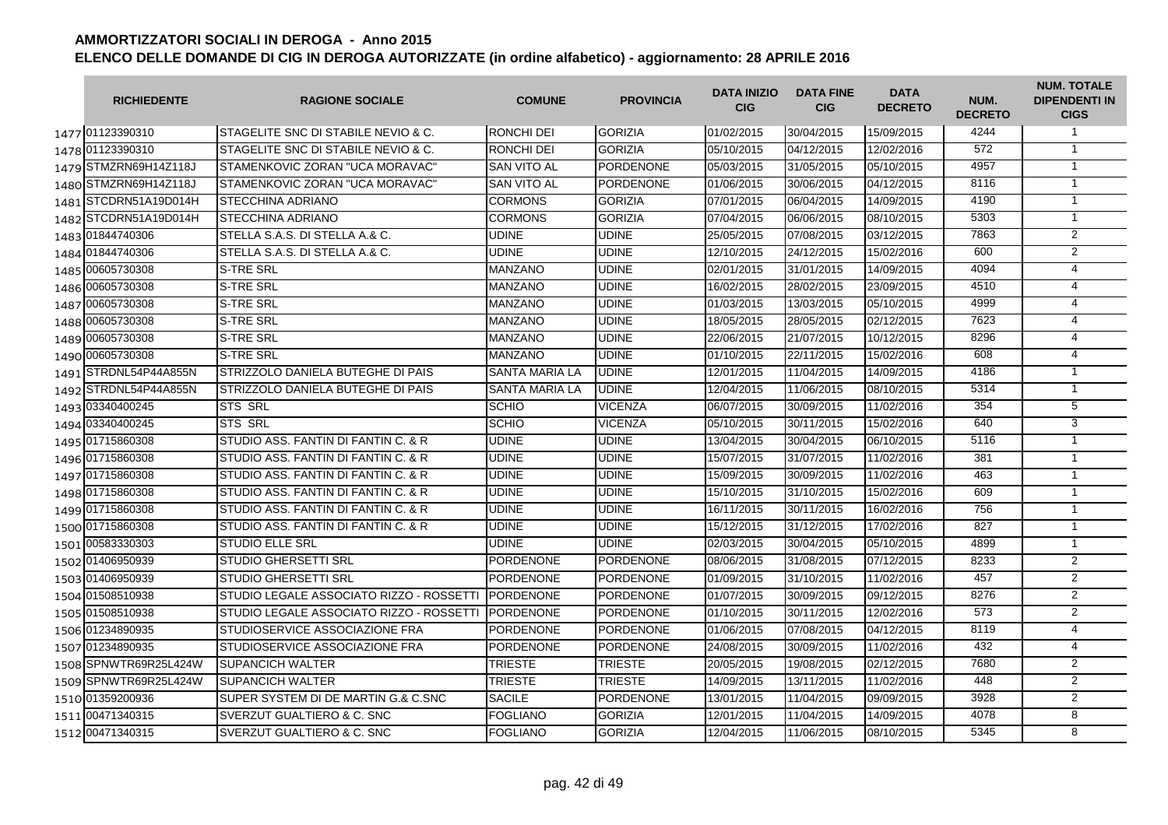|      | <b>RICHIEDENTE</b>    | <b>RAGIONE SOCIALE</b>                   | <b>COMUNE</b>         | <b>PROVINCIA</b> | <b>DATA INIZIO</b><br><b>CIG</b> | <b>DATA FINE</b><br><b>CIG</b> | <b>DATA</b><br><b>DECRETO</b> | NUM.<br><b>DECRETO</b> | <b>NUM. TOTALE</b><br><b>DIPENDENTI IN</b><br><b>CIGS</b> |
|------|-----------------------|------------------------------------------|-----------------------|------------------|----------------------------------|--------------------------------|-------------------------------|------------------------|-----------------------------------------------------------|
|      | 1477 01123390310      | STAGELITE SNC DI STABILE NEVIO & C.      | <b>RONCHI DEI</b>     | <b>GORIZIA</b>   | 01/02/2015                       | 30/04/2015                     | 15/09/2015                    | 4244                   | $\mathbf{1}$                                              |
|      | 1478 01123390310      | STAGELITE SNC DI STABILE NEVIO & C.      | <b>RONCHI DEI</b>     | <b>GORIZIA</b>   | 05/10/2015                       | 04/12/2015                     | 12/02/2016                    | 572                    | $\mathbf{1}$                                              |
|      | 1479 STMZRN69H14Z118J | STAMENKOVIC ZORAN "UCA MORAVAC"          | <b>SAN VITO AL</b>    | <b>PORDENONE</b> | 05/03/2015                       | 31/05/2015                     | 05/10/2015                    | 4957                   | $\mathbf{1}$                                              |
|      | 1480 STMZRN69H14Z118J | STAMENKOVIC ZORAN "UCA MORAVAC"          | <b>SAN VITO AL</b>    | <b>PORDENONE</b> | 01/06/2015                       | 30/06/2015                     | 04/12/2015                    | 8116                   | $\mathbf{1}$                                              |
|      | 1481 STCDRN51A19D014H | STECCHINA ADRIANO                        | <b>CORMONS</b>        | <b>GORIZIA</b>   | 07/01/2015                       | 06/04/2015                     | 14/09/2015                    | 4190                   | $\mathbf{1}$                                              |
|      | 1482 STCDRN51A19D014H | STECCHINA ADRIANO                        | <b>CORMONS</b>        | <b>GORIZIA</b>   | 07/04/2015                       | 06/06/2015                     | 08/10/2015                    | 5303                   | $\overline{1}$                                            |
|      | 1483 01844740306      | STELLA S.A.S. DI STELLA A.& C.           | <b>UDINE</b>          | <b>UDINE</b>     | 25/05/2015                       | 07/08/2015                     | 03/12/2015                    | 7863                   | $\overline{2}$                                            |
|      | 1484 01844740306      | STELLA S.A.S. DI STELLA A.& C.           | <b>UDINE</b>          | <b>UDINE</b>     | 12/10/2015                       | 24/12/2015                     | 15/02/2016                    | 600                    | $\overline{2}$                                            |
| 1485 | 00605730308           | <b>S-TRE SRL</b>                         | <b>MANZANO</b>        | <b>UDINE</b>     | 02/01/2015                       | 31/01/2015                     | 14/09/2015                    | 4094                   | 4                                                         |
| 1486 | 00605730308           | <b>S-TRE SRL</b>                         | <b>MANZANO</b>        | <b>UDINE</b>     | 16/02/2015                       | 28/02/2015                     | 23/09/2015                    | 4510                   | 4                                                         |
| 1487 | 00605730308           | S-TRE SRL                                | <b>MANZANO</b>        | <b>UDINE</b>     | 01/03/2015                       | 13/03/2015                     | 05/10/2015                    | 4999                   | $\overline{4}$                                            |
|      | 1488 00605730308      | <b>S-TRE SRL</b>                         | <b>MANZANO</b>        | <b>UDINE</b>     | 18/05/2015                       | 28/05/2015                     | 02/12/2015                    | 7623                   | $\overline{4}$                                            |
|      | 1489 00605730308      | <b>S-TRE SRL</b>                         | <b>MANZANO</b>        | <b>UDINE</b>     | 22/06/2015                       | 21/07/2015                     | 10/12/2015                    | 8296                   | 4                                                         |
|      | 1490 00605730308      | <b>S-TRE SRL</b>                         | <b>MANZANO</b>        | <b>UDINE</b>     | 01/10/2015                       | 22/11/2015                     | 15/02/2016                    | 608                    | 4                                                         |
|      | 1491 STRDNL54P44A855N | STRIZZOLO DANIELA BUTEGHE DI PAIS        | <b>SANTA MARIA LA</b> | <b>UDINE</b>     | 12/01/2015                       | 11/04/2015                     | 14/09/2015                    | 4186                   | $\overline{1}$                                            |
|      | 1492 STRDNL54P44A855N | STRIZZOLO DANIELA BUTEGHE DI PAIS        | <b>SANTA MARIA LA</b> | <b>UDINE</b>     | 12/04/2015                       | 11/06/2015                     | 08/10/2015                    | 5314                   | $\mathbf{1}$                                              |
|      | 1493 03340400245      | <b>STS SRL</b>                           | <b>SCHIO</b>          | <b>VICENZA</b>   | 06/07/2015                       | 30/09/2015                     | 11/02/2016                    | 354                    | $\overline{5}$                                            |
|      | 1494 03340400245      | <b>STS SRL</b>                           | <b>SCHIO</b>          | <b>VICENZA</b>   | 05/10/2015                       | 30/11/2015                     | 15/02/2016                    | 640                    | 3                                                         |
|      | 1495 01715860308      | STUDIO ASS. FANTIN DI FANTIN C. & R.     | <b>UDINE</b>          | <b>UDINE</b>     | 13/04/2015                       | 30/04/2015                     | 06/10/2015                    | 5116                   | $\mathbf{1}$                                              |
|      | 1496 01715860308      | STUDIO ASS. FANTIN DI FANTIN C. & R      | <b>UDINE</b>          | <b>UDINE</b>     | 15/07/2015                       | 31/07/2015                     | 11/02/2016                    | 381                    | $\mathbf{1}$                                              |
|      | 1497 01715860308      | STUDIO ASS. FANTIN DI FANTIN C. & R      | <b>UDINE</b>          | <b>UDINE</b>     | 15/09/2015                       | 30/09/2015                     | 11/02/2016                    | 463                    | $\mathbf{1}$                                              |
|      | 1498 01715860308      | STUDIO ASS. FANTIN DI FANTIN C. & R.     | <b>UDINE</b>          | <b>UDINE</b>     | 15/10/2015                       | 31/10/2015                     | 15/02/2016                    | 609                    | $\mathbf{1}$                                              |
|      | 1499 01715860308      | STUDIO ASS. FANTIN DI FANTIN C. & R.     | <b>UDINE</b>          | <b>UDINE</b>     | 16/11/2015                       | 30/11/2015                     | 16/02/2016                    | 756                    | $\mathbf{1}$                                              |
|      | 1500 01715860308      | STUDIO ASS. FANTIN DI FANTIN C. & R      | <b>UDINE</b>          | UDINE            | 15/12/2015                       | 31/12/2015                     | 17/02/2016                    | 827                    | $\overline{1}$                                            |
|      | 1501 00583330303      | <b>STUDIO ELLE SRL</b>                   | UDINE                 | <b>UDINE</b>     | 02/03/2015                       | 30/04/2015                     | 05/10/2015                    | 4899                   | $\overline{1}$                                            |
|      | 1502 01406950939      | <b>STUDIO GHERSETTI SRL</b>              | <b>PORDENONE</b>      | PORDENONE        | 08/06/2015                       | 31/08/2015                     | 07/12/2015                    | 8233                   | 2                                                         |
|      | 1503 01406950939      | <b>STUDIO GHERSETTI SRL</b>              | <b>PORDENONE</b>      | <b>PORDENONE</b> | 01/09/2015                       | 31/10/2015                     | 11/02/2016                    | 457                    | $\overline{2}$                                            |
|      | 1504 01508510938      | STUDIO LEGALE ASSOCIATO RIZZO - ROSSETTI | <b>PORDENONE</b>      | <b>PORDENONE</b> | 01/07/2015                       | 30/09/2015                     | 09/12/2015                    | 8276                   | $\overline{2}$                                            |
|      | 1505 01508510938      | STUDIO LEGALE ASSOCIATO RIZZO - ROSSETTI | <b>PORDENONE</b>      | <b>PORDENONE</b> | 01/10/2015                       | 30/11/2015                     | 12/02/2016                    | 573                    | $\overline{2}$                                            |
|      | 1506 01234890935      | STUDIOSERVICE ASSOCIAZIONE FRA           | <b>PORDENONE</b>      | <b>PORDENONE</b> | 01/06/2015                       | 07/08/2015                     | 04/12/2015                    | 8119                   | 4                                                         |
| 1507 | 01234890935           | STUDIOSERVICE ASSOCIAZIONE FRA           | <b>PORDENONE</b>      | <b>PORDENONE</b> | 24/08/2015                       | 30/09/2015                     | 11/02/2016                    | 432                    | $\overline{4}$                                            |
| 1508 | SPNWTR69R25L424W      | <b>SUPANCICH WALTER</b>                  | <b>TRIESTE</b>        | <b>TRIESTE</b>   | 20/05/2015                       | 19/08/2015                     | 02/12/2015                    | 7680                   | $\overline{2}$                                            |
|      | 1509 SPNWTR69R25L424W | <b>SUPANCICH WALTER</b>                  | <b>TRIESTE</b>        | <b>TRIESTE</b>   | 14/09/2015                       | 13/11/2015                     | 11/02/2016                    | 448                    | $\overline{2}$                                            |
|      | 1510 01359200936      | SUPER SYSTEM DI DE MARTIN G.& C.SNC      | <b>SACILE</b>         | <b>PORDENONE</b> | 13/01/2015                       | 11/04/2015                     | 09/09/2015                    | 3928                   | $\overline{2}$                                            |
|      | 1511 00471340315      | SVERZUT GUALTIERO & C. SNC               | <b>FOGLIANO</b>       | <b>GORIZIA</b>   | 12/01/2015                       | 11/04/2015                     | 14/09/2015                    | 4078                   | $\overline{8}$                                            |
|      | 1512 00471340315      | SVERZUT GUALTIERO & C. SNC               | <b>FOGLIANO</b>       | <b>GORIZIA</b>   | 12/04/2015                       | 11/06/2015                     | 08/10/2015                    | 5345                   | 8                                                         |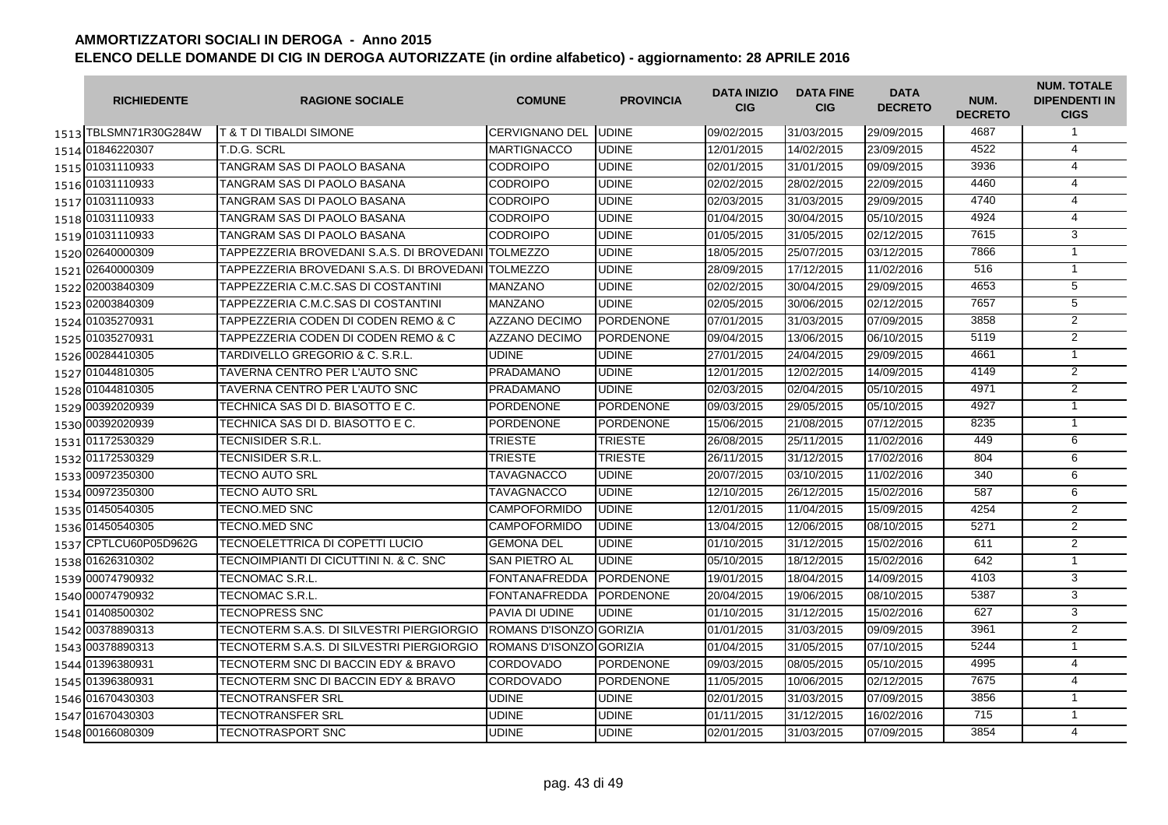| <b>RICHIEDENTE</b>    | <b>RAGIONE SOCIALE</b>                             | <b>COMUNE</b>           | <b>PROVINCIA</b> | <b>DATA INIZIO</b><br><b>CIG</b> | <b>DATA FINE</b><br><b>CIG</b> | <b>DATA</b><br><b>DECRETO</b> | NUM.<br><b>DECRETO</b> | <b>NUM. TOTALE</b><br><b>DIPENDENTI IN</b><br><b>CIGS</b> |
|-----------------------|----------------------------------------------------|-------------------------|------------------|----------------------------------|--------------------------------|-------------------------------|------------------------|-----------------------------------------------------------|
| 1513 TBLSMN71R30G284W | <b>T &amp; T DI TIBALDI SIMONE</b>                 | <b>CERVIGNANO DEL</b>   | <b>UDINE</b>     | 09/02/2015                       | 31/03/2015                     | 29/09/2015                    | 4687                   | $\mathbf{1}$                                              |
| 1514 01846220307      | T.D.G. SCRL                                        | <b>MARTIGNACCO</b>      | <b>UDINE</b>     | 12/01/2015                       | 14/02/2015                     | 23/09/2015                    | 4522                   | $\overline{4}$                                            |
| 1515 01031110933      | TANGRAM SAS DI PAOLO BASANA                        | <b>CODROIPO</b>         | <b>UDINE</b>     | 02/01/2015                       | 31/01/2015                     | 09/09/2015                    | 3936                   | $\overline{4}$                                            |
| 1516 01031110933      | TANGRAM SAS DI PAOLO BASANA                        | <b>CODROIPO</b>         | <b>UDINE</b>     | 02/02/2015                       | 28/02/2015                     | 22/09/2015                    | 4460                   | 4                                                         |
| 1517 01031110933      | TANGRAM SAS DI PAOLO BASANA                        | <b>CODROIPO</b>         | <b>UDINE</b>     | 02/03/2015                       | 31/03/2015                     | 29/09/2015                    | 4740                   | $\overline{4}$                                            |
| 1518 01031110933      | TANGRAM SAS DI PAOLO BASANA                        | <b>CODROIPO</b>         | <b>UDINE</b>     | 01/04/2015                       | 30/04/2015                     | 05/10/2015                    | 4924                   | $\overline{4}$                                            |
| 1519 01031110933      | TANGRAM SAS DI PAOLO BASANA                        | CODROIPO                | <b>UDINE</b>     | 01/05/2015                       | 31/05/2015                     | 02/12/2015                    | 7615                   | 3                                                         |
| 1520 02640000309      | TAPPEZZERIA BROVEDANI S.A.S. DI BROVEDANI TOLMEZZO |                         | <b>UDINE</b>     | 18/05/2015                       | 25/07/2015                     | 03/12/2015                    | 7866                   | $\mathbf{1}$                                              |
| 1521 02640000309      | TAPPEZZERIA BROVEDANI S.A.S. DI BROVEDANI          | <b>TOLMEZZO</b>         | <b>UDINE</b>     | 28/09/2015                       | 17/12/2015                     | 11/02/2016                    | 516                    | $\mathbf{1}$                                              |
| 1522 02003840309      | TAPPEZZERIA C.M.C.SAS DI COSTANTINI                | <b>MANZANO</b>          | <b>UDINE</b>     | 02/02/2015                       | 30/04/2015                     | 29/09/2015                    | 4653                   | 5                                                         |
| 1523 02003840309      | TAPPEZZERIA C.M.C.SAS DI COSTANTINI                | <b>MANZANO</b>          | <b>UDINE</b>     | 02/05/2015                       | 30/06/2015                     | 02/12/2015                    | 7657                   | 5                                                         |
| 1524 01035270931      | TAPPEZZERIA CODEN DI CODEN REMO & C                | <b>AZZANO DECIMO</b>    | <b>PORDENONE</b> | 07/01/2015                       | 31/03/2015                     | 07/09/2015                    | 3858                   | 2                                                         |
| 1525 01035270931      | TAPPEZZERIA CODEN DI CODEN REMO & C                | <b>AZZANO DECIMO</b>    | PORDENONE        | 09/04/2015                       | 13/06/2015                     | 06/10/2015                    | 5119                   | 2                                                         |
| 1526 00284410305      | TARDIVELLO GREGORIO & C. S.R.L.                    | <b>UDINE</b>            | <b>UDINE</b>     | 27/01/2015                       | 24/04/2015                     | 29/09/2015                    | 4661                   | $\mathbf{1}$                                              |
| 1527 01044810305      | TAVERNA CENTRO PER L'AUTO SNC                      | <b>PRADAMANO</b>        | <b>UDINE</b>     | 12/01/2015                       | 12/02/2015                     | 14/09/2015                    | 4149                   | $\overline{2}$                                            |
| 1528 01044810305      | TAVERNA CENTRO PER L'AUTO SNC                      | <b>PRADAMANO</b>        | <b>UDINE</b>     | 02/03/2015                       | 02/04/2015                     | 05/10/2015                    | 4971                   | $\overline{2}$                                            |
| 1529 00392020939      | TECHNICA SAS DI D. BIASOTTO E C.                   | <b>PORDENONE</b>        | <b>PORDENONE</b> | 09/03/2015                       | 29/05/2015                     | 05/10/2015                    | 4927                   | $\mathbf{1}$                                              |
| 1530 00392020939      | TECHNICA SAS DI D. BIASOTTO E C.                   | <b>PORDENONE</b>        | <b>PORDENONE</b> | 15/06/2015                       | 21/08/2015                     | 07/12/2015                    | 8235                   | $\mathbf{1}$                                              |
| 1531 01172530329      | TECNISIDER S.R.L.                                  | <b>TRIESTE</b>          | <b>TRIESTE</b>   | 26/08/2015                       | 25/11/2015                     | 11/02/2016                    | 449                    | 6                                                         |
| 1532 01172530329      | TECNISIDER S.R.L.                                  | <b>TRIESTE</b>          | <b>TRIESTE</b>   | 26/11/2015                       | 31/12/2015                     | 17/02/2016                    | 804                    | 6                                                         |
| 1533 00972350300      | TECNO AUTO SRL                                     | <b>TAVAGNACCO</b>       | <b>UDINE</b>     | 20/07/2015                       | 03/10/2015                     | 11/02/2016                    | 340                    | 6                                                         |
| 1534 00972350300      | TECNO AUTO SRL                                     | <b>TAVAGNACCO</b>       | <b>UDINE</b>     | 12/10/2015                       | 26/12/2015                     | 15/02/2016                    | 587                    | 6                                                         |
| 1535 01450540305      | TECNO.MED SNC                                      | <b>CAMPOFORMIDO</b>     | <b>UDINE</b>     | 12/01/2015                       | 11/04/2015                     | 15/09/2015                    | 4254                   | $\overline{2}$                                            |
| 1536 01450540305      | TECNO.MED SNC                                      | <b>CAMPOFORMIDO</b>     | <b>UDINE</b>     | 13/04/2015                       | 12/06/2015                     | 08/10/2015                    | 5271                   | 2                                                         |
| 1537 CPTLCU60P05D962G | TECNOELETTRICA DI COPETTI LUCIO                    | <b>GEMONA DEL</b>       | <b>UDINE</b>     | 01/10/2015                       | 31/12/2015                     | 15/02/2016                    | 611                    | 2                                                         |
| 1538 01626310302      | TECNOIMPIANTI DI CICUTTINI N. & C. SNC             | <b>SAN PIETRO AL</b>    | <b>UDINE</b>     | 05/10/2015                       | 18/12/2015                     | 15/02/2016                    | 642                    | $\mathbf{1}$                                              |
| 1539 00074790932      | TECNOMAC S.R.L.                                    | <b>FONTANAFREDDA</b>    | <b>PORDENONE</b> | 19/01/2015                       | 18/04/2015                     | 14/09/2015                    | 4103                   | 3                                                         |
| 1540 00074790932      | TECNOMAC S.R.L.                                    | <b>FONTANAFREDDA</b>    | <b>PORDENONE</b> | 20/04/2015                       | 19/06/2015                     | 08/10/2015                    | 5387                   | $\overline{3}$                                            |
| 1541 01408500302      | TECNOPRESS SNC                                     | PAVIA DI UDINE          | <b>UDINE</b>     | 01/10/2015                       | 31/12/2015                     | 15/02/2016                    | 627                    | $\overline{3}$                                            |
| 1542 00378890313      | TECNOTERM S.A.S. DI SILVESTRI PIERGIORGIO          | ROMANS D'ISONZO GORIZIA |                  | 01/01/2015                       | 31/03/2015                     | 09/09/2015                    | 3961                   | 2                                                         |
| 1543 00378890313      | TECNOTERM S.A.S. DI SILVESTRI PIERGIORGIO          | ROMANS D'ISONZO GORIZIA |                  | 01/04/2015                       | 31/05/2015                     | 07/10/2015                    | 5244                   | $\mathbf{1}$                                              |
| 1544 01396380931      | TECNOTERM SNC DI BACCIN EDY & BRAVO                | <b>CORDOVADO</b>        | <b>PORDENONE</b> | 09/03/2015                       | 08/05/2015                     | 05/10/2015                    | 4995                   | 4                                                         |
| 1545 01396380931      | TECNOTERM SNC DI BACCIN EDY & BRAVO                | <b>CORDOVADO</b>        | <b>PORDENONE</b> | 11/05/2015                       | 10/06/2015                     | 02/12/2015                    | 7675                   | $\overline{4}$                                            |
| 1546 01670430303      | TECNOTRANSFER SRL                                  | <b>UDINE</b>            | <b>UDINE</b>     | 02/01/2015                       | 31/03/2015                     | 07/09/2015                    | 3856                   | $\mathbf{1}$                                              |
| 1547 01670430303      | TECNOTRANSFER SRL                                  | UDINE                   | <b>UDINE</b>     | 01/11/2015                       | 31/12/2015                     | 16/02/2016                    | 715                    | $\mathbf{1}$                                              |
| 1548 00166080309      | <b><i>TECNOTRASPORT SNC</i></b>                    | UDINE                   | <b>UDINE</b>     | 02/01/2015                       | 31/03/2015                     | 07/09/2015                    | 3854                   | $\overline{4}$                                            |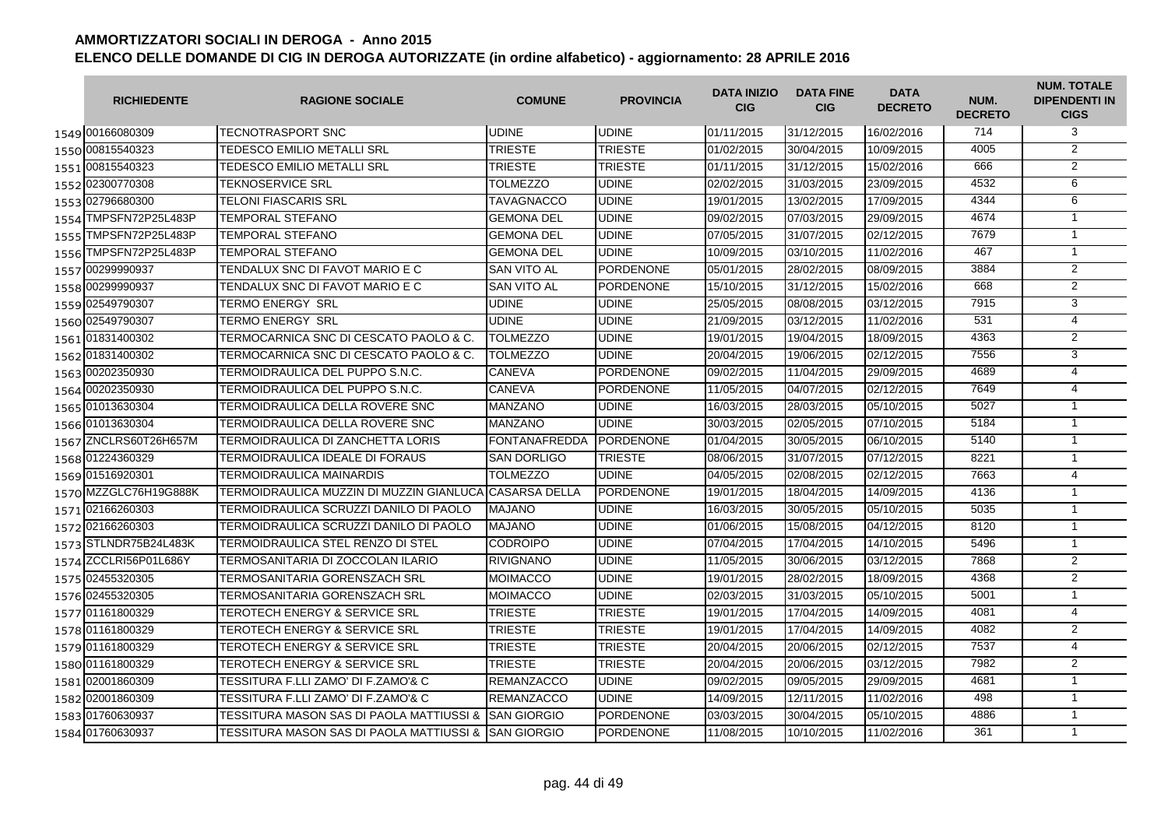|      | <b>RICHIEDENTE</b>    | <b>RAGIONE SOCIALE</b>                                 | <b>COMUNE</b>        | <b>PROVINCIA</b> | <b>DATA INIZIO</b><br><b>CIG</b> | <b>DATA FINE</b><br><b>CIG</b> | <b>DATA</b><br><b>DECRETO</b> | NUM.<br><b>DECRETO</b> | <b>NUM. TOTALE</b><br><b>DIPENDENTI IN</b><br><b>CIGS</b> |
|------|-----------------------|--------------------------------------------------------|----------------------|------------------|----------------------------------|--------------------------------|-------------------------------|------------------------|-----------------------------------------------------------|
|      | 1549 00166080309      | TECNOTRASPORT SNC                                      | <b>UDINE</b>         | <b>UDINE</b>     | 01/11/2015                       | 31/12/2015                     | 16/02/2016                    | 714                    | 3                                                         |
|      | 1550 00815540323      | TEDESCO EMILIO METALLI SRL                             | <b>TRIESTE</b>       | <b>TRIESTE</b>   | 01/02/2015                       | 30/04/2015                     | 10/09/2015                    | 4005                   | 2                                                         |
|      | 1551 00815540323      | TEDESCO EMILIO METALLI SRL                             | <b>TRIESTE</b>       | <b>TRIESTE</b>   | 01/11/2015                       | 31/12/2015                     | 15/02/2016                    | 666                    | 2                                                         |
|      | 1552 02300770308      | TEKNOSERVICE SRL                                       | <b>TOLMEZZO</b>      | <b>UDINE</b>     | 02/02/2015                       | 31/03/2015                     | 23/09/2015                    | 4532                   | 6                                                         |
|      | 1553 02796680300      | TELONI FIASCARIS SRL                                   | <b>TAVAGNACCO</b>    | <b>UDINE</b>     | 19/01/2015                       | 13/02/2015                     | 17/09/2015                    | 4344                   | 6                                                         |
|      | 1554 TMPSFN72P25L483P | TEMPORAL STEFANO                                       | <b>GEMONA DEL</b>    | <b>UDINE</b>     | 09/02/2015                       | 07/03/2015                     | 29/09/2015                    | 4674                   | $\mathbf{1}$                                              |
|      | 1555 TMPSFN72P25L483P | TEMPORAL STEFANO                                       | <b>GEMONA DEL</b>    | <b>UDINE</b>     | 07/05/2015                       | 31/07/2015                     | 02/12/2015                    | 7679                   | $\mathbf{1}$                                              |
|      | 1556 TMPSFN72P25L483P | TEMPORAL STEFANO                                       | <b>GEMONA DEL</b>    | <b>UDINE</b>     | 10/09/2015                       | 03/10/2015                     | 11/02/2016                    | 467                    | $\mathbf{1}$                                              |
|      | 1557 00299990937      | TENDALUX SNC DI FAVOT MARIO E C                        | <b>SAN VITO AL</b>   | <b>PORDENONE</b> | 05/01/2015                       | 28/02/2015                     | 08/09/2015                    | 3884                   | $\overline{2}$                                            |
|      | 1558 00299990937      | TENDALUX SNC DI FAVOT MARIO E C                        | <b>SAN VITO AL</b>   | <b>PORDENONE</b> | 15/10/2015                       | 31/12/2015                     | 15/02/2016                    | 668                    | $\overline{2}$                                            |
|      | 1559 02549790307      | TERMO ENERGY SRL                                       | <b>UDINE</b>         | <b>UDINE</b>     | 25/05/2015                       | 08/08/2015                     | 03/12/2015                    | 7915                   | 3                                                         |
|      | 1560 02549790307      | Termo energy Srl                                       | <b>UDINE</b>         | <b>UDINE</b>     | 21/09/2015                       | 03/12/2015                     | 11/02/2016                    | 531                    | $\overline{4}$                                            |
|      | 1561 01831400302      | TERMOCARNICA SNC DI CESCATO PAOLO & C.                 | <b>TOLMEZZO</b>      | <b>UDINE</b>     | 19/01/2015                       | 19/04/2015                     | 18/09/2015                    | 4363                   | 2                                                         |
|      | 1562 01831400302      | TERMOCARNICA SNC DI CESCATO PAOLO & C.                 | <b>TOLMEZZO</b>      | <b>UDINE</b>     | 20/04/2015                       | 19/06/2015                     | 02/12/2015                    | 7556                   | 3                                                         |
|      | 1563 00202350930      | TERMOIDRAULICA DEL PUPPO S.N.C.                        | CANEVA               | <b>PORDENONE</b> | 09/02/2015                       | 11/04/2015                     | 29/09/2015                    | 4689                   | 4                                                         |
|      | 1564 00202350930      | TERMOIDRAULICA DEL PUPPO S.N.C.                        | <b>CANEVA</b>        | <b>PORDENONE</b> | 11/05/2015                       | 04/07/2015                     | 02/12/2015                    | 7649                   | 4                                                         |
|      | 1565 01013630304      | TERMOIDRAULICA DELLA ROVERE SNC                        | <b>MANZANO</b>       | <b>UDINE</b>     | 16/03/2015                       | 28/03/2015                     | 05/10/2015                    | 5027                   | $\mathbf{1}$                                              |
|      | 1566 01013630304      | TERMOIDRAULICA DELLA ROVERE SNC                        | <b>MANZANO</b>       | <b>UDINE</b>     | 30/03/2015                       | 02/05/2015                     | 07/10/2015                    | 5184                   | $\mathbf{1}$                                              |
| 1567 | ZNCLRS60T26H657M      | TERMOIDRAULICA DI ZANCHETTA LORIS                      | <b>FONTANAFREDDA</b> | <b>PORDENONE</b> | 01/04/2015                       | 30/05/2015                     | 06/10/2015                    | 5140                   | $\mathbf{1}$                                              |
|      | 1568 01224360329      | TERMOIDRAULICA IDEALE DI FORAUS                        | <b>SAN DORLIGO</b>   | <b>TRIESTE</b>   | 08/06/2015                       | 31/07/2015                     | 07/12/2015                    | 8221                   | $\mathbf{1}$                                              |
|      | 1569 01516920301      | TERMOIDRAULICA MAINARDIS                               | <b>TOLMEZZO</b>      | <b>UDINE</b>     | 04/05/2015                       | 02/08/2015                     | 02/12/2015                    | 7663                   | $\overline{4}$                                            |
|      | 1570 MZZGLC76H19G888K | TERMOIDRAULICA MUZZIN DI MUZZIN GIANLUCA CASARSA DELLA |                      | <b>PORDENONE</b> | 19/01/2015                       | 18/04/2015                     | 14/09/2015                    | 4136                   | $\mathbf{1}$                                              |
|      | 1571 02166260303      | TERMOIDRAULICA SCRUZZI DANILO DI PAOLO                 | <b>MAJANO</b>        | <b>UDINE</b>     | 16/03/2015                       | 30/05/2015                     | 05/10/2015                    | 5035                   | $\mathbf{1}$                                              |
|      | 1572 02166260303      | TERMOIDRAULICA SCRUZZI DANILO DI PAOLO                 | <b>MAJANO</b>        | <b>UDINE</b>     | 01/06/2015                       | 15/08/2015                     | 04/12/2015                    | 8120                   | $\mathbf{1}$                                              |
|      | 1573 STLNDR75B24L483K | TERMOIDRAULICA STEL RENZO DI STEL                      | <b>CODROIPO</b>      | <b>UDINE</b>     | 07/04/2015                       | 17/04/2015                     | 14/10/2015                    | 5496                   | $\overline{1}$                                            |
|      | 1574 ZCCLRI56P01L686Y | TERMOSANITARIA DI ZOCCOLAN ILARIO                      | <b>RIVIGNANO</b>     | UDINE            | 11/05/2015                       | 30/06/2015                     | 03/12/2015                    | 7868                   | 2                                                         |
|      | 1575 02455320305      | TERMOSANITARIA GORENSZACH SRL                          | <b>MOIMACCO</b>      | <b>UDINE</b>     | 19/01/2015                       | 28/02/2015                     | 18/09/2015                    | 4368                   | 2                                                         |
|      | 1576 02455320305      | TERMOSANITARIA GORENSZACH SRL                          | <b>MOIMACCO</b>      | <b>UDINE</b>     | 02/03/2015                       | 31/03/2015                     | 05/10/2015                    | 5001                   | $\mathbf{1}$                                              |
|      | 1577 01161800329      | TEROTECH ENERGY & SERVICE SRL                          | <b>TRIESTE</b>       | <b>TRIESTE</b>   | 19/01/2015                       | 17/04/2015                     | 14/09/2015                    | 4081                   | $\overline{4}$                                            |
|      | 1578 01161800329      | TEROTECH ENERGY & SERVICE SRL                          | <b>TRIESTE</b>       | <b>TRIESTE</b>   | 19/01/2015                       | 17/04/2015                     | 14/09/2015                    | 4082                   | 2                                                         |
|      | 1579 01161800329      | TEROTECH ENERGY & SERVICE SRL                          | <b>TRIESTE</b>       | <b>TRIESTE</b>   | 20/04/2015                       | 20/06/2015                     | 02/12/2015                    | 7537                   | $\overline{4}$                                            |
|      | 1580 01161800329      | TEROTECH ENERGY & SERVICE SRL                          | <b>TRIESTE</b>       | TRIESTE          | 20/04/2015                       | 20/06/2015                     | 03/12/2015                    | 7982                   | $\overline{2}$                                            |
|      | 1581 02001860309      | TESSITURA F.LLI ZAMO' DI F.ZAMO'& C                    | <b>REMANZACCO</b>    | UDINE            | 09/02/2015                       | 09/05/2015                     | 29/09/2015                    | 4681                   | $\mathbf{1}$                                              |
|      | 1582 02001860309      | TESSITURA F.LLI ZAMO' DI F.ZAMO'& C                    | <b>REMANZACCO</b>    | <b>UDINE</b>     | 14/09/2015                       | 12/11/2015                     | 11/02/2016                    | 498                    | $\overline{1}$                                            |
|      | 1583 01760630937      | TESSITURA MASON SAS DI PAOLA MATTIUSSI &               | <b>SAN GIORGIO</b>   | <b>PORDENONE</b> | 03/03/2015                       | 30/04/2015                     | 05/10/2015                    | 4886                   | $\mathbf{1}$                                              |
|      | 1584 01760630937      | TESSITURA MASON SAS DI PAOLA MATTIUSSI &               | <b>SAN GIORGIO</b>   | <b>PORDENONE</b> | 11/08/2015                       | 10/10/2015                     | 11/02/2016                    | 361                    | $\mathbf{1}$                                              |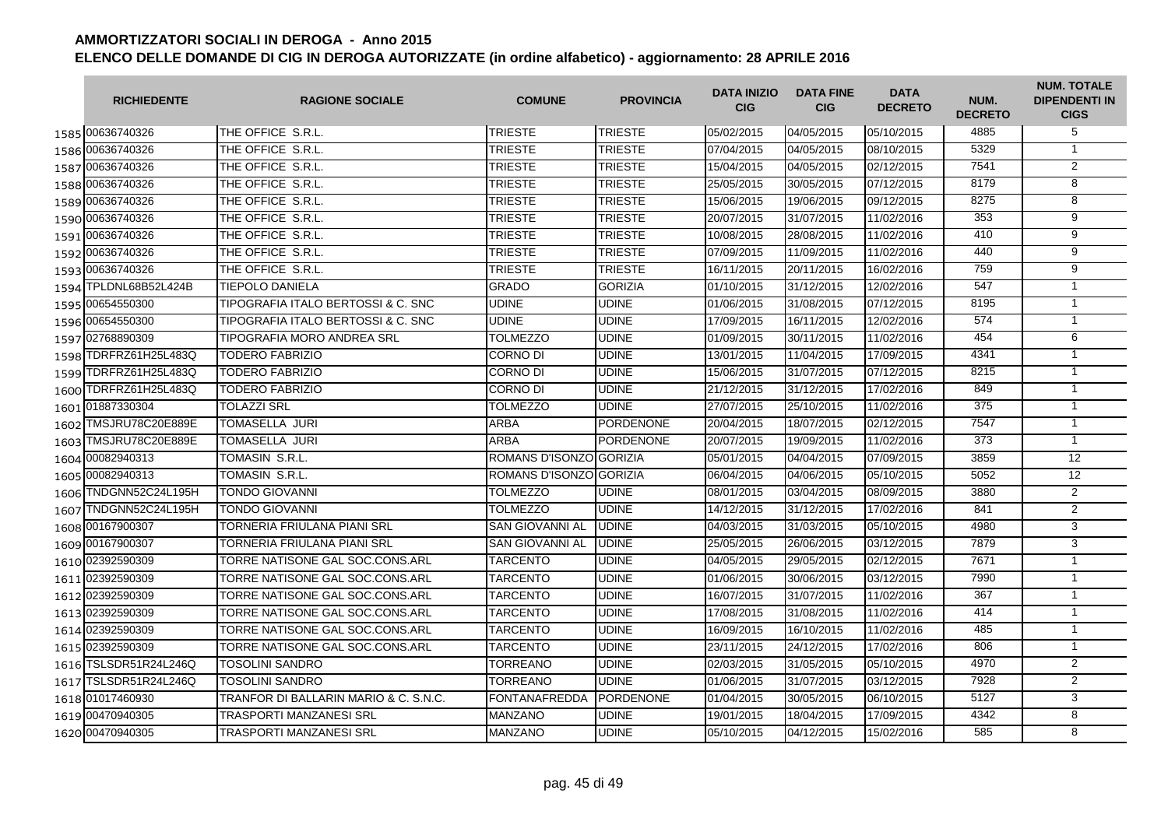|      | <b>RICHIEDENTE</b>    | <b>RAGIONE SOCIALE</b>                | <b>COMUNE</b>           | <b>PROVINCIA</b> | <b>DATA INIZIO</b><br><b>CIG</b> | <b>DATA FINE</b><br><b>CIG</b> | <b>DATA</b><br><b>DECRETO</b> | NUM.<br><b>DECRETO</b> | <b>NUM. TOTALE</b><br><b>DIPENDENTI IN</b><br><b>CIGS</b> |
|------|-----------------------|---------------------------------------|-------------------------|------------------|----------------------------------|--------------------------------|-------------------------------|------------------------|-----------------------------------------------------------|
|      | 1585 00636740326      | THE OFFICE S.R.L.                     | <b>TRIESTE</b>          | <b>TRIESTE</b>   | 05/02/2015                       | 04/05/2015                     | 05/10/2015                    | 4885                   | 5                                                         |
|      | 1586 00636740326      | THE OFFICE S.R.L.                     | <b>TRIESTE</b>          | TRIESTE          | 07/04/2015                       | 04/05/2015                     | 08/10/2015                    | 5329                   | $\mathbf{1}$                                              |
|      | 1587 00636740326      | THE OFFICE S.R.L.                     | <b>TRIESTE</b>          | <b>TRIESTE</b>   | 15/04/2015                       | 04/05/2015                     | 02/12/2015                    | 7541                   | 2                                                         |
|      | 1588 00636740326      | THE OFFICE S.R.L.                     | <b>TRIESTE</b>          | <b>TRIESTE</b>   | 25/05/2015                       | 30/05/2015                     | 07/12/2015                    | 8179                   | 8                                                         |
|      | 1589 00636740326      | THE OFFICE S.R.L.                     | <b>TRIESTE</b>          | <b>TRIESTE</b>   | 15/06/2015                       | 19/06/2015                     | 09/12/2015                    | 8275                   | 8                                                         |
|      | 1590 00636740326      | THE OFFICE S.R.L.                     | <b>TRIESTE</b>          | <b>TRIESTE</b>   | 20/07/2015                       | 31/07/2015                     | 11/02/2016                    | 353                    | $\overline{9}$                                            |
|      | 1591 00636740326      | THE OFFICE S.R.L.                     | <b>TRIESTE</b>          | <b>TRIESTE</b>   | 10/08/2015                       | 28/08/2015                     | 11/02/2016                    | 410                    | 9                                                         |
|      | 1592 00636740326      | THE OFFICE S.R.L.                     | <b>TRIESTE</b>          | <b>TRIESTE</b>   | 07/09/2015                       | 11/09/2015                     | 11/02/2016                    | 440                    | $\overline{9}$                                            |
|      | 1593 00636740326      | THE OFFICE S.R.L.                     | <b>TRIESTE</b>          | <b>TRIESTE</b>   | 16/11/2015                       | 20/11/2015                     | 16/02/2016                    | 759                    | $\overline{9}$                                            |
|      | 1594 TPLDNL68B52L424B | TIEPOLO DANIELA                       | <b>GRADO</b>            | <b>GORIZIA</b>   | 01/10/2015                       | 31/12/2015                     | 12/02/2016                    | 547                    | $\mathbf{1}$                                              |
| 1595 | 00654550300           | TIPOGRAFIA ITALO BERTOSSI & C. SNC    | UDINE                   | <b>UDINE</b>     | 01/06/2015                       | 31/08/2015                     | 07/12/2015                    | 8195                   | $\overline{1}$                                            |
|      | 1596 00654550300      | TIPOGRAFIA ITALO BERTOSSI & C. SNC    | <b>UDINE</b>            | UDINE            | 17/09/2015                       | 16/11/2015                     | 12/02/2016                    | 574                    | $\mathbf{1}$                                              |
|      | 1597 02768890309      | TIPOGRAFIA MORO ANDREA SRL            | TOLMEZZO                | <b>UDINE</b>     | 01/09/2015                       | 30/11/2015                     | 11/02/2016                    | 454                    | 6                                                         |
|      | 1598 TDRFRZ61H25L483Q | TODERO FABRIZIO                       | <b>CORNO DI</b>         | <b>UDINE</b>     | 13/01/2015                       | 11/04/2015                     | 17/09/2015                    | 4341                   | $\mathbf{1}$                                              |
| 1599 | TDRFRZ61H25L483Q      | TODERO FABRIZIO                       | <b>CORNO DI</b>         | <b>UDINE</b>     | 15/06/2015                       | 31/07/2015                     | 07/12/2015                    | 8215                   | $\mathbf{1}$                                              |
|      | 1600 TDRFRZ61H25L483Q | TODERO FABRIZIO                       | <b>CORNO DI</b>         | <b>UDINE</b>     | 21/12/2015                       | 31/12/2015                     | 17/02/2016                    | 849                    | $\mathbf{1}$                                              |
|      | 1601 01887330304      | <b>TOLAZZI SRL</b>                    | <b>TOLMEZZO</b>         | <b>UDINE</b>     | 27/07/2015                       | 25/10/2015                     | 11/02/2016                    | 375                    | $\mathbf{1}$                                              |
|      | 1602 TMSJRU78C20E889E | TOMASELLA JURI                        | <b>ARBA</b>             | <b>PORDENONE</b> | 20/04/2015                       | 18/07/2015                     | 02/12/2015                    | 7547                   | $\mathbf{1}$                                              |
|      | 1603 TMSJRU78C20E889E | TOMASELLA JURI                        | <b>ARBA</b>             | <b>PORDENONE</b> | 20/07/2015                       | 19/09/2015                     | 11/02/2016                    | 373                    | $\overline{1}$                                            |
|      | 1604 00082940313      | TOMASIN S.R.L.                        | ROMANS D'ISONZO GORIZIA |                  | 05/01/2015                       | 04/04/2015                     | 07/09/2015                    | 3859                   | 12                                                        |
|      | 1605 00082940313      | TOMASIN S.R.L.                        | ROMANS D'ISONZO GORIZIA |                  | 06/04/2015                       | 04/06/2015                     | 05/10/2015                    | 5052                   | 12                                                        |
|      | 1606 TNDGNN52C24L195H | <b>TONDO GIOVANNI</b>                 | <b>TOLMEZZO</b>         | <b>UDINE</b>     | 08/01/2015                       | 03/04/2015                     | 08/09/2015                    | 3880                   | $\overline{2}$                                            |
| 1607 | TNDGNN52C24L195H      | TONDO GIOVANNI                        | <b>TOLMEZZO</b>         | <b>UDINE</b>     | 14/12/2015                       | 31/12/2015                     | 17/02/2016                    | 841                    | $\overline{2}$                                            |
| 1608 | 00167900307           | TORNERIA FRIULANA PIANI SRL           | <b>SAN GIOVANNI AL</b>  | <b>UDINE</b>     | 04/03/2015                       | 31/03/2015                     | 05/10/2015                    | 4980                   | 3                                                         |
|      | 1609 00167900307      | TORNERIA FRIULANA PIANI SRL           | <b>SAN GIOVANNI AL</b>  | <b>UDINE</b>     | 25/05/2015                       | 26/06/2015                     | 03/12/2015                    | 7879                   | 3                                                         |
|      | 1610 02392590309      | TORRE NATISONE GAL SOC.CONS.ARL       | <b>TARCENTO</b>         | <b>UDINE</b>     | 04/05/2015                       | 29/05/2015                     | 02/12/2015                    | 7671                   | $\overline{1}$                                            |
|      | 1611 02392590309      | TORRE NATISONE GAL SOC.CONS.ARL       | <b>TARCENTO</b>         | <b>UDINE</b>     | 01/06/2015                       | 30/06/2015                     | 03/12/2015                    | 7990                   | $\mathbf{1}$                                              |
|      | 1612 02392590309      | TORRE NATISONE GAL SOC.CONS.ARL       | <b>TARCENTO</b>         | <b>UDINE</b>     | 16/07/2015                       | 31/07/2015                     | 11/02/2016                    | 367                    | $\mathbf{1}$                                              |
|      | 1613 02392590309      | TORRE NATISONE GAL SOC.CONS.ARL       | <b>TARCENTO</b>         | <b>UDINE</b>     | 17/08/2015                       | 31/08/2015                     | 11/02/2016                    | 414                    | $\mathbf{1}$                                              |
|      | 1614 02392590309      | TORRE NATISONE GAL SOC.CONS.ARL       | <b>TARCENTO</b>         | UDINE            | 16/09/2015                       | 16/10/2015                     | 11/02/2016                    | 485                    | $\overline{1}$                                            |
|      | 1615 02392590309      | TORRE NATISONE GAL SOC.CONS.ARL       | <b>TARCENTO</b>         | UDINE            | 23/11/2015                       | 24/12/2015                     | 17/02/2016                    | 806                    | $\mathbf{1}$                                              |
|      | 1616 TSLSDR51R24L246Q | TOSOLINI SANDRO                       | <b>TORREANO</b>         | <b>UDINE</b>     | 02/03/2015                       | 31/05/2015                     | 05/10/2015                    | 4970                   | $\overline{2}$                                            |
|      | 1617 TSLSDR51R24L246Q | <b>TOSOLINI SANDRO</b>                | <b>TORREANO</b>         | <b>UDINE</b>     | 01/06/2015                       | 31/07/2015                     | 03/12/2015                    | 7928                   | 2                                                         |
|      | 1618 01017460930      | TRANFOR DI BALLARIN MARIO & C. S.N.C. | <b>FONTANAFREDDA</b>    | <b>PORDENONE</b> | 01/04/2015                       | 30/05/2015                     | 06/10/2015                    | 5127                   | 3                                                         |
|      | 1619 00470940305      | TRASPORTI MANZANESI SRL               | <b>MANZANO</b>          | <b>UDINE</b>     | 19/01/2015                       | 18/04/2015                     | 17/09/2015                    | 4342                   | 8                                                         |
|      | 1620 00470 940305     | TRASPORTI MANZANESI SRL               | <b>MANZANO</b>          | <b>UDINE</b>     | 05/10/2015                       | 04/12/2015                     | 15/02/2016                    | 585                    | $\overline{8}$                                            |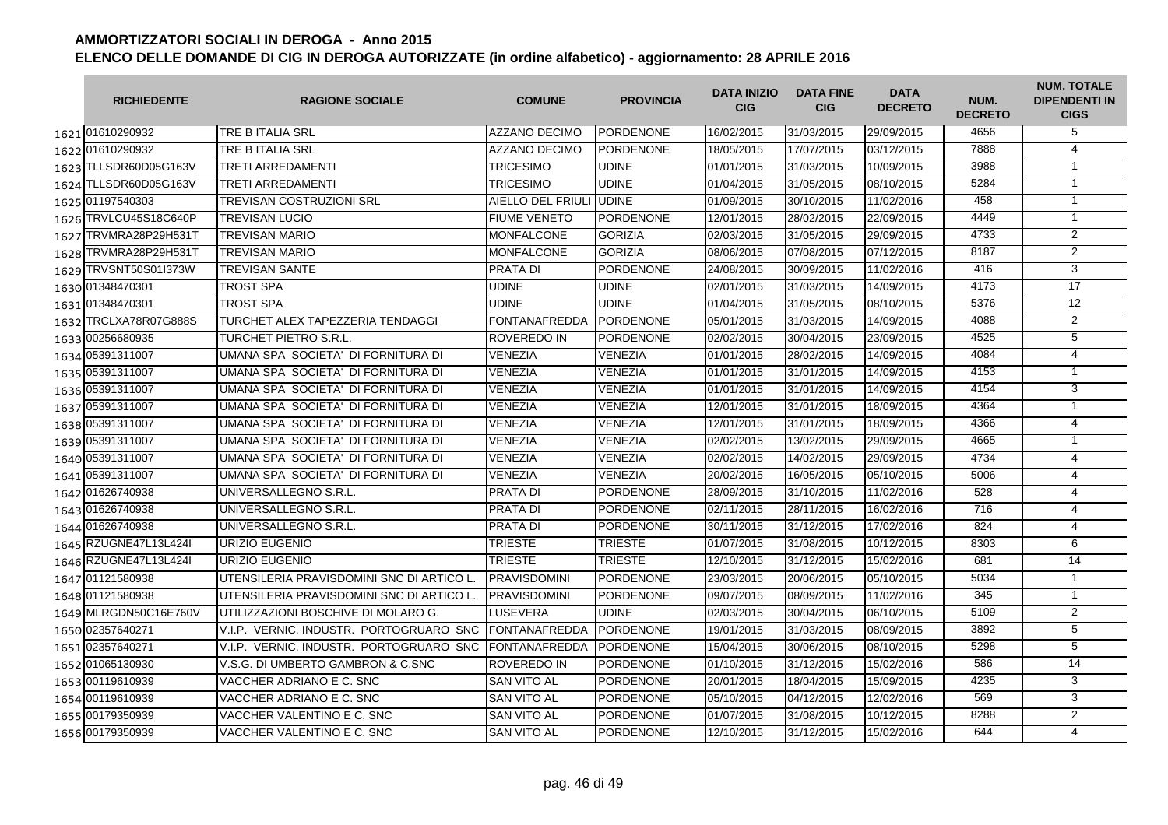|      | <b>RICHIEDENTE</b>    | <b>RAGIONE SOCIALE</b>                    | <b>COMUNE</b>           | <b>PROVINCIA</b> | <b>DATA INIZIO</b><br><b>CIG</b> | <b>DATA FINE</b><br><b>CIG</b> | <b>DATA</b><br><b>DECRETO</b> | NUM.<br><b>DECRETO</b> | <b>NUM. TOTALE</b><br><b>DIPENDENTI IN</b><br><b>CIGS</b> |
|------|-----------------------|-------------------------------------------|-------------------------|------------------|----------------------------------|--------------------------------|-------------------------------|------------------------|-----------------------------------------------------------|
|      | 1621 01610290932      | TRE B ITALIA SRL                          | <b>AZZANO DECIMO</b>    | <b>PORDENONE</b> | 16/02/2015                       | 31/03/2015                     | 29/09/2015                    | 4656                   | 5                                                         |
|      | 1622 01610290932      | TRE B ITALIA SRL                          | AZZANO DECIMO           | <b>PORDENONE</b> | 18/05/2015                       | 17/07/2015                     | 03/12/2015                    | 7888                   | 4                                                         |
|      | 1623 TLLSDR60D05G163V | <b>TRETI ARREDAMENTI</b>                  | <b>TRICESIMO</b>        | <b>UDINE</b>     | 01/01/2015                       | 31/03/2015                     | 10/09/2015                    | 3988                   | $\mathbf{1}$                                              |
|      | 1624 TLLSDR60D05G163V | TRETI ARREDAMENTI                         | <b>TRICESIMO</b>        | <b>UDINE</b>     | 01/04/2015                       | 31/05/2015                     | 08/10/2015                    | 5284                   | $\mathbf{1}$                                              |
|      | 1625 01197540303      | TREVISAN COSTRUZIONI SRL                  | <b>AIELLO DEL FRIUL</b> | <b>UDINE</b>     | 01/09/2015                       | 30/10/2015                     | 11/02/2016                    | 458                    | $\mathbf{1}$                                              |
|      | 1626 TRVLCU45S18C640P | TREVISAN LUCIO                            | <b>FIUME VENETO</b>     | <b>PORDENONE</b> | 12/01/2015                       | 28/02/2015                     | 22/09/2015                    | 4449                   | $\overline{1}$                                            |
| 1627 | TRVMRA28P29H531T      | TREVISAN MARIO                            | <b>MONFALCONE</b>       | <b>GORIZIA</b>   | 02/03/2015                       | 31/05/2015                     | 29/09/2015                    | 4733                   | $\overline{2}$                                            |
| 1628 | TRVMRA28P29H531T      | <b>TREVISAN MARIO</b>                     | <b>MONFALCONE</b>       | <b>GORIZIA</b>   | 08/06/2015                       | 07/08/2015                     | 07/12/2015                    | 8187                   | 2                                                         |
| 1629 | TRVSNT50S01I373W      | TREVISAN SANTE                            | <b>PRATA DI</b>         | <b>PORDENONE</b> | 24/08/2015                       | 30/09/2015                     | 11/02/2016                    | 416                    | 3                                                         |
|      | 1630 01348470301      | TROST SPA                                 | <b>UDINE</b>            | UDINE            | 02/01/2015                       | 31/03/2015                     | 14/09/2015                    | 4173                   | $\overline{17}$                                           |
|      | 1631 01348470301      | TROST SPA                                 | <b>UDINE</b>            | <b>UDINE</b>     | 01/04/2015                       | 31/05/2015                     | 08/10/2015                    | 5376                   | 12                                                        |
|      | 1632 TRCLXA78R07G888S | TURCHET ALEX TAPEZZERIA TENDAGGI          | <b>FONTANAFREDDA</b>    | <b>PORDENONE</b> | 05/01/2015                       | 31/03/2015                     | 14/09/2015                    | 4088                   | $\overline{2}$                                            |
|      | 1633 00256680935      | TURCHET PIETRO S.R.L.                     | <b>ROVEREDO IN</b>      | <b>PORDENONE</b> | 02/02/2015                       | 30/04/2015                     | 23/09/2015                    | 4525                   | $\overline{5}$                                            |
|      | 1634 05391311007      | UMANA SPA SOCIETA' DI FORNITURA DI        | <b>VENEZIA</b>          | <b>VENEZIA</b>   | 01/01/2015                       | 28/02/2015                     | 14/09/2015                    | 4084                   | 4                                                         |
|      | 1635 05391311007      | UMANA SPA SOCIETA' DI FORNITURA DI        | <b>VENEZIA</b>          | <b>VENEZIA</b>   | 01/01/2015                       | 31/01/2015                     | 14/09/2015                    | 4153                   | $\overline{1}$                                            |
|      | 1636 05391311007      | UMANA SPA SOCIETA' DI FORNITURA DI        | <b>VENEZIA</b>          | <b>VENEZIA</b>   | 01/01/2015                       | 31/01/2015                     | 14/09/2015                    | 4154                   | 3                                                         |
|      | 1637 05391311007      | UMANA SPA SOCIETA' DI FORNITURA DI        | <b>VENEZIA</b>          | <b>VENEZIA</b>   | 12/01/2015                       | 31/01/2015                     | 18/09/2015                    | 4364                   | $\mathbf{1}$                                              |
|      | 1638 05391311007      | UMANA SPA SOCIETA' DI FORNITURA DI        | <b>VENEZIA</b>          | <b>VENEZIA</b>   | 12/01/2015                       | 31/01/2015                     | 18/09/2015                    | 4366                   | $\overline{4}$                                            |
|      | 1639 05391311007      | UMANA SPA SOCIETA' DI FORNITURA DI        | <b>VENEZIA</b>          | VENEZIA          | 02/02/2015                       | 13/02/2015                     | 29/09/2015                    | 4665                   | $\mathbf{1}$                                              |
|      | 1640 05391311007      | UMANA SPA SOCIETA' DI FORNITURA DI        | <b>VENEZIA</b>          | <b>VENEZIA</b>   | 02/02/2015                       | 14/02/2015                     | 29/09/2015                    | 4734                   | 4                                                         |
|      | 1641 05391311007      | UMANA SPA SOCIETA' DI FORNITURA DI        | VENEZIA                 | <b>VENEZIA</b>   | 20/02/2015                       | 16/05/2015                     | 05/10/2015                    | 5006                   | 4                                                         |
|      | 1642 01626740938      | UNIVERSALLEGNO S.R.L.                     | <b>PRATA DI</b>         | <b>PORDENONE</b> | 28/09/2015                       | 31/10/2015                     | 11/02/2016                    | 528                    | $\overline{4}$                                            |
|      | 1643 01626740938      | UNIVERSALLEGNO S.R.L.                     | <b>PRATA DI</b>         | <b>PORDENONE</b> | 02/11/2015                       | 28/11/2015                     | 16/02/2016                    | 716                    | $\overline{4}$                                            |
|      | 1644 01626740938      | UNIVERSALLEGNO S.R.L.                     | <b>PRATA DI</b>         | <b>PORDENONE</b> | 30/11/2015                       | 31/12/2015                     | 17/02/2016                    | 824                    | $\overline{4}$                                            |
|      | 1645 RZUGNE47L13L424I | URIZIO EUGENIO                            | <b>TRIESTE</b>          | TRIESTE          | 01/07/2015                       | 31/08/2015                     | 10/12/2015                    | 8303                   | 6                                                         |
|      | 1646 RZUGNE47L13L424  | URIZIO EUGENIO                            | <b>TRIESTE</b>          | <b>TRIESTE</b>   | 12/10/2015                       | 31/12/2015                     | 15/02/2016                    | 681                    | 14                                                        |
|      | 1647 01121580938      | UTENSILERIA PRAVISDOMINI SNC DI ARTICO L. | <b>PRAVISDOMINI</b>     | PORDENONE        | 23/03/2015                       | 20/06/2015                     | 05/10/2015                    | 5034                   | $\mathbf{1}$                                              |
|      | 1648 01121580938      | UTENSILERIA PRAVISDOMINI SNC DI ARTICO L. | <b>PRAVISDOMINI</b>     | <b>PORDENONE</b> | 09/07/2015                       | 08/09/2015                     | 11/02/2016                    | 345                    | $\mathbf{1}$                                              |
|      | 1649 MLRGDN50C16E760V | UTILIZZAZIONI BOSCHIVE DI MOLARO G.       | <b>LUSEVERA</b>         | UDINE            | 02/03/2015                       | 30/04/2015                     | 06/10/2015                    | 5109                   | $\overline{2}$                                            |
|      | 1650 02357640271      | V.I.P. VERNIC. INDUSTR. PORTOGRUARO SNC   | <b>FONTANAFREDDA</b>    | <b>PORDENONE</b> | 19/01/2015                       | 31/03/2015                     | 08/09/2015                    | 3892                   | 5                                                         |
|      | 1651 02357640271      | V.I.P. VERNIC. INDUSTR. PORTOGRUARO SNC   | <b>FONTANAFREDDA</b>    | <b>PORDENONE</b> | 15/04/2015                       | 30/06/2015                     | 08/10/2015                    | 5298                   | 5                                                         |
|      | 1652 01065130930      | V.S.G. DI UMBERTO GAMBRON & C.SNC         | ROVEREDO IN             | <b>PORDENONE</b> | 01/10/2015                       | 31/12/2015                     | 15/02/2016                    | 586                    | 14                                                        |
|      | 1653 00119610939      | VACCHER ADRIANO E C. SNC                  | <b>SAN VITO AL</b>      | <b>PORDENONE</b> | 20/01/2015                       | 18/04/2015                     | 15/09/2015                    | 4235                   | 3                                                         |
|      | 1654 00119610939      | VACCHER ADRIANO E C. SNC                  | <b>SAN VITO AL</b>      | <b>PORDENONE</b> | 05/10/2015                       | 04/12/2015                     | 12/02/2016                    | 569                    | $\overline{3}$                                            |
|      | 1655 00179350939      | VACCHER VALENTINO E C. SNC                | SAN VITO AL             | <b>PORDENONE</b> | 01/07/2015                       | 31/08/2015                     | 10/12/2015                    | 8288                   | $\overline{2}$                                            |
|      | 1656 00179350939      | VACCHER VALENTINO E C. SNC                | <b>SAN VITO AL</b>      | <b>PORDENONE</b> | 12/10/2015                       | 31/12/2015                     | 15/02/2016                    | 644                    | 4                                                         |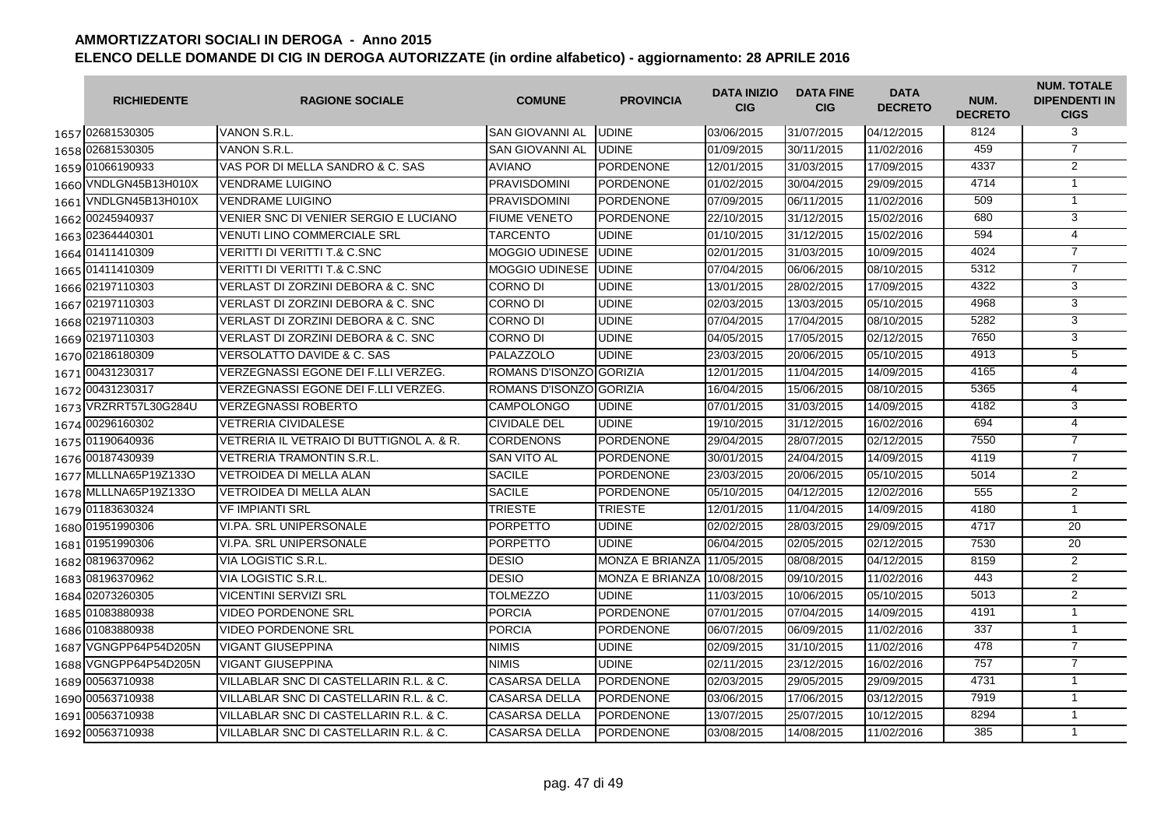|      | <b>RICHIEDENTE</b>    | <b>RAGIONE SOCIALE</b>                   | <b>COMUNE</b>           | <b>PROVINCIA</b>       | <b>DATA INIZIO</b><br><b>CIG</b> | <b>DATA FINE</b><br><b>CIG</b> | <b>DATA</b><br><b>DECRETO</b> | NUM.<br><b>DECRETO</b> | <b>NUM. TOTALE</b><br><b>DIPENDENTI IN</b><br><b>CIGS</b> |
|------|-----------------------|------------------------------------------|-------------------------|------------------------|----------------------------------|--------------------------------|-------------------------------|------------------------|-----------------------------------------------------------|
|      | 1657 02681530305      | VANON S.R.L.                             | <b>SAN GIOVANNI AL</b>  | <b>UDINE</b>           | 03/06/2015                       | 31/07/2015                     | 04/12/2015                    | 8124                   | 3                                                         |
|      | 1658 02681530305      | VANON S.R.L.                             | <b>SAN GIOVANNI AL</b>  | <b>UDINE</b>           | 01/09/2015                       | 30/11/2015                     | 11/02/2016                    | 459                    | $\overline{7}$                                            |
|      | 1659 01066190933      | VAS POR DI MELLA SANDRO & C. SAS         | <b>AVIANO</b>           | <b>PORDENONE</b>       | 12/01/2015                       | 31/03/2015                     | 17/09/2015                    | 4337                   | 2                                                         |
|      | 1660 VNDLGN45B13H010X | <b>VENDRAME LUIGINO</b>                  | <b>PRAVISDOMINI</b>     | PORDENONE              | 01/02/2015                       | 30/04/2015                     | 29/09/2015                    | 4714                   | $\mathbf{1}$                                              |
|      | 1661 VNDLGN45B13H010X | <b>VENDRAME LUIGINO</b>                  | <b>PRAVISDOMINI</b>     | <b>PORDENONE</b>       | 07/09/2015                       | 06/11/2015                     | 11/02/2016                    | 509                    | $\mathbf{1}$                                              |
|      | 1662 00245940937      | VENIER SNC DI VENIER SERGIO E LUCIANO    | <b>FIUME VENETO</b>     | <b>PORDENONE</b>       | 22/10/2015                       | 31/12/2015                     | 15/02/2016                    | 680                    | 3                                                         |
|      | 1663 02364440301      | <b>VENUTI LINO COMMERCIALE SRL</b>       | <b>TARCENTO</b>         | <b>UDINE</b>           | 01/10/2015                       | 31/12/2015                     | 15/02/2016                    | 594                    | $\overline{4}$                                            |
|      | 1664 01411410309      | <b>VERITTI DI VERITTI T.&amp; C.SNC</b>  | <b>MOGGIO UDINESE</b>   | <b>UDINE</b>           | 02/01/2015                       | 31/03/2015                     | 10/09/2015                    | 4024                   | $\overline{7}$                                            |
|      | 1665 01411410309      | VERITTI DI VERITTI T.& C.SNC             | MOGGIO UDINESE          | <b>UDINE</b>           | 07/04/2015                       | 06/06/2015                     | 08/10/2015                    | 5312                   | $\overline{7}$                                            |
|      | 1666 02197110303      | VERLAST DI ZORZINI DEBORA & C. SNC       | <b>CORNO DI</b>         | <b>UDINE</b>           | 13/01/2015                       | 28/02/2015                     | 17/09/2015                    | 4322                   | 3                                                         |
|      | 1667 02197110303      | VERLAST DI ZORZINI DEBORA & C. SNC       | <b>CORNO DI</b>         | <b>UDINE</b>           | 02/03/2015                       | 13/03/2015                     | 05/10/2015                    | 4968                   | 3                                                         |
|      | 1668 02197110303      | VERLAST DI ZORZINI DEBORA & C. SNC       | <b>CORNO DI</b>         | <b>UDINE</b>           | 07/04/2015                       | 17/04/2015                     | 08/10/2015                    | 5282                   | 3                                                         |
|      | 1669 02197110303      | VERLAST DI ZORZINI DEBORA & C. SNC       | <b>CORNO DI</b>         | <b>UDINE</b>           | 04/05/2015                       | 17/05/2015                     | 02/12/2015                    | 7650                   | 3                                                         |
|      | 1670 02186180309      | <b>VERSOLATTO DAVIDE &amp; C. SAS</b>    | <b>PALAZZOLO</b>        | <b>UDINE</b>           | 23/03/2015                       | 20/06/2015                     | 05/10/2015                    | 4913                   | 5                                                         |
|      | 1671 00431230317      | VERZEGNASSI EGONE DEI F.LLI VERZEG.      | ROMANS D'ISONZO GORIZIA |                        | 12/01/2015                       | 11/04/2015                     | 14/09/2015                    | 4165                   | 4                                                         |
|      | 1672 00431230317      | VERZEGNASSI EGONE DEI F.LLI VERZEG.      | ROMANS D'ISONZO GORIZIA |                        | 16/04/2015                       | 15/06/2015                     | 08/10/2015                    | 5365                   | 4                                                         |
|      | 1673 VRZRRT57L30G284U | <b>VERZEGNASSI ROBERTO</b>               | <b>CAMPOLONGO</b>       | <b>UDINE</b>           | 07/01/2015                       | 31/03/2015                     | 14/09/2015                    | 4182                   | 3                                                         |
|      | 1674 00296160302      | VETRERIA CIVIDALESE                      | <b>CIVIDALE DEL</b>     | <b>UDINE</b>           | 19/10/2015                       | 31/12/2015                     | 16/02/2016                    | 694                    | 4                                                         |
|      | 1675 01190640936      | VETRERIA IL VETRAIO DI BUTTIGNOL A. & R. | <b>CORDENONS</b>        | <b>PORDENONE</b>       | 29/04/2015                       | 28/07/2015                     | 02/12/2015                    | 7550                   | $\overline{7}$                                            |
|      | 1676 00187430939      | <b>VETRERIA TRAMONTIN S.R.L.</b>         | <b>SAN VITO AL</b>      | <b>PORDENONE</b>       | 30/01/2015                       | 24/04/2015                     | 14/09/2015                    | 4119                   | $\overline{7}$                                            |
|      | 1677 MLLLNA65P19Z133O | VETROIDEA DI MELLA ALAN                  | <b>SACILE</b>           | <b>PORDENONE</b>       | 23/03/2015                       | 20/06/2015                     | 05/10/2015                    | 5014                   | $\overline{2}$                                            |
|      | 1678 MLLLNA65P19Z133O | VETROIDEA DI MELLA ALAN                  | <b>SACILE</b>           | <b>PORDENONE</b>       | 05/10/2015                       | 04/12/2015                     | 12/02/2016                    | 555                    | $\overline{2}$                                            |
|      | 1679 01183630324      | VF IMPIANTI SRL                          | <b>TRIESTE</b>          | <b>TRIESTE</b>         | 12/01/2015                       | 11/04/2015                     | 14/09/2015                    | 4180                   | $\mathbf{1}$                                              |
|      | 1680 01951990306      | <b>VI.PA. SRL UNIPERSONALE</b>           | <b>PORPETTO</b>         | <b>UDINE</b>           | 02/02/2015                       | 28/03/2015                     | 29/09/2015                    | 4717                   | 20                                                        |
|      | 1681 01951990306      | VI.PA. SRL UNIPERSONALE                  | <b>PORPETTO</b>         | <b>UDINE</b>           | 06/04/2015                       | 02/05/2015                     | 02/12/2015                    | 7530                   | 20                                                        |
|      | 1682 08196370962      | VIA LOGISTIC S.R.L.                      | <b>DESIO</b>            | <b>MONZA E BRIANZA</b> | 11/05/2015                       | 08/08/2015                     | 04/12/2015                    | 8159                   | 2                                                         |
|      | 1683 08196370962      | VIA LOGISTIC S.R.L.                      | <b>DESIO</b>            | <b>MONZA E BRIANZA</b> | 10/08/2015                       | 09/10/2015                     | 11/02/2016                    | 443                    | 2                                                         |
|      | 1684 02073260305      | <b>VICENTINI SERVIZI SRL</b>             | <b>TOLMEZZO</b>         | <b>UDINE</b>           | 11/03/2015                       | 10/06/2015                     | 05/10/2015                    | 5013                   | $\overline{2}$                                            |
|      | 1685 01083880938      | <b>VIDEO PORDENONE SRL</b>               | <b>PORCIA</b>           | <b>PORDENONE</b>       | 07/01/2015                       | 07/04/2015                     | 14/09/2015                    | 4191                   | $\mathbf{1}$                                              |
|      | 1686 01083880938      | <b>VIDEO PORDENONE SRL</b>               | <b>PORCIA</b>           | PORDENONE              | 06/07/2015                       | 06/09/2015                     | 11/02/2016                    | 337                    | $\mathbf{1}$                                              |
| 1687 | VGNGPP64P54D205N      | VIGANT GIUSEPPINA                        | <b>NIMIS</b>            | <b>UDINE</b>           | 02/09/2015                       | 31/10/2015                     | 11/02/2016                    | 478                    | $\overline{7}$                                            |
| 1688 | VGNGPP64P54D205N      | VIGANT GIUSEPPINA                        | <b>NIMIS</b>            | <b>UDINE</b>           | 02/11/2015                       | 23/12/2015                     | 16/02/2016                    | 757                    | $\overline{7}$                                            |
| 1689 | 00563710938           | VILLABLAR SNC DI CASTELLARIN R.L. & C.   | <b>CASARSA DELLA</b>    | <b>PORDENONE</b>       | 02/03/2015                       | 29/05/2015                     | 29/09/2015                    | 4731                   | $\mathbf{1}$                                              |
|      | 1690 00563710938      | VILLABLAR SNC DI CASTELLARIN R.L. & C.   | <b>CASARSA DELLA</b>    | <b>PORDENONE</b>       | 03/06/2015                       | 17/06/2015                     | 03/12/2015                    | 7919                   | $\overline{1}$                                            |
|      | 1691 00563710938      | VILLABLAR SNC DI CASTELLARIN R.L. & C.   | <b>CASARSA DELLA</b>    | <b>PORDENONE</b>       | 13/07/2015                       | 25/07/2015                     | 10/12/2015                    | 8294                   | $\mathbf{1}$                                              |
|      | 1692 00563710938      | VILLABLAR SNC DI CASTELLARIN R.L. & C.   | <b>CASARSA DELLA</b>    | <b>PORDENONE</b>       | 03/08/2015                       | 14/08/2015                     | 11/02/2016                    | 385                    | $\mathbf{1}$                                              |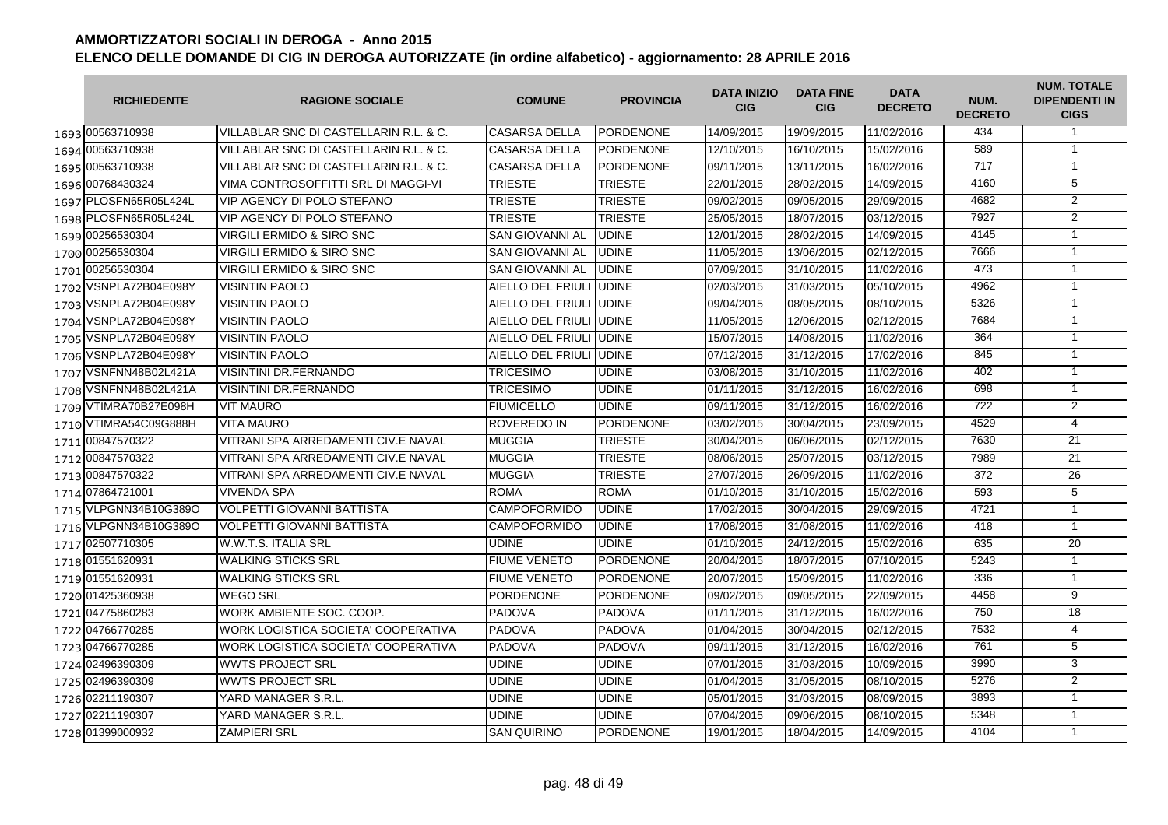|      | <b>RICHIEDENTE</b>    | <b>RAGIONE SOCIALE</b>                 | <b>COMUNE</b>            | <b>PROVINCIA</b> | <b>DATA INIZIO</b><br><b>CIG</b> | <b>DATA FINE</b><br><b>CIG</b> | <b>DATA</b><br><b>DECRETO</b> | NUM.<br><b>DECRETO</b> | <b>NUM. TOTALE</b><br><b>DIPENDENTI IN</b><br><b>CIGS</b> |
|------|-----------------------|----------------------------------------|--------------------------|------------------|----------------------------------|--------------------------------|-------------------------------|------------------------|-----------------------------------------------------------|
|      | 1693 00563710938      | VILLABLAR SNC DI CASTELLARIN R.L. & C. | <b>CASARSA DELLA</b>     | <b>PORDENONE</b> | 14/09/2015                       | 19/09/2015                     | 11/02/2016                    | 434                    | $\mathbf{1}$                                              |
|      | 1694 00563710938      | VILLABLAR SNC DI CASTELLARIN R.L. & C. | <b>CASARSA DELLA</b>     | <b>PORDENONE</b> | 12/10/2015                       | 16/10/2015                     | 15/02/2016                    | 589                    | $\mathbf{1}$                                              |
|      | 1695 00563710938      | VILLABLAR SNC DI CASTELLARIN R.L. & C. | <b>CASARSA DELLA</b>     | <b>PORDENONE</b> | 09/11/2015                       | 13/11/2015                     | 16/02/2016                    | 717                    | $\overline{1}$                                            |
|      | 1696 00768430324      | VIMA CONTROSOFFITTI SRL DI MAGGI-VI    | <b>TRIESTE</b>           | <b>TRIESTE</b>   | 22/01/2015                       | 28/02/2015                     | 14/09/2015                    | 4160                   | $\overline{5}$                                            |
|      | 1697 PLOSFN65R05L424L | <b>VIP AGENCY DI POLO STEFANO</b>      | <b>TRIESTE</b>           | <b>TRIESTE</b>   | 09/02/2015                       | 09/05/2015                     | 29/09/2015                    | 4682                   | $\overline{2}$                                            |
|      | 1698 PLOSFN65R05L424L | VIP AGENCY DI POLO STEFANO             | <b>TRIESTE</b>           | <b>TRIESTE</b>   | 25/05/2015                       | 18/07/2015                     | 03/12/2015                    | 7927                   | $\overline{2}$                                            |
|      | 1699 00256530304      | <b>VIRGILI ERMIDO &amp; SIRO SNC</b>   | <b>SAN GIOVANNI AL</b>   | <b>UDINE</b>     | 12/01/2015                       | 28/02/2015                     | 14/09/2015                    | 4145                   | $\overline{1}$                                            |
|      | 1700 00256530304      | VIRGILI ERMIDO & SIRO SNC              | <b>SAN GIOVANNI AL</b>   | <b>UDINE</b>     | 11/05/2015                       | 13/06/2015                     | 02/12/2015                    | 7666                   | $\overline{1}$                                            |
|      | 1701 00256530304      | VIRGILI ERMIDO & SIRO SNC              | <b>SAN GIOVANNI AL</b>   | <b>UDINE</b>     | 07/09/2015                       | 31/10/2015                     | 11/02/2016                    | 473                    | $\mathbf{1}$                                              |
| 1702 | VSNPLA72B04E098Y      | <b>VISINTIN PAOLO</b>                  | AIELLO DEL FRIULI JUDINE |                  | 02/03/2015                       | 31/03/2015                     | 05/10/2015                    | 4962                   | $\mathbf{1}$                                              |
|      | 1703 VSNPLA72B04E098Y | <b>VISINTIN PAOLO</b>                  | AIELLO DEL FRIULI        | <b>UDINE</b>     | 09/04/2015                       | 08/05/2015                     | 08/10/2015                    | 5326                   | $\mathbf{1}$                                              |
| 1704 | VSNPLA72B04E098Y      | <b>VISINTIN PAOLO</b>                  | AIELLO DEL FRIULI JUDINE |                  | 11/05/2015                       | 12/06/2015                     | 02/12/2015                    | 7684                   | $\mathbf{1}$                                              |
| 1705 | VSNPLA72B04E098Y      | <b>VISINTIN PAOLO</b>                  | AIELLO DEL FRIULI JUDINE |                  | 15/07/2015                       | 14/08/2015                     | 11/02/2016                    | 364                    | $\mathbf{1}$                                              |
| 1706 | VSNPLA72B04E098Y      | <b>VISINTIN PAOLO</b>                  | AIELLO DEL FRIULI UDINE  |                  | 07/12/2015                       | 31/12/2015                     | 17/02/2016                    | 845                    | $\overline{1}$                                            |
|      | 1707 VSNFNN48B02L421A | <b>VISINTINI DR.FERNANDO</b>           | <b>TRICESIMO</b>         | <b>UDINE</b>     | 03/08/2015                       | 31/10/2015                     | 11/02/2016                    | 402                    | $\overline{1}$                                            |
|      | 1708 VSNFNN48B02L421A | <b>VISINTINI DR.FERNANDO</b>           | <b>TRICESIMO</b>         | UDINE            | 01/11/2015                       | 31/12/2015                     | 16/02/2016                    | 698                    | $\mathbf{1}$                                              |
|      | 1709 VTIMRA70B27E098H | <b>VIT MAURO</b>                       | <b>FIUMICELLO</b>        | <b>UDINE</b>     | 09/11/2015                       | 31/12/2015                     | 16/02/2016                    | 722                    | 2                                                         |
|      | 1710 VTIMRA54C09G888H | <b>VITA MAURO</b>                      | <b>ROVEREDO IN</b>       | <b>PORDENONE</b> | 03/02/2015                       | 30/04/2015                     | 23/09/2015                    | 4529                   | $\overline{4}$                                            |
|      | 1711 00847570322      | VITRANI SPA ARREDAMENTI CIV.E NAVAL    | <b>MUGGIA</b>            | <b>TRIESTE</b>   | 30/04/2015                       | 06/06/2015                     | 02/12/2015                    | 7630                   | 21                                                        |
|      | 1712 00847570322      | VITRANI SPA ARREDAMENTI CIV.E NAVAL    | <b>MUGGIA</b>            | <b>TRIESTE</b>   | 08/06/2015                       | 25/07/2015                     | 03/12/2015                    | 7989                   | $\overline{21}$                                           |
|      | 1713 00847570322      | VITRANI SPA ARREDAMENTI CIV.E NAVAL    | <b>MUGGIA</b>            | <b>TRIESTE</b>   | 27/07/2015                       | 26/09/2015                     | 11/02/2016                    | 372                    | 26                                                        |
|      | 1714 07864721001      | <b>VIVENDA SPA</b>                     | <b>ROMA</b>              | <b>ROMA</b>      | 01/10/2015                       | 31/10/2015                     | 15/02/2016                    | 593                    | $\overline{5}$                                            |
|      | 1715 VLPGNN34B10G389O | <b>VOLPETTI GIOVANNI BATTISTA</b>      | <b>CAMPOFORMIDO</b>      | <b>UDINE</b>     | 17/02/2015                       | 30/04/2015                     | 29/09/2015                    | 4721                   | $\mathbf{1}$                                              |
|      | 1716 VLPGNN34B10G389O | <b>VOLPETTI GIOVANNI BATTISTA</b>      | <b>CAMPOFORMIDO</b>      | <b>UDINE</b>     | 17/08/2015                       | 31/08/2015                     | 11/02/2016                    | 418                    | $\overline{1}$                                            |
|      | 1717 02507710305      | W.W.T.S. ITALIA SRL                    | UDINE                    | <b>UDINE</b>     | 01/10/2015                       | 24/12/2015                     | 15/02/2016                    | 635                    | 20                                                        |
|      | 1718 01551620931      | <b>WALKING STICKS SRL</b>              | <b>FIUME VENETO</b>      | <b>PORDENONE</b> | 20/04/2015                       | 18/07/2015                     | 07/10/2015                    | 5243                   | $\mathbf{1}$                                              |
|      | 1719 01551620931      | <b>WALKING STICKS SRL</b>              | <b>FIUME VENETO</b>      | PORDENONE        | 20/07/2015                       | 15/09/2015                     | 11/02/2016                    | 336                    | $\overline{1}$                                            |
|      | 1720 01425360938      | <b>WEGO SRL</b>                        | <b>PORDENONE</b>         | <b>PORDENONE</b> | 09/02/2015                       | 09/05/2015                     | 22/09/2015                    | 4458                   | 9                                                         |
|      | 1721 04775860283      | WORK AMBIENTE SOC. COOP.               | <b>PADOVA</b>            | <b>PADOVA</b>    | 01/11/2015                       | 31/12/2015                     | 16/02/2016                    | 750                    | 18                                                        |
|      | 1722 04766770285      | WORK LOGISTICA SOCIETA' COOPERATIVA    | <b>PADOVA</b>            | <b>PADOVA</b>    | 01/04/2015                       | 30/04/2015                     | 02/12/2015                    | 7532                   | 4                                                         |
|      | 1723 04766770285      | WORK LOGISTICA SOCIETA' COOPERATIVA    | <b>PADOVA</b>            | <b>PADOVA</b>    | 09/11/2015                       | 31/12/2015                     | 16/02/2016                    | 761                    | 5                                                         |
|      | 1724 02496390309      | <b>WWTS PROJECT SRL</b>                | <b>UDINE</b>             | UDINE            | 07/01/2015                       | 31/03/2015                     | 10/09/2015                    | 3990                   | 3                                                         |
|      | 1725 02496390309      | <b>WWTS PROJECT SRL</b>                | <b>UDINE</b>             | <b>UDINE</b>     | 01/04/2015                       | 31/05/2015                     | 08/10/2015                    | 5276                   | $\overline{2}$                                            |
|      | 1726 02211190307      | YARD MANAGER S.R.L.                    | UDINE                    | <b>UDINE</b>     | 05/01/2015                       | 31/03/2015                     | 08/09/2015                    | 3893                   | $\mathbf{1}$                                              |
|      | 1727 02211190307      | YARD MANAGER S.R.L.                    | <b>UDINE</b>             | <b>UDINE</b>     | 07/04/2015                       | 09/06/2015                     | 08/10/2015                    | 5348                   | $\mathbf{1}$                                              |
|      | 1728 01399000932      | <b>ZAMPIERI SRL</b>                    | <b>SAN QUIRINO</b>       | PORDENONE        | 19/01/2015                       | 18/04/2015                     | 14/09/2015                    | 4104                   | $\mathbf{1}$                                              |